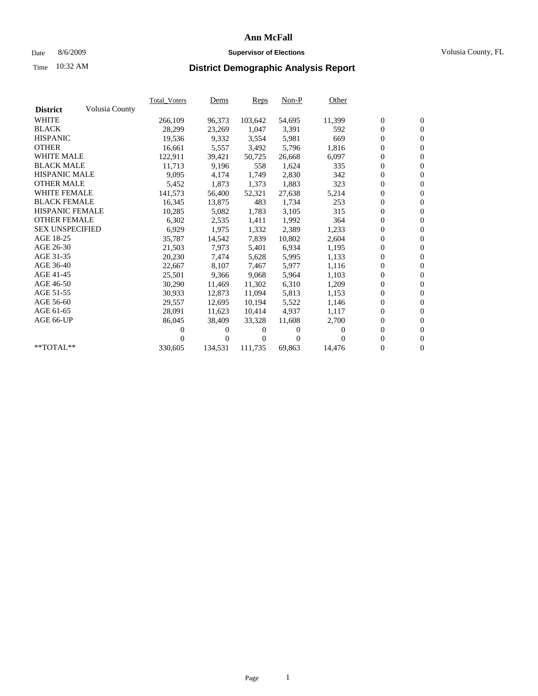### Date 8/6/2009 **Supervisor of Elections** Volusia County, FL

# Time **District Demographic Analysis Report** 10:32 AM

|                        |                | <b>Total_Voters</b> | <u>Dems</u>    | Reps    | $Non-P$      | Other  |                  |                  |  |
|------------------------|----------------|---------------------|----------------|---------|--------------|--------|------------------|------------------|--|
| <b>District</b>        | Volusia County |                     |                |         |              |        |                  |                  |  |
| <b>WHITE</b>           |                | 266,109             | 96,373         | 103,642 | 54,695       | 11,399 | $\boldsymbol{0}$ | $\boldsymbol{0}$ |  |
| <b>BLACK</b>           |                | 28,299              | 23,269         | 1,047   | 3,391        | 592    | $\boldsymbol{0}$ | $\mathbf{0}$     |  |
| <b>HISPANIC</b>        |                | 19,536              | 9,332          | 3,554   | 5,981        | 669    | $\overline{0}$   | $\mathbf{0}$     |  |
| <b>OTHER</b>           |                | 16,661              | 5,557          | 3,492   | 5,796        | 1,816  | 0                | $\overline{0}$   |  |
| <b>WHITE MALE</b>      |                | 122,911             | 39,421         | 50,725  | 26,668       | 6,097  | $\boldsymbol{0}$ | $\mathbf{0}$     |  |
| <b>BLACK MALE</b>      |                | 11,713              | 9,196          | 558     | 1,624        | 335    | $\boldsymbol{0}$ | $\mathbf{0}$     |  |
| <b>HISPANIC MALE</b>   |                | 9,095               | 4,174          | 1,749   | 2,830        | 342    | $\boldsymbol{0}$ | $\mathbf{0}$     |  |
| <b>OTHER MALE</b>      |                | 5,452               | 1,873          | 1,373   | 1,883        | 323    | $\boldsymbol{0}$ | $\mathbf{0}$     |  |
| <b>WHITE FEMALE</b>    |                | 141,573             | 56,400         | 52,321  | 27,638       | 5,214  | $\mathbf{0}$     | $\mathbf{0}$     |  |
| <b>BLACK FEMALE</b>    |                | 16,345              | 13,875         | 483     | 1,734        | 253    | $\boldsymbol{0}$ | $\mathbf{0}$     |  |
| <b>HISPANIC FEMALE</b> |                | 10,285              | 5,082          | 1,783   | 3,105        | 315    | $\boldsymbol{0}$ | $\mathbf{0}$     |  |
| <b>OTHER FEMALE</b>    |                | 6,302               | 2,535          | 1,411   | 1,992        | 364    | $\overline{0}$   | $\mathbf{0}$     |  |
| <b>SEX UNSPECIFIED</b> |                | 6,929               | 1,975          | 1,332   | 2,389        | 1,233  | $\boldsymbol{0}$ | $\mathbf{0}$     |  |
| AGE 18-25              |                | 35,787              | 14,542         | 7,839   | 10,802       | 2,604  | $\overline{0}$   | $\mathbf{0}$     |  |
| AGE 26-30              |                | 21,503              | 7,973          | 5,401   | 6,934        | 1,195  | $\overline{0}$   | $\mathbf{0}$     |  |
| AGE 31-35              |                | 20,230              | 7,474          | 5,628   | 5,995        | 1,133  | $\boldsymbol{0}$ | $\overline{0}$   |  |
| AGE 36-40              |                | 22,667              | 8,107          | 7,467   | 5,977        | 1,116  | $\overline{0}$   | $\mathbf{0}$     |  |
| AGE 41-45              |                | 25,501              | 9,366          | 9.068   | 5,964        | 1,103  | 0                | $\mathbf{0}$     |  |
| AGE 46-50              |                | 30,290              | 11,469         | 11,302  | 6,310        | 1,209  | 0                | $\mathbf{0}$     |  |
| AGE 51-55              |                | 30,933              | 12,873         | 11,094  | 5,813        | 1,153  | $\mathbf{0}$     | $\mathbf{0}$     |  |
| AGE 56-60              |                | 29,557              | 12.695         | 10.194  | 5,522        | 1,146  | $\overline{0}$   | $\mathbf{0}$     |  |
| AGE 61-65              |                | 28,091              | 11,623         | 10,414  | 4,937        | 1,117  | 0                | $\mathbf{0}$     |  |
| AGE 66-UP              |                | 86,045              | 38,409         | 33,328  | 11,608       | 2,700  | $\overline{0}$   | $\mathbf{0}$     |  |
|                        |                | 0                   | $\overline{0}$ | 0       | $\mathbf{0}$ | 0      | $\overline{0}$   | $\mathbf{0}$     |  |
|                        |                |                     | $\overline{0}$ | 0       | $\Omega$     | 0      | 0                | $\mathbf{0}$     |  |
| **TOTAL**              |                | 330,605             | 134,531        | 111,735 | 69,863       | 14,476 | 0                | $\boldsymbol{0}$ |  |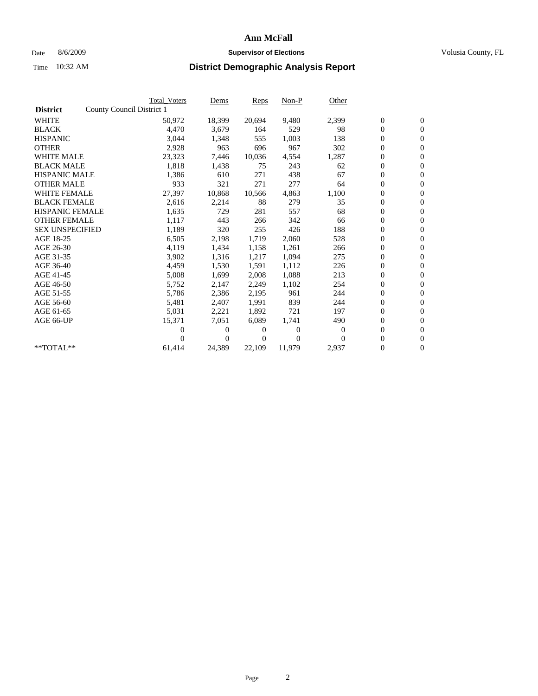### Date 8/6/2009 **Supervisor of Elections Supervisor of Elections** Volusia County, FL

|                        | <b>Total Voters</b>       | Dems         | Reps   | $Non-P$  | Other    |                  |                  |  |
|------------------------|---------------------------|--------------|--------|----------|----------|------------------|------------------|--|
| <b>District</b>        | County Council District 1 |              |        |          |          |                  |                  |  |
| <b>WHITE</b>           | 50,972                    | 18,399       | 20,694 | 9,480    | 2,399    | $\boldsymbol{0}$ | $\boldsymbol{0}$ |  |
| <b>BLACK</b>           | 4,470                     | 3,679        | 164    | 529      | 98       | $\overline{0}$   | $\mathbf{0}$     |  |
| <b>HISPANIC</b>        | 3,044                     | 1,348        | 555    | 1,003    | 138      | $\overline{0}$   | $\mathbf{0}$     |  |
| <b>OTHER</b>           | 2,928                     | 963          | 696    | 967      | 302      | 0                | $\mathbf{0}$     |  |
| <b>WHITE MALE</b>      | 23,323                    | 7,446        | 10,036 | 4,554    | 1,287    | $\boldsymbol{0}$ | $\mathbf{0}$     |  |
| <b>BLACK MALE</b>      | 1,818                     | 1,438        | 75     | 243      | 62       | $\boldsymbol{0}$ | $\mathbf{0}$     |  |
| <b>HISPANIC MALE</b>   | 1,386                     | 610          | 271    | 438      | 67       | $\boldsymbol{0}$ | $\mathbf{0}$     |  |
| <b>OTHER MALE</b>      | 933                       | 321          | 271    | 277      | 64       | $\boldsymbol{0}$ | $\mathbf{0}$     |  |
| <b>WHITE FEMALE</b>    | 27,397                    | 10,868       | 10,566 | 4,863    | 1,100    | 0                | $\mathbf{0}$     |  |
| <b>BLACK FEMALE</b>    | 2,616                     | 2,214        | 88     | 279      | 35       | 0                | $\Omega$         |  |
| <b>HISPANIC FEMALE</b> | 1,635                     | 729          | 281    | 557      | 68       | $\boldsymbol{0}$ | $\mathbf{0}$     |  |
| <b>OTHER FEMALE</b>    | 1,117                     | 443          | 266    | 342      | 66       | 0                | $\mathbf{0}$     |  |
| <b>SEX UNSPECIFIED</b> | 1,189                     | 320          | 255    | 426      | 188      | 0                | $\mathbf{0}$     |  |
| AGE 18-25              | 6,505                     | 2,198        | 1,719  | 2,060    | 528      | $\overline{0}$   | $\mathbf{0}$     |  |
| AGE 26-30              | 4,119                     | 1,434        | 1,158  | 1,261    | 266      | 0                | $\mathbf{0}$     |  |
| AGE 31-35              | 3,902                     | 1,316        | 1,217  | 1,094    | 275      | 0                | $\mathbf{0}$     |  |
| AGE 36-40              | 4,459                     | 1,530        | 1,591  | 1,112    | 226      | $\boldsymbol{0}$ | $\mathbf{0}$     |  |
| AGE 41-45              | 5,008                     | 1,699        | 2,008  | 1,088    | 213      | $\boldsymbol{0}$ | $\mathbf{0}$     |  |
| AGE 46-50              | 5,752                     | 2,147        | 2,249  | 1,102    | 254      | 0                | $\Omega$         |  |
| AGE 51-55              | 5,786                     | 2,386        | 2,195  | 961      | 244      | $\boldsymbol{0}$ | $\boldsymbol{0}$ |  |
| AGE 56-60              | 5,481                     | 2,407        | 1.991  | 839      | 244      | 0                | $\mathbf{0}$     |  |
| AGE 61-65              | 5,031                     | 2,221        | 1,892  | 721      | 197      | 0                | $\mathbf{0}$     |  |
| AGE 66-UP              | 15,371                    | 7,051        | 6,089  | 1,741    | 490      | $\overline{0}$   | $\mathbf{0}$     |  |
|                        | 0                         | 0            | 0      | $\theta$ | $\Omega$ | $\boldsymbol{0}$ | $\mathbf{0}$     |  |
|                        | 0                         | $\mathbf{0}$ | 0      | $\Omega$ | $\Omega$ | 0                | $\mathbf{0}$     |  |
| $*$ TOTAL $**$         | 61,414                    | 24,389       | 22,109 | 11,979   | 2,937    | $\overline{0}$   | $\boldsymbol{0}$ |  |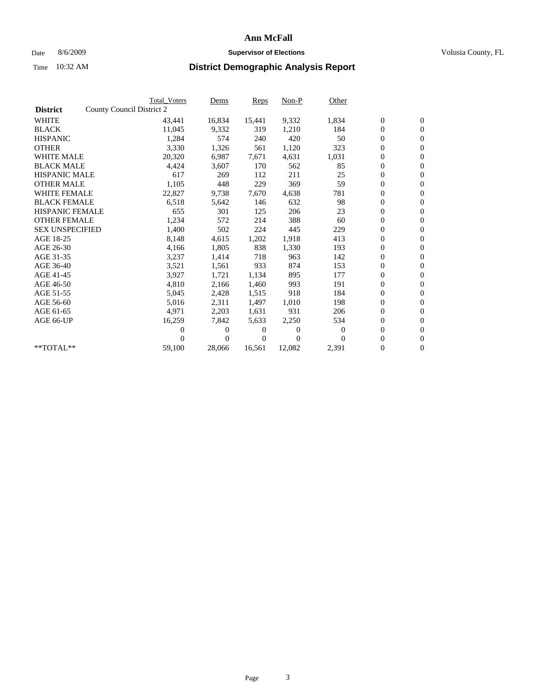### Date 8/6/2009 **Supervisor of Elections Supervisor of Elections** Volusia County, FL

|                        | <b>Total Voters</b>       | Dems         | Reps   | $Non-P$        | Other    |                  |                  |  |
|------------------------|---------------------------|--------------|--------|----------------|----------|------------------|------------------|--|
| <b>District</b>        | County Council District 2 |              |        |                |          |                  |                  |  |
| <b>WHITE</b>           | 43,441                    | 16,834       | 15,441 | 9,332          | 1,834    | $\boldsymbol{0}$ | $\boldsymbol{0}$ |  |
| <b>BLACK</b>           | 11,045                    | 9,332        | 319    | 1,210          | 184      | $\overline{0}$   | $\mathbf{0}$     |  |
| <b>HISPANIC</b>        | 1,284                     | 574          | 240    | 420            | 50       | $\overline{0}$   | $\mathbf{0}$     |  |
| <b>OTHER</b>           | 3,330                     | 1,326        | 561    | 1,120          | 323      | 0                | $\mathbf{0}$     |  |
| <b>WHITE MALE</b>      | 20,320                    | 6,987        | 7,671  | 4,631          | 1,031    | $\boldsymbol{0}$ | $\mathbf{0}$     |  |
| <b>BLACK MALE</b>      | 4,424                     | 3,607        | 170    | 562            | 85       | $\boldsymbol{0}$ | $\mathbf{0}$     |  |
| <b>HISPANIC MALE</b>   | 617                       | 269          | 112    | 211            | 25       | 0                | $\mathbf{0}$     |  |
| <b>OTHER MALE</b>      | 1,105                     | 448          | 229    | 369            | 59       | $\boldsymbol{0}$ | $\mathbf{0}$     |  |
| <b>WHITE FEMALE</b>    | 22,827                    | 9,738        | 7,670  | 4,638          | 781      | 0                | $\mathbf{0}$     |  |
| <b>BLACK FEMALE</b>    | 6,518                     | 5,642        | 146    | 632            | 98       | 0                | $\Omega$         |  |
| <b>HISPANIC FEMALE</b> | 655                       | 301          | 125    | 206            | 23       | $\boldsymbol{0}$ | $\boldsymbol{0}$ |  |
| <b>OTHER FEMALE</b>    | 1,234                     | 572          | 214    | 388            | 60       | 0                | $\mathbf{0}$     |  |
| <b>SEX UNSPECIFIED</b> | 1,400                     | 502          | 224    | 445            | 229      | 0                | $\mathbf{0}$     |  |
| AGE 18-25              | 8,148                     | 4,615        | 1,202  | 1,918          | 413      | $\boldsymbol{0}$ | $\mathbf{0}$     |  |
| AGE 26-30              | 4,166                     | 1,805        | 838    | 1,330          | 193      | $\boldsymbol{0}$ | $\mathbf{0}$     |  |
| AGE 31-35              | 3,237                     | 1,414        | 718    | 963            | 142      | 0                | $\mathbf{0}$     |  |
| AGE 36-40              | 3,521                     | 1,561        | 933    | 874            | 153      | $\boldsymbol{0}$ | $\mathbf{0}$     |  |
| AGE 41-45              | 3,927                     | 1,721        | 1,134  | 895            | 177      | $\boldsymbol{0}$ | $\mathbf{0}$     |  |
| AGE 46-50              | 4,810                     | 2,166        | 1,460  | 993            | 191      | 0                | $\Omega$         |  |
| AGE 51-55              | 5,045                     | 2,428        | 1,515  | 918            | 184      | $\boldsymbol{0}$ | $\boldsymbol{0}$ |  |
| AGE 56-60              | 5,016                     | 2,311        | 1.497  | 1.010          | 198      | 0                | $\mathbf{0}$     |  |
| AGE 61-65              | 4,971                     | 2,203        | 1,631  | 931            | 206      | 0                | $\mathbf{0}$     |  |
| AGE 66-UP              | 16,259                    | 7,842        | 5,633  | 2,250          | 534      | $\overline{0}$   | $\mathbf{0}$     |  |
|                        | 0                         | 0            | 0      | $\overline{0}$ | $\bf{0}$ | $\boldsymbol{0}$ | $\mathbf{0}$     |  |
|                        | 0                         | $\mathbf{0}$ | 0      | $\Omega$       | $\Omega$ | 0                | $\boldsymbol{0}$ |  |
| $*$ TOTAL $**$         | 59,100                    | 28,066       | 16,561 | 12,082         | 2,391    | 0                | $\boldsymbol{0}$ |  |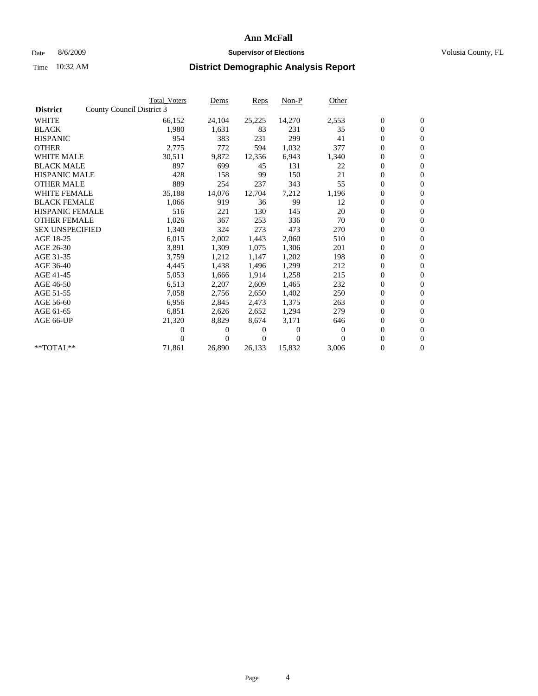### Date 8/6/2009 **Supervisor of Elections Supervisor of Elections** Volusia County, FL

|                        | <b>Total Voters</b>       | Dems             | Reps                | $Non-P$  | Other    |                  |                  |  |
|------------------------|---------------------------|------------------|---------------------|----------|----------|------------------|------------------|--|
| <b>District</b>        | County Council District 3 |                  |                     |          |          |                  |                  |  |
| <b>WHITE</b>           |                           | 66,152<br>24,104 | 25,225              | 14,270   | 2,553    | $\boldsymbol{0}$ | $\boldsymbol{0}$ |  |
| <b>BLACK</b>           |                           | 1,980<br>1,631   | 83                  | 231      | 35       | $\overline{0}$   | $\mathbf{0}$     |  |
| <b>HISPANIC</b>        |                           | 954<br>383       | 231                 | 299      | 41       | $\overline{0}$   | $\mathbf{0}$     |  |
| <b>OTHER</b>           |                           | 2,775<br>772     | 594                 | 1,032    | 377      | 0                | $\mathbf{0}$     |  |
| <b>WHITE MALE</b>      |                           | 30,511<br>9,872  | 12,356              | 6,943    | 1,340    | $\boldsymbol{0}$ | $\mathbf{0}$     |  |
| <b>BLACK MALE</b>      |                           | 897<br>699       | 45                  | 131      | 22       | $\boldsymbol{0}$ | $\mathbf{0}$     |  |
| <b>HISPANIC MALE</b>   |                           | 428<br>158       | 99                  | 150      | 21       | 0                | $\mathbf{0}$     |  |
| <b>OTHER MALE</b>      |                           | 889<br>254       | 237                 | 343      | 55       | $\boldsymbol{0}$ | $\mathbf{0}$     |  |
| <b>WHITE FEMALE</b>    |                           | 35,188<br>14,076 | 12,704              | 7,212    | 1,196    | 0                | $\mathbf{0}$     |  |
| <b>BLACK FEMALE</b>    |                           | 1,066<br>919     | 36                  | 99       | 12       | 0                | $\Omega$         |  |
| <b>HISPANIC FEMALE</b> |                           | 516<br>221       | 130                 | 145      | 20       | $\boldsymbol{0}$ | $\mathbf{0}$     |  |
| <b>OTHER FEMALE</b>    |                           | 1,026<br>367     | 253                 | 336      | 70       | 0                | $\mathbf{0}$     |  |
| <b>SEX UNSPECIFIED</b> |                           | 324<br>1,340     | 273                 | 473      | 270      | 0                | $\mathbf{0}$     |  |
| AGE 18-25              |                           | 6,015<br>2,002   | 1,443               | 2,060    | 510      | $\overline{0}$   | $\mathbf{0}$     |  |
| AGE 26-30              |                           | 3,891<br>1,309   | 1,075               | 1,306    | 201      | 0                | $\mathbf{0}$     |  |
| AGE 31-35              |                           | 3,759<br>1,212   | 1,147               | 1,202    | 198      | 0                | $\mathbf{0}$     |  |
| AGE 36-40              |                           | 4,445<br>1,438   | 1,496               | 1,299    | 212      | $\overline{0}$   | $\mathbf{0}$     |  |
| AGE 41-45              |                           | 5,053<br>1,666   | 1,914               | 1,258    | 215      | 0                | $\mathbf{0}$     |  |
| AGE 46-50              |                           | 6,513<br>2,207   | 2,609               | 1,465    | 232      | 0                | $\Omega$         |  |
| AGE 51-55              |                           | 7,058<br>2,756   | 2,650               | 1,402    | 250      | $\boldsymbol{0}$ | $\mathbf{0}$     |  |
| AGE 56-60              |                           | 6,956<br>2,845   | 2.473               | 1.375    | 263      | 0                | $\mathbf{0}$     |  |
| AGE 61-65              |                           | 6,851<br>2,626   | 2,652               | 1,294    | 279      | 0                | $\Omega$         |  |
| AGE 66-UP              |                           | 21,320<br>8,829  | 8,674               | 3,171    | 646      | $\overline{0}$   | $\mathbf{0}$     |  |
|                        |                           | 0                | 0<br>0              | $\theta$ | $\Omega$ | 0                | $\mathbf{0}$     |  |
|                        |                           | 0                | $\overline{0}$<br>0 | $\Omega$ | $\Omega$ | 0                | $\mathbf{0}$     |  |
| $*$ TOTAL $**$         |                           | 71,861<br>26,890 | 26,133              | 15,832   | 3,006    | 0                | $\boldsymbol{0}$ |  |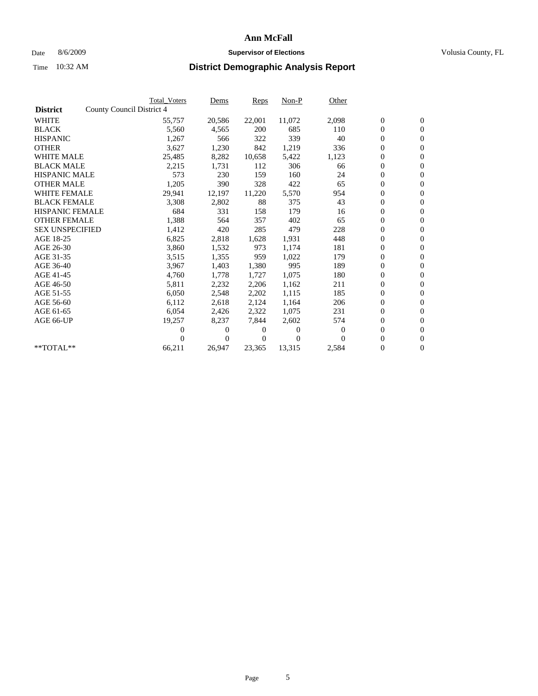### Date 8/6/2009 **Supervisor of Elections Supervisor of Elections** Volusia County, FL

|                        | <b>Total Voters</b>       | Dems           | Reps   | $Non-P$        | Other            |                  |                  |  |
|------------------------|---------------------------|----------------|--------|----------------|------------------|------------------|------------------|--|
| <b>District</b>        | County Council District 4 |                |        |                |                  |                  |                  |  |
| <b>WHITE</b>           | 55,757                    | 20,586         | 22,001 | 11,072         | 2,098            | $\boldsymbol{0}$ | $\boldsymbol{0}$ |  |
| <b>BLACK</b>           | 5,560                     | 4,565          | 200    | 685            | 110              | $\overline{0}$   | $\mathbf{0}$     |  |
| <b>HISPANIC</b>        | 1,267                     | 566            | 322    | 339            | 40               | $\overline{0}$   | $\mathbf{0}$     |  |
| <b>OTHER</b>           | 3,627                     | 1,230          | 842    | 1,219          | 336              | 0                | $\mathbf{0}$     |  |
| <b>WHITE MALE</b>      | 25,485                    | 8,282          | 10,658 | 5,422          | 1,123            | $\boldsymbol{0}$ | $\mathbf{0}$     |  |
| <b>BLACK MALE</b>      | 2,215                     | 1,731          | 112    | 306            | 66               | $\boldsymbol{0}$ | $\mathbf{0}$     |  |
| <b>HISPANIC MALE</b>   | 573                       | 230            | 159    | 160            | 24               | 0                | $\mathbf{0}$     |  |
| <b>OTHER MALE</b>      | 1,205                     | 390            | 328    | 422            | 65               | $\boldsymbol{0}$ | $\mathbf{0}$     |  |
| <b>WHITE FEMALE</b>    | 29,941                    | 12,197         | 11,220 | 5,570          | 954              | 0                | $\mathbf{0}$     |  |
| <b>BLACK FEMALE</b>    | 3,308                     | 2,802          | 88     | 375            | 43               | 0                | $\Omega$         |  |
| <b>HISPANIC FEMALE</b> | 684                       | 331            | 158    | 179            | 16               | $\boldsymbol{0}$ | $\mathbf{0}$     |  |
| <b>OTHER FEMALE</b>    | 1,388                     | 564            | 357    | 402            | 65               | $\boldsymbol{0}$ | $\mathbf{0}$     |  |
| <b>SEX UNSPECIFIED</b> | 1,412                     | 420            | 285    | 479            | 228              | 0                | $\mathbf{0}$     |  |
| AGE 18-25              | 6,825                     | 2,818          | 1,628  | 1,931          | 448              | $\overline{0}$   | $\mathbf{0}$     |  |
| AGE 26-30              | 3,860                     | 1,532          | 973    | 1,174          | 181              | 0                | $\mathbf{0}$     |  |
| AGE 31-35              | 3,515                     | 1,355          | 959    | 1,022          | 179              | 0                | $\mathbf{0}$     |  |
| AGE 36-40              | 3,967                     | 1,403          | 1,380  | 995            | 189              | $\overline{0}$   | $\mathbf{0}$     |  |
| AGE 41-45              | 4,760                     | 1,778          | 1,727  | 1,075          | 180              | $\boldsymbol{0}$ | $\mathbf{0}$     |  |
| AGE 46-50              | 5,811                     | 2,232          | 2,206  | 1,162          | 211              | 0                | $\Omega$         |  |
| AGE 51-55              | 6,050                     | 2,548          | 2,202  | 1,115          | 185              | $\boldsymbol{0}$ | $\mathbf{0}$     |  |
| AGE 56-60              | 6,112                     | 2,618          | 2.124  | 1.164          | 206              | 0                | $\mathbf{0}$     |  |
| AGE 61-65              | 6,054                     | 2,426          | 2,322  | 1,075          | 231              | 0                | $\mathbf{0}$     |  |
| AGE 66-UP              | 19,257                    | 8,237          | 7,844  | 2,602          | 574              | $\overline{0}$   | $\mathbf{0}$     |  |
|                        | 0                         | 0              | 0      | $\overline{0}$ | $\boldsymbol{0}$ | $\boldsymbol{0}$ | $\mathbf{0}$     |  |
|                        | 0                         | $\overline{0}$ | 0      | $\Omega$       | $\Omega$         | 0                | $\mathbf{0}$     |  |
| $*$ TOTAL $**$         | 66,211                    | 26,947         | 23,365 | 13,315         | 2,584            | 0                | $\boldsymbol{0}$ |  |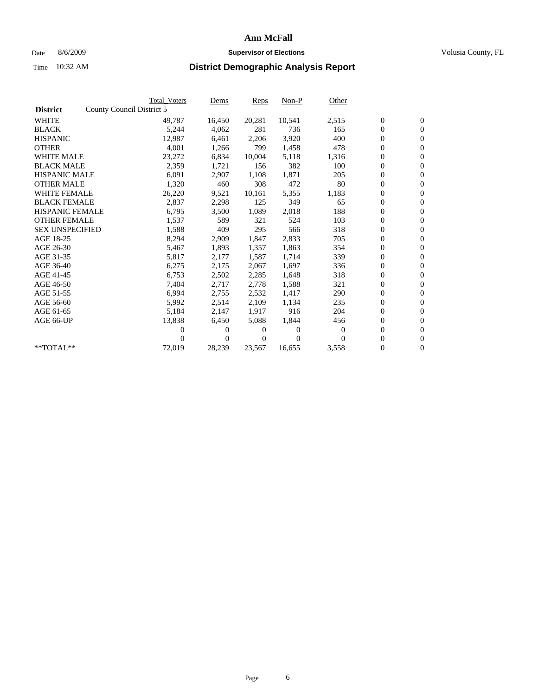### Date 8/6/2009 **Supervisor of Elections Supervisor of Elections** Volusia County, FL

|                        |                           | <b>Total Voters</b> | Dems         | Reps   | $Non-P$  | Other    |                  |                  |  |
|------------------------|---------------------------|---------------------|--------------|--------|----------|----------|------------------|------------------|--|
| <b>District</b>        | County Council District 5 |                     |              |        |          |          |                  |                  |  |
| <b>WHITE</b>           |                           | 49,787              | 16,450       | 20,281 | 10,541   | 2,515    | $\boldsymbol{0}$ | $\boldsymbol{0}$ |  |
| <b>BLACK</b>           |                           | 5,244               | 4,062        | 281    | 736      | 165      | $\overline{0}$   | $\mathbf{0}$     |  |
| <b>HISPANIC</b>        |                           | 12,987              | 6,461        | 2,206  | 3,920    | 400      | $\overline{0}$   | $\mathbf{0}$     |  |
| <b>OTHER</b>           |                           | 4,001               | 1,266        | 799    | 1,458    | 478      | 0                | $\mathbf{0}$     |  |
| <b>WHITE MALE</b>      |                           | 23,272              | 6,834        | 10,004 | 5,118    | 1,316    | $\boldsymbol{0}$ | $\mathbf{0}$     |  |
| <b>BLACK MALE</b>      |                           | 2,359               | 1,721        | 156    | 382      | 100      | $\boldsymbol{0}$ | $\mathbf{0}$     |  |
| <b>HISPANIC MALE</b>   |                           | 6,091               | 2,907        | 1,108  | 1,871    | 205      | 0                | $\mathbf{0}$     |  |
| <b>OTHER MALE</b>      |                           | 1,320               | 460          | 308    | 472      | 80       | $\boldsymbol{0}$ | $\mathbf{0}$     |  |
| <b>WHITE FEMALE</b>    |                           | 26,220              | 9,521        | 10,161 | 5,355    | 1,183    | 0                | $\mathbf{0}$     |  |
| <b>BLACK FEMALE</b>    |                           | 2,837               | 2,298        | 125    | 349      | 65       | $\boldsymbol{0}$ | $\Omega$         |  |
| <b>HISPANIC FEMALE</b> |                           | 6,795               | 3,500        | 1,089  | 2,018    | 188      | $\boldsymbol{0}$ | $\boldsymbol{0}$ |  |
| <b>OTHER FEMALE</b>    |                           | 1,537               | 589          | 321    | 524      | 103      | 0                | $\mathbf{0}$     |  |
| <b>SEX UNSPECIFIED</b> |                           | 1,588               | 409          | 295    | 566      | 318      | 0                | $\mathbf{0}$     |  |
| AGE 18-25              |                           | 8,294               | 2,909        | 1,847  | 2,833    | 705      | $\overline{0}$   | $\mathbf{0}$     |  |
| AGE 26-30              |                           | 5,467               | 1,893        | 1,357  | 1,863    | 354      | 0                | $\mathbf{0}$     |  |
| AGE 31-35              |                           | 5,817               | 2,177        | 1,587  | 1,714    | 339      | 0                | $\mathbf{0}$     |  |
| AGE 36-40              |                           | 6,275               | 2,175        | 2,067  | 1,697    | 336      | $\boldsymbol{0}$ | $\mathbf{0}$     |  |
| AGE 41-45              |                           | 6,753               | 2,502        | 2,285  | 1,648    | 318      | $\boldsymbol{0}$ | $\mathbf{0}$     |  |
| AGE 46-50              |                           | 7,404               | 2,717        | 2,778  | 1,588    | 321      | 0                | $\Omega$         |  |
| AGE 51-55              |                           | 6,994               | 2,755        | 2,532  | 1,417    | 290      | $\boldsymbol{0}$ | $\boldsymbol{0}$ |  |
| AGE 56-60              |                           | 5,992               | 2,514        | 2.109  | 1,134    | 235      | 0                | $\mathbf{0}$     |  |
| AGE 61-65              |                           | 5,184               | 2,147        | 1,917  | 916      | 204      | 0                | $\mathbf{0}$     |  |
| AGE 66-UP              |                           | 13,838              | 6,450        | 5,088  | 1,844    | 456      | $\overline{0}$   | $\mathbf{0}$     |  |
|                        |                           | 0                   | 0            | 0      | $\theta$ | $\theta$ | $\boldsymbol{0}$ | $\mathbf{0}$     |  |
|                        |                           | 0                   | $\mathbf{0}$ | 0      | $\Omega$ | $\Omega$ | 0                | $\boldsymbol{0}$ |  |
| $*$ TOTAL $**$         |                           | 72,019              | 28,239       | 23,567 | 16,655   | 3,558    | $\overline{0}$   | $\boldsymbol{0}$ |  |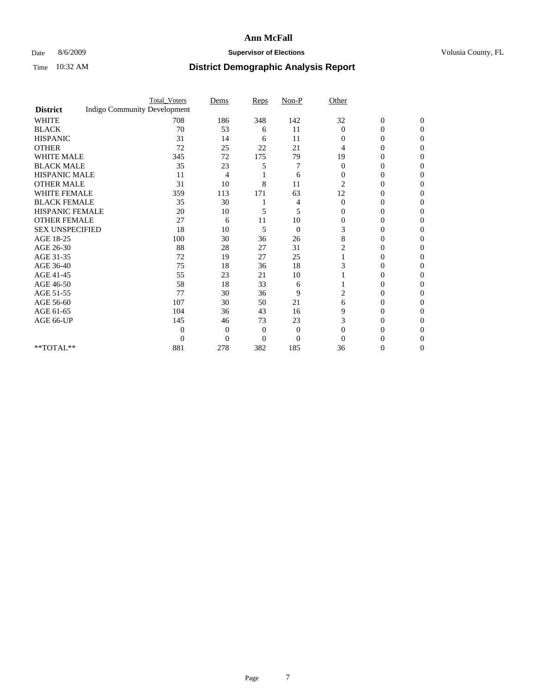### Date 8/6/2009 **Supervisor of Elections Supervisor of Elections** Volusia County, FL

|                        |                                     | <b>Total_Voters</b> | Dems     | Reps           | $Non-P$        | Other          |                  |              |  |
|------------------------|-------------------------------------|---------------------|----------|----------------|----------------|----------------|------------------|--------------|--|
| <b>District</b>        | <b>Indigo Community Development</b> |                     |          |                |                |                |                  |              |  |
| <b>WHITE</b>           |                                     | 708                 | 186      | 348            | 142            | 32             | $\boldsymbol{0}$ | $\mathbf{0}$ |  |
| <b>BLACK</b>           |                                     | 70                  | 53       | 6              | 11             | $\Omega$       | 0                | $\Omega$     |  |
| <b>HISPANIC</b>        |                                     | 31                  | 14       | 6              | 11             | $\Omega$       | 0                | $\Omega$     |  |
| <b>OTHER</b>           |                                     | 72                  | 25       | 22             | 21             | 4              | 0                | 0            |  |
| <b>WHITE MALE</b>      |                                     | 345                 | 72       | 175            | 79             | 19             | 0                | 0            |  |
| <b>BLACK MALE</b>      |                                     | 35                  | 23       | 5              | 7              | $\Omega$       | 0                | 0            |  |
| HISPANIC MALE          |                                     | 11                  | 4        |                | 6              | $\overline{0}$ | 0                | 0            |  |
| <b>OTHER MALE</b>      |                                     | 31                  | 10       | 8              | 11             | $\overline{2}$ | 0                | 0            |  |
| <b>WHITE FEMALE</b>    |                                     | 359                 | 113      | 171            | 63             | 12             | 0                | 0            |  |
| <b>BLACK FEMALE</b>    |                                     | 35                  | 30       |                | 4              | $\overline{0}$ | 0                | 0            |  |
| <b>HISPANIC FEMALE</b> |                                     | 20                  | 10       | 5              | 5              | $\Omega$       | 0                | 0            |  |
| <b>OTHER FEMALE</b>    |                                     | 27                  | 6        | 11             | 10             | $\Omega$       | 0                | 0            |  |
| <b>SEX UNSPECIFIED</b> |                                     | 18                  | 10       | 5              | $\overline{0}$ | 3              | 0                | 0            |  |
| AGE 18-25              |                                     | 100                 | 30       | 36             | 26             | 8              | 0                | $\Omega$     |  |
| AGE 26-30              |                                     | 88                  | 28       | 27             | 31             |                | 0                | 0            |  |
| AGE 31-35              |                                     | 72                  | 19       | 27             | 25             |                | 0                | 0            |  |
| AGE 36-40              |                                     | 75                  | 18       | 36             | 18             |                | 0                | 0            |  |
| AGE 41-45              |                                     | 55                  | 23       | 21             | 10             |                | 0                | 0            |  |
| AGE 46-50              |                                     | 58                  | 18       | 33             | 6              |                | 0                | $\Omega$     |  |
| AGE 51-55              |                                     | 77                  | 30       | 36             | 9              | 2              | 0                | 0            |  |
| AGE 56-60              |                                     | 107                 | 30       | 50             | 21             | 6              | 0                | 0            |  |
| AGE 61-65              |                                     | 104                 | 36       | 43             | 16             | 9              | 0                | 0            |  |
| AGE 66-UP              |                                     | 145                 | 46       | 73             | 23             | 3              | 0                | 0            |  |
|                        |                                     | $\Omega$            | 0        | $\overline{0}$ | $\theta$       | 0              | 0                | 0            |  |
|                        |                                     | $\Omega$            | $\Omega$ | $\theta$       | $\theta$       | $\Omega$       |                  | 0            |  |
| **TOTAL**              |                                     | 881                 | 278      | 382            | 185            | 36             | 0                | 0            |  |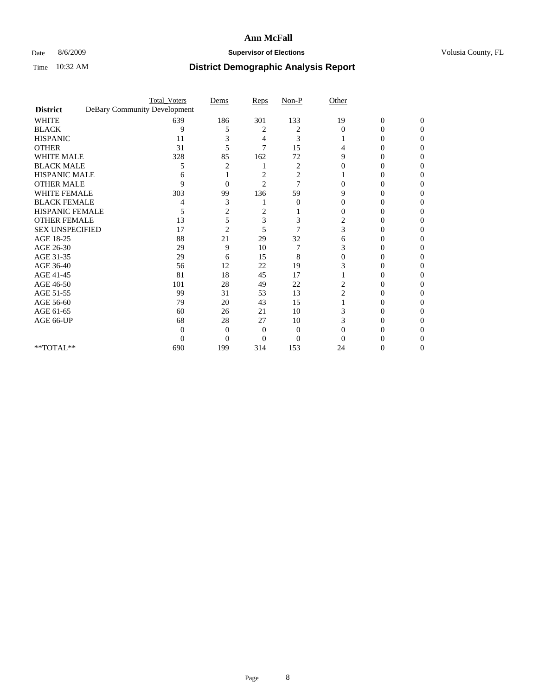### Date 8/6/2009 **Supervisor of Elections Supervisor of Elections** Volusia County, FL

|                                     | <b>Total_Voters</b>          | Dems           | Reps           | $Non-P$  | Other          |                  |              |  |
|-------------------------------------|------------------------------|----------------|----------------|----------|----------------|------------------|--------------|--|
| <b>District</b>                     | DeBary Community Development |                |                |          |                |                  |              |  |
| <b>WHITE</b>                        | 639                          | 186            | 301            | 133      | 19             | $\boldsymbol{0}$ | $\mathbf{0}$ |  |
| <b>BLACK</b>                        | 9                            | 5              | 2              | 2        | $\Omega$       | 0                | 0            |  |
| <b>HISPANIC</b>                     | 11                           |                | 4              | 3        |                | $\theta$         | 0            |  |
| <b>OTHER</b>                        | 31                           | 5              | 7              | 15       |                |                  | 0            |  |
| <b>WHITE MALE</b>                   | 328                          | 85             | 162            | 72       | 9              | 0                | 0            |  |
| <b>BLACK MALE</b>                   | 5                            |                |                | 2        |                | $\theta$         | 0            |  |
| HISPANIC MALE                       | 6                            |                | 2              | 2        |                |                  | 0            |  |
| <b>OTHER MALE</b>                   | 9                            | 0              | $\overline{2}$ | 7        |                | 0                | 0            |  |
| <b>WHITE FEMALE</b>                 | 303                          | 99             | 136            | 59       | 9              |                  | 0            |  |
| <b>BLACK FEMALE</b>                 |                              | 3              |                | $\theta$ | 0              | 0                | 0            |  |
| <b>HISPANIC FEMALE</b>              | 5                            | 2              | 2              |          |                | 0                | 0            |  |
| <b>OTHER FEMALE</b>                 | 13                           | 5              | 3              | 3        | 2              |                  | 0            |  |
| <b>SEX UNSPECIFIED</b>              | 17                           | $\overline{2}$ | 5              | 7        | 3              |                  | 0            |  |
| AGE 18-25                           | 88                           | 21             | 29             | 32       | 6              | 0                | 0            |  |
| AGE 26-30                           | 29                           | 9              | 10             |          | 3              |                  | 0            |  |
| AGE 31-35                           | 29                           | 6              | 15             | 8        |                |                  |              |  |
| AGE 36-40                           | 56                           | 12             | 22             | 19       |                | 0                | 0            |  |
| AGE 41-45                           | 81                           | 18             | 45             | 17       |                |                  | 0            |  |
| AGE 46-50                           | 101                          | 28             | 49             | 22       | 2              | 0                | 0            |  |
| AGE 51-55                           | 99                           | 31             | 53             | 13       | $\overline{c}$ | 0                | 0            |  |
| AGE 56-60                           | 79                           | 20             | 43             | 15       |                |                  | 0            |  |
| AGE 61-65                           | 60                           | 26             | 21             | 10       |                |                  | 0            |  |
| AGE 66-UP                           | 68                           | 28             | 27             | 10       | 3              | 0                | 0            |  |
|                                     | 0                            | 0              | 0              | $\Omega$ |                |                  |              |  |
|                                     | 0                            | $\Omega$       | 0              | $\Omega$ |                |                  |              |  |
| $\rm ^{\ast \ast}TOTAL^{\ast \ast}$ | 690                          | 199            | 314            | 153      | 24             | 0                | 0            |  |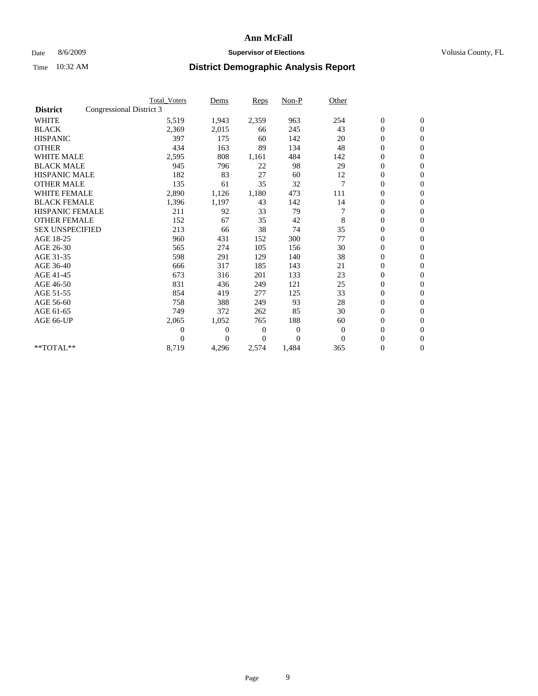### Date 8/6/2009 **Supervisor of Elections Supervisor of Elections** Volusia County, FL

|                        | <b>Total Voters</b>      | Dems           | <b>Reps</b>  | $Non-P$        | Other          |                  |                  |  |
|------------------------|--------------------------|----------------|--------------|----------------|----------------|------------------|------------------|--|
| <b>District</b>        | Congressional District 3 |                |              |                |                |                  |                  |  |
| <b>WHITE</b>           | 5,519                    | 1,943          | 2,359        | 963            | 254            | $\boldsymbol{0}$ | $\mathbf{0}$     |  |
| <b>BLACK</b>           | 2,369                    | 2,015          | 66           | 245            | 43             | $\boldsymbol{0}$ | $\mathbf{0}$     |  |
| <b>HISPANIC</b>        | 397                      | 175            | 60           | 142            | 20             | $\overline{0}$   | $\mathbf{0}$     |  |
| <b>OTHER</b>           | 434                      | 163            | 89           | 134            | 48             | $\boldsymbol{0}$ | $\mathbf{0}$     |  |
| <b>WHITE MALE</b>      | 2,595                    | 808            | 1,161        | 484            | 142            | $\boldsymbol{0}$ | $\mathbf{0}$     |  |
| <b>BLACK MALE</b>      | 945                      | 796            | 22           | 98             | 29             | $\boldsymbol{0}$ | $\mathbf{0}$     |  |
| <b>HISPANIC MALE</b>   | 182                      | 83             | 27           | 60             | 12             | $\boldsymbol{0}$ | $\mathbf{0}$     |  |
| <b>OTHER MALE</b>      | 135                      | 61             | 35           | 32             | $\overline{7}$ | 0                | $\mathbf{0}$     |  |
| <b>WHITE FEMALE</b>    | 2,890                    | 1,126          | 1,180        | 473            | 111            | $\overline{0}$   | $\mathbf{0}$     |  |
| <b>BLACK FEMALE</b>    | 1,396                    | 1,197          | 43           | 142            | 14             | $\boldsymbol{0}$ | $\mathbf{0}$     |  |
| HISPANIC FEMALE        | 211                      | 92             | 33           | 79             |                | $\boldsymbol{0}$ | $\boldsymbol{0}$ |  |
| <b>OTHER FEMALE</b>    | 152                      | 67             | 35           | 42             | 8              | $\overline{0}$   | $\Omega$         |  |
| <b>SEX UNSPECIFIED</b> | 213                      | 66             | 38           | 74             | 35             | $\mathbf{0}$     | $\mathbf{0}$     |  |
| AGE 18-25              | 960                      | 431            | 152          | 300            | 77             | $\overline{0}$   | $\mathbf{0}$     |  |
| AGE 26-30              | 565                      | 274            | 105          | 156            | 30             | $\overline{0}$   | $\mathbf{0}$     |  |
| AGE 31-35              | 598                      | 291            | 129          | 140            | 38             | $\boldsymbol{0}$ | $\mathbf{0}$     |  |
| AGE 36-40              | 666                      | 317            | 185          | 143            | 21             | $\boldsymbol{0}$ | $\mathbf{0}$     |  |
| AGE 41-45              | 673                      | 316            | 201          | 133            | 23             | $\overline{0}$   | $\mathbf{0}$     |  |
| AGE 46-50              | 831                      | 436            | 249          | 121            | 25             | $\mathbf{0}$     | $\mathbf{0}$     |  |
| AGE 51-55              | 854                      | 419            | 277          | 125            | 33             | $\boldsymbol{0}$ | $\mathbf{0}$     |  |
| AGE 56-60              | 758                      | 388            | 249          | 93             | 28             | $\boldsymbol{0}$ | $\mathbf{0}$     |  |
| AGE 61-65              | 749                      | 372            | 262          | 85             | 30             | $\boldsymbol{0}$ | $\mathbf{0}$     |  |
| AGE 66-UP              | 2,065                    | 1,052          | 765          | 188            | 60             | $\boldsymbol{0}$ | $\mathbf{0}$     |  |
|                        | $\theta$                 | $\overline{0}$ | $\mathbf{0}$ | $\mathbf{0}$   | $\overline{0}$ | $\overline{0}$   | $\mathbf{0}$     |  |
|                        | $\theta$                 | $\overline{0}$ | 0            | $\overline{0}$ | $\Omega$       | $\overline{0}$   | $\mathbf{0}$     |  |
| **TOTAL**              | 8,719                    | 4,296          | 2,574        | 1,484          | 365            | 0                | $\mathbf{0}$     |  |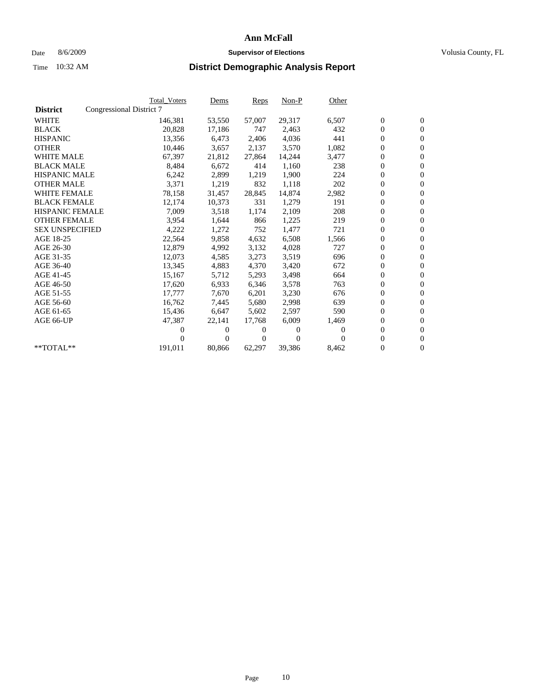### Date 8/6/2009 **Supervisor of Elections Supervisor of Elections** Volusia County, FL

|                        | <b>Total Voters</b>      | <u>Dems</u>    | <b>Reps</b>    | $Non-P$  | Other    |                  |                  |  |
|------------------------|--------------------------|----------------|----------------|----------|----------|------------------|------------------|--|
| <b>District</b>        | Congressional District 7 |                |                |          |          |                  |                  |  |
| <b>WHITE</b>           | 146,381                  | 53,550         | 57,007         | 29,317   | 6,507    | $\boldsymbol{0}$ | $\boldsymbol{0}$ |  |
| <b>BLACK</b>           | 20,828                   | 17,186         | 747            | 2,463    | 432      | $\boldsymbol{0}$ | $\mathbf{0}$     |  |
| <b>HISPANIC</b>        | 13,356                   | 6,473          | 2,406          | 4,036    | 441      | $\overline{0}$   | $\mathbf{0}$     |  |
| <b>OTHER</b>           | 10,446                   | 3,657          | 2,137          | 3,570    | 1,082    | 0                | $\mathbf{0}$     |  |
| <b>WHITE MALE</b>      | 67,397                   | 21,812         | 27,864         | 14,244   | 3,477    | $\boldsymbol{0}$ | $\mathbf{0}$     |  |
| <b>BLACK MALE</b>      | 8,484                    | 6.672          | 414            | 1.160    | 238      | $\overline{0}$   | $\mathbf{0}$     |  |
| <b>HISPANIC MALE</b>   | 6,242                    | 2,899          | 1,219          | 1,900    | 224      | $\boldsymbol{0}$ | $\mathbf{0}$     |  |
| <b>OTHER MALE</b>      | 3,371                    | 1,219          | 832            | 1,118    | 202      | $\overline{0}$   | $\mathbf{0}$     |  |
| <b>WHITE FEMALE</b>    | 78,158                   | 31,457         | 28,845         | 14,874   | 2,982    | $\boldsymbol{0}$ | $\mathbf{0}$     |  |
| <b>BLACK FEMALE</b>    | 12,174                   | 10,373         | 331            | 1,279    | 191      | $\boldsymbol{0}$ | $\overline{0}$   |  |
| <b>HISPANIC FEMALE</b> | 7,009                    | 3,518          | 1,174          | 2,109    | 208      | 0                | $\mathbf{0}$     |  |
| <b>OTHER FEMALE</b>    | 3,954                    | 1,644          | 866            | 1,225    | 219      | $\mathbf{0}$     | $\mathbf{0}$     |  |
| <b>SEX UNSPECIFIED</b> | 4,222                    | 1,272          | 752            | 1,477    | 721      | $\boldsymbol{0}$ | $\overline{0}$   |  |
| AGE 18-25              | 22,564                   | 9,858          | 4,632          | 6,508    | 1,566    | $\boldsymbol{0}$ | $\mathbf{0}$     |  |
| AGE 26-30              | 12,879                   | 4,992          | 3,132          | 4,028    | 727      | $\mathbf{0}$     | $\mathbf{0}$     |  |
| AGE 31-35              | 12,073                   | 4,585          | 3,273          | 3,519    | 696      | $\boldsymbol{0}$ | $\mathbf{0}$     |  |
| AGE 36-40              | 13,345                   | 4,883          | 4,370          | 3,420    | 672      | $\boldsymbol{0}$ | $\mathbf{0}$     |  |
| AGE 41-45              | 15,167                   | 5,712          | 5,293          | 3,498    | 664      | 0                | $\mathbf{0}$     |  |
| AGE 46-50              | 17,620                   | 6,933          | 6,346          | 3,578    | 763      | 0                | $\Omega$         |  |
| AGE 51-55              | 17,777                   | 7.670          | 6,201          | 3,230    | 676      | $\boldsymbol{0}$ | $\mathbf{0}$     |  |
| AGE 56-60              | 16,762                   | 7,445          | 5,680          | 2,998    | 639      | $\overline{0}$   | $\mathbf{0}$     |  |
| AGE 61-65              | 15,436                   | 6,647          | 5,602          | 2,597    | 590      | 0                | $\overline{0}$   |  |
| AGE 66-UP              | 47,387                   | 22,141         | 17,768         | 6,009    | 1,469    | 0                | $\mathbf{0}$     |  |
|                        | 0                        | $\overline{0}$ | 0              | $\Omega$ | $\Omega$ | $\mathbf{0}$     | $\mathbf{0}$     |  |
|                        | 0                        | $\overline{0}$ | $\overline{0}$ | $\Omega$ | 0        | 0                | $\mathbf{0}$     |  |
| **TOTAL**              | 191,011                  | 80,866         | 62,297         | 39,386   | 8,462    | 0                | $\boldsymbol{0}$ |  |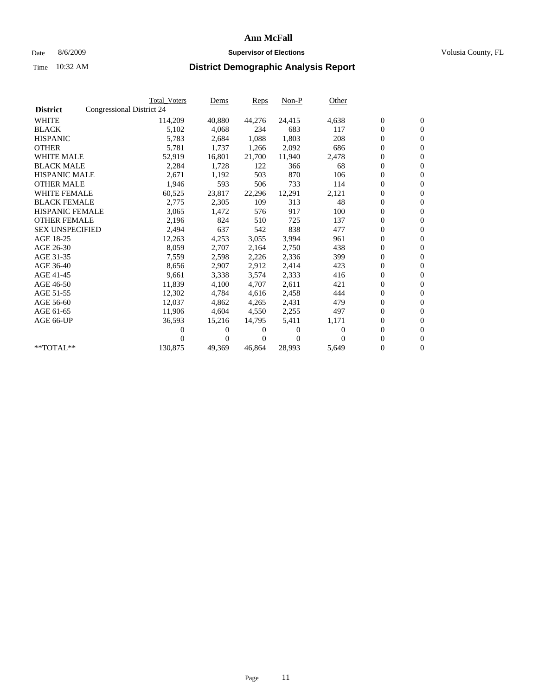### Date 8/6/2009 **Supervisor of Elections Supervisor of Elections** Volusia County, FL

|                        |                           | <b>Total Voters</b> | Dems     | Reps   | Non-P    | Other    |                  |                  |  |
|------------------------|---------------------------|---------------------|----------|--------|----------|----------|------------------|------------------|--|
| <b>District</b>        | Congressional District 24 |                     |          |        |          |          |                  |                  |  |
| <b>WHITE</b>           |                           | 114,209             | 40,880   | 44,276 | 24,415   | 4,638    | $\boldsymbol{0}$ | $\boldsymbol{0}$ |  |
| <b>BLACK</b>           |                           | 5,102               | 4,068    | 234    | 683      | 117      | $\boldsymbol{0}$ | $\mathbf{0}$     |  |
| <b>HISPANIC</b>        |                           | 5,783               | 2,684    | 1,088  | 1,803    | 208      | $\boldsymbol{0}$ | $\mathbf{0}$     |  |
| <b>OTHER</b>           |                           | 5,781               | 1,737    | 1,266  | 2,092    | 686      | 0                | $\mathbf{0}$     |  |
| <b>WHITE MALE</b>      |                           | 52,919              | 16,801   | 21,700 | 11,940   | 2,478    | 0                | $\mathbf{0}$     |  |
| <b>BLACK MALE</b>      |                           | 2,284               | 1,728    | 122    | 366      | 68       | $\overline{0}$   | $\mathbf{0}$     |  |
| <b>HISPANIC MALE</b>   |                           | 2,671               | 1,192    | 503    | 870      | 106      | 0                | $\mathbf{0}$     |  |
| <b>OTHER MALE</b>      |                           | 1,946               | 593      | 506    | 733      | 114      | 0                | $\mathbf{0}$     |  |
| <b>WHITE FEMALE</b>    |                           | 60,525              | 23,817   | 22,296 | 12,291   | 2,121    | $\boldsymbol{0}$ | $\mathbf{0}$     |  |
| <b>BLACK FEMALE</b>    |                           | 2,775               | 2,305    | 109    | 313      | 48       | 0                | $\mathbf{0}$     |  |
| HISPANIC FEMALE        |                           | 3,065               | 1,472    | 576    | 917      | 100      | 0                | $\mathbf{0}$     |  |
| <b>OTHER FEMALE</b>    |                           | 2,196               | 824      | 510    | 725      | 137      | 0                | $\mathbf{0}$     |  |
| <b>SEX UNSPECIFIED</b> |                           | 2,494               | 637      | 542    | 838      | 477      | 0                | $\mathbf{0}$     |  |
| AGE 18-25              |                           | 12,263              | 4,253    | 3,055  | 3,994    | 961      | 0                | $\mathbf{0}$     |  |
| AGE 26-30              |                           | 8,059               | 2,707    | 2,164  | 2,750    | 438      | 0                | $\mathbf{0}$     |  |
| AGE 31-35              |                           | 7,559               | 2,598    | 2,226  | 2,336    | 399      | 0                | $\mathbf{0}$     |  |
| AGE 36-40              |                           | 8,656               | 2,907    | 2,912  | 2,414    | 423      | 0                | $\mathbf{0}$     |  |
| AGE 41-45              |                           | 9,661               | 3,338    | 3,574  | 2,333    | 416      | 0                | $\mathbf{0}$     |  |
| AGE 46-50              |                           | 11,839              | 4,100    | 4,707  | 2,611    | 421      | 0                | $\mathbf{0}$     |  |
| AGE 51-55              |                           | 12,302              | 4,784    | 4,616  | 2,458    | 444      | 0                | $\mathbf{0}$     |  |
| AGE 56-60              |                           | 12.037              | 4,862    | 4,265  | 2,431    | 479      | 0                | $\mathbf{0}$     |  |
| AGE 61-65              |                           | 11,906              | 4,604    | 4,550  | 2,255    | 497      | 0                | $\mathbf{0}$     |  |
| AGE 66-UP              |                           | 36,593              | 15,216   | 14,795 | 5,411    | 1,171    | 0                | $\mathbf{0}$     |  |
|                        |                           | 0                   | $\theta$ | 0      | $\theta$ | $\Omega$ | $\overline{0}$   | $\mathbf{0}$     |  |
|                        |                           | 0                   | 0        | 0      | $\Omega$ | $\Omega$ | 0                | $\mathbf{0}$     |  |
| **TOTAL**              |                           | 130,875             | 49,369   | 46,864 | 28,993   | 5,649    | 0                | $\boldsymbol{0}$ |  |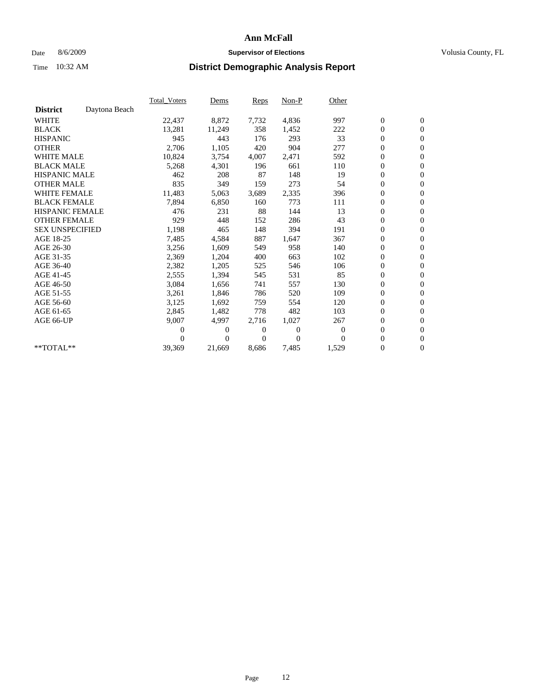### Date 8/6/2009 **Supervisor of Elections Supervisor of Elections** Volusia County, FL

|                        |               | <b>Total Voters</b> | Dems     | Reps  | Non-P    | Other    |                  |                  |  |
|------------------------|---------------|---------------------|----------|-------|----------|----------|------------------|------------------|--|
| <b>District</b>        | Daytona Beach |                     |          |       |          |          |                  |                  |  |
| <b>WHITE</b>           |               | 22,437              | 8,872    | 7,732 | 4,836    | 997      | $\boldsymbol{0}$ | $\boldsymbol{0}$ |  |
| <b>BLACK</b>           |               | 13,281              | 11,249   | 358   | 1,452    | 222      | 0                | $\mathbf{0}$     |  |
| <b>HISPANIC</b>        |               | 945                 | 443      | 176   | 293      | 33       | $\overline{0}$   | $\mathbf{0}$     |  |
| <b>OTHER</b>           |               | 2,706               | 1,105    | 420   | 904      | 277      | 0                | $\mathbf{0}$     |  |
| <b>WHITE MALE</b>      |               | 10,824              | 3,754    | 4,007 | 2,471    | 592      | 0                | $\mathbf{0}$     |  |
| <b>BLACK MALE</b>      |               | 5,268               | 4,301    | 196   | 661      | 110      | $\boldsymbol{0}$ | $\mathbf{0}$     |  |
| <b>HISPANIC MALE</b>   |               | 462                 | 208      | 87    | 148      | 19       | $\boldsymbol{0}$ | $\mathbf{0}$     |  |
| <b>OTHER MALE</b>      |               | 835                 | 349      | 159   | 273      | 54       | 0                | $\mathbf{0}$     |  |
| <b>WHITE FEMALE</b>    |               | 11,483              | 5,063    | 3,689 | 2,335    | 396      | 0                | $\mathbf{0}$     |  |
| <b>BLACK FEMALE</b>    |               | 7,894               | 6,850    | 160   | 773      | 111      | 0                | $\mathbf{0}$     |  |
| <b>HISPANIC FEMALE</b> |               | 476                 | 231      | 88    | 144      | 13       | 0                | $\mathbf{0}$     |  |
| <b>OTHER FEMALE</b>    |               | 929                 | 448      | 152   | 286      | 43       | 0                | $\mathbf{0}$     |  |
| <b>SEX UNSPECIFIED</b> |               | 1,198               | 465      | 148   | 394      | 191      | 0                | $\mathbf{0}$     |  |
| AGE 18-25              |               | 7,485               | 4,584    | 887   | 1,647    | 367      | 0                | $\mathbf{0}$     |  |
| AGE 26-30              |               | 3,256               | 1,609    | 549   | 958      | 140      | 0                | $\mathbf{0}$     |  |
| AGE 31-35              |               | 2,369               | 1,204    | 400   | 663      | 102      | $\boldsymbol{0}$ | $\boldsymbol{0}$ |  |
| AGE 36-40              |               | 2,382               | 1,205    | 525   | 546      | 106      | 0                | $\mathbf{0}$     |  |
| AGE 41-45              |               | 2,555               | 1,394    | 545   | 531      | 85       | $\overline{0}$   | $\mathbf{0}$     |  |
| AGE 46-50              |               | 3,084               | 1,656    | 741   | 557      | 130      | $\boldsymbol{0}$ | $\mathbf{0}$     |  |
| AGE 51-55              |               | 3,261               | 1,846    | 786   | 520      | 109      | 0                | $\mathbf{0}$     |  |
| AGE 56-60              |               | 3,125               | 1,692    | 759   | 554      | 120      | 0                | $\mathbf{0}$     |  |
| AGE 61-65              |               | 2,845               | 1,482    | 778   | 482      | 103      | $\boldsymbol{0}$ | $\mathbf{0}$     |  |
| AGE 66-UP              |               | 9,007               | 4,997    | 2,716 | 1,027    | 267      | 0                | $\boldsymbol{0}$ |  |
|                        |               | 0                   | 0        | 0     | $\theta$ | $\bf{0}$ | $\overline{0}$   | $\mathbf{0}$     |  |
|                        |               | 0                   | $\Omega$ | 0     | $\Omega$ | $\Omega$ | 0                | $\boldsymbol{0}$ |  |
| **TOTAL**              |               | 39,369              | 21,669   | 8,686 | 7,485    | 1,529    | 0                | $\overline{0}$   |  |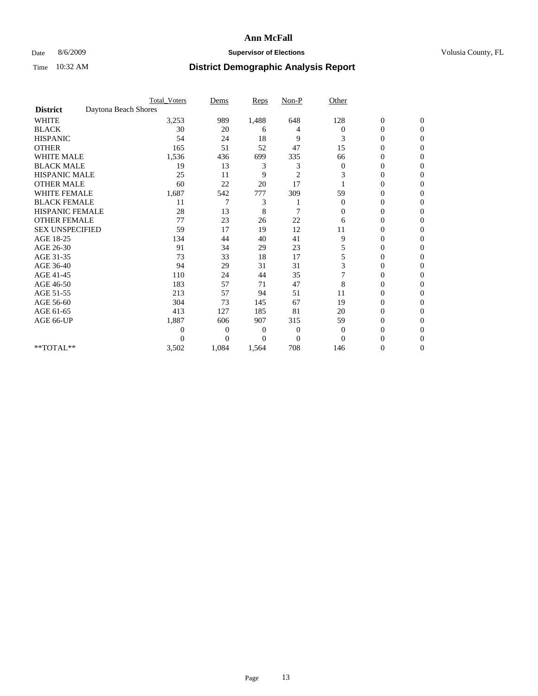### Date 8/6/2009 **Supervisor of Elections Supervisor of Elections** Volusia County, FL

|                        |                      | <b>Total_Voters</b> | Dems           | <b>Reps</b> | $Non-P$        | Other          |                  |              |  |
|------------------------|----------------------|---------------------|----------------|-------------|----------------|----------------|------------------|--------------|--|
| <b>District</b>        | Daytona Beach Shores |                     |                |             |                |                |                  |              |  |
| <b>WHITE</b>           |                      | 3,253               | 989            | 1,488       | 648            | 128            | $\boldsymbol{0}$ | $\mathbf{0}$ |  |
| <b>BLACK</b>           |                      | 30                  | 20             | 6           | 4              | $\Omega$       | $\mathbf{0}$     | $\Omega$     |  |
| <b>HISPANIC</b>        |                      | 54                  | 24             | 18          | 9              | 3              | 0                | $\Omega$     |  |
| <b>OTHER</b>           |                      | 165                 | 51             | 52          | 47             | 15             | 0                | $\Omega$     |  |
| <b>WHITE MALE</b>      |                      | 1,536               | 436            | 699         | 335            | 66             | 0                | 0            |  |
| <b>BLACK MALE</b>      |                      | 19                  | 13             | 3           | 3              | $\mathbf{0}$   | 0                | $\Omega$     |  |
| HISPANIC MALE          |                      | 25                  | 11             | 9           | $\overline{c}$ | 3              | 0                | $\Omega$     |  |
| <b>OTHER MALE</b>      |                      | 60                  | 22             | 20          | 17             |                | 0                | 0            |  |
| <b>WHITE FEMALE</b>    |                      | 1,687               | 542            | 777         | 309            | 59             | 0                | $\Omega$     |  |
| <b>BLACK FEMALE</b>    |                      | 11                  | 7              | 3           |                | $\mathbf{0}$   | 0                | $\Omega$     |  |
| <b>HISPANIC FEMALE</b> |                      | 28                  | 13             | 8           | 7              | 0              | 0                | 0            |  |
| <b>OTHER FEMALE</b>    |                      | 77                  | 23             | 26          | 22             | 6              | 0                | 0            |  |
| <b>SEX UNSPECIFIED</b> |                      | 59                  | 17             | 19          | 12             | 11             | 0                | $\Omega$     |  |
| AGE 18-25              |                      | 134                 | 44             | 40          | 41             | 9              | 0                | $\mathbf{0}$ |  |
| AGE 26-30              |                      | 91                  | 34             | 29          | 23             | 5              | 0                | 0            |  |
| AGE 31-35              |                      | 73                  | 33             | 18          | 17             | 5              | 0                | $\Omega$     |  |
| AGE 36-40              |                      | 94                  | 29             | 31          | 31             | 3              | 0                | 0            |  |
| AGE 41-45              |                      | 110                 | 24             | 44          | 35             |                | 0                | $\Omega$     |  |
| AGE 46-50              |                      | 183                 | 57             | 71          | 47             | 8              | $\overline{0}$   | $\Omega$     |  |
| AGE 51-55              |                      | 213                 | 57             | 94          | 51             | 11             | 0                | 0            |  |
| AGE 56-60              |                      | 304                 | 73             | 145         | 67             | 19             | 0                | $\Omega$     |  |
| AGE 61-65              |                      | 413                 | 127            | 185         | 81             | 20             | $\overline{0}$   | 0            |  |
| AGE 66-UP              |                      | 1,887               | 606            | 907         | 315            | 59             | 0                | 0            |  |
|                        |                      | 0                   | $\overline{0}$ | 0           | $\mathbf{0}$   | $\overline{0}$ | 0                | $\Omega$     |  |
|                        |                      | 0                   | $\overline{0}$ | 0           | $\overline{0}$ | $\Omega$       | 0                | 0            |  |
| **TOTAL**              |                      | 3,502               | 1,084          | 1,564       | 708            | 146            | 0                | 0            |  |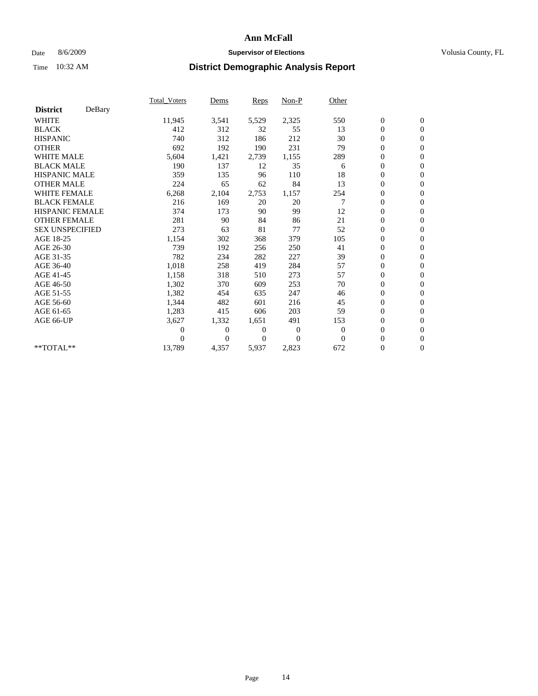### Date 8/6/2009 **Supervisor of Elections Supervisor of Elections** Volusia County, FL

|                        |        | Total Voters | Dems           | <b>Reps</b> | Non-P        | Other        |                  |                  |  |
|------------------------|--------|--------------|----------------|-------------|--------------|--------------|------------------|------------------|--|
| <b>District</b>        | DeBary |              |                |             |              |              |                  |                  |  |
| <b>WHITE</b>           |        | 11,945       | 3,541          | 5,529       | 2,325        | 550          | $\boldsymbol{0}$ | $\boldsymbol{0}$ |  |
| <b>BLACK</b>           |        | 412          | 312            | 32          | 55           | 13           | $\boldsymbol{0}$ | $\mathbf{0}$     |  |
| <b>HISPANIC</b>        |        | 740          | 312            | 186         | 212          | 30           | $\overline{0}$   | $\mathbf{0}$     |  |
| <b>OTHER</b>           |        | 692          | 192            | 190         | 231          | 79           | $\boldsymbol{0}$ | $\mathbf{0}$     |  |
| <b>WHITE MALE</b>      |        | 5,604        | 1,421          | 2,739       | 1,155        | 289          | $\boldsymbol{0}$ | $\mathbf{0}$     |  |
| <b>BLACK MALE</b>      |        | 190          | 137            | 12          | 35           | 6            | $\boldsymbol{0}$ | $\mathbf{0}$     |  |
| <b>HISPANIC MALE</b>   |        | 359          | 135            | 96          | 110          | 18           | $\boldsymbol{0}$ | $\mathbf{0}$     |  |
| <b>OTHER MALE</b>      |        | 224          | 65             | 62          | 84           | 13           | $\boldsymbol{0}$ | $\mathbf{0}$     |  |
| <b>WHITE FEMALE</b>    |        | 6,268        | 2,104          | 2,753       | 1,157        | 254          | $\mathbf{0}$     | $\mathbf{0}$     |  |
| <b>BLACK FEMALE</b>    |        | 216          | 169            | 20          | 20           | 7            | $\boldsymbol{0}$ | $\mathbf{0}$     |  |
| <b>HISPANIC FEMALE</b> |        | 374          | 173            | 90          | 99           | 12           | $\boldsymbol{0}$ | $\mathbf{0}$     |  |
| <b>OTHER FEMALE</b>    |        | 281          | 90             | 84          | 86           | 21           | $\mathbf{0}$     | $\mathbf{0}$     |  |
| <b>SEX UNSPECIFIED</b> |        | 273          | 63             | 81          | 77           | 52           | $\boldsymbol{0}$ | $\mathbf{0}$     |  |
| AGE 18-25              |        | 1,154        | 302            | 368         | 379          | 105          | $\boldsymbol{0}$ | $\mathbf{0}$     |  |
| AGE 26-30              |        | 739          | 192            | 256         | 250          | 41           | $\overline{0}$   | $\mathbf{0}$     |  |
| AGE 31-35              |        | 782          | 234            | 282         | 227          | 39           | $\boldsymbol{0}$ | $\mathbf{0}$     |  |
| AGE 36-40              |        | 1,018        | 258            | 419         | 284          | 57           | $\boldsymbol{0}$ | $\mathbf{0}$     |  |
| AGE 41-45              |        | 1,158        | 318            | 510         | 273          | 57           | $\overline{0}$   | $\mathbf{0}$     |  |
| AGE 46-50              |        | 1,302        | 370            | 609         | 253          | 70           | $\boldsymbol{0}$ | $\mathbf{0}$     |  |
| AGE 51-55              |        | 1,382        | 454            | 635         | 247          | 46           | $\boldsymbol{0}$ | $\mathbf{0}$     |  |
| AGE 56-60              |        | 1,344        | 482            | 601         | 216          | 45           | $\overline{0}$   | $\Omega$         |  |
| AGE 61-65              |        | 1,283        | 415            | 606         | 203          | 59           | $\mathbf{0}$     | $\mathbf{0}$     |  |
| AGE 66-UP              |        | 3,627        | 1,332          | 1,651       | 491          | 153          | $\boldsymbol{0}$ | $\mathbf{0}$     |  |
|                        |        | 0            | $\overline{0}$ | 0           | $\mathbf{0}$ | $\mathbf{0}$ | $\overline{0}$   | $\mathbf{0}$     |  |
|                        |        | $\theta$     | $\theta$       | $\Omega$    | $\Omega$     | $\Omega$     | $\boldsymbol{0}$ | $\mathbf{0}$     |  |
| **TOTAL**              |        | 13,789       | 4,357          | 5,937       | 2,823        | 672          | $\overline{0}$   | $\mathbf{0}$     |  |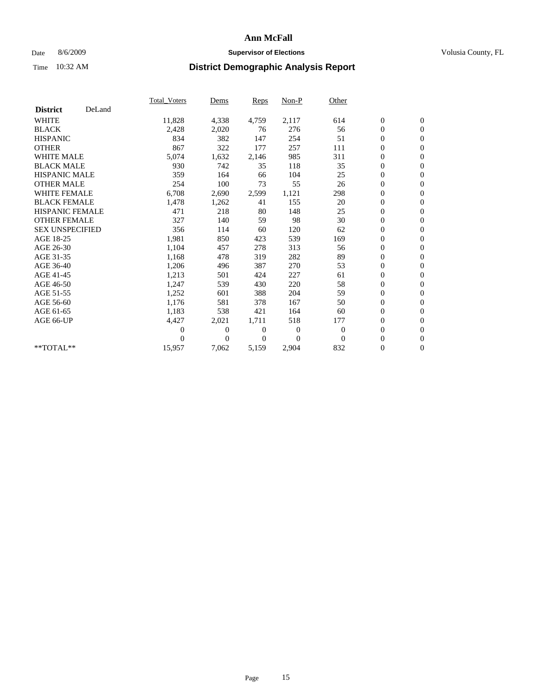### Date 8/6/2009 **Supervisor of Elections Supervisor of Elections** Volusia County, FL

|                        |        | <b>Total Voters</b> | Dems           | Reps           | Non-P          | Other    |                  |                  |  |
|------------------------|--------|---------------------|----------------|----------------|----------------|----------|------------------|------------------|--|
| <b>District</b>        | DeLand |                     |                |                |                |          |                  |                  |  |
| <b>WHITE</b>           |        | 11,828              | 4,338          | 4,759          | 2,117          | 614      | $\boldsymbol{0}$ | $\boldsymbol{0}$ |  |
| <b>BLACK</b>           |        | 2,428               | 2,020          | 76             | 276            | 56       | $\boldsymbol{0}$ | $\mathbf{0}$     |  |
| <b>HISPANIC</b>        |        | 834                 | 382            | 147            | 254            | 51       | $\boldsymbol{0}$ | $\mathbf{0}$     |  |
| <b>OTHER</b>           |        | 867                 | 322            | 177            | 257            | 111      | 0                | $\mathbf{0}$     |  |
| <b>WHITE MALE</b>      |        | 5,074               | 1,632          | 2,146          | 985            | 311      | 0                | $\mathbf{0}$     |  |
| <b>BLACK MALE</b>      |        | 930                 | 742            | 35             | 118            | 35       | $\overline{0}$   | $\mathbf{0}$     |  |
| <b>HISPANIC MALE</b>   |        | 359                 | 164            | 66             | 104            | 25       | 0                | $\mathbf{0}$     |  |
| <b>OTHER MALE</b>      |        | 254                 | 100            | 73             | 55             | 26       | 0                | $\mathbf{0}$     |  |
| <b>WHITE FEMALE</b>    |        | 6,708               | 2,690          | 2,599          | 1,121          | 298      | $\boldsymbol{0}$ | $\mathbf{0}$     |  |
| <b>BLACK FEMALE</b>    |        | 1,478               | 1,262          | 41             | 155            | 20       | 0                | $\mathbf{0}$     |  |
| <b>HISPANIC FEMALE</b> |        | 471                 | 218            | 80             | 148            | 25       | $\boldsymbol{0}$ | $\mathbf{0}$     |  |
| <b>OTHER FEMALE</b>    |        | 327                 | 140            | 59             | 98             | 30       | $\overline{0}$   | $\mathbf{0}$     |  |
| <b>SEX UNSPECIFIED</b> |        | 356                 | 114            | 60             | 120            | 62       | 0                | $\mathbf{0}$     |  |
| AGE 18-25              |        | 1,981               | 850            | 423            | 539            | 169      | $\boldsymbol{0}$ | $\mathbf{0}$     |  |
| AGE 26-30              |        | 1,104               | 457            | 278            | 313            | 56       | $\boldsymbol{0}$ | $\mathbf{0}$     |  |
| AGE 31-35              |        | 1,168               | 478            | 319            | 282            | 89       | $\boldsymbol{0}$ | $\mathbf{0}$     |  |
| AGE 36-40              |        | 1,206               | 496            | 387            | 270            | 53       | 0                | $\mathbf{0}$     |  |
| AGE 41-45              |        | 1,213               | 501            | 424            | 227            | 61       | $\boldsymbol{0}$ | $\mathbf{0}$     |  |
| AGE 46-50              |        | 1,247               | 539            | 430            | 220            | 58       | 0                | $\mathbf{0}$     |  |
| AGE 51-55              |        | 1,252               | 601            | 388            | 204            | 59       | $\boldsymbol{0}$ | $\mathbf{0}$     |  |
| AGE 56-60              |        | 1,176               | 581            | 378            | 167            | 50       | 0                | $\mathbf{0}$     |  |
| AGE 61-65              |        | 1,183               | 538            | 421            | 164            | 60       | 0                | $\mathbf{0}$     |  |
| AGE 66-UP              |        | 4,427               | 2,021          | 1,711          | 518            | 177      | $\boldsymbol{0}$ | $\mathbf{0}$     |  |
|                        |        | 0                   | $\mathbf{0}$   | $\overline{0}$ | $\overline{0}$ | $\theta$ | $\overline{0}$   | $\mathbf{0}$     |  |
|                        |        | 0                   | $\overline{0}$ | 0              | $\Omega$       | $\theta$ | 0                | $\mathbf{0}$     |  |
| **TOTAL**              |        | 15,957              | 7,062          | 5,159          | 2,904          | 832      | 0                | $\boldsymbol{0}$ |  |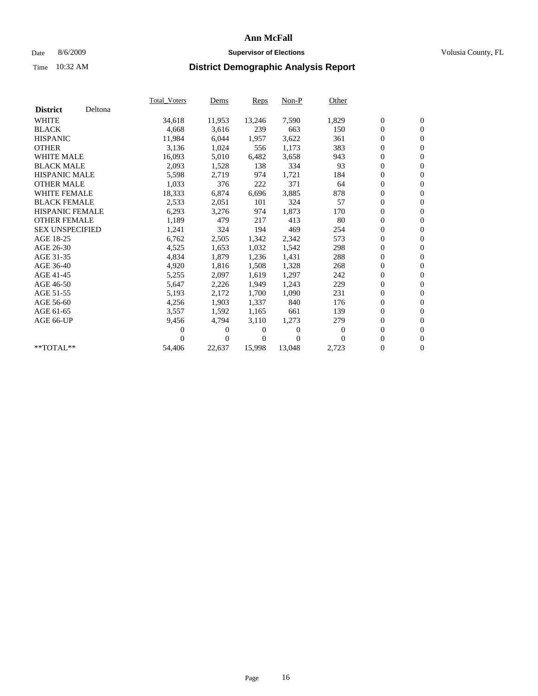### Date 8/6/2009 **Supervisor of Elections Supervisor of Elections** Volusia County, FL

|                        |         | <b>Total Voters</b> | Dems           | Reps   | $Non-P$  | Other    |                  |                  |  |
|------------------------|---------|---------------------|----------------|--------|----------|----------|------------------|------------------|--|
| <b>District</b>        | Deltona |                     |                |        |          |          |                  |                  |  |
| <b>WHITE</b>           |         | 34,618              | 11,953         | 13,246 | 7,590    | 1,829    | $\boldsymbol{0}$ | $\boldsymbol{0}$ |  |
| <b>BLACK</b>           |         | 4,668               | 3,616          | 239    | 663      | 150      | $\overline{0}$   | $\mathbf{0}$     |  |
| <b>HISPANIC</b>        |         | 11,984              | 6,044          | 1,957  | 3,622    | 361      | 0                | $\mathbf{0}$     |  |
| <b>OTHER</b>           |         | 3,136               | 1,024          | 556    | 1,173    | 383      | 0                | $\mathbf{0}$     |  |
| <b>WHITE MALE</b>      |         | 16,093              | 5,010          | 6,482  | 3,658    | 943      | $\boldsymbol{0}$ | $\mathbf{0}$     |  |
| <b>BLACK MALE</b>      |         | 2,093               | 1,528          | 138    | 334      | 93       | $\boldsymbol{0}$ | $\mathbf{0}$     |  |
| <b>HISPANIC MALE</b>   |         | 5,598               | 2,719          | 974    | 1,721    | 184      | 0                | $\mathbf{0}$     |  |
| <b>OTHER MALE</b>      |         | 1,033               | 376            | 222    | 371      | 64       | 0                | $\mathbf{0}$     |  |
| <b>WHITE FEMALE</b>    |         | 18,333              | 6,874          | 6,696  | 3,885    | 878      | 0                | $\mathbf{0}$     |  |
| <b>BLACK FEMALE</b>    |         | 2,533               | 2,051          | 101    | 324      | 57       | 0                | $\Omega$         |  |
| <b>HISPANIC FEMALE</b> |         | 6,293               | 3,276          | 974    | 1,873    | 170      | $\boldsymbol{0}$ | $\boldsymbol{0}$ |  |
| <b>OTHER FEMALE</b>    |         | 1,189               | 479            | 217    | 413      | 80       | 0                | $\mathbf{0}$     |  |
| <b>SEX UNSPECIFIED</b> |         | 1,241               | 324            | 194    | 469      | 254      | 0                | $\mathbf{0}$     |  |
| AGE 18-25              |         | 6,762               | 2,505          | 1,342  | 2,342    | 573      | $\boldsymbol{0}$ | $\mathbf{0}$     |  |
| AGE 26-30              |         | 4,525               | 1,653          | 1,032  | 1,542    | 298      | 0                | $\mathbf{0}$     |  |
| AGE 31-35              |         | 4,834               | 1,879          | 1,236  | 1,431    | 288      | 0                | $\mathbf{0}$     |  |
| AGE 36-40              |         | 4,920               | 1,816          | 1,508  | 1,328    | 268      | $\boldsymbol{0}$ | $\mathbf{0}$     |  |
| AGE 41-45              |         | 5,255               | 2,097          | 1,619  | 1,297    | 242      | $\boldsymbol{0}$ | $\mathbf{0}$     |  |
| AGE 46-50              |         | 5,647               | 2,226          | 1,949  | 1,243    | 229      | 0                | $\Omega$         |  |
| AGE 51-55              |         | 5,193               | 2,172          | 1,700  | 1,090    | 231      | $\boldsymbol{0}$ | $\boldsymbol{0}$ |  |
| AGE 56-60              |         | 4,256               | 1,903          | 1,337  | 840      | 176      | 0                | $\mathbf{0}$     |  |
| AGE 61-65              |         | 3,557               | 1,592          | 1,165  | 661      | 139      | 0                | $\mathbf{0}$     |  |
| AGE 66-UP              |         | 9,456               | 4,794          | 3,110  | 1,273    | 279      | $\overline{0}$   | $\mathbf{0}$     |  |
|                        |         | 0                   | 0              | 0      | $\theta$ | $\bf{0}$ | 0                | $\mathbf{0}$     |  |
|                        |         | 0                   | $\overline{0}$ | 0      | $\Omega$ | $\Omega$ | 0                | $\mathbf{0}$     |  |
| $*$ TOTAL $**$         |         | 54,406              | 22,637         | 15,998 | 13,048   | 2,723    | $\overline{0}$   | $\boldsymbol{0}$ |  |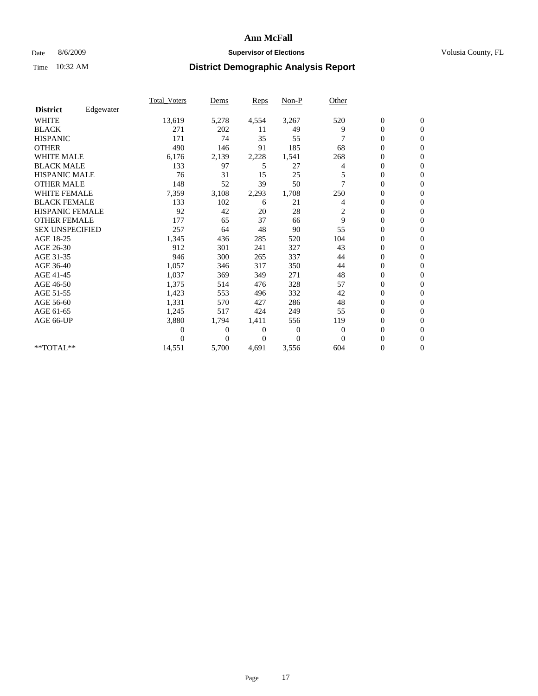### Date 8/6/2009 **Supervisor of Elections Supervisor of Elections** Volusia County, FL

|                        |           | <b>Total_Voters</b> | Dems         | Reps     | Non-P    | Other    |                  |                |  |
|------------------------|-----------|---------------------|--------------|----------|----------|----------|------------------|----------------|--|
| <b>District</b>        | Edgewater |                     |              |          |          |          |                  |                |  |
| <b>WHITE</b>           |           | 13,619              | 5,278        | 4,554    | 3,267    | 520      | $\boldsymbol{0}$ | $\mathbf{0}$   |  |
| <b>BLACK</b>           |           | 271                 | 202          | 11       | 49       | 9        | 0                | $\mathbf{0}$   |  |
| <b>HISPANIC</b>        |           | 171                 | 74           | 35       | 55       |          | $\mathbf{0}$     | $\mathbf{0}$   |  |
| <b>OTHER</b>           |           | 490                 | 146          | 91       | 185      | 68       | 0                | $\mathbf{0}$   |  |
| <b>WHITE MALE</b>      |           | 6,176               | 2,139        | 2,228    | 1,541    | 268      | 0                | $\mathbf{0}$   |  |
| <b>BLACK MALE</b>      |           | 133                 | 97           | 5        | 27       | 4        | 0                | $\mathbf{0}$   |  |
| <b>HISPANIC MALE</b>   |           | 76                  | 31           | 15       | 25       |          | 0                | $\mathbf{0}$   |  |
| <b>OTHER MALE</b>      |           | 148                 | 52           | 39       | 50       |          | 0                | $\mathbf{0}$   |  |
| <b>WHITE FEMALE</b>    |           | 7,359               | 3,108        | 2,293    | 1,708    | 250      | 0                | $\mathbf{0}$   |  |
| <b>BLACK FEMALE</b>    |           | 133                 | 102          | 6        | 21       | 4        | $\boldsymbol{0}$ | $\mathbf{0}$   |  |
| HISPANIC FEMALE        |           | 92                  | 42           | 20       | 28       | 2        | 0                | $\mathbf{0}$   |  |
| <b>OTHER FEMALE</b>    |           | 177                 | 65           | 37       | 66       | 9        | 0                | $\Omega$       |  |
| <b>SEX UNSPECIFIED</b> |           | 257                 | 64           | 48       | 90       | 55       | 0                | $\mathbf{0}$   |  |
| AGE 18-25              |           | 1,345               | 436          | 285      | 520      | 104      | 0                | $\mathbf{0}$   |  |
| AGE 26-30              |           | 912                 | 301          | 241      | 327      | 43       | $\overline{0}$   | $\mathbf{0}$   |  |
| AGE 31-35              |           | 946                 | 300          | 265      | 337      | 44       | 0                | $\mathbf{0}$   |  |
| AGE 36-40              |           | 1,057               | 346          | 317      | 350      | 44       | 0                | $\mathbf{0}$   |  |
| AGE 41-45              |           | 1,037               | 369          | 349      | 271      | 48       | $\overline{0}$   | $\mathbf{0}$   |  |
| AGE 46-50              |           | 1,375               | 514          | 476      | 328      | 57       | $\overline{0}$   | $\mathbf{0}$   |  |
| AGE 51-55              |           | 1,423               | 553          | 496      | 332      | 42       | 0                | $\mathbf{0}$   |  |
| AGE 56-60              |           | 1,331               | 570          | 427      | 286      | 48       | 0                | $\Omega$       |  |
| AGE 61-65              |           | 1,245               | 517          | 424      | 249      | 55       | 0                | $\mathbf{0}$   |  |
| AGE 66-UP              |           | 3,880               | 1,794        | 1,411    | 556      | 119      | 0                | $\mathbf{0}$   |  |
|                        |           | 0                   | $\mathbf{0}$ | 0        | $\theta$ | $\theta$ | 0                | $\Omega$       |  |
|                        |           | 0                   | $\theta$     | $\theta$ | $\theta$ | $\Omega$ | $\overline{0}$   | $\overline{0}$ |  |
| **TOTAL**              |           | 14,551              | 5,700        | 4,691    | 3,556    | 604      | 0                | $\overline{0}$ |  |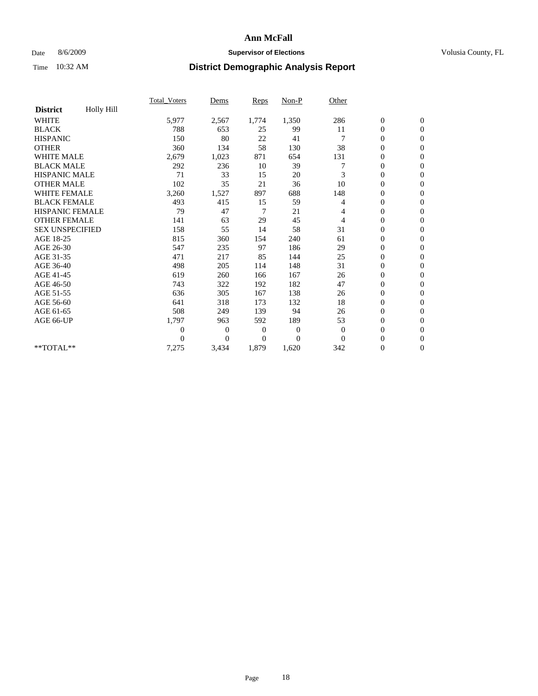### Date 8/6/2009 **Supervisor of Elections Supervisor of Elections** Volusia County, FL

|                        |                   | Total Voters   | Dems           | <b>Reps</b> | $Non-P$      | Other        |                  |                  |  |
|------------------------|-------------------|----------------|----------------|-------------|--------------|--------------|------------------|------------------|--|
| <b>District</b>        | <b>Holly Hill</b> |                |                |             |              |              |                  |                  |  |
| <b>WHITE</b>           |                   | 5,977          | 2,567          | 1,774       | 1,350        | 286          | $\boldsymbol{0}$ | $\boldsymbol{0}$ |  |
| <b>BLACK</b>           |                   | 788            | 653            | 25          | 99           | 11           | $\boldsymbol{0}$ | $\mathbf{0}$     |  |
| <b>HISPANIC</b>        |                   | 150            | 80             | 22          | 41           |              | $\overline{0}$   | $\mathbf{0}$     |  |
| <b>OTHER</b>           |                   | 360            | 134            | 58          | 130          | 38           | $\boldsymbol{0}$ | $\Omega$         |  |
| <b>WHITE MALE</b>      |                   | 2,679          | 1,023          | 871         | 654          | 131          | $\boldsymbol{0}$ | $\mathbf{0}$     |  |
| <b>BLACK MALE</b>      |                   | 292            | 236            | 10          | 39           |              | $\boldsymbol{0}$ | $\mathbf{0}$     |  |
| <b>HISPANIC MALE</b>   |                   | 71             | 33             | 15          | 20           | 3            | $\overline{0}$   | $\overline{0}$   |  |
| <b>OTHER MALE</b>      |                   | 102            | 35             | 21          | 36           | 10           | $\boldsymbol{0}$ | $\mathbf{0}$     |  |
| <b>WHITE FEMALE</b>    |                   | 3,260          | 1,527          | 897         | 688          | 148          | $\overline{0}$   | $\mathbf{0}$     |  |
| <b>BLACK FEMALE</b>    |                   | 493            | 415            | 15          | 59           | 4            | $\boldsymbol{0}$ | $\mathbf{0}$     |  |
| <b>HISPANIC FEMALE</b> |                   | 79             | 47             | 7           | 21           | 4            | $\boldsymbol{0}$ | $\mathbf{0}$     |  |
| <b>OTHER FEMALE</b>    |                   | 141            | 63             | 29          | 45           | 4            | $\mathbf{0}$     | $\mathbf{0}$     |  |
| <b>SEX UNSPECIFIED</b> |                   | 158            | 55             | 14          | 58           | 31           | $\boldsymbol{0}$ | $\mathbf{0}$     |  |
| AGE 18-25              |                   | 815            | 360            | 154         | 240          | 61           | $\boldsymbol{0}$ | $\mathbf{0}$     |  |
| AGE 26-30              |                   | 547            | 235            | 97          | 186          | 29           | $\overline{0}$   | $\mathbf{0}$     |  |
| AGE 31-35              |                   | 471            | 217            | 85          | 144          | 25           | $\boldsymbol{0}$ | $\mathbf{0}$     |  |
| AGE 36-40              |                   | 498            | 205            | 114         | 148          | 31           | $\boldsymbol{0}$ | $\mathbf{0}$     |  |
| AGE 41-45              |                   | 619            | 260            | 166         | 167          | 26           | $\overline{0}$   | $\mathbf{0}$     |  |
| AGE 46-50              |                   | 743            | 322            | 192         | 182          | 47           | $\boldsymbol{0}$ | $\mathbf{0}$     |  |
| AGE 51-55              |                   | 636            | 305            | 167         | 138          | 26           | $\boldsymbol{0}$ | $\mathbf{0}$     |  |
| AGE 56-60              |                   | 641            | 318            | 173         | 132          | 18           | $\overline{0}$   | $\Omega$         |  |
| AGE 61-65              |                   | 508            | 249            | 139         | 94           | 26           | $\mathbf{0}$     | $\mathbf{0}$     |  |
| AGE 66-UP              |                   | 1,797          | 963            | 592         | 189          | 53           | $\boldsymbol{0}$ | $\mathbf{0}$     |  |
|                        |                   | $\overline{0}$ | $\overline{0}$ | 0           | $\mathbf{0}$ | $\mathbf{0}$ | $\overline{0}$   | $\mathbf{0}$     |  |
|                        |                   | $\theta$       | $\overline{0}$ | $\Omega$    | $\Omega$     | $\Omega$     | $\boldsymbol{0}$ | $\mathbf{0}$     |  |
| **TOTAL**              |                   | 7,275          | 3,434          | 1,879       | 1,620        | 342          | $\overline{0}$   | $\mathbf{0}$     |  |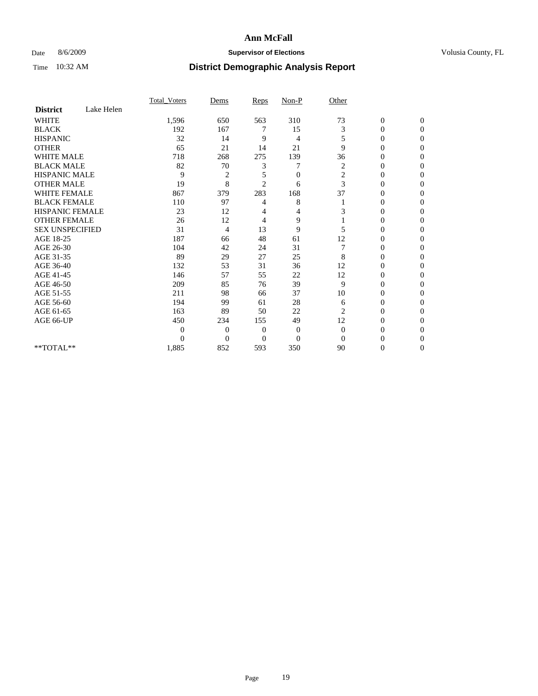### Date 8/6/2009 **Supervisor of Elections Supervisor of Elections** Volusia County, FL

|                        |            | Total Voters | Dems           | <b>Reps</b>    | $Non-P$        | Other          |                  |              |  |
|------------------------|------------|--------------|----------------|----------------|----------------|----------------|------------------|--------------|--|
| <b>District</b>        | Lake Helen |              |                |                |                |                |                  |              |  |
| <b>WHITE</b>           |            | 1,596        | 650            | 563            | 310            | 73             | $\boldsymbol{0}$ | $\mathbf{0}$ |  |
| <b>BLACK</b>           |            | 192          | 167            | 7              | 15             | 3              | $\overline{0}$   | $\Omega$     |  |
| <b>HISPANIC</b>        |            | 32           | 14             | 9              | 4              | 5              | 0                | $\Omega$     |  |
| <b>OTHER</b>           |            | 65           | 21             | 14             | 21             | 9              | 0                | $\Omega$     |  |
| <b>WHITE MALE</b>      |            | 718          | 268            | 275            | 139            | 36             | 0                | $\Omega$     |  |
| <b>BLACK MALE</b>      |            | 82           | 70             | 3              |                | 2              | 0                | 0            |  |
| <b>HISPANIC MALE</b>   |            | 9            | $\overline{2}$ | 5              | $\overline{0}$ | $\overline{c}$ | 0                | 0            |  |
| <b>OTHER MALE</b>      |            | 19           | 8              | $\overline{2}$ | 6              | 3              | 0                | 0            |  |
| WHITE FEMALE           |            | 867          | 379            | 283            | 168            | 37             | 0                | $\Omega$     |  |
| <b>BLACK FEMALE</b>    |            | 110          | 97             | 4              | 8              |                | 0                | $\Omega$     |  |
| <b>HISPANIC FEMALE</b> |            | 23           | 12             | 4              | 4              | 3              | 0                | 0            |  |
| <b>OTHER FEMALE</b>    |            | 26           | 12             | 4              | 9              |                | 0                | $\Omega$     |  |
| <b>SEX UNSPECIFIED</b> |            | 31           | $\overline{4}$ | 13             | 9              | 5              | 0                | $\Omega$     |  |
| AGE 18-25              |            | 187          | 66             | 48             | 61             | 12             | 0                | 0            |  |
| AGE 26-30              |            | 104          | 42             | 24             | 31             |                | 0                | $\Omega$     |  |
| AGE 31-35              |            | 89           | 29             | 27             | 25             | 8              | $\overline{0}$   | $\Omega$     |  |
| AGE 36-40              |            | 132          | 53             | 31             | 36             | 12             | 0                | 0            |  |
| AGE 41-45              |            | 146          | 57             | 55             | 22             | 12             | 0                | 0            |  |
| AGE 46-50              |            | 209          | 85             | 76             | 39             | 9              | 0                | $\Omega$     |  |
| AGE 51-55              |            | 211          | 98             | 66             | 37             | 10             | 0                | $\Omega$     |  |
| AGE 56-60              |            | 194          | 99             | 61             | 28             | 6              | 0                | 0            |  |
| AGE 61-65              |            | 163          | 89             | 50             | 22             | 2              | $\overline{0}$   | 0            |  |
| AGE 66-UP              |            | 450          | 234            | 155            | 49             | 12             | 0                | 0            |  |
|                        |            | 0            | $\overline{0}$ | 0              | 0              | $\mathbf{0}$   | 0                | 0            |  |
|                        |            | $\Omega$     | $\overline{0}$ | $\Omega$       | $\theta$       | $\Omega$       | 0                | $\Omega$     |  |
| **TOTAL**              |            | 1,885        | 852            | 593            | 350            | 90             | 0                | $\mathbf{0}$ |  |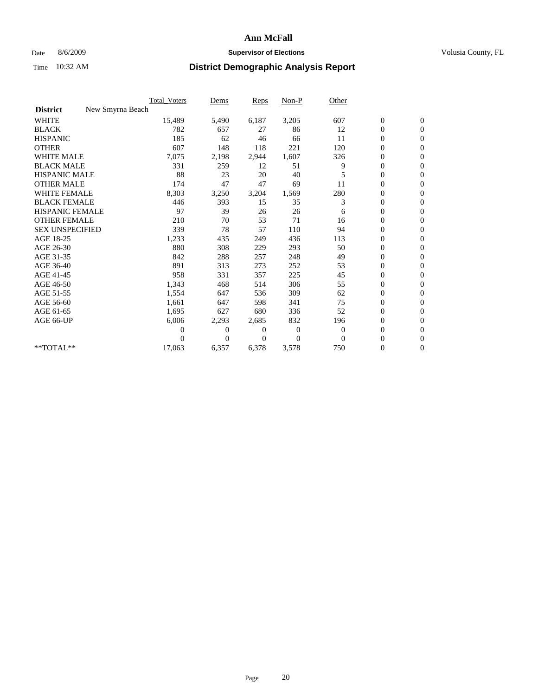### Date 8/6/2009 **Supervisor of Elections Supervisor of Elections** Volusia County, FL

|                        |                  | Total Voters | Dems     | <b>Reps</b> | Non-P        | Other        |                  |                  |  |
|------------------------|------------------|--------------|----------|-------------|--------------|--------------|------------------|------------------|--|
| <b>District</b>        | New Smyrna Beach |              |          |             |              |              |                  |                  |  |
| <b>WHITE</b>           |                  | 15,489       | 5,490    | 6,187       | 3,205        | 607          | $\boldsymbol{0}$ | $\boldsymbol{0}$ |  |
| <b>BLACK</b>           |                  | 782          | 657      | 27          | 86           | 12           | $\boldsymbol{0}$ | $\mathbf{0}$     |  |
| <b>HISPANIC</b>        |                  | 185          | 62       | 46          | 66           | 11           | $\overline{0}$   | $\mathbf{0}$     |  |
| <b>OTHER</b>           |                  | 607          | 148      | 118         | 221          | 120          | $\boldsymbol{0}$ | $\Omega$         |  |
| <b>WHITE MALE</b>      |                  | 7,075        | 2,198    | 2,944       | 1,607        | 326          | $\boldsymbol{0}$ | $\mathbf{0}$     |  |
| <b>BLACK MALE</b>      |                  | 331          | 259      | 12          | 51           | 9            | $\overline{0}$   | $\mathbf{0}$     |  |
| <b>HISPANIC MALE</b>   |                  | 88           | 23       | 20          | 40           |              | $\boldsymbol{0}$ | $\mathbf{0}$     |  |
| <b>OTHER MALE</b>      |                  | 174          | 47       | 47          | 69           | 11           | $\boldsymbol{0}$ | $\mathbf{0}$     |  |
| WHITE FEMALE           |                  | 8,303        | 3,250    | 3,204       | 1,569        | 280          | $\overline{0}$   | $\mathbf{0}$     |  |
| <b>BLACK FEMALE</b>    |                  | 446          | 393      | 15          | 35           | 3            | $\boldsymbol{0}$ | $\mathbf{0}$     |  |
| <b>HISPANIC FEMALE</b> |                  | 97           | 39       | 26          | 26           | 6            | $\boldsymbol{0}$ | $\mathbf{0}$     |  |
| <b>OTHER FEMALE</b>    |                  | 210          | 70       | 53          | 71           | 16           | $\overline{0}$   | $\mathbf{0}$     |  |
| <b>SEX UNSPECIFIED</b> |                  | 339          | 78       | 57          | 110          | 94           | $\boldsymbol{0}$ | $\mathbf{0}$     |  |
| AGE 18-25              |                  | 1,233        | 435      | 249         | 436          | 113          | $\overline{0}$   | $\mathbf{0}$     |  |
| AGE 26-30              |                  | 880          | 308      | 229         | 293          | 50           | $\overline{0}$   | $\mathbf{0}$     |  |
| AGE 31-35              |                  | 842          | 288      | 257         | 248          | 49           | $\boldsymbol{0}$ | $\mathbf{0}$     |  |
| AGE 36-40              |                  | 891          | 313      | 273         | 252          | 53           | 0                | $\mathbf{0}$     |  |
| AGE 41-45              |                  | 958          | 331      | 357         | 225          | 45           | $\overline{0}$   | $\mathbf{0}$     |  |
| AGE 46-50              |                  | 1,343        | 468      | 514         | 306          | 55           | $\boldsymbol{0}$ | $\mathbf{0}$     |  |
| AGE 51-55              |                  | 1,554        | 647      | 536         | 309          | 62           | $\boldsymbol{0}$ | $\mathbf{0}$     |  |
| AGE 56-60              |                  | 1,661        | 647      | 598         | 341          | 75           | $\overline{0}$   | $\Omega$         |  |
| AGE 61-65              |                  | 1,695        | 627      | 680         | 336          | 52           | $\overline{0}$   | $\mathbf{0}$     |  |
| AGE 66-UP              |                  | 6,006        | 2,293    | 2,685       | 832          | 196          | $\boldsymbol{0}$ | $\mathbf{0}$     |  |
|                        |                  | 0            | 0        | 0           | $\mathbf{0}$ | $\mathbf{0}$ | $\overline{0}$   | $\mathbf{0}$     |  |
|                        |                  | $\theta$     | $\theta$ | $\Omega$    | $\Omega$     | $\Omega$     | $\boldsymbol{0}$ | $\mathbf{0}$     |  |
| **TOTAL**              |                  | 17,063       | 6,357    | 6,378       | 3,578        | 750          | 0                | $\mathbf{0}$     |  |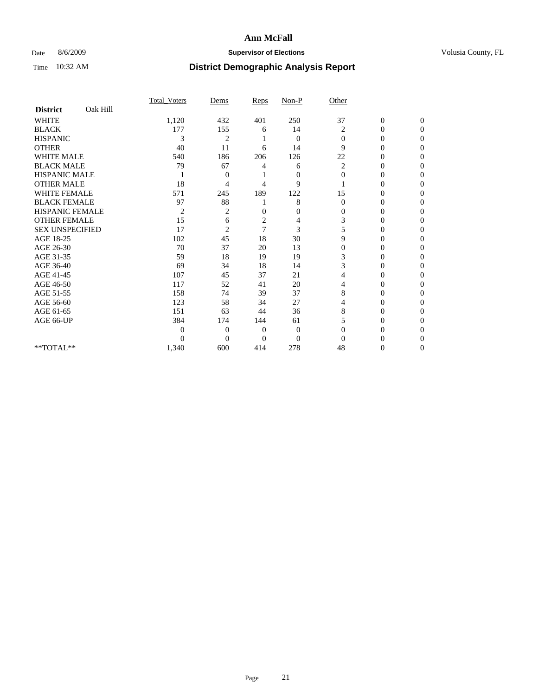### Date 8/6/2009 **Supervisor of Elections Supervisor of Elections** Volusia County, FL

|                        |          | Total Voters   | Dems           | Reps           | Non-P          | Other          |                  |                  |
|------------------------|----------|----------------|----------------|----------------|----------------|----------------|------------------|------------------|
| <b>District</b>        | Oak Hill |                |                |                |                |                |                  |                  |
| <b>WHITE</b>           |          | 1,120          | 432            | 401            | 250            | 37             | $\boldsymbol{0}$ | $\boldsymbol{0}$ |
| <b>BLACK</b>           |          | 177            | 155            | 6              | 14             | $\overline{2}$ | $\overline{0}$   | $\Omega$         |
| <b>HISPANIC</b>        |          | 3              | $\overline{c}$ |                | $\mathbf{0}$   | $\Omega$       | $\mathbf{0}$     | $\Omega$         |
| <b>OTHER</b>           |          | 40             | 11             | 6              | 14             | 9              | 0                | $\Omega$         |
| <b>WHITE MALE</b>      |          | 540            | 186            | 206            | 126            | 22             | 0                | $\Omega$         |
| <b>BLACK MALE</b>      |          | 79             | 67             | 4              | 6              | 2              | $\overline{0}$   | $\Omega$         |
| <b>HISPANIC MALE</b>   |          |                | 0              |                | $\mathbf{0}$   | $\mathbf{0}$   | 0                | 0                |
| <b>OTHER MALE</b>      |          | 18             | 4              | 4              | 9              |                | 0                | 0                |
| <b>WHITE FEMALE</b>    |          | 571            | 245            | 189            | 122            | 15             | $\overline{0}$   | $\Omega$         |
| <b>BLACK FEMALE</b>    |          | 97             | 88             |                | 8              | $\Omega$       | 0                | $\Omega$         |
| <b>HISPANIC FEMALE</b> |          | $\overline{2}$ | 2              | $\overline{0}$ | $\overline{0}$ | $\Omega$       | 0                | $\Omega$         |
| <b>OTHER FEMALE</b>    |          | 15             | 6              | $\overline{c}$ | 4              | 3              | 0                | $\Omega$         |
| <b>SEX UNSPECIFIED</b> |          | 17             | $\overline{2}$ | $\overline{7}$ | 3              | 5              | 0                | $\Omega$         |
| AGE 18-25              |          | 102            | 45             | 18             | 30             | 9              | $\theta$         | $\Omega$         |
| AGE 26-30              |          | 70             | 37             | 20             | 13             | $\overline{0}$ | 0                | 0                |
| AGE 31-35              |          | 59             | 18             | 19             | 19             | 3              | $\overline{0}$   | 0                |
| AGE 36-40              |          | 69             | 34             | 18             | 14             | 3              | 0                | $\Omega$         |
| AGE 41-45              |          | 107            | 45             | 37             | 21             | 4              | 0                | 0                |
| AGE 46-50              |          | 117            | 52             | 41             | 20             | 4              | $\overline{0}$   | $\Omega$         |
| AGE 51-55              |          | 158            | 74             | 39             | 37             | 8              | 0                | $\Omega$         |
| AGE 56-60              |          | 123            | 58             | 34             | 27             | 4              | 0                | 0                |
| AGE 61-65              |          | 151            | 63             | 44             | 36             | 8              | $\theta$         | $\Omega$         |
| AGE 66-UP              |          | 384            | 174            | 144            | 61             |                | $\overline{0}$   | $\Omega$         |
|                        |          | $\theta$       | $\overline{0}$ | 0              | $\mathbf{0}$   | $\Omega$       | 0                | 0                |
|                        |          | $\theta$       | $\theta$       | $\Omega$       | $\overline{0}$ | $\Omega$       | 0                | $\Omega$         |
| $**TOTAL**$            |          | 1,340          | 600            | 414            | 278            | 48             | 0                | $\overline{0}$   |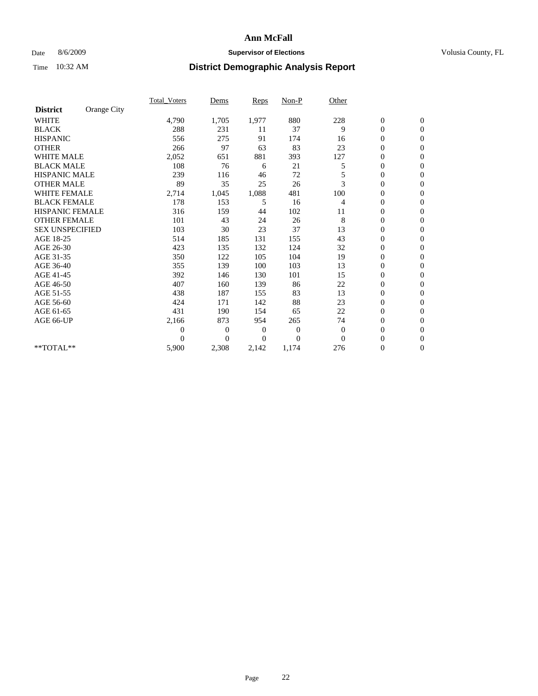### Date 8/6/2009 **Supervisor of Elections Supervisor of Elections** Volusia County, FL

|                        |             | <b>Total_Voters</b> | Dems           | <b>Reps</b>  | $Non-P$        | Other    |                  |                |  |
|------------------------|-------------|---------------------|----------------|--------------|----------------|----------|------------------|----------------|--|
| <b>District</b>        | Orange City |                     |                |              |                |          |                  |                |  |
| <b>WHITE</b>           |             | 4,790               | 1,705          | 1,977        | 880            | 228      | $\boldsymbol{0}$ | $\mathbf{0}$   |  |
| <b>BLACK</b>           |             | 288                 | 231            | 11           | 37             | 9        | $\boldsymbol{0}$ | $\mathbf{0}$   |  |
| <b>HISPANIC</b>        |             | 556                 | 275            | 91           | 174            | 16       | $\overline{0}$   | $\mathbf{0}$   |  |
| <b>OTHER</b>           |             | 266                 | 97             | 63           | 83             | 23       | $\overline{0}$   | $\mathbf{0}$   |  |
| <b>WHITE MALE</b>      |             | 2,052               | 651            | 881          | 393            | 127      | $\boldsymbol{0}$ | $\mathbf{0}$   |  |
| <b>BLACK MALE</b>      |             | 108                 | 76             | 6            | 21             | 5        | $\boldsymbol{0}$ | $\mathbf{0}$   |  |
| <b>HISPANIC MALE</b>   |             | 239                 | 116            | 46           | 72             |          | $\boldsymbol{0}$ | $\mathbf{0}$   |  |
| <b>OTHER MALE</b>      |             | 89                  | 35             | 25           | 26             | 3        | 0                | $\mathbf{0}$   |  |
| <b>WHITE FEMALE</b>    |             | 2,714               | 1,045          | 1,088        | 481            | 100      | $\overline{0}$   | $\mathbf{0}$   |  |
| <b>BLACK FEMALE</b>    |             | 178                 | 153            | 5            | 16             | 4        | $\boldsymbol{0}$ | $\mathbf{0}$   |  |
| HISPANIC FEMALE        |             | 316                 | 159            | 44           | 102            | 11       | $\boldsymbol{0}$ | $\mathbf{0}$   |  |
| <b>OTHER FEMALE</b>    |             | 101                 | 43             | 24           | 26             | 8        | $\overline{0}$   | $\Omega$       |  |
| <b>SEX UNSPECIFIED</b> |             | 103                 | 30             | 23           | 37             | 13       | $\overline{0}$   | $\mathbf{0}$   |  |
| AGE 18-25              |             | 514                 | 185            | 131          | 155            | 43       | $\overline{0}$   | $\mathbf{0}$   |  |
| AGE 26-30              |             | 423                 | 135            | 132          | 124            | 32       | $\overline{0}$   | $\mathbf{0}$   |  |
| AGE 31-35              |             | 350                 | 122            | 105          | 104            | 19       | $\boldsymbol{0}$ | $\mathbf{0}$   |  |
| AGE 36-40              |             | 355                 | 139            | 100          | 103            | 13       | $\boldsymbol{0}$ | $\mathbf{0}$   |  |
| AGE 41-45              |             | 392                 | 146            | 130          | 101            | 15       | $\overline{0}$   | $\mathbf{0}$   |  |
| AGE 46-50              |             | 407                 | 160            | 139          | 86             | 22       | $\mathbf{0}$     | $\mathbf{0}$   |  |
| AGE 51-55              |             | 438                 | 187            | 155          | 83             | 13       | $\boldsymbol{0}$ | $\mathbf{0}$   |  |
| AGE 56-60              |             | 424                 | 171            | 142          | 88             | 23       | $\boldsymbol{0}$ | $\Omega$       |  |
| AGE 61-65              |             | 431                 | 190            | 154          | 65             | 22       | $\boldsymbol{0}$ | $\overline{0}$ |  |
| AGE 66-UP              |             | 2,166               | 873            | 954          | 265            | 74       | $\boldsymbol{0}$ | $\mathbf{0}$   |  |
|                        |             | 0                   | 0              | $\mathbf{0}$ | 0              | $\theta$ | $\overline{0}$   | $\Omega$       |  |
|                        |             | $\theta$            | $\overline{0}$ | 0            | $\overline{0}$ | $\Omega$ | $\overline{0}$   | $\overline{0}$ |  |
| **TOTAL**              |             | 5,900               | 2,308          | 2,142        | 1,174          | 276      | $\boldsymbol{0}$ | $\mathbf{0}$   |  |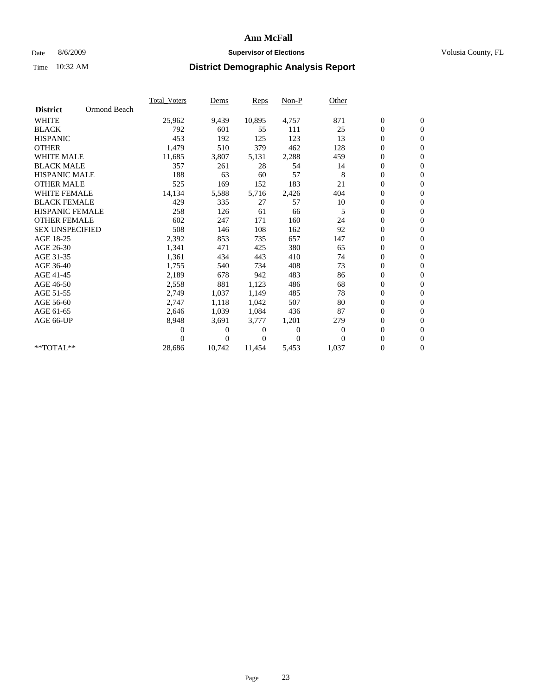### Date 8/6/2009 **Supervisor of Elections Supervisor of Elections** Volusia County, FL

|                        |              | Total Voters   | Dems           | <b>Reps</b> | $Non-P$        | Other          |                  |                  |  |
|------------------------|--------------|----------------|----------------|-------------|----------------|----------------|------------------|------------------|--|
| <b>District</b>        | Ormond Beach |                |                |             |                |                |                  |                  |  |
| <b>WHITE</b>           |              | 25,962         | 9,439          | 10,895      | 4,757          | 871            | $\boldsymbol{0}$ | $\boldsymbol{0}$ |  |
| <b>BLACK</b>           |              | 792            | 601            | 55          | 111            | 25             | $\boldsymbol{0}$ | $\mathbf{0}$     |  |
| <b>HISPANIC</b>        |              | 453            | 192            | 125         | 123            | 13             | $\overline{0}$   | $\mathbf{0}$     |  |
| <b>OTHER</b>           |              | 1,479          | 510            | 379         | 462            | 128            | 0                | $\mathbf{0}$     |  |
| <b>WHITE MALE</b>      |              | 11,685         | 3,807          | 5,131       | 2,288          | 459            | $\boldsymbol{0}$ | $\mathbf{0}$     |  |
| <b>BLACK MALE</b>      |              | 357            | 261            | 28          | 54             | 14             | $\overline{0}$   | $\mathbf{0}$     |  |
| <b>HISPANIC MALE</b>   |              | 188            | 63             | 60          | 57             | 8              | $\boldsymbol{0}$ | $\Omega$         |  |
| <b>OTHER MALE</b>      |              | 525            | 169            | 152         | 183            | 21             | $\overline{0}$   | $\mathbf{0}$     |  |
| <b>WHITE FEMALE</b>    |              | 14,134         | 5,588          | 5,716       | 2,426          | 404            | $\boldsymbol{0}$ | $\mathbf{0}$     |  |
| <b>BLACK FEMALE</b>    |              | 429            | 335            | 27          | 57             | 10             | $\boldsymbol{0}$ | $\mathbf{0}$     |  |
| <b>HISPANIC FEMALE</b> |              | 258            | 126            | 61          | 66             | 5              | $\boldsymbol{0}$ | $\mathbf{0}$     |  |
| <b>OTHER FEMALE</b>    |              | 602            | 247            | 171         | 160            | 24             | $\mathbf{0}$     | $\mathbf{0}$     |  |
| <b>SEX UNSPECIFIED</b> |              | 508            | 146            | 108         | 162            | 92             | $\boldsymbol{0}$ | $\mathbf{0}$     |  |
| AGE 18-25              |              | 2,392          | 853            | 735         | 657            | 147            | $\boldsymbol{0}$ | $\mathbf{0}$     |  |
| AGE 26-30              |              | 1,341          | 471            | 425         | 380            | 65             | $\overline{0}$   | $\mathbf{0}$     |  |
| AGE 31-35              |              | 1,361          | 434            | 443         | 410            | 74             | $\boldsymbol{0}$ | $\mathbf{0}$     |  |
| AGE 36-40              |              | 1,755          | 540            | 734         | 408            | 73             | $\boldsymbol{0}$ | $\mathbf{0}$     |  |
| AGE 41-45              |              | 2,189          | 678            | 942         | 483            | 86             | $\boldsymbol{0}$ | $\mathbf{0}$     |  |
| AGE 46-50              |              | 2,558          | 881            | 1,123       | 486            | 68             | $\boldsymbol{0}$ | $\Omega$         |  |
| AGE 51-55              |              | 2,749          | 1,037          | 1,149       | 485            | 78             | $\boldsymbol{0}$ | $\mathbf{0}$     |  |
| AGE 56-60              |              | 2,747          | 1,118          | 1.042       | 507            | 80             | $\overline{0}$   | $\mathbf{0}$     |  |
| AGE 61-65              |              | 2,646          | 1,039          | 1,084       | 436            | 87             | 0                | $\mathbf{0}$     |  |
| AGE 66-UP              |              | 8,948          | 3,691          | 3,777       | 1,201          | 279            | $\boldsymbol{0}$ | $\mathbf{0}$     |  |
|                        |              | $\overline{0}$ | $\overline{0}$ | 0           | $\overline{0}$ | $\overline{0}$ | $\mathbf{0}$     | $\mathbf{0}$     |  |
|                        |              | 0              | $\overline{0}$ | 0           | $\Omega$       | $\Omega$       | 0                | $\mathbf{0}$     |  |
| **TOTAL**              |              | 28,686         | 10,742         | 11,454      | 5,453          | 1,037          | 0                | $\boldsymbol{0}$ |  |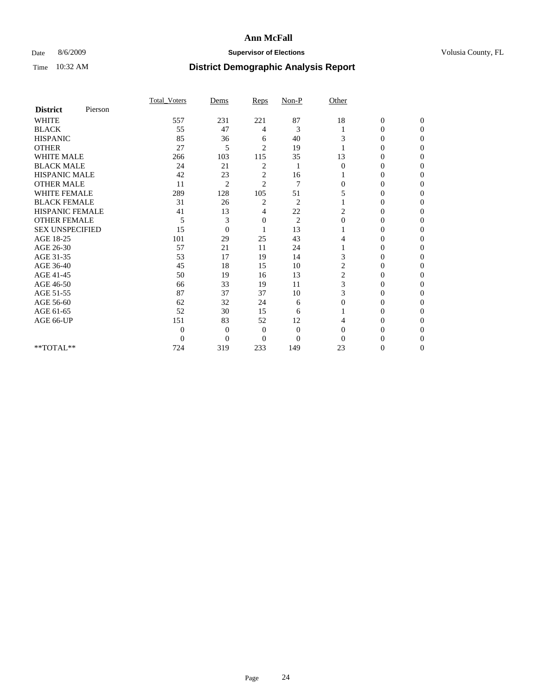### Date 8/6/2009 **Supervisor of Elections Supervisor of Elections** Volusia County, FL

|                        |         | Total Voters     | Dems           | Reps           | Non-P          | Other          |                  |                  |
|------------------------|---------|------------------|----------------|----------------|----------------|----------------|------------------|------------------|
| <b>District</b>        | Pierson |                  |                |                |                |                |                  |                  |
| <b>WHITE</b>           |         | 557              | 231            | 221            | 87             | 18             | $\boldsymbol{0}$ | $\boldsymbol{0}$ |
| <b>BLACK</b>           |         | 55               | 47             | 4              | 3              |                | 0                | $\Omega$         |
| <b>HISPANIC</b>        |         | 85               | 36             | 6              | 40             | 3              | $\Omega$         | $\Omega$         |
| <b>OTHER</b>           |         | 27               | 5              | $\overline{2}$ | 19             |                | 0                | $\Omega$         |
| <b>WHITE MALE</b>      |         | 266              | 103            | 115            | 35             | 13             | 0                | $\Omega$         |
| <b>BLACK MALE</b>      |         | 24               | 21             | 2              | 1              | $\Omega$       | $\overline{0}$   | $\Omega$         |
| HISPANIC MALE          |         | 42               | 23             | 2              | 16             |                | 0                | 0                |
| <b>OTHER MALE</b>      |         | 11               | $\overline{2}$ | $\overline{c}$ | 7              | $\Omega$       | 0                | 0                |
| <b>WHITE FEMALE</b>    |         | 289              | 128            | 105            | 51             | 5              | 0                | 0                |
| <b>BLACK FEMALE</b>    |         | 31               | 26             | $\overline{c}$ | $\overline{c}$ |                | 0                | 0                |
| <b>HISPANIC FEMALE</b> |         | 41               | 13             | 4              | 22             | 2              | 0                | $\Omega$         |
| <b>OTHER FEMALE</b>    |         | 5                | 3              | 0              | $\overline{2}$ | $\mathbf{0}$   | 0                | $\Omega$         |
| <b>SEX UNSPECIFIED</b> |         | 15               | $\overline{0}$ |                | 13             |                | 0                | $\Omega$         |
| AGE 18-25              |         | 101              | 29             | 25             | 43             | 4              | $\theta$         | $\Omega$         |
| AGE 26-30              |         | 57               | 21             | 11             | 24             |                | 0                | 0                |
| AGE 31-35              |         | 53               | 17             | 19             | 14             | 3              | 0                | 0                |
| AGE 36-40              |         | 45               | 18             | 15             | 10             | $\overline{c}$ | 0                | 0                |
| AGE 41-45              |         | 50               | 19             | 16             | 13             | 2              | 0                | 0                |
| AGE 46-50              |         | 66               | 33             | 19             | 11             | 3              | $\overline{0}$   | $\Omega$         |
| AGE 51-55              |         | 87               | 37             | 37             | 10             | 3              | 0                | $\Omega$         |
| AGE 56-60              |         | 62               | 32             | 24             | 6              | $\Omega$       | 0                | 0                |
| AGE 61-65              |         | 52               | 30             | 15             | 6              |                | 0                | $\Omega$         |
| AGE 66-UP              |         | 151              | 83             | 52             | 12             |                | 0                | $\Omega$         |
|                        |         | $\boldsymbol{0}$ | $\overline{0}$ | $\mathbf{0}$   | $\mathbf{0}$   | $\Omega$       | 0                | 0                |
|                        |         | $\overline{0}$   | $\overline{0}$ | $\Omega$       | $\overline{0}$ | $\Omega$       | 0                | $\Omega$         |
| **TOTAL**              |         | 724              | 319            | 233            | 149            | 23             | 0                | $\overline{0}$   |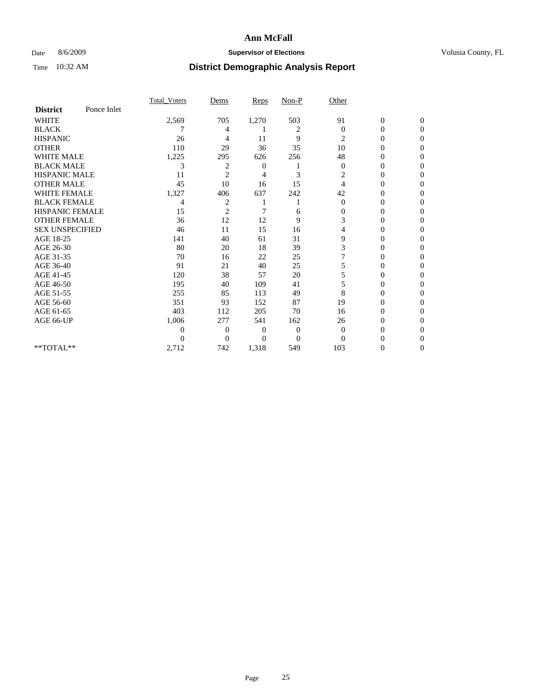### Date 8/6/2009 **Supervisor of Elections Supervisor of Elections** Volusia County, FL

|                        |             | Total Voters | Dems           | <b>Reps</b> | $Non-P$        | Other        |                  |              |  |
|------------------------|-------------|--------------|----------------|-------------|----------------|--------------|------------------|--------------|--|
| <b>District</b>        | Ponce Inlet |              |                |             |                |              |                  |              |  |
| <b>WHITE</b>           |             | 2,569        | 705            | 1,270       | 503            | 91           | $\boldsymbol{0}$ | $\mathbf{0}$ |  |
| <b>BLACK</b>           |             |              | 4              |             | 2              | $\mathbf{0}$ | $\mathbf{0}$     | $\Omega$     |  |
| <b>HISPANIC</b>        |             | 26           | 4              | 11          | 9              | 2            | 0                | $\Omega$     |  |
| <b>OTHER</b>           |             | 110          | 29             | 36          | 35             | 10           | 0                | $\Omega$     |  |
| <b>WHITE MALE</b>      |             | 1,225        | 295            | 626         | 256            | 48           | 0                | 0            |  |
| <b>BLACK MALE</b>      |             | 3            | 2              | 0           |                | $\theta$     | 0                | $\Omega$     |  |
| HISPANIC MALE          |             | 11           | $\overline{2}$ | 4           | 3              | 2            | 0                | $\Omega$     |  |
| <b>OTHER MALE</b>      |             | 45           | 10             | 16          | 15             | 4            | 0                | 0            |  |
| <b>WHITE FEMALE</b>    |             | 1,327        | 406            | 637         | 242            | 42           | 0                | $\Omega$     |  |
| <b>BLACK FEMALE</b>    |             | 4            | $\overline{c}$ |             |                | $\mathbf{0}$ | $\overline{0}$   | 0            |  |
| <b>HISPANIC FEMALE</b> |             | 15           | $\overline{2}$ | 7           | 6              | 0            | 0                | 0            |  |
| <b>OTHER FEMALE</b>    |             | 36           | 12             | 12          | 9              | 3            | 0                | 0            |  |
| <b>SEX UNSPECIFIED</b> |             | 46           | 11             | 15          | 16             | 4            | 0                | $\Omega$     |  |
| AGE 18-25              |             | 141          | 40             | 61          | 31             | 9            | 0                | $\Omega$     |  |
| AGE 26-30              |             | 80           | 20             | 18          | 39             | 3            | 0                | 0            |  |
| AGE 31-35              |             | 70           | 16             | 22          | 25             |              | 0                | 0            |  |
| AGE 36-40              |             | 91           | 21             | 40          | 25             | 5            | 0                | 0            |  |
| AGE 41-45              |             | 120          | 38             | 57          | 20             | 5            | 0                | $\Omega$     |  |
| AGE 46-50              |             | 195          | 40             | 109         | 41             | 5            | 0                | $\Omega$     |  |
| AGE 51-55              |             | 255          | 85             | 113         | 49             | 8            | 0                | 0            |  |
| AGE 56-60              |             | 351          | 93             | 152         | 87             | 19           | 0                | 0            |  |
| AGE 61-65              |             | 403          | 112            | 205         | 70             | 16           | $\overline{0}$   | 0            |  |
| AGE 66-UP              |             | 1,006        | 277            | 541         | 162            | 26           | 0                | 0            |  |
|                        |             | 0            | $\overline{0}$ | $\Omega$    | $\mathbf{0}$   | $\Omega$     | 0                | 0            |  |
|                        |             | $\theta$     | $\overline{0}$ | 0           | $\overline{0}$ | $\Omega$     |                  | 0            |  |
| **TOTAL**              |             | 2,712        | 742            | 1,318       | 549            | 103          | 0                | 0            |  |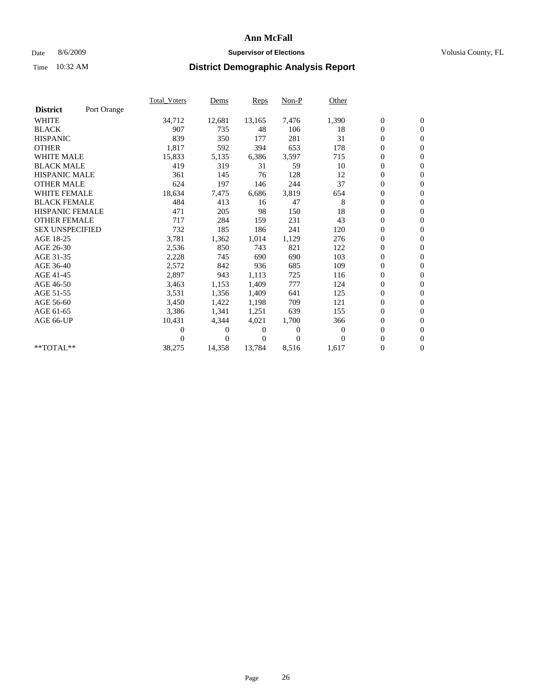### Date 8/6/2009 **Supervisor of Elections Supervisor of Elections** Volusia County, FL

|                        |             | Total Voters   | Dems           | <b>Reps</b>  | Non-P        | Other        |                  |                  |  |
|------------------------|-------------|----------------|----------------|--------------|--------------|--------------|------------------|------------------|--|
| <b>District</b>        | Port Orange |                |                |              |              |              |                  |                  |  |
| <b>WHITE</b>           |             | 34,712         | 12,681         | 13,165       | 7,476        | 1,390        | $\boldsymbol{0}$ | $\boldsymbol{0}$ |  |
| <b>BLACK</b>           |             | 907            | 735            | 48           | 106          | 18           | $\boldsymbol{0}$ | $\mathbf{0}$     |  |
| <b>HISPANIC</b>        |             | 839            | 350            | 177          | 281          | 31           | $\overline{0}$   | $\mathbf{0}$     |  |
| <b>OTHER</b>           |             | 1,817          | 592            | 394          | 653          | 178          | $\boldsymbol{0}$ | $\mathbf{0}$     |  |
| <b>WHITE MALE</b>      |             | 15,833         | 5,135          | 6,386        | 3,597        | 715          | $\boldsymbol{0}$ | $\mathbf{0}$     |  |
| <b>BLACK MALE</b>      |             | 419            | 319            | 31           | 59           | 10           | $\overline{0}$   | $\mathbf{0}$     |  |
| <b>HISPANIC MALE</b>   |             | 361            | 145            | 76           | 128          | 12           | $\boldsymbol{0}$ | $\Omega$         |  |
| <b>OTHER MALE</b>      |             | 624            | 197            | 146          | 244          | 37           | $\overline{0}$   | $\mathbf{0}$     |  |
| <b>WHITE FEMALE</b>    |             | 18,634         | 7,475          | 6,686        | 3,819        | 654          | $\boldsymbol{0}$ | $\mathbf{0}$     |  |
| <b>BLACK FEMALE</b>    |             | 484            | 413            | 16           | 47           | 8            | $\boldsymbol{0}$ | $\mathbf{0}$     |  |
| <b>HISPANIC FEMALE</b> |             | 471            | 205            | 98           | 150          | 18           | $\boldsymbol{0}$ | $\mathbf{0}$     |  |
| <b>OTHER FEMALE</b>    |             | 717            | 284            | 159          | 231          | 43           | $\mathbf{0}$     | $\mathbf{0}$     |  |
| <b>SEX UNSPECIFIED</b> |             | 732            | 185            | 186          | 241          | 120          | $\boldsymbol{0}$ | $\mathbf{0}$     |  |
| AGE 18-25              |             | 3,781          | 1,362          | 1,014        | 1,129        | 276          | $\boldsymbol{0}$ | $\mathbf{0}$     |  |
| AGE 26-30              |             | 2,536          | 850            | 743          | 821          | 122          | $\mathbf{0}$     | $\mathbf{0}$     |  |
| AGE 31-35              |             | 2,228          | 745            | 690          | 690          | 103          | $\boldsymbol{0}$ | $\mathbf{0}$     |  |
| AGE 36-40              |             | 2,572          | 842            | 936          | 685          | 109          | $\boldsymbol{0}$ | $\mathbf{0}$     |  |
| AGE 41-45              |             | 2,897          | 943            | 1,113        | 725          | 116          | $\boldsymbol{0}$ | $\mathbf{0}$     |  |
| AGE 46-50              |             | 3,463          | 1,153          | 1,409        | 777          | 124          | $\boldsymbol{0}$ | $\Omega$         |  |
| AGE 51-55              |             | 3,531          | 1,356          | 1,409        | 641          | 125          | $\boldsymbol{0}$ | $\mathbf{0}$     |  |
| AGE 56-60              |             | 3,450          | 1,422          | 1,198        | 709          | 121          | $\overline{0}$   | $\mathbf{0}$     |  |
| AGE 61-65              |             | 3,386          | 1,341          | 1,251        | 639          | 155          | $\mathbf{0}$     | $\mathbf{0}$     |  |
| AGE 66-UP              |             | 10,431         | 4,344          | 4,021        | 1,700        | 366          | $\boldsymbol{0}$ | $\mathbf{0}$     |  |
|                        |             | $\overline{0}$ | 0              | 0            | $\mathbf{0}$ | $\mathbf{0}$ | $\mathbf{0}$     | $\mathbf{0}$     |  |
|                        |             | $\Omega$       | $\overline{0}$ | $\mathbf{0}$ | $\Omega$     | $\Omega$     | $\boldsymbol{0}$ | $\mathbf{0}$     |  |
| **TOTAL**              |             | 38,275         | 14,358         | 13,784       | 8,516        | 1,617        | 0                | $\boldsymbol{0}$ |  |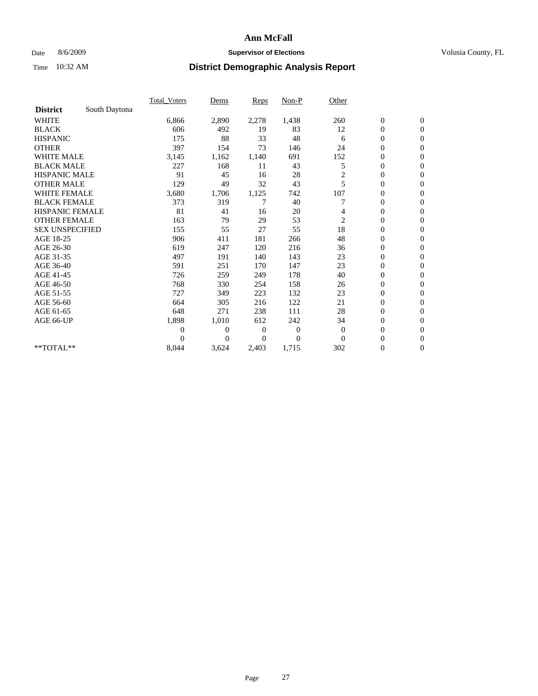### Date 8/6/2009 **Supervisor of Elections Supervisor of Elections** Volusia County, FL

|                        |               | Total Voters | Dems           | <b>Reps</b>  | $Non-P$        | Other                   |                  |                |  |
|------------------------|---------------|--------------|----------------|--------------|----------------|-------------------------|------------------|----------------|--|
| <b>District</b>        | South Daytona |              |                |              |                |                         |                  |                |  |
| <b>WHITE</b>           |               | 6,866        | 2,890          | 2,278        | 1,438          | 260                     | $\boldsymbol{0}$ | $\mathbf{0}$   |  |
| <b>BLACK</b>           |               | 606          | 492            | 19           | 83             | 12                      | $\boldsymbol{0}$ | $\mathbf{0}$   |  |
| <b>HISPANIC</b>        |               | 175          | 88             | 33           | 48             | 6                       | $\overline{0}$   | $\mathbf{0}$   |  |
| <b>OTHER</b>           |               | 397          | 154            | 73           | 146            | 24                      | $\overline{0}$   | $\mathbf{0}$   |  |
| <b>WHITE MALE</b>      |               | 3,145        | 1,162          | 1,140        | 691            | 152                     | $\boldsymbol{0}$ | $\mathbf{0}$   |  |
| <b>BLACK MALE</b>      |               | 227          | 168            | 11           | 43             | 5                       | $\boldsymbol{0}$ | $\mathbf{0}$   |  |
| <b>HISPANIC MALE</b>   |               | 91           | 45             | 16           | 28             | $\overline{\mathbf{c}}$ | $\boldsymbol{0}$ | $\mathbf{0}$   |  |
| <b>OTHER MALE</b>      |               | 129          | 49             | 32           | 43             | 5                       | $\overline{0}$   | $\mathbf{0}$   |  |
| <b>WHITE FEMALE</b>    |               | 3,680        | 1,706          | 1,125        | 742            | 107                     | $\overline{0}$   | $\mathbf{0}$   |  |
| <b>BLACK FEMALE</b>    |               | 373          | 319            | 7            | 40             |                         | $\boldsymbol{0}$ | $\mathbf{0}$   |  |
| <b>HISPANIC FEMALE</b> |               | 81           | 41             | 16           | 20             | 4                       | $\boldsymbol{0}$ | $\mathbf{0}$   |  |
| <b>OTHER FEMALE</b>    |               | 163          | 79             | 29           | 53             | $\overline{c}$          | $\overline{0}$   | $\Omega$       |  |
| <b>SEX UNSPECIFIED</b> |               | 155          | 55             | 27           | 55             | 18                      | $\overline{0}$   | $\mathbf{0}$   |  |
| AGE 18-25              |               | 906          | 411            | 181          | 266            | 48                      | $\overline{0}$   | $\mathbf{0}$   |  |
| AGE 26-30              |               | 619          | 247            | 120          | 216            | 36                      | $\overline{0}$   | $\mathbf{0}$   |  |
| AGE 31-35              |               | 497          | 191            | 140          | 143            | 23                      | $\boldsymbol{0}$ | $\mathbf{0}$   |  |
| AGE 36-40              |               | 591          | 251            | 170          | 147            | 23                      | $\boldsymbol{0}$ | $\mathbf{0}$   |  |
| AGE 41-45              |               | 726          | 259            | 249          | 178            | 40                      | $\overline{0}$   | $\mathbf{0}$   |  |
| AGE 46-50              |               | 768          | 330            | 254          | 158            | 26                      | $\mathbf{0}$     | $\mathbf{0}$   |  |
| AGE 51-55              |               | 727          | 349            | 223          | 132            | 23                      | $\boldsymbol{0}$ | $\mathbf{0}$   |  |
| AGE 56-60              |               | 664          | 305            | 216          | 122            | 21                      | $\boldsymbol{0}$ | $\Omega$       |  |
| AGE 61-65              |               | 648          | 271            | 238          | 111            | 28                      | $\boldsymbol{0}$ | $\overline{0}$ |  |
| AGE 66-UP              |               | 1,898        | 1,010          | 612          | 242            | 34                      | $\boldsymbol{0}$ | $\mathbf{0}$   |  |
|                        |               | $\Omega$     | $\overline{0}$ | $\mathbf{0}$ | $\mathbf{0}$   | $\theta$                | $\overline{0}$   | $\Omega$       |  |
|                        |               | $\Omega$     | $\theta$       | $\Omega$     | $\overline{0}$ | $\Omega$                | $\overline{0}$   | $\overline{0}$ |  |
| **TOTAL**              |               | 8,044        | 3,624          | 2,403        | 1,715          | 302                     | 0                | $\mathbf{0}$   |  |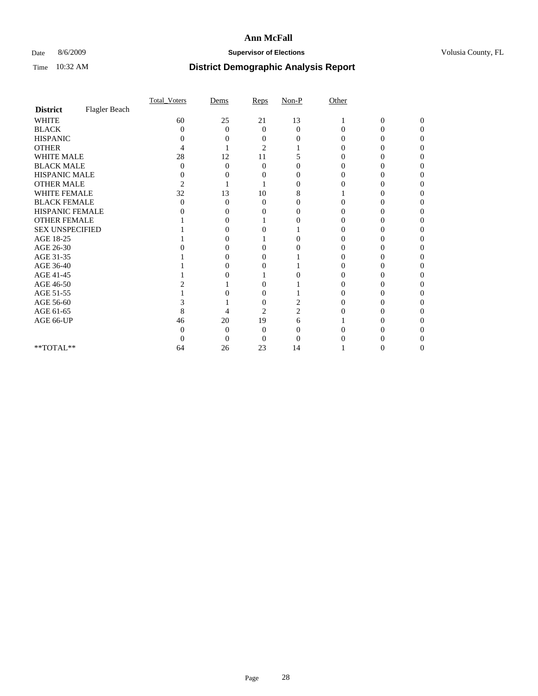### Date 8/6/2009 **Supervisor of Elections Supervisor of Elections** Volusia County, FL

|                        |               | <b>Total_Voters</b> | Dems              | Reps           | $Non-P$           | Other |                  |                |
|------------------------|---------------|---------------------|-------------------|----------------|-------------------|-------|------------------|----------------|
| <b>District</b>        | Flagler Beach |                     |                   |                |                   |       |                  |                |
| <b>WHITE</b>           |               | 60                  | 25                | 21             | 13                |       | $\boldsymbol{0}$ | $\overline{0}$ |
| <b>BLACK</b>           |               | 0                   | $\theta$          | $\Omega$       | $\theta$          | 0     | $\theta$         | $\Omega$       |
| <b>HISPANIC</b>        |               | 0                   | $\mathbf{\Omega}$ | $_{0}$         | $\mathbf{\Omega}$ |       | 0                | 0              |
| <b>OTHER</b>           |               |                     |                   | $\overline{2}$ |                   |       |                  |                |
| WHITE MALE             |               | 28                  | 12                | 11             |                   |       |                  |                |
| <b>BLACK MALE</b>      |               | 0                   | $\Omega$          | $\Omega$       | 0                 |       | 0                |                |
| HISPANIC MALE          |               | 0                   |                   |                | 0                 |       |                  |                |
| <b>OTHER MALE</b>      |               | $\overline{c}$      |                   |                |                   |       |                  |                |
| <b>WHITE FEMALE</b>    |               | 32                  | 13                | 10             | 8                 |       |                  |                |
| <b>BLACK FEMALE</b>    |               | 0                   | $\theta$          | 0              | 0                 |       |                  |                |
| HISPANIC FEMALE        |               |                     | $\mathbf{\Omega}$ |                | 0                 |       |                  |                |
| <b>OTHER FEMALE</b>    |               |                     |                   |                |                   |       |                  |                |
| <b>SEX UNSPECIFIED</b> |               |                     | $\mathbf{\Omega}$ |                |                   |       |                  |                |
| AGE 18-25              |               |                     |                   |                |                   |       |                  |                |
| AGE 26-30              |               |                     |                   | 0              |                   |       |                  |                |
| AGE 31-35              |               |                     | $\mathbf{\Omega}$ | 0              |                   |       |                  |                |
| AGE 36-40              |               |                     |                   |                |                   |       |                  |                |
| AGE 41-45              |               |                     |                   |                |                   |       |                  |                |
| AGE 46-50              |               |                     |                   | 0              |                   |       | 0                | 0              |
| AGE 51-55              |               |                     |                   | $\theta$       |                   |       |                  |                |
| AGE 56-60              |               |                     |                   | $\theta$       |                   |       |                  |                |
| AGE 61-65              |               | 8                   | 4                 | $\overline{2}$ |                   |       |                  | 0              |
| AGE 66-UP              |               | 46                  | 20                | 19             | 6                 |       |                  |                |
|                        |               | $\theta$            | $\Omega$          | 0              |                   |       |                  |                |
|                        |               |                     | $\theta$          | 0              |                   |       |                  |                |
| $**TOTAL**$            |               | 64                  | 26                | 23             | 14                |       |                  | 0              |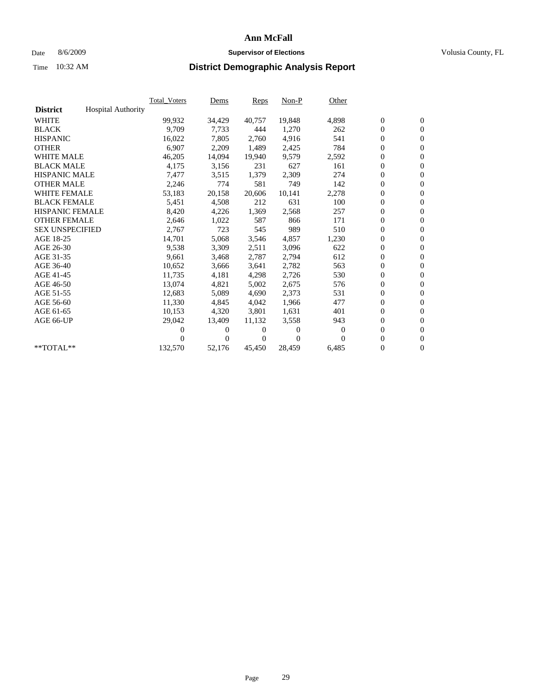### Date 8/6/2009 **Supervisor of Elections Supervisor of Elections** Volusia County, FL

|                        |                           | <b>Total Voters</b> | Dems           | <b>Reps</b> | $Non-P$  | Other |                  |                  |  |
|------------------------|---------------------------|---------------------|----------------|-------------|----------|-------|------------------|------------------|--|
| <b>District</b>        | <b>Hospital Authority</b> |                     |                |             |          |       |                  |                  |  |
| <b>WHITE</b>           |                           | 99,932              | 34,429         | 40,757      | 19,848   | 4,898 | $\boldsymbol{0}$ | $\boldsymbol{0}$ |  |
| <b>BLACK</b>           |                           | 9,709               | 7,733          | 444         | 1,270    | 262   | $\boldsymbol{0}$ | $\mathbf{0}$     |  |
| <b>HISPANIC</b>        |                           | 16,022              | 7,805          | 2,760       | 4,916    | 541   | $\boldsymbol{0}$ | $\mathbf{0}$     |  |
| <b>OTHER</b>           |                           | 6,907               | 2,209          | 1,489       | 2,425    | 784   | $\boldsymbol{0}$ | $\mathbf{0}$     |  |
| <b>WHITE MALE</b>      |                           | 46,205              | 14,094         | 19,940      | 9,579    | 2,592 | $\boldsymbol{0}$ | $\mathbf{0}$     |  |
| <b>BLACK MALE</b>      |                           | 4,175               | 3,156          | 231         | 627      | 161   | $\overline{0}$   | $\mathbf{0}$     |  |
| <b>HISPANIC MALE</b>   |                           | 7,477               | 3,515          | 1,379       | 2,309    | 274   | $\boldsymbol{0}$ | $\mathbf{0}$     |  |
| <b>OTHER MALE</b>      |                           | 2,246               | 774            | 581         | 749      | 142   | $\boldsymbol{0}$ | $\mathbf{0}$     |  |
| <b>WHITE FEMALE</b>    |                           | 53,183              | 20,158         | 20,606      | 10,141   | 2,278 | $\boldsymbol{0}$ | $\mathbf{0}$     |  |
| <b>BLACK FEMALE</b>    |                           | 5,451               | 4,508          | 212         | 631      | 100   | $\boldsymbol{0}$ | $\mathbf{0}$     |  |
| <b>HISPANIC FEMALE</b> |                           | 8,420               | 4,226          | 1,369       | 2,568    | 257   | $\boldsymbol{0}$ | $\mathbf{0}$     |  |
| <b>OTHER FEMALE</b>    |                           | 2,646               | 1,022          | 587         | 866      | 171   | $\mathbf{0}$     | $\mathbf{0}$     |  |
| <b>SEX UNSPECIFIED</b> |                           | 2,767               | 723            | 545         | 989      | 510   | $\boldsymbol{0}$ | $\mathbf{0}$     |  |
| AGE 18-25              |                           | 14,701              | 5,068          | 3,546       | 4,857    | 1,230 | $\boldsymbol{0}$ | $\mathbf{0}$     |  |
| AGE 26-30              |                           | 9,538               | 3,309          | 2,511       | 3,096    | 622   | $\boldsymbol{0}$ | $\mathbf{0}$     |  |
| AGE 31-35              |                           | 9,661               | 3,468          | 2,787       | 2,794    | 612   | $\boldsymbol{0}$ | $\mathbf{0}$     |  |
| AGE 36-40              |                           | 10,652              | 3,666          | 3,641       | 2,782    | 563   | $\boldsymbol{0}$ | $\mathbf{0}$     |  |
| AGE 41-45              |                           | 11,735              | 4,181          | 4,298       | 2,726    | 530   | $\boldsymbol{0}$ | $\mathbf{0}$     |  |
| AGE 46-50              |                           | 13,074              | 4,821          | 5,002       | 2,675    | 576   | $\boldsymbol{0}$ | $\Omega$         |  |
| AGE 51-55              |                           | 12,683              | 5,089          | 4.690       | 2,373    | 531   | $\boldsymbol{0}$ | $\mathbf{0}$     |  |
| AGE 56-60              |                           | 11,330              | 4,845          | 4.042       | 1.966    | 477   | $\overline{0}$   | $\mathbf{0}$     |  |
| AGE 61-65              |                           | 10,153              | 4,320          | 3,801       | 1,631    | 401   | $\overline{0}$   | $\mathbf{0}$     |  |
| AGE 66-UP              |                           | 29,042              | 13,409         | 11,132      | 3,558    | 943   | $\boldsymbol{0}$ | $\mathbf{0}$     |  |
|                        |                           | 0                   | 0              | 0           | $\Omega$ | 0     | $\mathbf{0}$     | $\mathbf{0}$     |  |
|                        |                           | 0                   | $\overline{0}$ | 0           | $\Omega$ | 0     | 0                | $\mathbf{0}$     |  |
| **TOTAL**              |                           | 132,570             | 52,176         | 45,450      | 28,459   | 6,485 | 0                | $\boldsymbol{0}$ |  |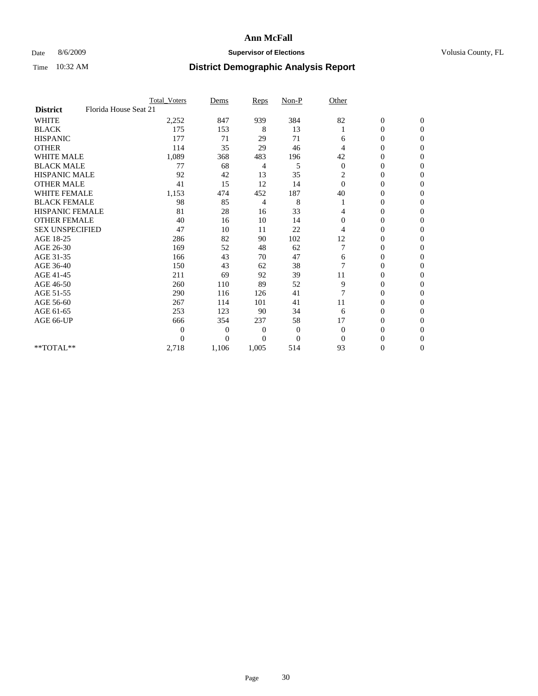### Date 8/6/2009 **Supervisor of Elections Supervisor of Elections** Volusia County, FL

|                        |                       | <b>Total_Voters</b> | Dems           | <b>Reps</b> | $Non-P$  | Other          |                  |                  |  |
|------------------------|-----------------------|---------------------|----------------|-------------|----------|----------------|------------------|------------------|--|
| <b>District</b>        | Florida House Seat 21 |                     |                |             |          |                |                  |                  |  |
| <b>WHITE</b>           |                       | 2,252               | 847            | 939         | 384      | 82             | $\boldsymbol{0}$ | $\boldsymbol{0}$ |  |
| <b>BLACK</b>           |                       | 175                 | 153            | 8           | 13       |                | $\boldsymbol{0}$ | $\Omega$         |  |
| <b>HISPANIC</b>        |                       | 177                 | 71             | 29          | 71       | 6              | 0                | $\Omega$         |  |
| <b>OTHER</b>           |                       | 114                 | 35             | 29          | 46       | 4              | 0                | $\Omega$         |  |
| <b>WHITE MALE</b>      |                       | 1,089               | 368            | 483         | 196      | 42             | $\mathbf{0}$     | $\mathbf{0}$     |  |
| <b>BLACK MALE</b>      |                       | 77                  | 68             | 4           | 5        | $\theta$       | $\overline{0}$   | $\Omega$         |  |
| <b>HISPANIC MALE</b>   |                       | 92                  | 42             | 13          | 35       | $\overline{c}$ | 0                | $\Omega$         |  |
| <b>OTHER MALE</b>      |                       | 41                  | 15             | 12          | 14       | $\Omega$       | 0                | 0                |  |
| WHITE FEMALE           |                       | 1,153               | 474            | 452         | 187      | 40             | 0                | $\mathbf{0}$     |  |
| <b>BLACK FEMALE</b>    |                       | 98                  | 85             | 4           | 8        |                | 0                | $\Omega$         |  |
| <b>HISPANIC FEMALE</b> |                       | 81                  | 28             | 16          | 33       | 4              | 0                | $\mathbf{0}$     |  |
| <b>OTHER FEMALE</b>    |                       | 40                  | 16             | 10          | 14       | $\Omega$       | 0                | $\Omega$         |  |
| <b>SEX UNSPECIFIED</b> |                       | 47                  | 10             | 11          | 22       | 4              | $\overline{0}$   | $\mathbf{0}$     |  |
| AGE 18-25              |                       | 286                 | 82             | 90          | 102      | 12             | 0                | $\Omega$         |  |
| AGE 26-30              |                       | 169                 | 52             | 48          | 62       |                | 0                | $\Omega$         |  |
| AGE 31-35              |                       | 166                 | 43             | 70          | 47       | 6              | $\boldsymbol{0}$ | $\Omega$         |  |
| AGE 36-40              |                       | 150                 | 43             | 62          | 38       | 7              | 0                | 0                |  |
| AGE 41-45              |                       | 211                 | 69             | 92          | 39       | 11             | 0                | $\Omega$         |  |
| AGE 46-50              |                       | 260                 | 110            | 89          | 52       | 9              | 0                | $\Omega$         |  |
| AGE 51-55              |                       | 290                 | 116            | 126         | 41       | 7              | 0                | $\mathbf{0}$     |  |
| AGE 56-60              |                       | 267                 | 114            | 101         | 41       | 11             | 0                | 0                |  |
| AGE 61-65              |                       | 253                 | 123            | 90          | 34       | 6              | $\overline{0}$   | $\mathbf{0}$     |  |
| AGE 66-UP              |                       | 666                 | 354            | 237         | 58       | 17             | 0                | $\Omega$         |  |
|                        |                       | $\overline{0}$      | $\overline{0}$ | 0           | 0        | $\mathbf{0}$   | 0                | $\Omega$         |  |
|                        |                       | $\theta$            | $\theta$       | $\Omega$    | $\Omega$ | $\Omega$       | 0                | $\Omega$         |  |
| **TOTAL**              |                       | 2,718               | 1,106          | 1,005       | 514      | 93             | 0                | $\mathbf{0}$     |  |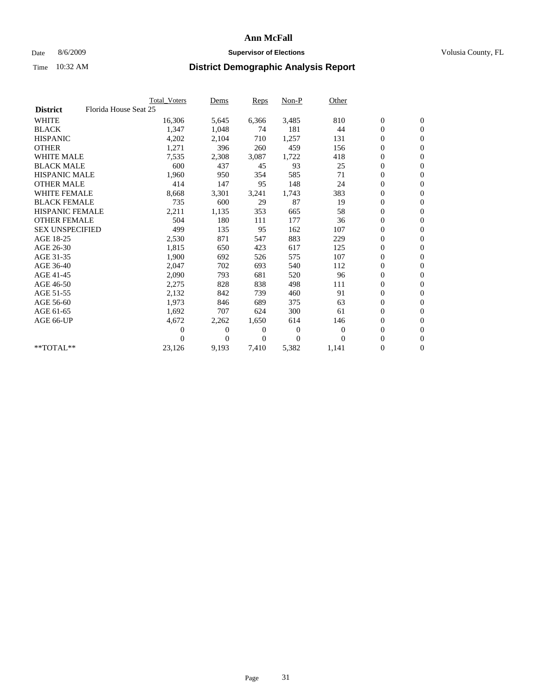### Date 8/6/2009 **Supervisor of Elections Supervisor of Elections** Volusia County, FL

|                        |                       | Total Voters   | Dems           | <b>Reps</b> | $Non-P$      | Other        |                  |                  |  |
|------------------------|-----------------------|----------------|----------------|-------------|--------------|--------------|------------------|------------------|--|
| <b>District</b>        | Florida House Seat 25 |                |                |             |              |              |                  |                  |  |
| <b>WHITE</b>           |                       | 16,306         | 5,645          | 6,366       | 3,485        | 810          | $\boldsymbol{0}$ | $\boldsymbol{0}$ |  |
| <b>BLACK</b>           |                       | 1,347          | 1,048          | 74          | 181          | 44           | $\boldsymbol{0}$ | $\mathbf{0}$     |  |
| <b>HISPANIC</b>        |                       | 4,202          | 2,104          | 710         | 1,257        | 131          | $\boldsymbol{0}$ | $\mathbf{0}$     |  |
| <b>OTHER</b>           |                       | 1,271          | 396            | 260         | 459          | 156          | $\boldsymbol{0}$ | $\mathbf{0}$     |  |
| <b>WHITE MALE</b>      |                       | 7,535          | 2,308          | 3,087       | 1,722        | 418          | $\boldsymbol{0}$ | $\mathbf{0}$     |  |
| <b>BLACK MALE</b>      |                       | 600            | 437            | 45          | 93           | 25           | $\overline{0}$   | $\mathbf{0}$     |  |
| <b>HISPANIC MALE</b>   |                       | 1,960          | 950            | 354         | 585          | 71           | $\boldsymbol{0}$ | $\Omega$         |  |
| <b>OTHER MALE</b>      |                       | 414            | 147            | 95          | 148          | 24           | $\overline{0}$   | $\mathbf{0}$     |  |
| <b>WHITE FEMALE</b>    |                       | 8,668          | 3,301          | 3,241       | 1,743        | 383          | $\boldsymbol{0}$ | $\mathbf{0}$     |  |
| <b>BLACK FEMALE</b>    |                       | 735            | 600            | 29          | 87           | 19           | $\boldsymbol{0}$ | $\mathbf{0}$     |  |
| <b>HISPANIC FEMALE</b> |                       | 2,211          | 1,135          | 353         | 665          | 58           | $\boldsymbol{0}$ | $\mathbf{0}$     |  |
| <b>OTHER FEMALE</b>    |                       | 504            | 180            | 111         | 177          | 36           | $\mathbf{0}$     | $\mathbf{0}$     |  |
| <b>SEX UNSPECIFIED</b> |                       | 499            | 135            | 95          | 162          | 107          | $\boldsymbol{0}$ | $\mathbf{0}$     |  |
| AGE 18-25              |                       | 2,530          | 871            | 547         | 883          | 229          | $\boldsymbol{0}$ | $\mathbf{0}$     |  |
| AGE 26-30              |                       | 1,815          | 650            | 423         | 617          | 125          | $\overline{0}$   | $\mathbf{0}$     |  |
| AGE 31-35              |                       | 1,900          | 692            | 526         | 575          | 107          | $\boldsymbol{0}$ | $\mathbf{0}$     |  |
| AGE 36-40              |                       | 2,047          | 702            | 693         | 540          | 112          | $\boldsymbol{0}$ | $\mathbf{0}$     |  |
| AGE 41-45              |                       | 2,090          | 793            | 681         | 520          | 96           | $\boldsymbol{0}$ | $\mathbf{0}$     |  |
| AGE 46-50              |                       | 2,275          | 828            | 838         | 498          | 111          | $\boldsymbol{0}$ | $\Omega$         |  |
| AGE 51-55              |                       | 2,132          | 842            | 739         | 460          | 91           | $\boldsymbol{0}$ | $\mathbf{0}$     |  |
| AGE 56-60              |                       | 1.973          | 846            | 689         | 375          | 63           | $\overline{0}$   | $\mathbf{0}$     |  |
| AGE 61-65              |                       | 1,692          | 707            | 624         | 300          | 61           | $\overline{0}$   | $\mathbf{0}$     |  |
| AGE 66-UP              |                       | 4,672          | 2,262          | 1,650       | 614          | 146          | $\boldsymbol{0}$ | $\mathbf{0}$     |  |
|                        |                       | $\overline{0}$ | $\overline{0}$ | 0           | $\mathbf{0}$ | $\mathbf{0}$ | $\mathbf{0}$     | $\mathbf{0}$     |  |
|                        |                       | 0              | $\overline{0}$ | 0           | $\Omega$     | $\Omega$     | 0                | $\mathbf{0}$     |  |
| **TOTAL**              |                       | 23,126         | 9,193          | 7,410       | 5,382        | 1,141        | 0                | $\boldsymbol{0}$ |  |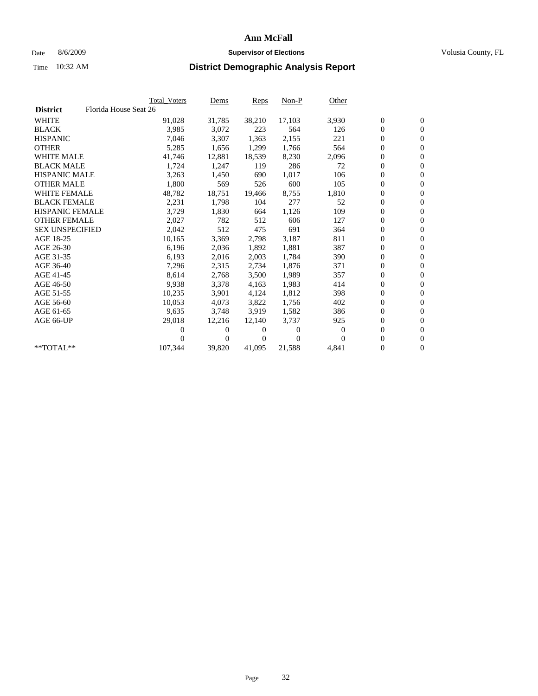### Date 8/6/2009 **Supervisor of Elections Supervisor of Elections** Volusia County, FL

|                        |                       | <b>Total Voters</b> | Dems     | Reps   | $Non-P$  | Other            |                  |                  |  |
|------------------------|-----------------------|---------------------|----------|--------|----------|------------------|------------------|------------------|--|
| <b>District</b>        | Florida House Seat 26 |                     |          |        |          |                  |                  |                  |  |
| <b>WHITE</b>           |                       | 91,028              | 31,785   | 38,210 | 17,103   | 3,930            | $\boldsymbol{0}$ | $\boldsymbol{0}$ |  |
| <b>BLACK</b>           |                       | 3,985               | 3,072    | 223    | 564      | 126              | 0                | $\mathbf{0}$     |  |
| <b>HISPANIC</b>        |                       | 7,046               | 3,307    | 1,363  | 2,155    | 221              | 0                | $\mathbf{0}$     |  |
| <b>OTHER</b>           |                       | 5,285               | 1,656    | 1,299  | 1,766    | 564              | 0                | $\mathbf{0}$     |  |
| <b>WHITE MALE</b>      |                       | 41,746              | 12,881   | 18,539 | 8,230    | 2,096            | 0                | $\mathbf{0}$     |  |
| <b>BLACK MALE</b>      |                       | 1,724               | 1,247    | 119    | 286      | 72               | 0                | $\mathbf{0}$     |  |
| <b>HISPANIC MALE</b>   |                       | 3,263               | 1,450    | 690    | 1,017    | 106              | 0                | $\mathbf{0}$     |  |
| <b>OTHER MALE</b>      |                       | 1,800               | 569      | 526    | 600      | 105              | 0                | $\mathbf{0}$     |  |
| <b>WHITE FEMALE</b>    |                       | 48,782              | 18,751   | 19,466 | 8,755    | 1,810            | $\boldsymbol{0}$ | $\mathbf{0}$     |  |
| <b>BLACK FEMALE</b>    |                       | 2,231               | 1,798    | 104    | 277      | 52               | 0                | $\mathbf{0}$     |  |
| <b>HISPANIC FEMALE</b> |                       | 3,729               | 1,830    | 664    | 1,126    | 109              | 0                | $\mathbf{0}$     |  |
| <b>OTHER FEMALE</b>    |                       | 2,027               | 782      | 512    | 606      | 127              | 0                | $\mathbf{0}$     |  |
| <b>SEX UNSPECIFIED</b> |                       | 2,042               | 512      | 475    | 691      | 364              | 0                | $\mathbf{0}$     |  |
| AGE 18-25              |                       | 10,165              | 3,369    | 2,798  | 3,187    | 811              | 0                | $\mathbf{0}$     |  |
| AGE 26-30              |                       | 6,196               | 2,036    | 1,892  | 1,881    | 387              | 0                | $\mathbf{0}$     |  |
| AGE 31-35              |                       | 6,193               | 2,016    | 2,003  | 1,784    | 390              | 0                | $\mathbf{0}$     |  |
| AGE 36-40              |                       | 7,296               | 2,315    | 2,734  | 1,876    | 371              | 0                | $\mathbf{0}$     |  |
| AGE 41-45              |                       | 8,614               | 2,768    | 3,500  | 1,989    | 357              | 0                | $\mathbf{0}$     |  |
| AGE 46-50              |                       | 9,938               | 3,378    | 4,163  | 1,983    | 414              | 0                | $\mathbf{0}$     |  |
| AGE 51-55              |                       | 10,235              | 3,901    | 4,124  | 1,812    | 398              | 0                | $\mathbf{0}$     |  |
| AGE 56-60              |                       | 10,053              | 4,073    | 3,822  | 1,756    | 402              | 0                | $\mathbf{0}$     |  |
| AGE 61-65              |                       | 9,635               | 3,748    | 3,919  | 1,582    | 386              | 0                | $\mathbf{0}$     |  |
| AGE 66-UP              |                       | 29,018              | 12,216   | 12,140 | 3,737    | 925              | 0                | $\mathbf{0}$     |  |
|                        |                       | 0                   | $\theta$ | 0      | $\theta$ | $\boldsymbol{0}$ | 0                | $\mathbf{0}$     |  |
|                        |                       | 0                   | 0        | 0      | $\Omega$ | $\Omega$         | 0                | $\mathbf{0}$     |  |
| **TOTAL**              |                       | 107,344             | 39,820   | 41,095 | 21,588   | 4,841            | 0                | $\boldsymbol{0}$ |  |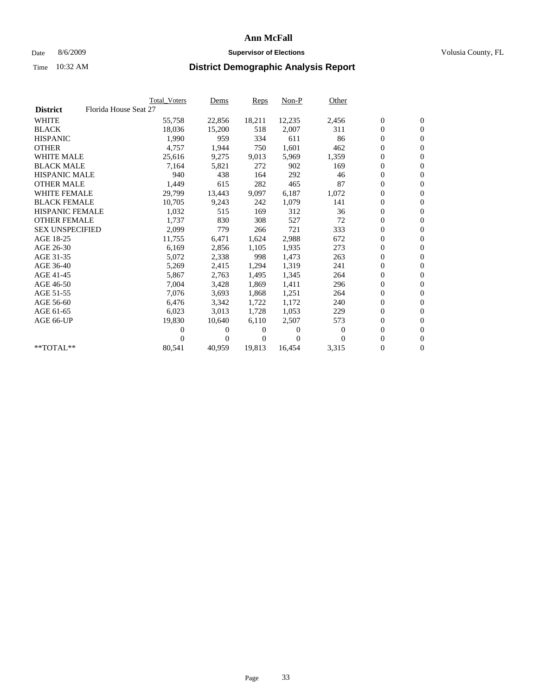### Date 8/6/2009 **Supervisor of Elections Supervisor of Elections** Volusia County, FL

|                                          | Total Voters | <u>Dems</u>    | <b>Reps</b> | $Non-P$  | Other    |                  |                  |  |
|------------------------------------------|--------------|----------------|-------------|----------|----------|------------------|------------------|--|
| Florida House Seat 27<br><b>District</b> |              |                |             |          |          |                  |                  |  |
| <b>WHITE</b>                             | 55,758       | 22,856         | 18,211      | 12,235   | 2,456    | $\boldsymbol{0}$ | $\boldsymbol{0}$ |  |
| <b>BLACK</b>                             | 18,036       | 15,200         | 518         | 2,007    | 311      | $\boldsymbol{0}$ | $\mathbf{0}$     |  |
| <b>HISPANIC</b>                          | 1,990        | 959            | 334         | 611      | 86       | $\overline{0}$   | $\mathbf{0}$     |  |
| <b>OTHER</b>                             | 4,757        | 1,944          | 750         | 1,601    | 462      | 0                | $\mathbf{0}$     |  |
| <b>WHITE MALE</b>                        | 25,616       | 9,275          | 9,013       | 5,969    | 1,359    | $\boldsymbol{0}$ | $\mathbf{0}$     |  |
| <b>BLACK MALE</b>                        | 7,164        | 5,821          | 272         | 902      | 169      | $\boldsymbol{0}$ | $\mathbf{0}$     |  |
| <b>HISPANIC MALE</b>                     | 940          | 438            | 164         | 292      | 46       | 0                | $\mathbf{0}$     |  |
| <b>OTHER MALE</b>                        | 1,449        | 615            | 282         | 465      | 87       | $\boldsymbol{0}$ | $\mathbf{0}$     |  |
| <b>WHITE FEMALE</b>                      | 29,799       | 13,443         | 9,097       | 6,187    | 1,072    | $\mathbf{0}$     | $\mathbf{0}$     |  |
| <b>BLACK FEMALE</b>                      | 10,705       | 9,243          | 242         | 1,079    | 141      | $\boldsymbol{0}$ | $\Omega$         |  |
| <b>HISPANIC FEMALE</b>                   | 1,032        | 515            | 169         | 312      | 36       | $\boldsymbol{0}$ | $\mathbf{0}$     |  |
| <b>OTHER FEMALE</b>                      | 1,737        | 830            | 308         | 527      | 72       | $\mathbf{0}$     | $\mathbf{0}$     |  |
| <b>SEX UNSPECIFIED</b>                   | 2,099        | 779            | 266         | 721      | 333      | $\boldsymbol{0}$ | $\mathbf{0}$     |  |
| AGE 18-25                                | 11,755       | 6,471          | 1,624       | 2,988    | 672      | $\boldsymbol{0}$ | $\mathbf{0}$     |  |
| AGE 26-30                                | 6,169        | 2,856          | 1,105       | 1,935    | 273      | $\overline{0}$   | $\mathbf{0}$     |  |
| AGE 31-35                                | 5,072        | 2,338          | 998         | 1,473    | 263      | $\boldsymbol{0}$ | $\mathbf{0}$     |  |
| AGE 36-40                                | 5,269        | 2,415          | 1,294       | 1,319    | 241      | $\boldsymbol{0}$ | $\mathbf{0}$     |  |
| AGE 41-45                                | 5,867        | 2,763          | 1,495       | 1,345    | 264      | $\boldsymbol{0}$ | $\mathbf{0}$     |  |
| AGE 46-50                                | 7,004        | 3,428          | 1,869       | 1,411    | 296      | 0                | $\Omega$         |  |
| AGE 51-55                                | 7,076        | 3,693          | 1,868       | 1,251    | 264      | $\boldsymbol{0}$ | $\boldsymbol{0}$ |  |
| AGE 56-60                                | 6,476        | 3,342          | 1,722       | 1.172    | 240      | $\mathbf{0}$     | $\mathbf{0}$     |  |
| AGE 61-65                                | 6,023        | 3,013          | 1,728       | 1,053    | 229      | $\boldsymbol{0}$ | $\overline{0}$   |  |
| AGE 66-UP                                | 19,830       | 10,640         | 6,110       | 2,507    | 573      | $\mathbf{0}$     | $\mathbf{0}$     |  |
|                                          | 0            | 0              | 0           | 0        | $\bf{0}$ | $\overline{0}$   | $\mathbf{0}$     |  |
|                                          | 0            | $\overline{0}$ | 0           | $\Omega$ | $\Omega$ | 0                | $\mathbf{0}$     |  |
| **TOTAL**                                | 80,541       | 40,959         | 19,813      | 16,454   | 3,315    | 0                | $\boldsymbol{0}$ |  |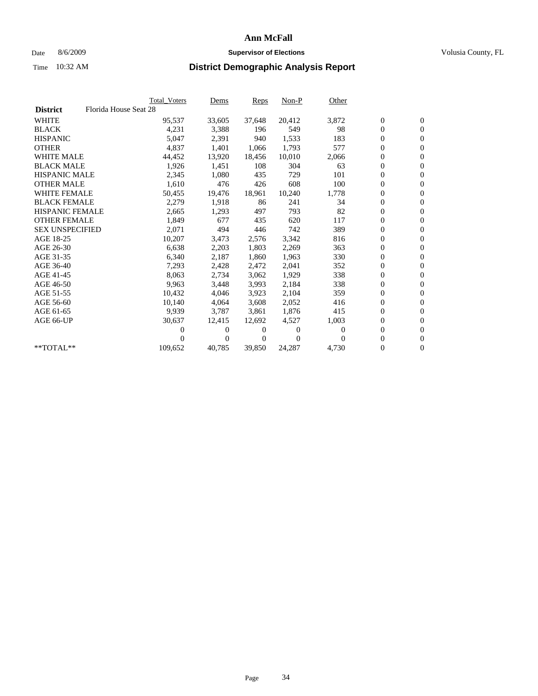### Date 8/6/2009 **Supervisor of Elections Supervisor of Elections** Volusia County, FL

|                        |                       | <b>Total Voters</b> | Dems           | Reps   | $Non-P$  | Other    |                  |                  |  |
|------------------------|-----------------------|---------------------|----------------|--------|----------|----------|------------------|------------------|--|
| <b>District</b>        | Florida House Seat 28 |                     |                |        |          |          |                  |                  |  |
| <b>WHITE</b>           |                       | 95,537              | 33,605         | 37,648 | 20,412   | 3,872    | $\boldsymbol{0}$ | $\boldsymbol{0}$ |  |
| <b>BLACK</b>           |                       | 4,231               | 3,388          | 196    | 549      | 98       | $\overline{0}$   | $\mathbf{0}$     |  |
| <b>HISPANIC</b>        |                       | 5,047               | 2,391          | 940    | 1,533    | 183      | 0                | $\mathbf{0}$     |  |
| <b>OTHER</b>           |                       | 4,837               | 1,401          | 1.066  | 1,793    | 577      | 0                | $\mathbf{0}$     |  |
| <b>WHITE MALE</b>      |                       | 44,452              | 13,920         | 18,456 | 10,010   | 2,066    | 0                | $\mathbf{0}$     |  |
| <b>BLACK MALE</b>      |                       | 1,926               | 1,451          | 108    | 304      | 63       | $\boldsymbol{0}$ | $\mathbf{0}$     |  |
| <b>HISPANIC MALE</b>   |                       | 2,345               | 1,080          | 435    | 729      | 101      | 0                | $\mathbf{0}$     |  |
| <b>OTHER MALE</b>      |                       | 1,610               | 476            | 426    | 608      | 100      | 0                | $\mathbf{0}$     |  |
| <b>WHITE FEMALE</b>    |                       | 50,455              | 19,476         | 18.961 | 10,240   | 1,778    | 0                | $\mathbf{0}$     |  |
| <b>BLACK FEMALE</b>    |                       | 2,279               | 1,918          | 86     | 241      | 34       | 0                | $\Omega$         |  |
| HISPANIC FEMALE        |                       | 2,665               | 1,293          | 497    | 793      | 82       | $\boldsymbol{0}$ | $\mathbf{0}$     |  |
| <b>OTHER FEMALE</b>    |                       | 1,849               | 677            | 435    | 620      | 117      | 0                | $\mathbf{0}$     |  |
| <b>SEX UNSPECIFIED</b> |                       | 2,071               | 494            | 446    | 742      | 389      | 0                | $\mathbf{0}$     |  |
| AGE 18-25              |                       | 10,207              | 3,473          | 2,576  | 3,342    | 816      | $\overline{0}$   | $\mathbf{0}$     |  |
| AGE 26-30              |                       | 6,638               | 2,203          | 1,803  | 2,269    | 363      | 0                | $\mathbf{0}$     |  |
| AGE 31-35              |                       | 6,340               | 2,187          | 1,860  | 1,963    | 330      | 0                | $\mathbf{0}$     |  |
| AGE 36-40              |                       | 7,293               | 2,428          | 2,472  | 2,041    | 352      | 0                | $\mathbf{0}$     |  |
| AGE 41-45              |                       | 8,063               | 2,734          | 3,062  | 1,929    | 338      | 0                | $\mathbf{0}$     |  |
| AGE 46-50              |                       | 9,963               | 3,448          | 3,993  | 2,184    | 338      | 0                | $\Omega$         |  |
| AGE 51-55              |                       | 10,432              | 4,046          | 3,923  | 2,104    | 359      | $\boldsymbol{0}$ | $\mathbf{0}$     |  |
| AGE 56-60              |                       | 10,140              | 4,064          | 3.608  | 2,052    | 416      | 0                | $\mathbf{0}$     |  |
| AGE 61-65              |                       | 9,939               | 3,787          | 3,861  | 1,876    | 415      | 0                | $\Omega$         |  |
| AGE 66-UP              |                       | 30,637              | 12,415         | 12.692 | 4,527    | 1,003    | $\overline{0}$   | $\mathbf{0}$     |  |
|                        |                       | 0                   | 0              | 0      | $\theta$ | $\Omega$ | 0                | $\mathbf{0}$     |  |
|                        |                       | 0                   | $\overline{0}$ | 0      | $\Omega$ | $\Omega$ | 0                | $\mathbf{0}$     |  |
| $*$ TOTAL $**$         |                       | 109,652             | 40,785         | 39,850 | 24,287   | 4,730    | 0                | $\boldsymbol{0}$ |  |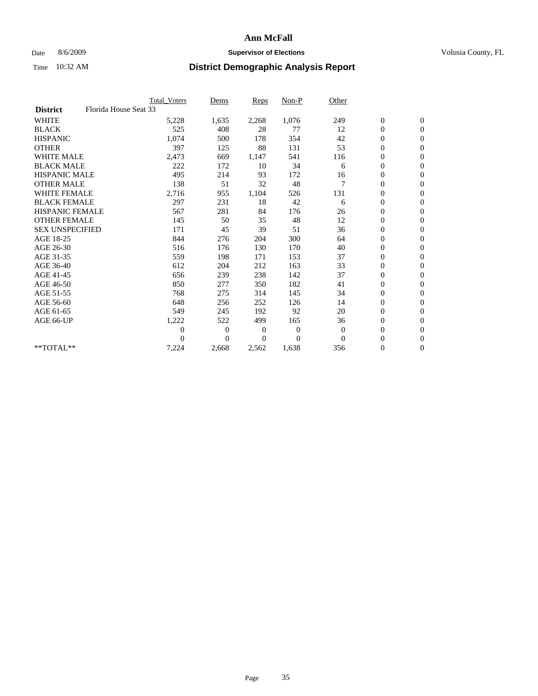### Date 8/6/2009 **Supervisor of Elections Supervisor of Elections** Volusia County, FL

|                        |                       | Total Voters   | Dems           | <b>Reps</b> | Non-P          | Other        |                  |                  |  |
|------------------------|-----------------------|----------------|----------------|-------------|----------------|--------------|------------------|------------------|--|
| <b>District</b>        | Florida House Seat 33 |                |                |             |                |              |                  |                  |  |
| <b>WHITE</b>           |                       | 5,228          | 1,635          | 2,268       | 1,076          | 249          | $\boldsymbol{0}$ | $\boldsymbol{0}$ |  |
| <b>BLACK</b>           |                       | 525            | 408            | 28          | 77             | 12           | $\boldsymbol{0}$ | $\mathbf{0}$     |  |
| <b>HISPANIC</b>        |                       | 1,074          | 500            | 178         | 354            | 42           | $\overline{0}$   | $\mathbf{0}$     |  |
| <b>OTHER</b>           |                       | 397            | 125            | 88          | 131            | 53           | $\boldsymbol{0}$ | $\mathbf{0}$     |  |
| <b>WHITE MALE</b>      |                       | 2,473          | 669            | 1,147       | 541            | 116          | $\boldsymbol{0}$ | $\mathbf{0}$     |  |
| <b>BLACK MALE</b>      |                       | 222            | 172            | 10          | 34             | 6            | $\boldsymbol{0}$ | $\mathbf{0}$     |  |
| <b>HISPANIC MALE</b>   |                       | 495            | 214            | 93          | 172            | 16           | $\boldsymbol{0}$ | $\mathbf{0}$     |  |
| <b>OTHER MALE</b>      |                       | 138            | 51             | 32          | 48             | 7            | $\boldsymbol{0}$ | $\mathbf{0}$     |  |
| <b>WHITE FEMALE</b>    |                       | 2,716          | 955            | 1,104       | 526            | 131          | $\overline{0}$   | $\mathbf{0}$     |  |
| <b>BLACK FEMALE</b>    |                       | 297            | 231            | 18          | 42             | 6            | $\boldsymbol{0}$ | $\mathbf{0}$     |  |
| <b>HISPANIC FEMALE</b> |                       | 567            | 281            | 84          | 176            | 26           | $\boldsymbol{0}$ | $\mathbf{0}$     |  |
| <b>OTHER FEMALE</b>    |                       | 145            | 50             | 35          | 48             | 12           | $\mathbf{0}$     | $\mathbf{0}$     |  |
| <b>SEX UNSPECIFIED</b> |                       | 171            | 45             | 39          | 51             | 36           | $\boldsymbol{0}$ | $\mathbf{0}$     |  |
| AGE 18-25              |                       | 844            | 276            | 204         | 300            | 64           | $\overline{0}$   | $\mathbf{0}$     |  |
| AGE 26-30              |                       | 516            | 176            | 130         | 170            | 40           | $\boldsymbol{0}$ | $\mathbf{0}$     |  |
| AGE 31-35              |                       | 559            | 198            | 171         | 153            | 37           | $\boldsymbol{0}$ | $\mathbf{0}$     |  |
| AGE 36-40              |                       | 612            | 204            | 212         | 163            | 33           | $\boldsymbol{0}$ | $\mathbf{0}$     |  |
| AGE 41-45              |                       | 656            | 239            | 238         | 142            | 37           | $\overline{0}$   | $\mathbf{0}$     |  |
| AGE 46-50              |                       | 850            | 277            | 350         | 182            | 41           | $\boldsymbol{0}$ | $\mathbf{0}$     |  |
| AGE 51-55              |                       | 768            | 275            | 314         | 145            | 34           | $\boldsymbol{0}$ | $\mathbf{0}$     |  |
| AGE 56-60              |                       | 648            | 256            | 252         | 126            | 14           | $\boldsymbol{0}$ | $\Omega$         |  |
| AGE 61-65              |                       | 549            | 245            | 192         | 92             | 20           | $\mathbf{0}$     | $\mathbf{0}$     |  |
| AGE 66-UP              |                       | 1,222          | 522            | 499         | 165            | 36           | $\boldsymbol{0}$ | $\mathbf{0}$     |  |
|                        |                       | $\overline{0}$ | $\overline{0}$ | 0           | $\overline{0}$ | $\mathbf{0}$ | $\overline{0}$   | $\mathbf{0}$     |  |
|                        |                       | $\theta$       | $\theta$       | $\Omega$    | $\theta$       | $\Omega$     | $\boldsymbol{0}$ | $\mathbf{0}$     |  |
| **TOTAL**              |                       | 7,224          | 2,668          | 2,562       | 1,638          | 356          | 0                | $\mathbf{0}$     |  |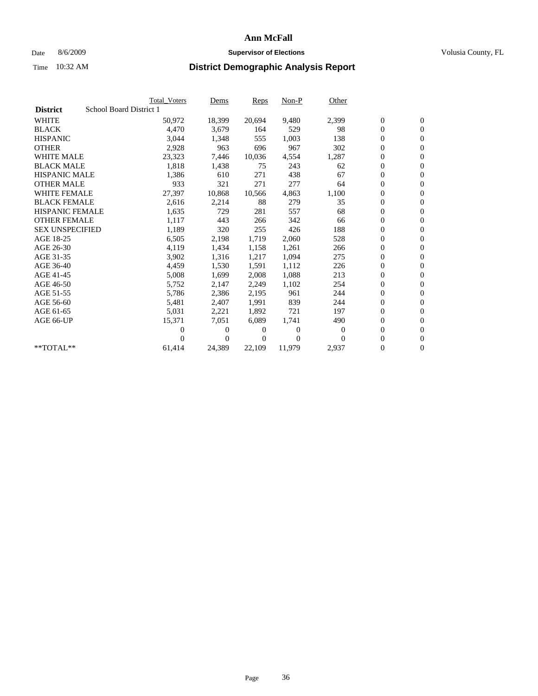### Date 8/6/2009 **Supervisor of Elections Supervisor of Elections** Volusia County, FL

|                        |                         | <b>Total Voters</b> | Dems         | Reps   | $Non-P$  | Other    |                  |                  |  |
|------------------------|-------------------------|---------------------|--------------|--------|----------|----------|------------------|------------------|--|
| <b>District</b>        | School Board District 1 |                     |              |        |          |          |                  |                  |  |
| <b>WHITE</b>           |                         | 50,972              | 18,399       | 20,694 | 9,480    | 2,399    | $\boldsymbol{0}$ | $\boldsymbol{0}$ |  |
| <b>BLACK</b>           |                         | 4,470               | 3,679        | 164    | 529      | 98       | $\overline{0}$   | $\mathbf{0}$     |  |
| <b>HISPANIC</b>        |                         | 3,044               | 1,348        | 555    | 1,003    | 138      | 0                | $\mathbf{0}$     |  |
| <b>OTHER</b>           |                         | 2,928               | 963          | 696    | 967      | 302      | 0                | $\mathbf{0}$     |  |
| <b>WHITE MALE</b>      |                         | 23,323              | 7,446        | 10,036 | 4,554    | 1,287    | 0                | $\mathbf{0}$     |  |
| <b>BLACK MALE</b>      |                         | 1,818               | 1,438        | 75     | 243      | 62       | $\boldsymbol{0}$ | $\mathbf{0}$     |  |
| <b>HISPANIC MALE</b>   |                         | 1,386               | 610          | 271    | 438      | 67       | 0                | $\mathbf{0}$     |  |
| <b>OTHER MALE</b>      |                         | 933                 | 321          | 271    | 277      | 64       | 0                | $\mathbf{0}$     |  |
| <b>WHITE FEMALE</b>    |                         | 27,397              | 10,868       | 10,566 | 4,863    | 1,100    | 0                | $\mathbf{0}$     |  |
| <b>BLACK FEMALE</b>    |                         | 2,616               | 2,214        | 88     | 279      | 35       | 0                | $\Omega$         |  |
| HISPANIC FEMALE        |                         | 1,635               | 729          | 281    | 557      | 68       | $\boldsymbol{0}$ | $\mathbf{0}$     |  |
| <b>OTHER FEMALE</b>    |                         | 1,117               | 443          | 266    | 342      | 66       | 0                | $\mathbf{0}$     |  |
| <b>SEX UNSPECIFIED</b> |                         | 1,189               | 320          | 255    | 426      | 188      | 0                | $\mathbf{0}$     |  |
| AGE 18-25              |                         | 6,505               | 2,198        | 1,719  | 2,060    | 528      | $\overline{0}$   | $\mathbf{0}$     |  |
| AGE 26-30              |                         | 4,119               | 1,434        | 1,158  | 1,261    | 266      | 0                | $\mathbf{0}$     |  |
| AGE 31-35              |                         | 3,902               | 1,316        | 1,217  | 1,094    | 275      | 0                | $\mathbf{0}$     |  |
| AGE 36-40              |                         | 4,459               | 1,530        | 1,591  | 1,112    | 226      | $\overline{0}$   | $\mathbf{0}$     |  |
| AGE 41-45              |                         | 5,008               | 1,699        | 2,008  | 1,088    | 213      | 0                | $\mathbf{0}$     |  |
| AGE 46-50              |                         | 5,752               | 2,147        | 2,249  | 1,102    | 254      | 0                | $\Omega$         |  |
| AGE 51-55              |                         | 5,786               | 2,386        | 2,195  | 961      | 244      | $\boldsymbol{0}$ | $\mathbf{0}$     |  |
| AGE 56-60              |                         | 5,481               | 2.407        | 1.991  | 839      | 244      | 0                | $\mathbf{0}$     |  |
| AGE 61-65              |                         | 5,031               | 2,221        | 1,892  | 721      | 197      | 0                | $\Omega$         |  |
| AGE 66-UP              |                         | 15,371              | 7,051        | 6,089  | 1,741    | 490      | $\overline{0}$   | $\mathbf{0}$     |  |
|                        |                         | 0                   | 0            | 0      | $\theta$ | $\Omega$ | 0                | $\mathbf{0}$     |  |
|                        |                         | 0                   | $\mathbf{0}$ | 0      | $\Omega$ | $\Omega$ | 0                | $\mathbf{0}$     |  |
| $*$ TOTAL $**$         |                         | 61,414              | 24,389       | 22,109 | 11,979   | 2,937    | 0                | $\boldsymbol{0}$ |  |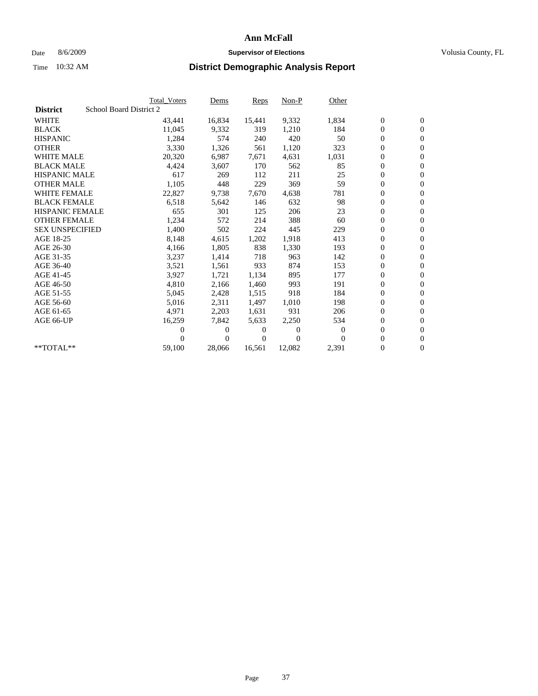### Date 8/6/2009 **Supervisor of Elections Supervisor of Elections** Volusia County, FL

|                        | Total Voters            | Dems           | <b>Reps</b> | $Non-P$  | Other        |                  |                  |  |
|------------------------|-------------------------|----------------|-------------|----------|--------------|------------------|------------------|--|
| <b>District</b>        | School Board District 2 |                |             |          |              |                  |                  |  |
| <b>WHITE</b>           | 43,441                  | 16,834         | 15,441      | 9,332    | 1,834        | $\boldsymbol{0}$ | $\boldsymbol{0}$ |  |
| <b>BLACK</b>           | 11,045                  | 9,332          | 319         | 1,210    | 184          | $\overline{0}$   | $\mathbf{0}$     |  |
| <b>HISPANIC</b>        | 1,284                   | 574            | 240         | 420      | 50           | $\overline{0}$   | $\mathbf{0}$     |  |
| <b>OTHER</b>           | 3,330                   | 1,326          | 561         | 1,120    | 323          | 0                | $\mathbf{0}$     |  |
| <b>WHITE MALE</b>      | 20,320                  | 6,987          | 7,671       | 4,631    | 1,031        | $\boldsymbol{0}$ | $\mathbf{0}$     |  |
| <b>BLACK MALE</b>      | 4,424                   | 3,607          | 170         | 562      | 85           | $\boldsymbol{0}$ | $\mathbf{0}$     |  |
| <b>HISPANIC MALE</b>   | 617                     | 269            | 112         | 211      | 25           | $\boldsymbol{0}$ | $\mathbf{0}$     |  |
| <b>OTHER MALE</b>      | 1,105                   | 448            | 229         | 369      | 59           | $\boldsymbol{0}$ | $\mathbf{0}$     |  |
| <b>WHITE FEMALE</b>    | 22,827                  | 9,738          | 7,670       | 4,638    | 781          | $\overline{0}$   | $\mathbf{0}$     |  |
| <b>BLACK FEMALE</b>    | 6,518                   | 5,642          | 146         | 632      | 98           | $\boldsymbol{0}$ | $\Omega$         |  |
| HISPANIC FEMALE        | 655                     | 301            | 125         | 206      | 23           | $\boldsymbol{0}$ | $\mathbf{0}$     |  |
| <b>OTHER FEMALE</b>    | 1,234                   | 572            | 214         | 388      | 60           | $\overline{0}$   | $\mathbf{0}$     |  |
| <b>SEX UNSPECIFIED</b> | 1,400                   | 502            | 224         | 445      | 229          | $\boldsymbol{0}$ | $\mathbf{0}$     |  |
| AGE 18-25              | 8,148                   | 4,615          | 1,202       | 1,918    | 413          | $\boldsymbol{0}$ | $\mathbf{0}$     |  |
| AGE 26-30              | 4,166                   | 1,805          | 838         | 1,330    | 193          | $\boldsymbol{0}$ | $\mathbf{0}$     |  |
| AGE 31-35              | 3,237                   | 1,414          | 718         | 963      | 142          | $\boldsymbol{0}$ | $\mathbf{0}$     |  |
| AGE 36-40              | 3,521                   | 1,561          | 933         | 874      | 153          | $\boldsymbol{0}$ | $\mathbf{0}$     |  |
| AGE 41-45              | 3,927                   | 1,721          | 1,134       | 895      | 177          | $\boldsymbol{0}$ | $\mathbf{0}$     |  |
| AGE 46-50              | 4,810                   | 2,166          | 1,460       | 993      | 191          | 0                | $\Omega$         |  |
| AGE 51-55              | 5,045                   | 2,428          | 1,515       | 918      | 184          | $\boldsymbol{0}$ | $\mathbf{0}$     |  |
| AGE 56-60              | 5,016                   | 2,311          | 1,497       | 1.010    | 198          | $\mathbf{0}$     | $\mathbf{0}$     |  |
| AGE 61-65              | 4,971                   | 2,203          | 1,631       | 931      | 206          | 0                | $\mathbf{0}$     |  |
| AGE 66-UP              | 16,259                  | 7,842          | 5,633       | 2,250    | 534          | $\mathbf{0}$     | $\mathbf{0}$     |  |
|                        | 0                       | $\overline{0}$ | 0           | 0        | $\mathbf{0}$ | $\overline{0}$   | $\mathbf{0}$     |  |
|                        | 0                       | $\overline{0}$ | 0           | $\Omega$ | $\Omega$     | 0                | $\mathbf{0}$     |  |
| $*$ TOTAL $**$         | 59,100                  | 28,066         | 16,561      | 12,082   | 2,391        | 0                | $\boldsymbol{0}$ |  |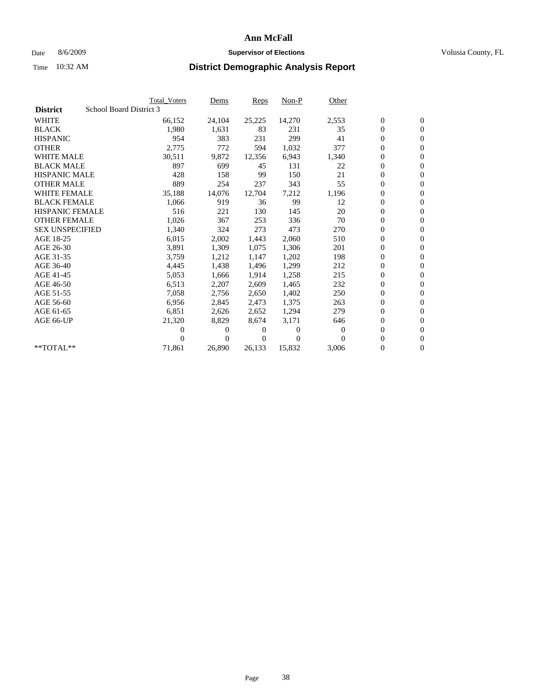### Date 8/6/2009 **Supervisor of Elections Supervisor of Elections** Volusia County, FL

|                        |                         | <b>Total Voters</b> | Dems     | <b>Reps</b> | $Non-P$  | Other    |                  |                  |  |
|------------------------|-------------------------|---------------------|----------|-------------|----------|----------|------------------|------------------|--|
| <b>District</b>        | School Board District 3 |                     |          |             |          |          |                  |                  |  |
| <b>WHITE</b>           |                         | 66,152              | 24,104   | 25,225      | 14,270   | 2,553    | $\boldsymbol{0}$ | $\boldsymbol{0}$ |  |
| <b>BLACK</b>           |                         | 1,980               | 1,631    | 83          | 231      | 35       | $\overline{0}$   | $\mathbf{0}$     |  |
| <b>HISPANIC</b>        |                         | 954                 | 383      | 231         | 299      | 41       | 0                | $\mathbf{0}$     |  |
| <b>OTHER</b>           |                         | 2,775               | 772      | 594         | 1,032    | 377      | 0                | $\mathbf{0}$     |  |
| <b>WHITE MALE</b>      |                         | 30,511              | 9,872    | 12,356      | 6,943    | 1,340    | 0                | $\mathbf{0}$     |  |
| <b>BLACK MALE</b>      |                         | 897                 | 699      | 45          | 131      | 22       | 0                | $\mathbf{0}$     |  |
| <b>HISPANIC MALE</b>   |                         | 428                 | 158      | 99          | 150      | 21       | 0                | $\mathbf{0}$     |  |
| <b>OTHER MALE</b>      |                         | 889                 | 254      | 237         | 343      | 55       | $\boldsymbol{0}$ | $\mathbf{0}$     |  |
| <b>WHITE FEMALE</b>    |                         | 35,188              | 14,076   | 12,704      | 7,212    | 1,196    | 0                | $\mathbf{0}$     |  |
| <b>BLACK FEMALE</b>    |                         | 1,066               | 919      | 36          | 99       | 12       | 0                | $\Omega$         |  |
| HISPANIC FEMALE        |                         | 516                 | 221      | 130         | 145      | 20       | $\boldsymbol{0}$ | $\mathbf{0}$     |  |
| <b>OTHER FEMALE</b>    |                         | 1,026               | 367      | 253         | 336      | 70       | 0                | $\mathbf{0}$     |  |
| <b>SEX UNSPECIFIED</b> |                         | 1,340               | 324      | 273         | 473      | 270      | 0                | $\Omega$         |  |
| AGE 18-25              |                         | 6,015               | 2,002    | 1,443       | 2,060    | 510      | $\overline{0}$   | $\mathbf{0}$     |  |
| AGE 26-30              |                         | 3,891               | 1,309    | 1,075       | 1,306    | 201      | 0                | $\mathbf{0}$     |  |
| AGE 31-35              |                         | 3,759               | 1,212    | 1,147       | 1,202    | 198      | 0                | $\mathbf{0}$     |  |
| AGE 36-40              |                         | 4,445               | 1,438    | 1,496       | 1,299    | 212      | $\overline{0}$   | $\mathbf{0}$     |  |
| AGE 41-45              |                         | 5,053               | 1,666    | 1,914       | 1,258    | 215      | 0                | $\mathbf{0}$     |  |
| AGE 46-50              |                         | 6,513               | 2,207    | 2,609       | 1,465    | 232      | 0                | $\Omega$         |  |
| AGE 51-55              |                         | 7,058               | 2,756    | 2,650       | 1,402    | 250      | $\boldsymbol{0}$ | $\mathbf{0}$     |  |
| AGE 56-60              |                         | 6,956               | 2,845    | 2.473       | 1.375    | 263      | 0                | $\mathbf{0}$     |  |
| AGE 61-65              |                         | 6,851               | 2,626    | 2,652       | 1,294    | 279      | 0                | $\Omega$         |  |
| AGE 66-UP              |                         | 21,320              | 8,829    | 8,674       | 3,171    | 646      | 0                | $\mathbf{0}$     |  |
|                        |                         | 0                   | 0        | 0           | $\theta$ | $\Omega$ | 0                | $\mathbf{0}$     |  |
|                        |                         | 0                   | $\Omega$ | 0           | $\Omega$ | $\Omega$ | 0                | $\mathbf{0}$     |  |
| $*$ TOTAL $**$         |                         | 71,861              | 26,890   | 26,133      | 15,832   | 3,006    | 0                | $\boldsymbol{0}$ |  |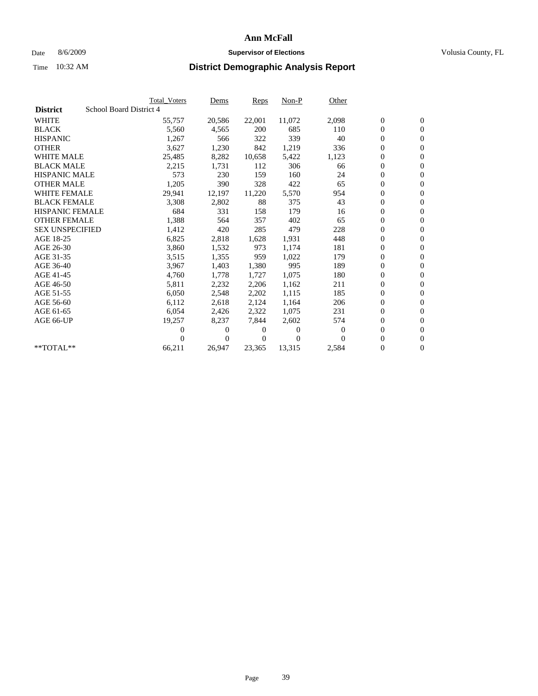### Date 8/6/2009 **Supervisor of Elections Supervisor of Elections** Volusia County, FL

|                        |                         | <b>Total Voters</b> | Dems   | <b>Reps</b> | $Non-P$  | Other            |                  |                  |  |
|------------------------|-------------------------|---------------------|--------|-------------|----------|------------------|------------------|------------------|--|
| <b>District</b>        | School Board District 4 |                     |        |             |          |                  |                  |                  |  |
| <b>WHITE</b>           |                         | 55,757              | 20,586 | 22,001      | 11,072   | 2,098            | $\boldsymbol{0}$ | $\mathbf{0}$     |  |
| <b>BLACK</b>           |                         | 5,560               | 4,565  | 200         | 685      | 110              | $\overline{0}$   | $\mathbf{0}$     |  |
| <b>HISPANIC</b>        |                         | 1,267               | 566    | 322         | 339      | 40               | $\overline{0}$   | $\mathbf{0}$     |  |
| <b>OTHER</b>           |                         | 3,627               | 1,230  | 842         | 1,219    | 336              | 0                | $\mathbf{0}$     |  |
| <b>WHITE MALE</b>      |                         | 25,485              | 8,282  | 10,658      | 5,422    | 1,123            | 0                | $\mathbf{0}$     |  |
| <b>BLACK MALE</b>      |                         | 2,215               | 1,731  | 112         | 306      | 66               | $\boldsymbol{0}$ | $\mathbf{0}$     |  |
| <b>HISPANIC MALE</b>   |                         | 573                 | 230    | 159         | 160      | 24               | 0                | $\mathbf{0}$     |  |
| <b>OTHER MALE</b>      |                         | 1,205               | 390    | 328         | 422      | 65               | $\boldsymbol{0}$ | $\mathbf{0}$     |  |
| <b>WHITE FEMALE</b>    |                         | 29,941              | 12,197 | 11,220      | 5,570    | 954              | 0                | $\mathbf{0}$     |  |
| <b>BLACK FEMALE</b>    |                         | 3,308               | 2,802  | 88          | 375      | 43               | 0                | $\Omega$         |  |
| HISPANIC FEMALE        |                         | 684                 | 331    | 158         | 179      | 16               | $\boldsymbol{0}$ | $\mathbf{0}$     |  |
| <b>OTHER FEMALE</b>    |                         | 1,388               | 564    | 357         | 402      | 65               | 0                | $\mathbf{0}$     |  |
| <b>SEX UNSPECIFIED</b> |                         | 1,412               | 420    | 285         | 479      | 228              | 0                | $\Omega$         |  |
| AGE 18-25              |                         | 6,825               | 2,818  | 1,628       | 1,931    | 448              | $\overline{0}$   | $\mathbf{0}$     |  |
| AGE 26-30              |                         | 3,860               | 1,532  | 973         | 1,174    | 181              | 0                | $\mathbf{0}$     |  |
| AGE 31-35              |                         | 3,515               | 1,355  | 959         | 1,022    | 179              | 0                | $\mathbf{0}$     |  |
| AGE 36-40              |                         | 3,967               | 1,403  | 1,380       | 995      | 189              | $\overline{0}$   | $\mathbf{0}$     |  |
| AGE 41-45              |                         | 4,760               | 1,778  | 1,727       | 1,075    | 180              | 0                | $\mathbf{0}$     |  |
| AGE 46-50              |                         | 5,811               | 2,232  | 2,206       | 1,162    | 211              | 0                | $\Omega$         |  |
| AGE 51-55              |                         | 6,050               | 2,548  | 2,202       | 1,115    | 185              | $\boldsymbol{0}$ | $\mathbf{0}$     |  |
| AGE 56-60              |                         | 6,112               | 2,618  | 2.124       | 1.164    | 206              | 0                | $\mathbf{0}$     |  |
| AGE 61-65              |                         | 6,054               | 2,426  | 2,322       | 1,075    | 231              | 0                | $\Omega$         |  |
| AGE 66-UP              |                         | 19,257              | 8,237  | 7,844       | 2,602    | 574              | $\overline{0}$   | $\mathbf{0}$     |  |
|                        |                         | 0                   | 0      | 0           | $\theta$ | $\boldsymbol{0}$ | 0                | $\mathbf{0}$     |  |
|                        |                         | 0                   | 0      | 0           | $\Omega$ | $\Omega$         | 0                | $\mathbf{0}$     |  |
| $*$ TOTAL $**$         |                         | 66,211              | 26,947 | 23,365      | 13,315   | 2,584            | 0                | $\boldsymbol{0}$ |  |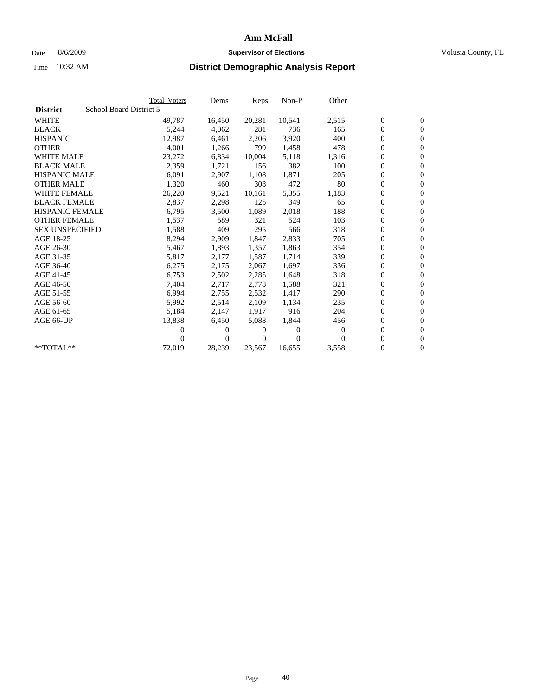### Date 8/6/2009 **Supervisor of Elections Supervisor of Elections** Volusia County, FL

|                        | <b>Total Voters</b>     | Dems           | <b>Reps</b> | $Non-P$  | Other        |                  |                  |  |
|------------------------|-------------------------|----------------|-------------|----------|--------------|------------------|------------------|--|
| <b>District</b>        | School Board District 5 |                |             |          |              |                  |                  |  |
| <b>WHITE</b>           | 49,787                  | 16,450         | 20,281      | 10,541   | 2,515        | $\boldsymbol{0}$ | $\boldsymbol{0}$ |  |
| <b>BLACK</b>           | 5,244                   | 4,062          | 281         | 736      | 165          | $\overline{0}$   | $\mathbf{0}$     |  |
| <b>HISPANIC</b>        | 12,987                  | 6,461          | 2,206       | 3,920    | 400          | $\overline{0}$   | $\mathbf{0}$     |  |
| <b>OTHER</b>           | 4,001                   | 1,266          | 799         | 1,458    | 478          | 0                | $\mathbf{0}$     |  |
| <b>WHITE MALE</b>      | 23,272                  | 6,834          | 10,004      | 5,118    | 1,316        | $\boldsymbol{0}$ | $\mathbf{0}$     |  |
| <b>BLACK MALE</b>      | 2,359                   | 1,721          | 156         | 382      | 100          | $\boldsymbol{0}$ | $\mathbf{0}$     |  |
| <b>HISPANIC MALE</b>   | 6,091                   | 2,907          | 1,108       | 1,871    | 205          | 0                | $\mathbf{0}$     |  |
| <b>OTHER MALE</b>      | 1,320                   | 460            | 308         | 472      | 80           | $\boldsymbol{0}$ | $\mathbf{0}$     |  |
| <b>WHITE FEMALE</b>    | 26,220                  | 9,521          | 10,161      | 5,355    | 1,183        | $\mathbf{0}$     | $\mathbf{0}$     |  |
| <b>BLACK FEMALE</b>    | 2,837                   | 2,298          | 125         | 349      | 65           | $\boldsymbol{0}$ | $\Omega$         |  |
| <b>HISPANIC FEMALE</b> | 6,795                   | 3,500          | 1,089       | 2,018    | 188          | $\boldsymbol{0}$ | $\mathbf{0}$     |  |
| <b>OTHER FEMALE</b>    | 1,537                   | 589            | 321         | 524      | 103          | $\overline{0}$   | $\mathbf{0}$     |  |
| <b>SEX UNSPECIFIED</b> | 1,588                   | 409            | 295         | 566      | 318          | $\boldsymbol{0}$ | $\mathbf{0}$     |  |
| AGE 18-25              | 8,294                   | 2,909          | 1,847       | 2,833    | 705          | $\overline{0}$   | $\mathbf{0}$     |  |
| AGE 26-30              | 5,467                   | 1,893          | 1,357       | 1,863    | 354          | $\overline{0}$   | $\mathbf{0}$     |  |
| AGE 31-35              | 5,817                   | 2,177          | 1,587       | 1,714    | 339          | $\boldsymbol{0}$ | $\mathbf{0}$     |  |
| AGE 36-40              | 6,275                   | 2,175          | 2,067       | 1,697    | 336          | $\boldsymbol{0}$ | $\mathbf{0}$     |  |
| AGE 41-45              | 6,753                   | 2,502          | 2,285       | 1,648    | 318          | $\boldsymbol{0}$ | $\mathbf{0}$     |  |
| AGE 46-50              | 7,404                   | 2,717          | 2,778       | 1,588    | 321          | 0                | $\mathbf{0}$     |  |
| AGE 51-55              | 6,994                   | 2,755          | 2,532       | 1,417    | 290          | $\boldsymbol{0}$ | $\boldsymbol{0}$ |  |
| AGE 56-60              | 5,992                   | 2,514          | 2.109       | 1,134    | 235          | $\mathbf{0}$     | $\mathbf{0}$     |  |
| AGE 61-65              | 5,184                   | 2,147          | 1,917       | 916      | 204          | 0                | $\mathbf{0}$     |  |
| AGE 66-UP              | 13,838                  | 6,450          | 5,088       | 1,844    | 456          | $\mathbf{0}$     | $\mathbf{0}$     |  |
|                        | 0                       | 0              | 0           | 0        | $\mathbf{0}$ | $\overline{0}$   | $\mathbf{0}$     |  |
|                        | 0                       | $\overline{0}$ | 0           | $\Omega$ | 0            | 0                | $\mathbf{0}$     |  |
| $*$ TOTAL $**$         | 72,019                  | 28,239         | 23,567      | 16,655   | 3,558        | $\boldsymbol{0}$ | $\boldsymbol{0}$ |  |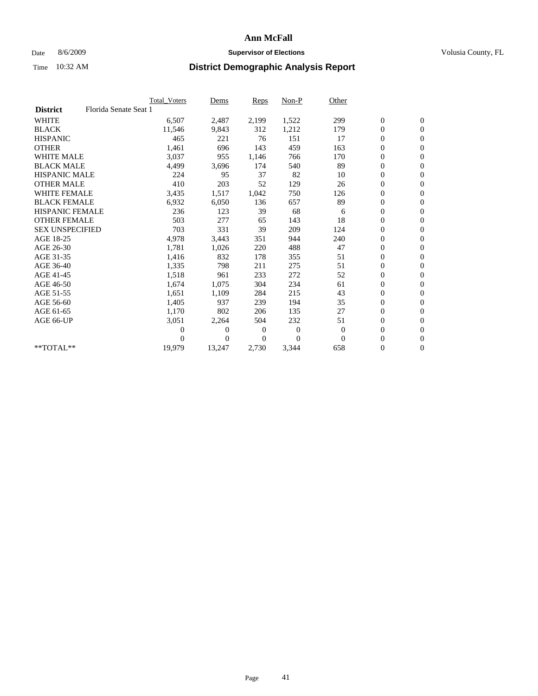### Date 8/6/2009 **Supervisor of Elections Supervisor of Elections** Volusia County, FL

|                        |                       | Total Voters | Dems     | <b>Reps</b> | $Non-P$        | Other        |                  |                  |
|------------------------|-----------------------|--------------|----------|-------------|----------------|--------------|------------------|------------------|
| <b>District</b>        | Florida Senate Seat 1 |              |          |             |                |              |                  |                  |
| <b>WHITE</b>           |                       | 6,507        | 2,487    | 2,199       | 1,522          | 299          | $\boldsymbol{0}$ | $\boldsymbol{0}$ |
| <b>BLACK</b>           |                       | 11,546       | 9,843    | 312         | 1,212          | 179          | $\boldsymbol{0}$ | $\mathbf{0}$     |
| <b>HISPANIC</b>        |                       | 465          | 221      | 76          | 151            | 17           | $\overline{0}$   | $\mathbf{0}$     |
| <b>OTHER</b>           |                       | 1,461        | 696      | 143         | 459            | 163          | 0                | $\mathbf{0}$     |
| <b>WHITE MALE</b>      |                       | 3,037        | 955      | 1,146       | 766            | 170          | $\boldsymbol{0}$ | $\mathbf{0}$     |
| <b>BLACK MALE</b>      |                       | 4,499        | 3,696    | 174         | 540            | 89           | $\boldsymbol{0}$ | $\mathbf{0}$     |
| <b>HISPANIC MALE</b>   |                       | 224          | 95       | 37          | 82             | 10           | $\boldsymbol{0}$ | $\mathbf{0}$     |
| <b>OTHER MALE</b>      |                       | 410          | 203      | 52          | 129            | 26           | $\boldsymbol{0}$ | $\mathbf{0}$     |
| <b>WHITE FEMALE</b>    |                       | 3,435        | 1,517    | 1,042       | 750            | 126          | $\overline{0}$   | $\mathbf{0}$     |
| <b>BLACK FEMALE</b>    |                       | 6,932        | 6,050    | 136         | 657            | 89           | $\boldsymbol{0}$ | $\mathbf{0}$     |
| HISPANIC FEMALE        |                       | 236          | 123      | 39          | 68             | 6            | $\boldsymbol{0}$ | $\mathbf{0}$     |
| <b>OTHER FEMALE</b>    |                       | 503          | 277      | 65          | 143            | 18           | $\mathbf{0}$     | $\mathbf{0}$     |
| <b>SEX UNSPECIFIED</b> |                       | 703          | 331      | 39          | 209            | 124          | $\boldsymbol{0}$ | $\mathbf{0}$     |
| AGE 18-25              |                       | 4,978        | 3,443    | 351         | 944            | 240          | $\boldsymbol{0}$ | $\mathbf{0}$     |
| AGE 26-30              |                       | 1,781        | 1,026    | 220         | 488            | 47           | $\overline{0}$   | $\mathbf{0}$     |
| AGE 31-35              |                       | 1,416        | 832      | 178         | 355            | 51           | $\boldsymbol{0}$ | $\mathbf{0}$     |
| AGE 36-40              |                       | 1,335        | 798      | 211         | 275            | 51           | $\boldsymbol{0}$ | $\mathbf{0}$     |
| AGE 41-45              |                       | 1,518        | 961      | 233         | 272            | 52           | $\overline{0}$   | $\mathbf{0}$     |
| AGE 46-50              |                       | 1,674        | 1,075    | 304         | 234            | 61           | $\boldsymbol{0}$ | $\mathbf{0}$     |
| AGE 51-55              |                       | 1,651        | 1,109    | 284         | 215            | 43           | $\boldsymbol{0}$ | $\mathbf{0}$     |
| AGE 56-60              |                       | 1,405        | 937      | 239         | 194            | 35           | $\boldsymbol{0}$ | $\Omega$         |
| AGE 61-65              |                       | 1,170        | 802      | 206         | 135            | 27           | $\mathbf{0}$     | $\mathbf{0}$     |
| AGE 66-UP              |                       | 3,051        | 2,264    | 504         | 232            | 51           | $\boldsymbol{0}$ | $\mathbf{0}$     |
|                        |                       | 0            | 0        | 0           | $\overline{0}$ | $\mathbf{0}$ | $\overline{0}$   | $\mathbf{0}$     |
|                        |                       | $\theta$     | $\theta$ | $\Omega$    | $\Omega$       | $\Omega$     | $\boldsymbol{0}$ | $\mathbf{0}$     |
| $*$ TOTAL $**$         |                       | 19,979       | 13,247   | 2,730       | 3,344          | 658          | 0                | $\mathbf{0}$     |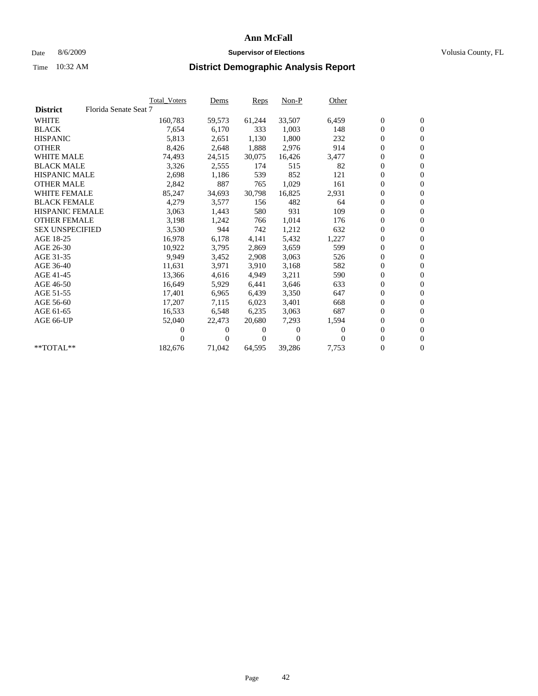### Date 8/6/2009 **Supervisor of Elections Supervisor of Elections** Volusia County, FL

|                        |                       | <b>Total Voters</b> | <u>Dems</u>    | <b>Reps</b> | $Non-P$  | Other    |                  |                  |
|------------------------|-----------------------|---------------------|----------------|-------------|----------|----------|------------------|------------------|
| <b>District</b>        | Florida Senate Seat 7 |                     |                |             |          |          |                  |                  |
| <b>WHITE</b>           |                       | 160,783             | 59,573         | 61,244      | 33,507   | 6,459    | $\boldsymbol{0}$ | $\boldsymbol{0}$ |
| <b>BLACK</b>           |                       | 7,654               | 6,170          | 333         | 1,003    | 148      | $\overline{0}$   | $\mathbf{0}$     |
| <b>HISPANIC</b>        |                       | 5,813               | 2,651          | 1,130       | 1,800    | 232      | $\overline{0}$   | $\mathbf{0}$     |
| <b>OTHER</b>           |                       | 8,426               | 2,648          | 1,888       | 2,976    | 914      | 0                | $\overline{0}$   |
| <b>WHITE MALE</b>      |                       | 74,493              | 24,515         | 30,075      | 16,426   | 3,477    | $\boldsymbol{0}$ | $\mathbf{0}$     |
| <b>BLACK MALE</b>      |                       | 3,326               | 2,555          | 174         | 515      | 82       | $\boldsymbol{0}$ | $\mathbf{0}$     |
| <b>HISPANIC MALE</b>   |                       | 2,698               | 1,186          | 539         | 852      | 121      | 0                | $\overline{0}$   |
| <b>OTHER MALE</b>      |                       | 2,842               | 887            | 765         | 1,029    | 161      | $\boldsymbol{0}$ | $\mathbf{0}$     |
| <b>WHITE FEMALE</b>    |                       | 85,247              | 34,693         | 30,798      | 16,825   | 2,931    | 0                | $\mathbf{0}$     |
| <b>BLACK FEMALE</b>    |                       | 4,279               | 3,577          | 156         | 482      | 64       | $\boldsymbol{0}$ | $\Omega$         |
| <b>HISPANIC FEMALE</b> |                       | 3,063               | 1,443          | 580         | 931      | 109      | $\boldsymbol{0}$ | $\mathbf{0}$     |
| <b>OTHER FEMALE</b>    |                       | 3,198               | 1,242          | 766         | 1,014    | 176      | 0                | $\mathbf{0}$     |
| <b>SEX UNSPECIFIED</b> |                       | 3,530               | 944            | 742         | 1,212    | 632      | $\boldsymbol{0}$ | $\overline{0}$   |
| AGE 18-25              |                       | 16,978              | 6,178          | 4,141       | 5,432    | 1,227    | $\boldsymbol{0}$ | $\mathbf{0}$     |
| AGE 26-30              |                       | 10,922              | 3,795          | 2,869       | 3,659    | 599      | $\overline{0}$   | $\mathbf{0}$     |
| AGE 31-35              |                       | 9,949               | 3,452          | 2,908       | 3,063    | 526      | $\boldsymbol{0}$ | $\mathbf{0}$     |
| AGE 36-40              |                       | 11,631              | 3,971          | 3,910       | 3,168    | 582      | $\boldsymbol{0}$ | $\mathbf{0}$     |
| AGE 41-45              |                       | 13,366              | 4,616          | 4,949       | 3,211    | 590      | $\boldsymbol{0}$ | $\mathbf{0}$     |
| AGE 46-50              |                       | 16,649              | 5,929          | 6,441       | 3,646    | 633      | 0                | 0                |
| AGE 51-55              |                       | 17,401              | 6,965          | 6,439       | 3,350    | 647      | $\boldsymbol{0}$ | $\mathbf{0}$     |
| AGE 56-60              |                       | 17,207              | 7,115          | 6.023       | 3,401    | 668      | $\mathbf{0}$     | $\mathbf{0}$     |
| AGE 61-65              |                       | 16,533              | 6,548          | 6,235       | 3,063    | 687      | 0                | $\mathbf{0}$     |
| AGE 66-UP              |                       | 52,040              | 22,473         | 20,680      | 7,293    | 1,594    | $\overline{0}$   | $\mathbf{0}$     |
|                        |                       | 0                   | 0              | 0           | 0        | $\Omega$ | $\boldsymbol{0}$ | $\mathbf{0}$     |
|                        |                       | $_{0}$              | $\overline{0}$ | 0           | $\Omega$ | 0        | 0                | $\mathbf{0}$     |
| $*$ TOTAL $**$         |                       | 182,676             | 71,042         | 64,595      | 39,286   | 7,753    | 0                | $\boldsymbol{0}$ |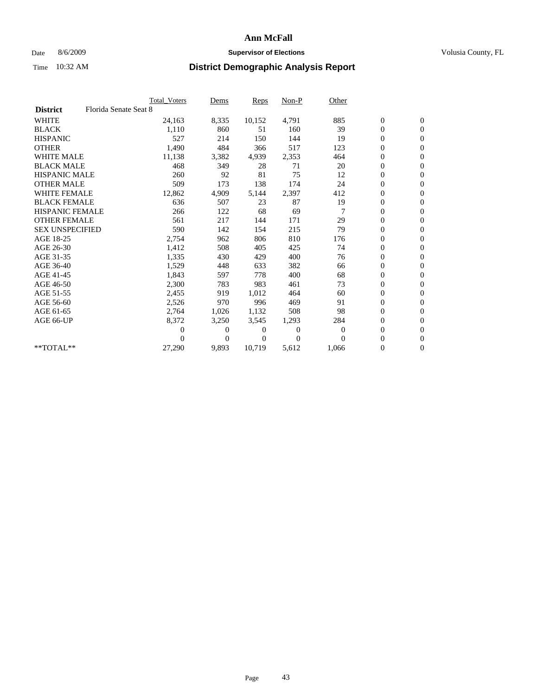### Date 8/6/2009 **Supervisor of Elections Supervisor of Elections** Volusia County, FL

|                        |                       | Total Voters | Dems           | <b>Reps</b> | $Non-P$      | Other          |                  |                  |  |
|------------------------|-----------------------|--------------|----------------|-------------|--------------|----------------|------------------|------------------|--|
| <b>District</b>        | Florida Senate Seat 8 |              |                |             |              |                |                  |                  |  |
| <b>WHITE</b>           |                       | 24,163       | 8,335          | 10,152      | 4,791        | 885            | $\boldsymbol{0}$ | $\boldsymbol{0}$ |  |
| <b>BLACK</b>           |                       | 1,110        | 860            | 51          | 160          | 39             | $\boldsymbol{0}$ | $\mathbf{0}$     |  |
| <b>HISPANIC</b>        |                       | 527          | 214            | 150         | 144          | 19             | $\overline{0}$   | $\mathbf{0}$     |  |
| <b>OTHER</b>           |                       | 1,490        | 484            | 366         | 517          | 123            | 0                | $\mathbf{0}$     |  |
| <b>WHITE MALE</b>      |                       | 11,138       | 3,382          | 4,939       | 2,353        | 464            | $\boldsymbol{0}$ | $\mathbf{0}$     |  |
| <b>BLACK MALE</b>      |                       | 468          | 349            | 28          | 71           | 20             | $\overline{0}$   | $\mathbf{0}$     |  |
| <b>HISPANIC MALE</b>   |                       | 260          | 92             | 81          | 75           | 12             | $\boldsymbol{0}$ | $\Omega$         |  |
| <b>OTHER MALE</b>      |                       | 509          | 173            | 138         | 174          | 24             | $\overline{0}$   | $\mathbf{0}$     |  |
| <b>WHITE FEMALE</b>    |                       | 12,862       | 4,909          | 5,144       | 2,397        | 412            | $\boldsymbol{0}$ | $\mathbf{0}$     |  |
| <b>BLACK FEMALE</b>    |                       | 636          | 507            | 23          | 87           | 19             | $\boldsymbol{0}$ | $\mathbf{0}$     |  |
| <b>HISPANIC FEMALE</b> |                       | 266          | 122            | 68          | 69           |                | $\boldsymbol{0}$ | $\mathbf{0}$     |  |
| <b>OTHER FEMALE</b>    |                       | 561          | 217            | 144         | 171          | 29             | $\mathbf{0}$     | $\mathbf{0}$     |  |
| <b>SEX UNSPECIFIED</b> |                       | 590          | 142            | 154         | 215          | 79             | $\boldsymbol{0}$ | $\mathbf{0}$     |  |
| AGE 18-25              |                       | 2,754        | 962            | 806         | 810          | 176            | $\boldsymbol{0}$ | $\mathbf{0}$     |  |
| AGE 26-30              |                       | 1,412        | 508            | 405         | 425          | 74             | $\overline{0}$   | $\mathbf{0}$     |  |
| AGE 31-35              |                       | 1,335        | 430            | 429         | 400          | 76             | $\boldsymbol{0}$ | $\mathbf{0}$     |  |
| AGE 36-40              |                       | 1,529        | 448            | 633         | 382          | 66             | $\boldsymbol{0}$ | $\mathbf{0}$     |  |
| AGE 41-45              |                       | 1,843        | 597            | 778         | 400          | 68             | $\boldsymbol{0}$ | $\mathbf{0}$     |  |
| AGE 46-50              |                       | 2,300        | 783            | 983         | 461          | 73             | $\boldsymbol{0}$ | $\Omega$         |  |
| AGE 51-55              |                       | 2,455        | 919            | 1,012       | 464          | 60             | $\boldsymbol{0}$ | $\mathbf{0}$     |  |
| AGE 56-60              |                       | 2,526        | 970            | 996         | 469          | 91             | $\overline{0}$   | $\mathbf{0}$     |  |
| AGE 61-65              |                       | 2,764        | 1,026          | 1,132       | 508          | 98             | $\overline{0}$   | $\mathbf{0}$     |  |
| AGE 66-UP              |                       | 8,372        | 3,250          | 3,545       | 1,293        | 284            | $\boldsymbol{0}$ | $\mathbf{0}$     |  |
|                        |                       | 0            | 0              | 0           | $\mathbf{0}$ | $\overline{0}$ | $\mathbf{0}$     | $\mathbf{0}$     |  |
|                        |                       | 0            | $\overline{0}$ | 0           | $\Omega$     | $\Omega$       | 0                | $\mathbf{0}$     |  |
| **TOTAL**              |                       | 27,290       | 9,893          | 10,719      | 5,612        | 1,066          | 0                | $\boldsymbol{0}$ |  |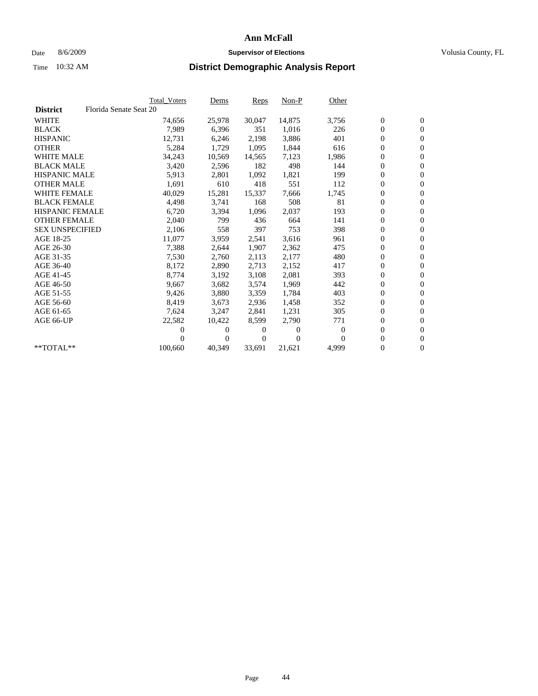### Date 8/6/2009 **Supervisor of Elections Supervisor of Elections** Volusia County, FL

|                        |                        | <b>Total Voters</b> | <u>Dems</u>    | <b>Reps</b> | $Non-P$  | Other        |                  |                  |  |
|------------------------|------------------------|---------------------|----------------|-------------|----------|--------------|------------------|------------------|--|
| <b>District</b>        | Florida Senate Seat 20 |                     |                |             |          |              |                  |                  |  |
| <b>WHITE</b>           |                        | 74,656              | 25,978         | 30,047      | 14,875   | 3,756        | $\boldsymbol{0}$ | $\boldsymbol{0}$ |  |
| <b>BLACK</b>           |                        | 7,989               | 6,396          | 351         | 1,016    | 226          | $\overline{0}$   | $\mathbf{0}$     |  |
| <b>HISPANIC</b>        |                        | 12,731              | 6,246          | 2,198       | 3,886    | 401          | $\overline{0}$   | $\mathbf{0}$     |  |
| <b>OTHER</b>           |                        | 5,284               | 1,729          | 1,095       | 1,844    | 616          | 0                | $\overline{0}$   |  |
| <b>WHITE MALE</b>      |                        | 34,243              | 10,569         | 14,565      | 7,123    | 1,986        | $\boldsymbol{0}$ | $\mathbf{0}$     |  |
| <b>BLACK MALE</b>      |                        | 3,420               | 2,596          | 182         | 498      | 144          | $\boldsymbol{0}$ | $\mathbf{0}$     |  |
| <b>HISPANIC MALE</b>   |                        | 5,913               | 2,801          | 1,092       | 1,821    | 199          | 0                | $\overline{0}$   |  |
| <b>OTHER MALE</b>      |                        | 1,691               | 610            | 418         | 551      | 112          | $\boldsymbol{0}$ | $\mathbf{0}$     |  |
| <b>WHITE FEMALE</b>    |                        | 40,029              | 15,281         | 15,337      | 7,666    | 1,745        | $\overline{0}$   | $\mathbf{0}$     |  |
| <b>BLACK FEMALE</b>    |                        | 4,498               | 3,741          | 168         | 508      | 81           | $\boldsymbol{0}$ | $\Omega$         |  |
| <b>HISPANIC FEMALE</b> |                        | 6,720               | 3,394          | 1,096       | 2,037    | 193          | $\boldsymbol{0}$ | $\mathbf{0}$     |  |
| <b>OTHER FEMALE</b>    |                        | 2,040               | 799            | 436         | 664      | 141          | 0                | $\mathbf{0}$     |  |
| <b>SEX UNSPECIFIED</b> |                        | 2,106               | 558            | 397         | 753      | 398          | $\boldsymbol{0}$ | $\mathbf{0}$     |  |
| AGE 18-25              |                        | 11,077              | 3,959          | 2,541       | 3,616    | 961          | $\boldsymbol{0}$ | $\mathbf{0}$     |  |
| AGE 26-30              |                        | 7,388               | 2,644          | 1,907       | 2,362    | 475          | $\overline{0}$   | $\mathbf{0}$     |  |
| AGE 31-35              |                        | 7,530               | 2,760          | 2,113       | 2,177    | 480          | 0                | $\mathbf{0}$     |  |
| AGE 36-40              |                        | 8,172               | 2,890          | 2,713       | 2,152    | 417          | $\boldsymbol{0}$ | $\mathbf{0}$     |  |
| AGE 41-45              |                        | 8,774               | 3,192          | 3,108       | 2,081    | 393          | $\boldsymbol{0}$ | $\mathbf{0}$     |  |
| AGE 46-50              |                        | 9,667               | 3,682          | 3,574       | 1,969    | 442          | 0                | $\Omega$         |  |
| AGE 51-55              |                        | 9,426               | 3,880          | 3,359       | 1,784    | 403          | $\boldsymbol{0}$ | $\mathbf{0}$     |  |
| AGE 56-60              |                        | 8,419               | 3.673          | 2.936       | 1.458    | 352          | $\mathbf{0}$     | $\mathbf{0}$     |  |
| AGE 61-65              |                        | 7,624               | 3,247          | 2,841       | 1,231    | 305          | 0                | $\mathbf{0}$     |  |
| AGE 66-UP              |                        | 22,582              | 10,422         | 8,599       | 2,790    | 771          | $\mathbf{0}$     | $\mathbf{0}$     |  |
|                        |                        | 0                   | 0              | 0           | 0        | $\mathbf{0}$ | $\overline{0}$   | $\mathbf{0}$     |  |
|                        |                        | $\theta$            | $\overline{0}$ | 0           | $\Omega$ | 0            | 0                | $\mathbf{0}$     |  |
| $*$ TOTAL $**$         |                        | 100,660             | 40,349         | 33,691      | 21,621   | 4,999        | 0                | $\boldsymbol{0}$ |  |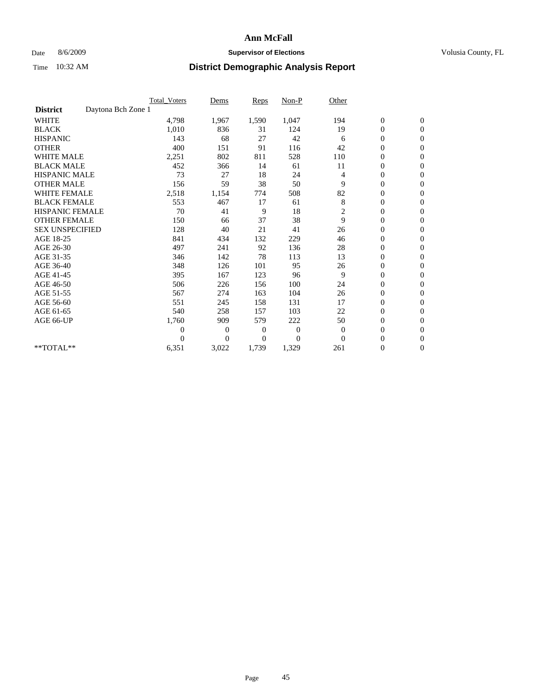### Date 8/6/2009 **Supervisor of Elections Supervisor of Elections** Volusia County, FL

|                        | Total Voters       | Dems           | <b>Reps</b>    | $Non-P$        | Other          |                  |                  |  |
|------------------------|--------------------|----------------|----------------|----------------|----------------|------------------|------------------|--|
| <b>District</b>        | Daytona Bch Zone 1 |                |                |                |                |                  |                  |  |
| <b>WHITE</b>           | 4,798              | 1,967          | 1,590          | 1,047          | 194            | $\boldsymbol{0}$ | $\boldsymbol{0}$ |  |
| <b>BLACK</b>           | 1,010              | 836            | 31             | 124            | 19             | $\boldsymbol{0}$ | $\mathbf{0}$     |  |
| <b>HISPANIC</b>        | 143                | 68             | 27             | 42             | 6              | $\overline{0}$   | $\mathbf{0}$     |  |
| <b>OTHER</b>           | 400                | 151            | 91             | 116            | 42             | $\boldsymbol{0}$ | $\mathbf{0}$     |  |
| <b>WHITE MALE</b>      | 2,251              | 802            | 811            | 528            | 110            | $\boldsymbol{0}$ | $\mathbf{0}$     |  |
| <b>BLACK MALE</b>      | 452                | 366            | 14             | 61             | 11             | $\overline{0}$   | $\mathbf{0}$     |  |
| <b>HISPANIC MALE</b>   | 73                 | 27             | 18             | 24             | 4              | $\boldsymbol{0}$ | $\Omega$         |  |
| <b>OTHER MALE</b>      | 156                | 59             | 38             | 50             | 9              | $\overline{0}$   | $\mathbf{0}$     |  |
| <b>WHITE FEMALE</b>    | 2,518              | 1,154          | 774            | 508            | 82             | $\boldsymbol{0}$ | $\mathbf{0}$     |  |
| <b>BLACK FEMALE</b>    | 553                | 467            | 17             | 61             | 8              | $\boldsymbol{0}$ | $\mathbf{0}$     |  |
| <b>HISPANIC FEMALE</b> | 70                 | 41             | 9              | 18             | 2              | $\boldsymbol{0}$ | $\mathbf{0}$     |  |
| <b>OTHER FEMALE</b>    | 150                | 66             | 37             | 38             | 9              | $\mathbf{0}$     | $\mathbf{0}$     |  |
| <b>SEX UNSPECIFIED</b> | 128                | 40             | 21             | 41             | 26             | $\boldsymbol{0}$ | $\Omega$         |  |
| AGE 18-25              | 841                | 434            | 132            | 229            | 46             | $\boldsymbol{0}$ | $\mathbf{0}$     |  |
| AGE 26-30              | 497                | 241            | 92             | 136            | 28             | $\boldsymbol{0}$ | $\Omega$         |  |
| AGE 31-35              | 346                | 142            | 78             | 113            | 13             | $\boldsymbol{0}$ | $\mathbf{0}$     |  |
| AGE 36-40              | 348                | 126            | 101            | 95             | 26             | $\boldsymbol{0}$ | $\mathbf{0}$     |  |
| AGE 41-45              | 395                | 167            | 123            | 96             | 9              | $\boldsymbol{0}$ | $\mathbf{0}$     |  |
| AGE 46-50              | 506                | 226            | 156            | 100            | 24             | $\boldsymbol{0}$ | $\Omega$         |  |
| AGE 51-55              | 567                | 274            | 163            | 104            | 26             | $\boldsymbol{0}$ | $\mathbf{0}$     |  |
| AGE 56-60              | 551                | 245            | 158            | 131            | 17             | $\boldsymbol{0}$ | $\mathbf{0}$     |  |
| AGE 61-65              | 540                | 258            | 157            | 103            | 22             | $\overline{0}$   | $\mathbf{0}$     |  |
| AGE 66-UP              | 1,760              | 909            | 579            | 222            | 50             | $\boldsymbol{0}$ | $\mathbf{0}$     |  |
|                        | $\overline{0}$     | $\overline{0}$ | $\mathbf{0}$   | $\mathbf{0}$   | $\overline{0}$ | $\mathbf{0}$     | $\mathbf{0}$     |  |
|                        | $\Omega$           | $\overline{0}$ | $\overline{0}$ | $\overline{0}$ | $\mathbf{0}$   | $\boldsymbol{0}$ | $\mathbf{0}$     |  |
| **TOTAL**              | 6,351              | 3,022          | 1,739          | 1,329          | 261            | 0                | $\boldsymbol{0}$ |  |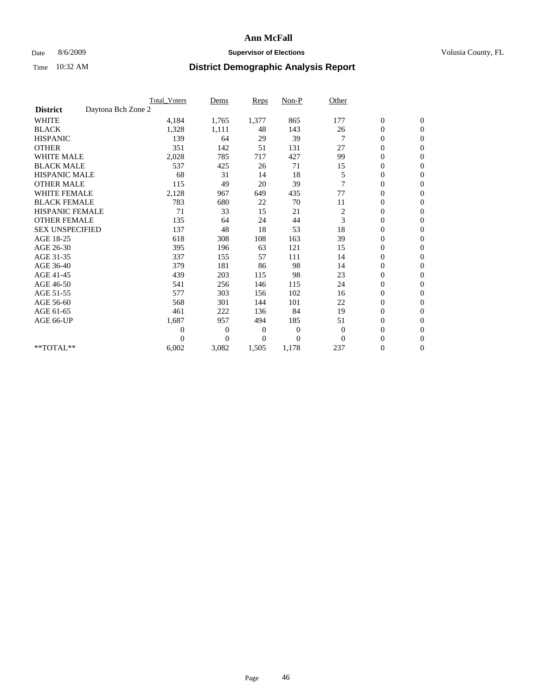### Date 8/6/2009 **Supervisor of Elections Supervisor of Elections** Volusia County, FL

|                        |                    | <b>Total Voters</b> | Dems           | <b>Reps</b> | $Non-P$      | Other          |                  |                  |  |
|------------------------|--------------------|---------------------|----------------|-------------|--------------|----------------|------------------|------------------|--|
| <b>District</b>        | Daytona Bch Zone 2 |                     |                |             |              |                |                  |                  |  |
| <b>WHITE</b>           |                    | 4,184               | 1,765          | 1,377       | 865          | 177            | $\boldsymbol{0}$ | $\boldsymbol{0}$ |  |
| <b>BLACK</b>           |                    | 1,328               | 1,111          | 48          | 143          | 26             | $\boldsymbol{0}$ | $\mathbf{0}$     |  |
| <b>HISPANIC</b>        |                    | 139                 | 64             | 29          | 39           |                | $\overline{0}$   | $\mathbf{0}$     |  |
| <b>OTHER</b>           |                    | 351                 | 142            | 51          | 131          | 27             | $\boldsymbol{0}$ | $\Omega$         |  |
| <b>WHITE MALE</b>      |                    | 2,028               | 785            | 717         | 427          | 99             | $\overline{0}$   | $\mathbf{0}$     |  |
| <b>BLACK MALE</b>      |                    | 537                 | 425            | 26          | 71           | 15             | $\boldsymbol{0}$ | $\mathbf{0}$     |  |
| <b>HISPANIC MALE</b>   |                    | 68                  | 31             | 14          | 18           | 5              | $\boldsymbol{0}$ | $\mathbf{0}$     |  |
| <b>OTHER MALE</b>      |                    | 115                 | 49             | 20          | 39           | 7              | $\boldsymbol{0}$ | $\mathbf{0}$     |  |
| WHITE FEMALE           |                    | 2,128               | 967            | 649         | 435          | 77             | $\overline{0}$   | $\mathbf{0}$     |  |
| <b>BLACK FEMALE</b>    |                    | 783                 | 680            | 22          | 70           | 11             | $\boldsymbol{0}$ | $\mathbf{0}$     |  |
| <b>HISPANIC FEMALE</b> |                    | 71                  | 33             | 15          | 21           | $\overline{c}$ | $\boldsymbol{0}$ | $\mathbf{0}$     |  |
| <b>OTHER FEMALE</b>    |                    | 135                 | 64             | 24          | 44           | 3              | $\mathbf{0}$     | $\mathbf{0}$     |  |
| <b>SEX UNSPECIFIED</b> |                    | 137                 | 48             | 18          | 53           | 18             | $\boldsymbol{0}$ | $\mathbf{0}$     |  |
| AGE 18-25              |                    | 618                 | 308            | 108         | 163          | 39             | $\overline{0}$   | $\mathbf{0}$     |  |
| AGE 26-30              |                    | 395                 | 196            | 63          | 121          | 15             | $\overline{0}$   | $\mathbf{0}$     |  |
| AGE 31-35              |                    | 337                 | 155            | 57          | 111          | 14             | $\boldsymbol{0}$ | $\mathbf{0}$     |  |
| AGE 36-40              |                    | 379                 | 181            | 86          | 98           | 14             | 0                | $\mathbf{0}$     |  |
| AGE 41-45              |                    | 439                 | 203            | 115         | 98           | 23             | $\overline{0}$   | $\mathbf{0}$     |  |
| AGE 46-50              |                    | 541                 | 256            | 146         | 115          | 24             | $\boldsymbol{0}$ | $\mathbf{0}$     |  |
| AGE 51-55              |                    | 577                 | 303            | 156         | 102          | 16             | $\boldsymbol{0}$ | $\mathbf{0}$     |  |
| AGE 56-60              |                    | 568                 | 301            | 144         | 101          | 22             | $\overline{0}$   | $\Omega$         |  |
| AGE 61-65              |                    | 461                 | 222            | 136         | 84           | 19             | $\mathbf{0}$     | $\mathbf{0}$     |  |
| AGE 66-UP              |                    | 1,687               | 957            | 494         | 185          | 51             | $\boldsymbol{0}$ | $\mathbf{0}$     |  |
|                        |                    | $\overline{0}$      | $\overline{0}$ | 0           | $\mathbf{0}$ | $\overline{0}$ | $\overline{0}$   | $\mathbf{0}$     |  |
|                        |                    | $\Omega$            | $\overline{0}$ | $\Omega$    | $\theta$     | $\mathbf{0}$   | $\boldsymbol{0}$ | $\mathbf{0}$     |  |
| **TOTAL**              |                    | 6,002               | 3,082          | 1,505       | 1,178        | 237            | 0                | $\mathbf{0}$     |  |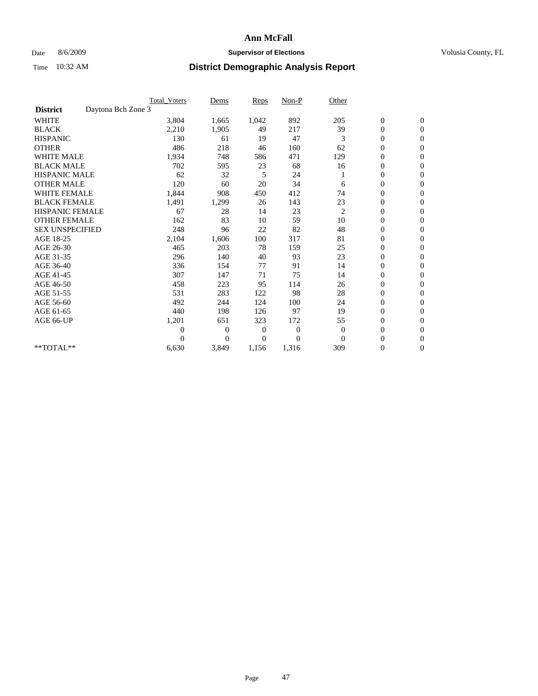### Date 8/6/2009 **Supervisor of Elections Supervisor of Elections** Volusia County, FL

|                        |                    | <b>Total Voters</b> | Dems           | <b>Reps</b> | $Non-P$      | Other          |                  |                  |  |
|------------------------|--------------------|---------------------|----------------|-------------|--------------|----------------|------------------|------------------|--|
| <b>District</b>        | Daytona Bch Zone 3 |                     |                |             |              |                |                  |                  |  |
| <b>WHITE</b>           |                    | 3,804               | 1,665          | 1,042       | 892          | 205            | $\boldsymbol{0}$ | $\boldsymbol{0}$ |  |
| <b>BLACK</b>           |                    | 2,210               | 1,905          | 49          | 217          | 39             | $\boldsymbol{0}$ | $\mathbf{0}$     |  |
| <b>HISPANIC</b>        |                    | 130                 | 61             | 19          | 47           | 3              | $\overline{0}$   | $\mathbf{0}$     |  |
| <b>OTHER</b>           |                    | 486                 | 218            | 46          | 160          | 62             | $\boldsymbol{0}$ | $\Omega$         |  |
| <b>WHITE MALE</b>      |                    | 1,934               | 748            | 586         | 471          | 129            | $\overline{0}$   | $\mathbf{0}$     |  |
| <b>BLACK MALE</b>      |                    | 702                 | 595            | 23          | 68           | 16             | $\boldsymbol{0}$ | $\mathbf{0}$     |  |
| <b>HISPANIC MALE</b>   |                    | 62                  | 32             | 5           | 24           |                | $\boldsymbol{0}$ | $\mathbf{0}$     |  |
| <b>OTHER MALE</b>      |                    | 120                 | 60             | 20          | 34           | 6              | $\boldsymbol{0}$ | $\mathbf{0}$     |  |
| <b>WHITE FEMALE</b>    |                    | 1,844               | 908            | 450         | 412          | 74             | $\overline{0}$   | $\mathbf{0}$     |  |
| <b>BLACK FEMALE</b>    |                    | 1,491               | 1,299          | 26          | 143          | 23             | $\boldsymbol{0}$ | $\mathbf{0}$     |  |
| <b>HISPANIC FEMALE</b> |                    | 67                  | 28             | 14          | 23           | $\overline{c}$ | $\boldsymbol{0}$ | $\mathbf{0}$     |  |
| <b>OTHER FEMALE</b>    |                    | 162                 | 83             | 10          | 59           | 10             | $\mathbf{0}$     | $\mathbf{0}$     |  |
| <b>SEX UNSPECIFIED</b> |                    | 248                 | 96             | 22          | 82           | 48             | $\boldsymbol{0}$ | $\mathbf{0}$     |  |
| AGE 18-25              |                    | 2,104               | 1,606          | 100         | 317          | 81             | $\boldsymbol{0}$ | $\mathbf{0}$     |  |
| AGE 26-30              |                    | 465                 | 203            | 78          | 159          | 25             | $\overline{0}$   | $\mathbf{0}$     |  |
| AGE 31-35              |                    | 296                 | 140            | 40          | 93           | 23             | $\boldsymbol{0}$ | $\mathbf{0}$     |  |
| AGE 36-40              |                    | 336                 | 154            | 77          | 91           | 14             | $\boldsymbol{0}$ | $\mathbf{0}$     |  |
| AGE 41-45              |                    | 307                 | 147            | 71          | 75           | 14             | $\overline{0}$   | $\mathbf{0}$     |  |
| AGE 46-50              |                    | 458                 | 223            | 95          | 114          | 26             | $\boldsymbol{0}$ | $\mathbf{0}$     |  |
| AGE 51-55              |                    | 531                 | 283            | 122         | 98           | 28             | $\boldsymbol{0}$ | $\mathbf{0}$     |  |
| AGE 56-60              |                    | 492                 | 244            | 124         | 100          | 24             | $\overline{0}$   | $\Omega$         |  |
| AGE 61-65              |                    | 440                 | 198            | 126         | 97           | 19             | $\mathbf{0}$     | $\mathbf{0}$     |  |
| AGE 66-UP              |                    | 1,201               | 651            | 323         | 172          | 55             | $\boldsymbol{0}$ | $\mathbf{0}$     |  |
|                        |                    | $\overline{0}$      | $\overline{0}$ | 0           | $\mathbf{0}$ | $\mathbf{0}$   | $\overline{0}$   | $\mathbf{0}$     |  |
|                        |                    | $\Omega$            | $\overline{0}$ | $\Omega$    | $\theta$     | $\Omega$       | $\boldsymbol{0}$ | $\mathbf{0}$     |  |
| **TOTAL**              |                    | 6,630               | 3,849          | 1,156       | 1,316        | 309            | 0                | $\mathbf{0}$     |  |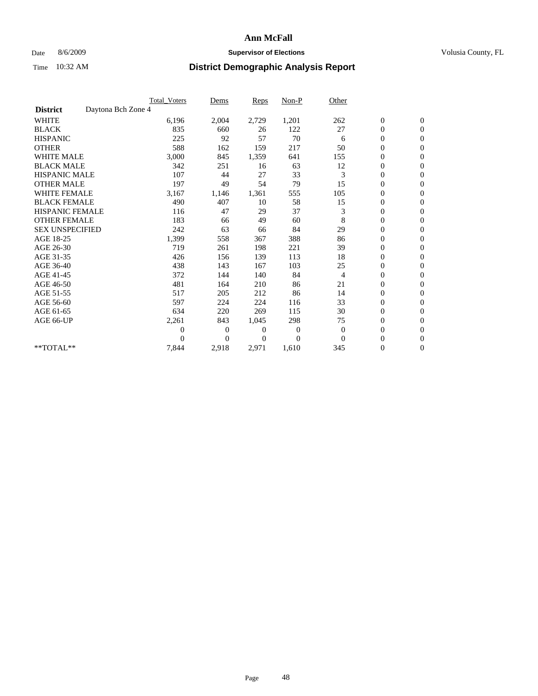### Date 8/6/2009 **Supervisor of Elections Supervisor of Elections** Volusia County, FL

|                        |                    | <b>Total Voters</b> | Dems           | <b>Reps</b> | Non-P        | Other          |                  |                  |  |
|------------------------|--------------------|---------------------|----------------|-------------|--------------|----------------|------------------|------------------|--|
| <b>District</b>        | Daytona Bch Zone 4 |                     |                |             |              |                |                  |                  |  |
| <b>WHITE</b>           |                    | 6,196               | 2,004          | 2,729       | 1,201        | 262            | $\boldsymbol{0}$ | $\boldsymbol{0}$ |  |
| <b>BLACK</b>           |                    | 835                 | 660            | 26          | 122          | 27             | $\boldsymbol{0}$ | $\mathbf{0}$     |  |
| <b>HISPANIC</b>        |                    | 225                 | 92             | 57          | 70           | 6              | $\overline{0}$   | $\mathbf{0}$     |  |
| <b>OTHER</b>           |                    | 588                 | 162            | 159         | 217          | 50             | $\boldsymbol{0}$ | $\mathbf{0}$     |  |
| <b>WHITE MALE</b>      |                    | 3,000               | 845            | 1,359       | 641          | 155            | $\boldsymbol{0}$ | $\mathbf{0}$     |  |
| <b>BLACK MALE</b>      |                    | 342                 | 251            | 16          | 63           | 12             | $\boldsymbol{0}$ | $\mathbf{0}$     |  |
| <b>HISPANIC MALE</b>   |                    | 107                 | 44             | 27          | 33           | 3              | $\boldsymbol{0}$ | $\mathbf{0}$     |  |
| <b>OTHER MALE</b>      |                    | 197                 | 49             | 54          | 79           | 15             | $\boldsymbol{0}$ | $\mathbf{0}$     |  |
| <b>WHITE FEMALE</b>    |                    | 3,167               | 1,146          | 1,361       | 555          | 105            | $\overline{0}$   | $\mathbf{0}$     |  |
| <b>BLACK FEMALE</b>    |                    | 490                 | 407            | 10          | 58           | 15             | $\boldsymbol{0}$ | $\mathbf{0}$     |  |
| <b>HISPANIC FEMALE</b> |                    | 116                 | 47             | 29          | 37           | 3              | $\boldsymbol{0}$ | $\mathbf{0}$     |  |
| <b>OTHER FEMALE</b>    |                    | 183                 | 66             | 49          | 60           | 8              | $\mathbf{0}$     | $\mathbf{0}$     |  |
| <b>SEX UNSPECIFIED</b> |                    | 242                 | 63             | 66          | 84           | 29             | $\boldsymbol{0}$ | $\mathbf{0}$     |  |
| AGE 18-25              |                    | 1,399               | 558            | 367         | 388          | 86             | $\overline{0}$   | $\mathbf{0}$     |  |
| AGE 26-30              |                    | 719                 | 261            | 198         | 221          | 39             | $\overline{0}$   | $\mathbf{0}$     |  |
| AGE 31-35              |                    | 426                 | 156            | 139         | 113          | 18             | $\boldsymbol{0}$ | $\mathbf{0}$     |  |
| AGE 36-40              |                    | 438                 | 143            | 167         | 103          | 25             | 0                | $\mathbf{0}$     |  |
| AGE 41-45              |                    | 372                 | 144            | 140         | 84           | $\overline{4}$ | $\overline{0}$   | $\mathbf{0}$     |  |
| AGE 46-50              |                    | 481                 | 164            | 210         | 86           | 21             | $\boldsymbol{0}$ | $\mathbf{0}$     |  |
| AGE 51-55              |                    | 517                 | 205            | 212         | 86           | 14             | $\boldsymbol{0}$ | $\mathbf{0}$     |  |
| AGE 56-60              |                    | 597                 | 224            | 224         | 116          | 33             | $\overline{0}$   | $\Omega$         |  |
| AGE 61-65              |                    | 634                 | 220            | 269         | 115          | 30             | $\mathbf{0}$     | $\mathbf{0}$     |  |
| AGE 66-UP              |                    | 2,261               | 843            | 1,045       | 298          | 75             | $\boldsymbol{0}$ | $\mathbf{0}$     |  |
|                        |                    | $\boldsymbol{0}$    | $\overline{0}$ | 0           | $\mathbf{0}$ | $\mathbf{0}$   | $\overline{0}$   | $\mathbf{0}$     |  |
|                        |                    | $\theta$            | $\theta$       | $\Omega$    | $\theta$     | $\Omega$       | $\boldsymbol{0}$ | $\mathbf{0}$     |  |
| **TOTAL**              |                    | 7,844               | 2,918          | 2,971       | 1,610        | 345            | 0                | $\mathbf{0}$     |  |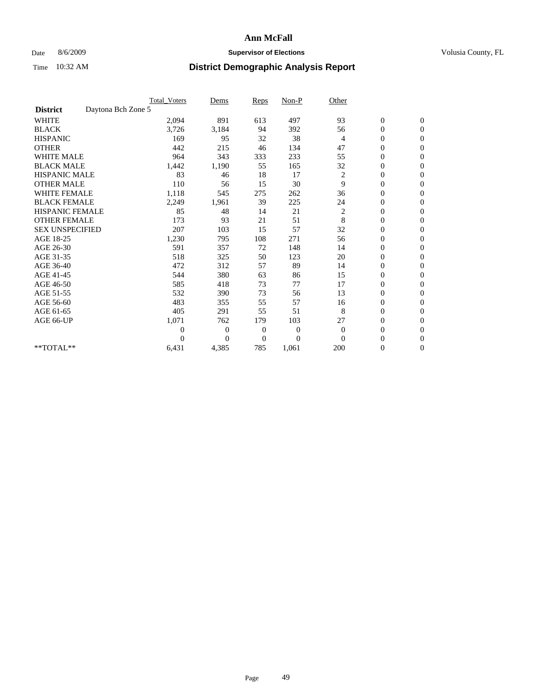### Date 8/6/2009 **Supervisor of Elections Supervisor of Elections** Volusia County, FL

|                        |                    | <b>Total Voters</b> | Dems           | <b>Reps</b>    | $Non-P$          | Other          |                  |                |  |
|------------------------|--------------------|---------------------|----------------|----------------|------------------|----------------|------------------|----------------|--|
| <b>District</b>        | Daytona Bch Zone 5 |                     |                |                |                  |                |                  |                |  |
| <b>WHITE</b>           |                    | 2,094               | 891            | 613            | 497              | 93             | $\boldsymbol{0}$ | $\mathbf{0}$   |  |
| <b>BLACK</b>           |                    | 3,726               | 3,184          | 94             | 392              | 56             | $\boldsymbol{0}$ | $\mathbf{0}$   |  |
| <b>HISPANIC</b>        |                    | 169                 | 95             | 32             | 38               | $\overline{4}$ | $\mathbf{0}$     | $\mathbf{0}$   |  |
| <b>OTHER</b>           |                    | 442                 | 215            | 46             | 134              | 47             | $\overline{0}$   | $\mathbf{0}$   |  |
| <b>WHITE MALE</b>      |                    | 964                 | 343            | 333            | 233              | 55             | $\boldsymbol{0}$ | $\mathbf{0}$   |  |
| <b>BLACK MALE</b>      |                    | 1,442               | 1,190          | 55             | 165              | 32             | $\boldsymbol{0}$ | $\mathbf{0}$   |  |
| <b>HISPANIC MALE</b>   |                    | 83                  | 46             | 18             | 17               | 2              | $\boldsymbol{0}$ | $\mathbf{0}$   |  |
| <b>OTHER MALE</b>      |                    | 110                 | 56             | 15             | 30               | 9              | $\overline{0}$   | $\mathbf{0}$   |  |
| <b>WHITE FEMALE</b>    |                    | 1,118               | 545            | 275            | 262              | 36             | $\overline{0}$   | $\mathbf{0}$   |  |
| <b>BLACK FEMALE</b>    |                    | 2,249               | 1,961          | 39             | 225              | 24             | $\boldsymbol{0}$ | $\mathbf{0}$   |  |
| <b>HISPANIC FEMALE</b> |                    | 85                  | 48             | 14             | 21               | 2              | $\boldsymbol{0}$ | $\mathbf{0}$   |  |
| <b>OTHER FEMALE</b>    |                    | 173                 | 93             | 21             | 51               | 8              | $\overline{0}$   | $\Omega$       |  |
| <b>SEX UNSPECIFIED</b> |                    | 207                 | 103            | 15             | 57               | 32             | $\overline{0}$   | $\mathbf{0}$   |  |
| AGE 18-25              |                    | 1,230               | 795            | 108            | 271              | 56             | $\overline{0}$   | $\mathbf{0}$   |  |
| AGE 26-30              |                    | 591                 | 357            | 72             | 148              | 14             | $\overline{0}$   | $\mathbf{0}$   |  |
| AGE 31-35              |                    | 518                 | 325            | 50             | 123              | 20             | $\boldsymbol{0}$ | $\mathbf{0}$   |  |
| AGE 36-40              |                    | 472                 | 312            | 57             | 89               | 14             | $\boldsymbol{0}$ | $\mathbf{0}$   |  |
| AGE 41-45              |                    | 544                 | 380            | 63             | 86               | 15             | $\overline{0}$   | $\mathbf{0}$   |  |
| AGE 46-50              |                    | 585                 | 418            | 73             | 77               | 17             | $\mathbf{0}$     | $\mathbf{0}$   |  |
| AGE 51-55              |                    | 532                 | 390            | 73             | 56               | 13             | $\boldsymbol{0}$ | $\mathbf{0}$   |  |
| AGE 56-60              |                    | 483                 | 355            | 55             | 57               | 16             | $\boldsymbol{0}$ | $\Omega$       |  |
| AGE 61-65              |                    | 405                 | 291            | 55             | 51               | 8              | $\boldsymbol{0}$ | $\overline{0}$ |  |
| AGE 66-UP              |                    | 1,071               | 762            | 179            | 103              | 27             | $\overline{0}$   | $\mathbf{0}$   |  |
|                        |                    | $\theta$            | 0              | $\mathbf{0}$   | $\boldsymbol{0}$ | $\theta$       | $\overline{0}$   | $\Omega$       |  |
|                        |                    | $\Omega$            | $\overline{0}$ | $\overline{0}$ | $\overline{0}$   | $\Omega$       | $\overline{0}$   | $\overline{0}$ |  |
| **TOTAL**              |                    | 6,431               | 4,385          | 785            | 1,061            | 200            | 0                | $\mathbf{0}$   |  |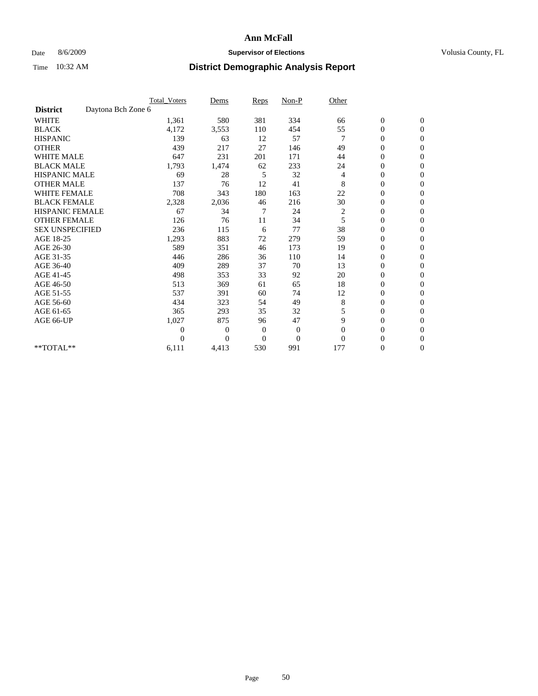### Date 8/6/2009 **Supervisor of Elections Supervisor of Elections** Volusia County, FL

|                        |                    | <b>Total_Voters</b> | Dems           | <b>Reps</b>    | $Non-P$          | Other    |                  |                |  |
|------------------------|--------------------|---------------------|----------------|----------------|------------------|----------|------------------|----------------|--|
| <b>District</b>        | Daytona Bch Zone 6 |                     |                |                |                  |          |                  |                |  |
| <b>WHITE</b>           |                    | 1,361               | 580            | 381            | 334              | 66       | $\boldsymbol{0}$ | $\mathbf{0}$   |  |
| <b>BLACK</b>           |                    | 4,172               | 3,553          | 110            | 454              | 55       | $\boldsymbol{0}$ | $\mathbf{0}$   |  |
| <b>HISPANIC</b>        |                    | 139                 | 63             | 12             | 57               |          | $\mathbf{0}$     | $\mathbf{0}$   |  |
| <b>OTHER</b>           |                    | 439                 | 217            | 27             | 146              | 49       | $\overline{0}$   | $\mathbf{0}$   |  |
| <b>WHITE MALE</b>      |                    | 647                 | 231            | 201            | 171              | 44       | $\boldsymbol{0}$ | $\mathbf{0}$   |  |
| <b>BLACK MALE</b>      |                    | 1,793               | 1,474          | 62             | 233              | 24       | $\boldsymbol{0}$ | $\mathbf{0}$   |  |
| <b>HISPANIC MALE</b>   |                    | 69                  | 28             | 5              | 32               | 4        | $\boldsymbol{0}$ | $\Omega$       |  |
| <b>OTHER MALE</b>      |                    | 137                 | 76             | 12             | 41               | 8        | 0                | $\mathbf{0}$   |  |
| <b>WHITE FEMALE</b>    |                    | 708                 | 343            | 180            | 163              | 22       | $\overline{0}$   | $\Omega$       |  |
| <b>BLACK FEMALE</b>    |                    | 2,328               | 2,036          | 46             | 216              | 30       | $\boldsymbol{0}$ | $\mathbf{0}$   |  |
| <b>HISPANIC FEMALE</b> |                    | 67                  | 34             | 7              | 24               | 2        | $\boldsymbol{0}$ | $\mathbf{0}$   |  |
| <b>OTHER FEMALE</b>    |                    | 126                 | 76             | 11             | 34               | 5        | $\overline{0}$   | $\Omega$       |  |
| <b>SEX UNSPECIFIED</b> |                    | 236                 | 115            | 6              | 77               | 38       | $\overline{0}$   | $\mathbf{0}$   |  |
| AGE 18-25              |                    | 1,293               | 883            | 72             | 279              | 59       | 0                | $\mathbf{0}$   |  |
| AGE 26-30              |                    | 589                 | 351            | 46             | 173              | 19       | $\overline{0}$   | $\mathbf{0}$   |  |
| AGE 31-35              |                    | 446                 | 286            | 36             | 110              | 14       | $\boldsymbol{0}$ | $\mathbf{0}$   |  |
| AGE 36-40              |                    | 409                 | 289            | 37             | 70               | 13       | $\boldsymbol{0}$ | $\mathbf{0}$   |  |
| AGE 41-45              |                    | 498                 | 353            | 33             | 92               | 20       | $\overline{0}$   | $\mathbf{0}$   |  |
| AGE 46-50              |                    | 513                 | 369            | 61             | 65               | 18       | $\overline{0}$   | $\mathbf{0}$   |  |
| AGE 51-55              |                    | 537                 | 391            | 60             | 74               | 12       | $\boldsymbol{0}$ | $\mathbf{0}$   |  |
| AGE 56-60              |                    | 434                 | 323            | 54             | 49               | 8        | $\overline{0}$   | $\Omega$       |  |
| AGE 61-65              |                    | 365                 | 293            | 35             | 32               | 5        | $\boldsymbol{0}$ | $\overline{0}$ |  |
| AGE 66-UP              |                    | 1,027               | 875            | 96             | 47               | 9        | $\overline{0}$   | $\mathbf{0}$   |  |
|                        |                    | 0                   | $\overline{0}$ | $\mathbf{0}$   | $\boldsymbol{0}$ | $\theta$ | 0                | $\Omega$       |  |
|                        |                    | $\Omega$            | $\overline{0}$ | $\overline{0}$ | $\overline{0}$   | $\Omega$ | $\overline{0}$   | $\overline{0}$ |  |
| **TOTAL**              |                    | 6,111               | 4,413          | 530            | 991              | 177      | 0                | $\overline{0}$ |  |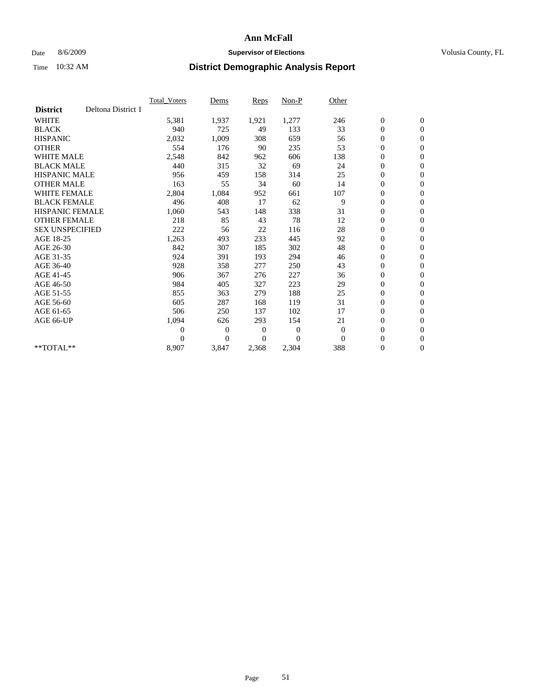### Date 8/6/2009 **Supervisor of Elections Supervisor of Elections** Volusia County, FL

|                        |                    | Total Voters   | Dems           | <b>Reps</b> | Non-P          | Other    |                  |                  |  |
|------------------------|--------------------|----------------|----------------|-------------|----------------|----------|------------------|------------------|--|
| <b>District</b>        | Deltona District 1 |                |                |             |                |          |                  |                  |  |
| <b>WHITE</b>           |                    | 5,381          | 1,937          | 1,921       | 1,277          | 246      | $\boldsymbol{0}$ | $\boldsymbol{0}$ |  |
| <b>BLACK</b>           |                    | 940            | 725            | 49          | 133            | 33       | $\boldsymbol{0}$ | $\mathbf{0}$     |  |
| <b>HISPANIC</b>        |                    | 2,032          | 1,009          | 308         | 659            | 56       | $\overline{0}$   | $\mathbf{0}$     |  |
| <b>OTHER</b>           |                    | 554            | 176            | 90          | 235            | 53       | $\boldsymbol{0}$ | $\mathbf{0}$     |  |
| <b>WHITE MALE</b>      |                    | 2,548          | 842            | 962         | 606            | 138      | $\boldsymbol{0}$ | $\mathbf{0}$     |  |
| <b>BLACK MALE</b>      |                    | 440            | 315            | 32          | 69             | 24       | $\boldsymbol{0}$ | $\mathbf{0}$     |  |
| <b>HISPANIC MALE</b>   |                    | 956            | 459            | 158         | 314            | 25       | $\boldsymbol{0}$ | $\mathbf{0}$     |  |
| <b>OTHER MALE</b>      |                    | 163            | 55             | 34          | 60             | 14       | $\boldsymbol{0}$ | $\mathbf{0}$     |  |
| <b>WHITE FEMALE</b>    |                    | 2,804          | 1,084          | 952         | 661            | 107      | $\overline{0}$   | $\mathbf{0}$     |  |
| <b>BLACK FEMALE</b>    |                    | 496            | 408            | 17          | 62             | 9        | $\boldsymbol{0}$ | $\mathbf{0}$     |  |
| <b>HISPANIC FEMALE</b> |                    | 1,060          | 543            | 148         | 338            | 31       | $\boldsymbol{0}$ | $\mathbf{0}$     |  |
| <b>OTHER FEMALE</b>    |                    | 218            | 85             | 43          | 78             | 12       | $\mathbf{0}$     | $\mathbf{0}$     |  |
| <b>SEX UNSPECIFIED</b> |                    | 222            | 56             | 22          | 116            | 28       | $\boldsymbol{0}$ | $\mathbf{0}$     |  |
| AGE 18-25              |                    | 1,263          | 493            | 233         | 445            | 92       | $\boldsymbol{0}$ | $\mathbf{0}$     |  |
| AGE 26-30              |                    | 842            | 307            | 185         | 302            | 48       | $\boldsymbol{0}$ | $\mathbf{0}$     |  |
| AGE 31-35              |                    | 924            | 391            | 193         | 294            | 46       | $\boldsymbol{0}$ | $\mathbf{0}$     |  |
| AGE 36-40              |                    | 928            | 358            | 277         | 250            | 43       | $\boldsymbol{0}$ | $\mathbf{0}$     |  |
| AGE 41-45              |                    | 906            | 367            | 276         | 227            | 36       | $\overline{0}$   | $\mathbf{0}$     |  |
| AGE 46-50              |                    | 984            | 405            | 327         | 223            | 29       | $\boldsymbol{0}$ | $\mathbf{0}$     |  |
| AGE 51-55              |                    | 855            | 363            | 279         | 188            | 25       | $\boldsymbol{0}$ | $\mathbf{0}$     |  |
| AGE 56-60              |                    | 605            | 287            | 168         | 119            | 31       | $\boldsymbol{0}$ | $\mathbf{0}$     |  |
| AGE 61-65              |                    | 506            | 250            | 137         | 102            | 17       | $\boldsymbol{0}$ | $\mathbf{0}$     |  |
| AGE 66-UP              |                    | 1,094          | 626            | 293         | 154            | 21       | $\boldsymbol{0}$ | $\mathbf{0}$     |  |
|                        |                    | $\overline{0}$ | $\overline{0}$ | 0           | $\overline{0}$ | $\theta$ | $\overline{0}$   | $\mathbf{0}$     |  |
|                        |                    | $\Omega$       | $\overline{0}$ | $\Omega$    | $\theta$       | $\Omega$ | $\boldsymbol{0}$ | $\mathbf{0}$     |  |
| $*$ TOTAL $**$         |                    | 8,907          | 3,847          | 2,368       | 2,304          | 388      | 0                | $\mathbf{0}$     |  |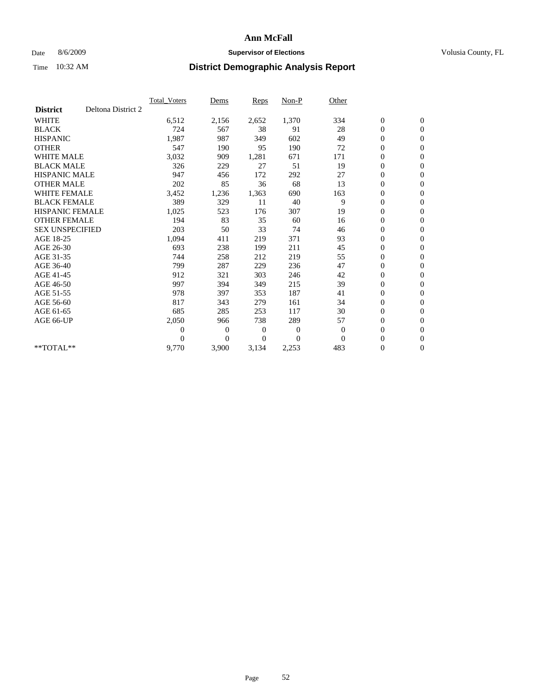### Date 8/6/2009 **Supervisor of Elections Supervisor of Elections** Volusia County, FL

|                        |                    | <b>Total Voters</b> | Dems           | <b>Reps</b> | Non-P    | Other        |                  |                  |  |
|------------------------|--------------------|---------------------|----------------|-------------|----------|--------------|------------------|------------------|--|
| <b>District</b>        | Deltona District 2 |                     |                |             |          |              |                  |                  |  |
| <b>WHITE</b>           |                    | 6,512               | 2,156          | 2,652       | 1,370    | 334          | $\boldsymbol{0}$ | $\boldsymbol{0}$ |  |
| <b>BLACK</b>           |                    | 724                 | 567            | 38          | 91       | 28           | $\boldsymbol{0}$ | $\mathbf{0}$     |  |
| <b>HISPANIC</b>        |                    | 1,987               | 987            | 349         | 602      | 49           | $\overline{0}$   | $\mathbf{0}$     |  |
| <b>OTHER</b>           |                    | 547                 | 190            | 95          | 190      | 72           | $\boldsymbol{0}$ | $\mathbf{0}$     |  |
| <b>WHITE MALE</b>      |                    | 3,032               | 909            | 1,281       | 671      | 171          | $\boldsymbol{0}$ | $\mathbf{0}$     |  |
| <b>BLACK MALE</b>      |                    | 326                 | 229            | 27          | 51       | 19           | $\boldsymbol{0}$ | $\mathbf{0}$     |  |
| <b>HISPANIC MALE</b>   |                    | 947                 | 456            | 172         | 292      | 27           | $\boldsymbol{0}$ | $\mathbf{0}$     |  |
| <b>OTHER MALE</b>      |                    | 202                 | 85             | 36          | 68       | 13           | $\boldsymbol{0}$ | $\mathbf{0}$     |  |
| <b>WHITE FEMALE</b>    |                    | 3,452               | 1,236          | 1,363       | 690      | 163          | $\overline{0}$   | $\mathbf{0}$     |  |
| <b>BLACK FEMALE</b>    |                    | 389                 | 329            | 11          | 40       | 9            | $\boldsymbol{0}$ | $\mathbf{0}$     |  |
| <b>HISPANIC FEMALE</b> |                    | 1,025               | 523            | 176         | 307      | 19           | $\boldsymbol{0}$ | $\mathbf{0}$     |  |
| <b>OTHER FEMALE</b>    |                    | 194                 | 83             | 35          | 60       | 16           | $\mathbf{0}$     | $\mathbf{0}$     |  |
| <b>SEX UNSPECIFIED</b> |                    | 203                 | 50             | 33          | 74       | 46           | $\boldsymbol{0}$ | $\mathbf{0}$     |  |
| AGE 18-25              |                    | 1,094               | 411            | 219         | 371      | 93           | $\overline{0}$   | $\mathbf{0}$     |  |
| AGE 26-30              |                    | 693                 | 238            | 199         | 211      | 45           | $\overline{0}$   | $\mathbf{0}$     |  |
| AGE 31-35              |                    | 744                 | 258            | 212         | 219      | 55           | $\boldsymbol{0}$ | $\mathbf{0}$     |  |
| AGE 36-40              |                    | 799                 | 287            | 229         | 236      | 47           | $\boldsymbol{0}$ | $\mathbf{0}$     |  |
| AGE 41-45              |                    | 912                 | 321            | 303         | 246      | 42           | $\overline{0}$   | $\mathbf{0}$     |  |
| AGE 46-50              |                    | 997                 | 394            | 349         | 215      | 39           | $\boldsymbol{0}$ | $\mathbf{0}$     |  |
| AGE 51-55              |                    | 978                 | 397            | 353         | 187      | 41           | $\boldsymbol{0}$ | $\mathbf{0}$     |  |
| AGE 56-60              |                    | 817                 | 343            | 279         | 161      | 34           | $\boldsymbol{0}$ | $\Omega$         |  |
| AGE 61-65              |                    | 685                 | 285            | 253         | 117      | 30           | $\boldsymbol{0}$ | $\mathbf{0}$     |  |
| AGE 66-UP              |                    | 2,050               | 966            | 738         | 289      | 57           | $\boldsymbol{0}$ | $\mathbf{0}$     |  |
|                        |                    | $\overline{0}$      | $\overline{0}$ | 0           | 0        | $\mathbf{0}$ | $\overline{0}$   | $\mathbf{0}$     |  |
|                        |                    | $\theta$            | $\overline{0}$ | $\Omega$    | $\Omega$ | $\Omega$     | $\boldsymbol{0}$ | $\mathbf{0}$     |  |
| $*$ TOTAL $**$         |                    | 9,770               | 3,900          | 3,134       | 2,253    | 483          | 0                | $\mathbf{0}$     |  |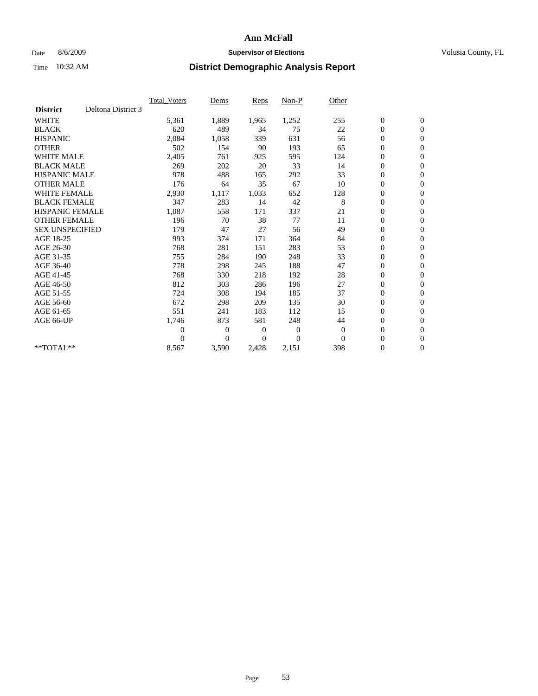### Date 8/6/2009 **Supervisor of Elections Supervisor of Elections** Volusia County, FL

|                        |                    | Total Voters   | Dems           | <b>Reps</b> | Non-P        | Other    |                  |                  |  |
|------------------------|--------------------|----------------|----------------|-------------|--------------|----------|------------------|------------------|--|
| <b>District</b>        | Deltona District 3 |                |                |             |              |          |                  |                  |  |
| <b>WHITE</b>           |                    | 5,361          | 1,889          | 1,965       | 1,252        | 255      | $\boldsymbol{0}$ | $\boldsymbol{0}$ |  |
| <b>BLACK</b>           |                    | 620            | 489            | 34          | 75           | 22       | $\boldsymbol{0}$ | $\mathbf{0}$     |  |
| <b>HISPANIC</b>        |                    | 2,084          | 1,058          | 339         | 631          | 56       | $\overline{0}$   | $\mathbf{0}$     |  |
| <b>OTHER</b>           |                    | 502            | 154            | 90          | 193          | 65       | $\boldsymbol{0}$ | $\mathbf{0}$     |  |
| <b>WHITE MALE</b>      |                    | 2,405          | 761            | 925         | 595          | 124      | $\boldsymbol{0}$ | $\mathbf{0}$     |  |
| <b>BLACK MALE</b>      |                    | 269            | 202            | 20          | 33           | 14       | $\boldsymbol{0}$ | $\mathbf{0}$     |  |
| <b>HISPANIC MALE</b>   |                    | 978            | 488            | 165         | 292          | 33       | $\boldsymbol{0}$ | $\mathbf{0}$     |  |
| <b>OTHER MALE</b>      |                    | 176            | 64             | 35          | 67           | 10       | $\boldsymbol{0}$ | $\mathbf{0}$     |  |
| <b>WHITE FEMALE</b>    |                    | 2,930          | 1,117          | 1,033       | 652          | 128      | $\overline{0}$   | $\mathbf{0}$     |  |
| <b>BLACK FEMALE</b>    |                    | 347            | 283            | 14          | 42           | 8        | $\boldsymbol{0}$ | $\mathbf{0}$     |  |
| <b>HISPANIC FEMALE</b> |                    | 1,087          | 558            | 171         | 337          | 21       | $\boldsymbol{0}$ | $\mathbf{0}$     |  |
| <b>OTHER FEMALE</b>    |                    | 196            | 70             | 38          | 77           | 11       | $\mathbf{0}$     | $\mathbf{0}$     |  |
| <b>SEX UNSPECIFIED</b> |                    | 179            | 47             | 27          | 56           | 49       | $\boldsymbol{0}$ | $\mathbf{0}$     |  |
| AGE 18-25              |                    | 993            | 374            | 171         | 364          | 84       | $\boldsymbol{0}$ | $\mathbf{0}$     |  |
| AGE 26-30              |                    | 768            | 281            | 151         | 283          | 53       | $\overline{0}$   | $\mathbf{0}$     |  |
| AGE 31-35              |                    | 755            | 284            | 190         | 248          | 33       | $\boldsymbol{0}$ | $\mathbf{0}$     |  |
| AGE 36-40              |                    | 778            | 298            | 245         | 188          | 47       | $\boldsymbol{0}$ | $\mathbf{0}$     |  |
| AGE 41-45              |                    | 768            | 330            | 218         | 192          | 28       | $\overline{0}$   | $\mathbf{0}$     |  |
| AGE 46-50              |                    | 812            | 303            | 286         | 196          | 27       | $\boldsymbol{0}$ | $\mathbf{0}$     |  |
| AGE 51-55              |                    | 724            | 308            | 194         | 185          | 37       | $\boldsymbol{0}$ | $\mathbf{0}$     |  |
| AGE 56-60              |                    | 672            | 298            | 209         | 135          | 30       | $\boldsymbol{0}$ | $\mathbf{0}$     |  |
| AGE 61-65              |                    | 551            | 241            | 183         | 112          | 15       | $\mathbf{0}$     | $\mathbf{0}$     |  |
| AGE 66-UP              |                    | 1,746          | 873            | 581         | 248          | 44       | $\boldsymbol{0}$ | $\mathbf{0}$     |  |
|                        |                    | $\overline{0}$ | $\overline{0}$ | 0           | $\mathbf{0}$ | $\theta$ | $\overline{0}$   | $\mathbf{0}$     |  |
|                        |                    | $\theta$       | $\overline{0}$ | $\Omega$    | $\theta$     | $\Omega$ | $\boldsymbol{0}$ | $\mathbf{0}$     |  |
| **TOTAL**              |                    | 8,567          | 3,590          | 2,428       | 2,151        | 398      | 0                | $\mathbf{0}$     |  |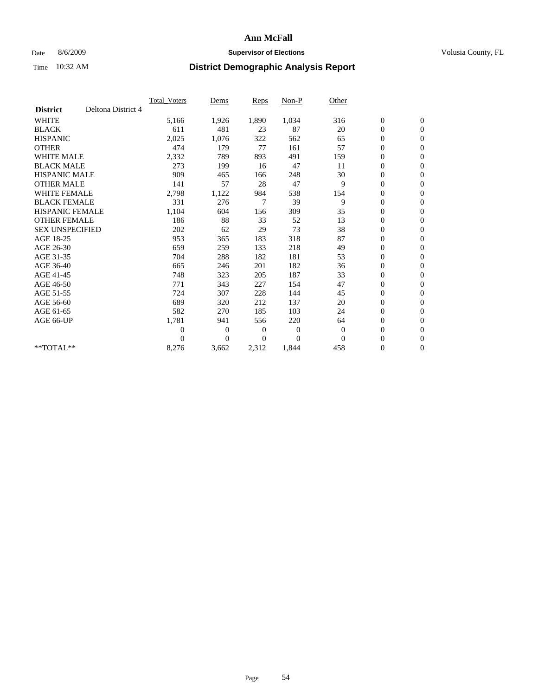### Date 8/6/2009 **Supervisor of Elections Supervisor of Elections** Volusia County, FL

|                        |                    | Total Voters   | Dems           | <b>Reps</b> | Non-P        | Other        |                  |                  |  |
|------------------------|--------------------|----------------|----------------|-------------|--------------|--------------|------------------|------------------|--|
| <b>District</b>        | Deltona District 4 |                |                |             |              |              |                  |                  |  |
| <b>WHITE</b>           |                    | 5,166          | 1,926          | 1,890       | 1,034        | 316          | $\boldsymbol{0}$ | $\boldsymbol{0}$ |  |
| <b>BLACK</b>           |                    | 611            | 481            | 23          | 87           | 20           | $\boldsymbol{0}$ | $\mathbf{0}$     |  |
| <b>HISPANIC</b>        |                    | 2,025          | 1,076          | 322         | 562          | 65           | $\overline{0}$   | $\mathbf{0}$     |  |
| <b>OTHER</b>           |                    | 474            | 179            | 77          | 161          | 57           | $\boldsymbol{0}$ | $\mathbf{0}$     |  |
| <b>WHITE MALE</b>      |                    | 2,332          | 789            | 893         | 491          | 159          | $\overline{0}$   | $\mathbf{0}$     |  |
| <b>BLACK MALE</b>      |                    | 273            | 199            | 16          | 47           | 11           | $\boldsymbol{0}$ | $\mathbf{0}$     |  |
| <b>HISPANIC MALE</b>   |                    | 909            | 465            | 166         | 248          | 30           | $\boldsymbol{0}$ | $\mathbf{0}$     |  |
| <b>OTHER MALE</b>      |                    | 141            | 57             | 28          | 47           | 9            | $\boldsymbol{0}$ | $\mathbf{0}$     |  |
| <b>WHITE FEMALE</b>    |                    | 2,798          | 1,122          | 984         | 538          | 154          | $\overline{0}$   | $\mathbf{0}$     |  |
| <b>BLACK FEMALE</b>    |                    | 331            | 276            | 7           | 39           | 9            | $\boldsymbol{0}$ | $\mathbf{0}$     |  |
| <b>HISPANIC FEMALE</b> |                    | 1,104          | 604            | 156         | 309          | 35           | $\boldsymbol{0}$ | $\mathbf{0}$     |  |
| <b>OTHER FEMALE</b>    |                    | 186            | 88             | 33          | 52           | 13           | $\mathbf{0}$     | $\mathbf{0}$     |  |
| <b>SEX UNSPECIFIED</b> |                    | 202            | 62             | 29          | 73           | 38           | $\boldsymbol{0}$ | $\mathbf{0}$     |  |
| AGE 18-25              |                    | 953            | 365            | 183         | 318          | 87           | $\overline{0}$   | $\mathbf{0}$     |  |
| AGE 26-30              |                    | 659            | 259            | 133         | 218          | 49           | $\overline{0}$   | $\mathbf{0}$     |  |
| AGE 31-35              |                    | 704            | 288            | 182         | 181          | 53           | $\boldsymbol{0}$ | $\mathbf{0}$     |  |
| AGE 36-40              |                    | 665            | 246            | 201         | 182          | 36           | 0                | $\mathbf{0}$     |  |
| AGE 41-45              |                    | 748            | 323            | 205         | 187          | 33           | $\overline{0}$   | $\mathbf{0}$     |  |
| AGE 46-50              |                    | 771            | 343            | 227         | 154          | 47           | $\boldsymbol{0}$ | $\mathbf{0}$     |  |
| AGE 51-55              |                    | 724            | 307            | 228         | 144          | 45           | $\boldsymbol{0}$ | $\mathbf{0}$     |  |
| AGE 56-60              |                    | 689            | 320            | 212         | 137          | 20           | $\overline{0}$   | $\Omega$         |  |
| AGE 61-65              |                    | 582            | 270            | 185         | 103          | 24           | $\overline{0}$   | $\mathbf{0}$     |  |
| AGE 66-UP              |                    | 1,781          | 941            | 556         | 220          | 64           | $\boldsymbol{0}$ | $\mathbf{0}$     |  |
|                        |                    | $\overline{0}$ | $\overline{0}$ | 0           | $\mathbf{0}$ | $\mathbf{0}$ | $\overline{0}$   | $\mathbf{0}$     |  |
|                        |                    | $\Omega$       | $\theta$       | $\Omega$    | $\Omega$     | $\Omega$     | $\boldsymbol{0}$ | $\mathbf{0}$     |  |
| **TOTAL**              |                    | 8,276          | 3,662          | 2,312       | 1,844        | 458          | 0                | $\mathbf{0}$     |  |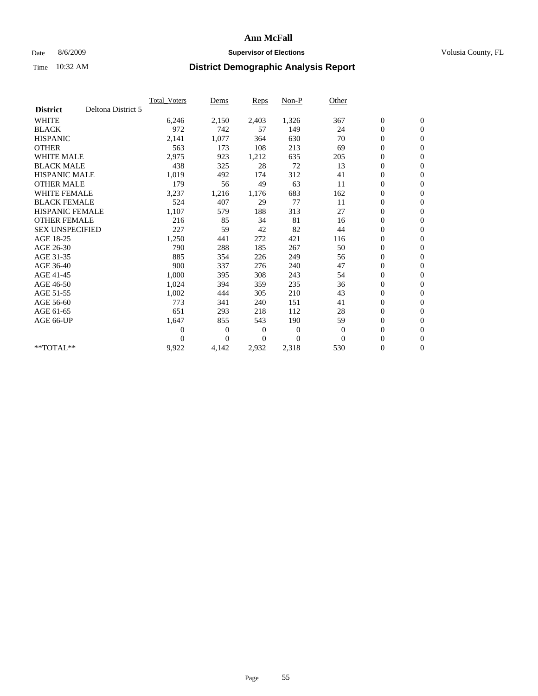### Date 8/6/2009 **Supervisor of Elections Supervisor of Elections** Volusia County, FL

|                        |                    | <b>Total Voters</b> | Dems           | <b>Reps</b>    | Non-P        | Other        |                  |                  |  |
|------------------------|--------------------|---------------------|----------------|----------------|--------------|--------------|------------------|------------------|--|
| <b>District</b>        | Deltona District 5 |                     |                |                |              |              |                  |                  |  |
| <b>WHITE</b>           |                    | 6,246               | 2,150          | 2,403          | 1,326        | 367          | $\boldsymbol{0}$ | $\mathbf{0}$     |  |
| <b>BLACK</b>           |                    | 972                 | 742            | 57             | 149          | 24           | $\boldsymbol{0}$ | $\mathbf{0}$     |  |
| <b>HISPANIC</b>        |                    | 2,141               | 1,077          | 364            | 630          | 70           | $\overline{0}$   | $\mathbf{0}$     |  |
| <b>OTHER</b>           |                    | 563                 | 173            | 108            | 213          | 69           | $\boldsymbol{0}$ | $\mathbf{0}$     |  |
| <b>WHITE MALE</b>      |                    | 2,975               | 923            | 1,212          | 635          | 205          | $\boldsymbol{0}$ | $\mathbf{0}$     |  |
| <b>BLACK MALE</b>      |                    | 438                 | 325            | 28             | 72           | 13           | $\boldsymbol{0}$ | $\mathbf{0}$     |  |
| <b>HISPANIC MALE</b>   |                    | 1,019               | 492            | 174            | 312          | 41           | $\boldsymbol{0}$ | $\mathbf{0}$     |  |
| <b>OTHER MALE</b>      |                    | 179                 | 56             | 49             | 63           | 11           | $\boldsymbol{0}$ | $\mathbf{0}$     |  |
| <b>WHITE FEMALE</b>    |                    | 3,237               | 1,216          | 1,176          | 683          | 162          | $\mathbf{0}$     | $\mathbf{0}$     |  |
| <b>BLACK FEMALE</b>    |                    | 524                 | 407            | 29             | 77           | 11           | $\boldsymbol{0}$ | $\mathbf{0}$     |  |
| <b>HISPANIC FEMALE</b> |                    | 1,107               | 579            | 188            | 313          | 27           | $\boldsymbol{0}$ | $\boldsymbol{0}$ |  |
| <b>OTHER FEMALE</b>    |                    | 216                 | 85             | 34             | 81           | 16           | $\boldsymbol{0}$ | $\mathbf{0}$     |  |
| <b>SEX UNSPECIFIED</b> |                    | 227                 | 59             | 42             | 82           | 44           | $\mathbf{0}$     | $\mathbf{0}$     |  |
| AGE 18-25              |                    | 1,250               | 441            | 272            | 421          | 116          | $\boldsymbol{0}$ | $\mathbf{0}$     |  |
| AGE 26-30              |                    | 790                 | 288            | 185            | 267          | 50           | $\overline{0}$   | $\mathbf{0}$     |  |
| AGE 31-35              |                    | 885                 | 354            | 226            | 249          | 56           | $\boldsymbol{0}$ | $\mathbf{0}$     |  |
| AGE 36-40              |                    | 900                 | 337            | 276            | 240          | 47           | $\boldsymbol{0}$ | $\boldsymbol{0}$ |  |
| AGE 41-45              |                    | 1,000               | 395            | 308            | 243          | 54           | $\overline{0}$   | $\mathbf{0}$     |  |
| AGE 46-50              |                    | 1,024               | 394            | 359            | 235          | 36           | $\mathbf{0}$     | $\mathbf{0}$     |  |
| AGE 51-55              |                    | 1,002               | 444            | 305            | 210          | 43           | $\boldsymbol{0}$ | $\mathbf{0}$     |  |
| AGE 56-60              |                    | 773                 | 341            | 240            | 151          | 41           | $\boldsymbol{0}$ | $\mathbf{0}$     |  |
| AGE 61-65              |                    | 651                 | 293            | 218            | 112          | 28           | $\boldsymbol{0}$ | $\mathbf{0}$     |  |
| AGE 66-UP              |                    | 1,647               | 855            | 543            | 190          | 59           | $\boldsymbol{0}$ | $\mathbf{0}$     |  |
|                        |                    | $\theta$            | $\overline{0}$ | $\overline{0}$ | $\mathbf{0}$ | $\mathbf{0}$ | $\boldsymbol{0}$ | $\mathbf{0}$     |  |
|                        |                    | $\theta$            | $\overline{0}$ | 0              | $\theta$     | $\Omega$     | $\overline{0}$   | $\mathbf{0}$     |  |
| **TOTAL**              |                    | 9,922               | 4,142          | 2,932          | 2,318        | 530          | 0                | $\mathbf{0}$     |  |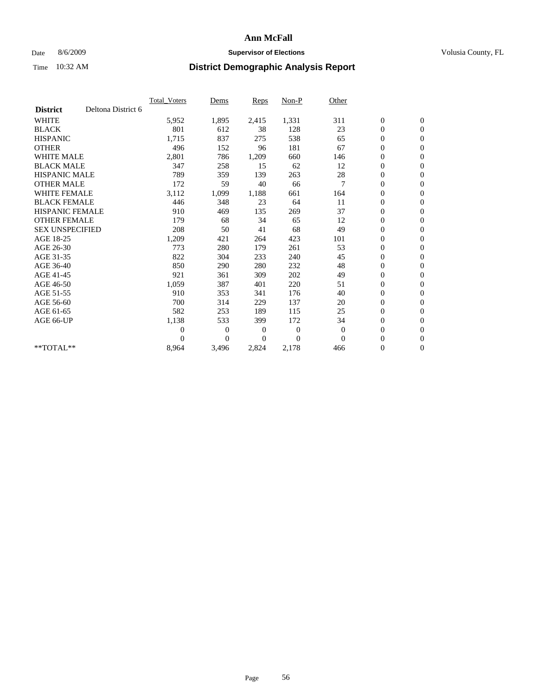### Date 8/6/2009 **Supervisor of Elections Supervisor of Elections** Volusia County, FL

|                        |                    | Total Voters   | Dems           | <b>Reps</b>    | Non-P        | Other        |                  |                  |  |
|------------------------|--------------------|----------------|----------------|----------------|--------------|--------------|------------------|------------------|--|
| <b>District</b>        | Deltona District 6 |                |                |                |              |              |                  |                  |  |
| <b>WHITE</b>           |                    | 5,952          | 1,895          | 2,415          | 1,331        | 311          | $\boldsymbol{0}$ | $\boldsymbol{0}$ |  |
| <b>BLACK</b>           |                    | 801            | 612            | 38             | 128          | 23           | $\boldsymbol{0}$ | $\mathbf{0}$     |  |
| <b>HISPANIC</b>        |                    | 1,715          | 837            | 275            | 538          | 65           | $\boldsymbol{0}$ | $\mathbf{0}$     |  |
| <b>OTHER</b>           |                    | 496            | 152            | 96             | 181          | 67           | $\boldsymbol{0}$ | $\mathbf{0}$     |  |
| <b>WHITE MALE</b>      |                    | 2,801          | 786            | 1,209          | 660          | 146          | $\boldsymbol{0}$ | $\mathbf{0}$     |  |
| <b>BLACK MALE</b>      |                    | 347            | 258            | 15             | 62           | 12           | $\overline{0}$   | $\mathbf{0}$     |  |
| <b>HISPANIC MALE</b>   |                    | 789            | 359            | 139            | 263          | 28           | $\boldsymbol{0}$ | $\mathbf{0}$     |  |
| <b>OTHER MALE</b>      |                    | 172            | 59             | 40             | 66           | 7            | $\overline{0}$   | $\mathbf{0}$     |  |
| <b>WHITE FEMALE</b>    |                    | 3,112          | 1,099          | 1,188          | 661          | 164          | $\boldsymbol{0}$ | $\mathbf{0}$     |  |
| <b>BLACK FEMALE</b>    |                    | 446            | 348            | 23             | 64           | 11           | $\boldsymbol{0}$ | $\mathbf{0}$     |  |
| <b>HISPANIC FEMALE</b> |                    | 910            | 469            | 135            | 269          | 37           | $\boldsymbol{0}$ | $\mathbf{0}$     |  |
| <b>OTHER FEMALE</b>    |                    | 179            | 68             | 34             | 65           | 12           | $\mathbf{0}$     | $\mathbf{0}$     |  |
| <b>SEX UNSPECIFIED</b> |                    | 208            | 50             | 41             | 68           | 49           | $\boldsymbol{0}$ | $\mathbf{0}$     |  |
| AGE 18-25              |                    | 1,209          | 421            | 264            | 423          | 101          | $\boldsymbol{0}$ | $\mathbf{0}$     |  |
| AGE 26-30              |                    | 773            | 280            | 179            | 261          | 53           | $\boldsymbol{0}$ | $\mathbf{0}$     |  |
| AGE 31-35              |                    | 822            | 304            | 233            | 240          | 45           | $\boldsymbol{0}$ | $\mathbf{0}$     |  |
| AGE 36-40              |                    | 850            | 290            | 280            | 232          | 48           | $\boldsymbol{0}$ | $\mathbf{0}$     |  |
| AGE 41-45              |                    | 921            | 361            | 309            | 202          | 49           | $\boldsymbol{0}$ | $\mathbf{0}$     |  |
| AGE 46-50              |                    | 1,059          | 387            | 401            | 220          | 51           | $\boldsymbol{0}$ | $\mathbf{0}$     |  |
| AGE 51-55              |                    | 910            | 353            | 341            | 176          | 40           | $\boldsymbol{0}$ | $\mathbf{0}$     |  |
| AGE 56-60              |                    | 700            | 314            | 229            | 137          | 20           | $\boldsymbol{0}$ | $\mathbf{0}$     |  |
| AGE 61-65              |                    | 582            | 253            | 189            | 115          | 25           | $\overline{0}$   | $\mathbf{0}$     |  |
| AGE 66-UP              |                    | 1,138          | 533            | 399            | 172          | 34           | $\boldsymbol{0}$ | $\mathbf{0}$     |  |
|                        |                    | $\overline{0}$ | $\overline{0}$ | $\mathbf{0}$   | $\mathbf{0}$ | $\mathbf{0}$ | $\mathbf{0}$     | $\mathbf{0}$     |  |
|                        |                    | $\Omega$       | $\overline{0}$ | $\overline{0}$ | $\theta$     | $\mathbf{0}$ | $\boldsymbol{0}$ | $\mathbf{0}$     |  |
| **TOTAL**              |                    | 8,964          | 3,496          | 2,824          | 2,178        | 466          | 0                | $\boldsymbol{0}$ |  |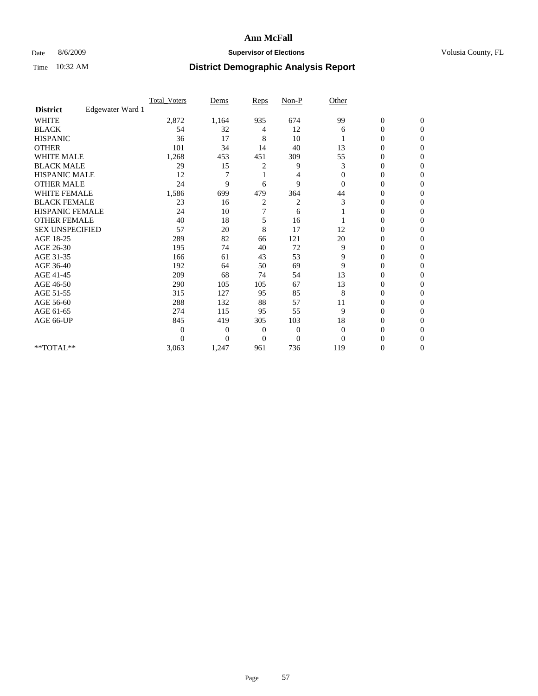### Date 8/6/2009 **Supervisor of Elections Supervisor of Elections** Volusia County, FL

|                        |                  | Total Voters   | Dems           | Reps     | $Non-P$      | Other          |                  |                  |  |
|------------------------|------------------|----------------|----------------|----------|--------------|----------------|------------------|------------------|--|
| <b>District</b>        | Edgewater Ward 1 |                |                |          |              |                |                  |                  |  |
| <b>WHITE</b>           |                  | 2,872          | 1,164          | 935      | 674          | 99             | $\boldsymbol{0}$ | $\boldsymbol{0}$ |  |
| <b>BLACK</b>           |                  | 54             | 32             | 4        | 12           | 6              | $\overline{0}$   | $\Omega$         |  |
| <b>HISPANIC</b>        |                  | 36             | 17             | 8        | 10           |                | 0                | $\Omega$         |  |
| <b>OTHER</b>           |                  | 101            | 34             | 14       | 40           | 13             | 0                | $\Omega$         |  |
| <b>WHITE MALE</b>      |                  | 1,268          | 453            | 451      | 309          | 55             | $\overline{0}$   | $\mathbf{0}$     |  |
| <b>BLACK MALE</b>      |                  | 29             | 15             | 2        | 9            | 3              | $\overline{0}$   | $\Omega$         |  |
| <b>HISPANIC MALE</b>   |                  | 12             |                |          | 4            | $\overline{0}$ | 0                | $\Omega$         |  |
| <b>OTHER MALE</b>      |                  | 24             | 9              | 6        | 9            | 0              | 0                | 0                |  |
| WHITE FEMALE           |                  | 1,586          | 699            | 479      | 364          | 44             | 0                | $\Omega$         |  |
| <b>BLACK FEMALE</b>    |                  | 23             | 16             | 2        | 2            | 3              | 0                | $\Omega$         |  |
| HISPANIC FEMALE        |                  | 24             | 10             | 7        | 6            |                | 0                | $\Omega$         |  |
| <b>OTHER FEMALE</b>    |                  | 40             | 18             | 5        | 16           |                | 0                | $\Omega$         |  |
| <b>SEX UNSPECIFIED</b> |                  | 57             | 20             | 8        | 17           | 12             | 0                | $\Omega$         |  |
| AGE 18-25              |                  | 289            | 82             | 66       | 121          | 20             | 0                | $\Omega$         |  |
| AGE 26-30              |                  | 195            | 74             | 40       | 72           | 9              | 0                | $\Omega$         |  |
| AGE 31-35              |                  | 166            | 61             | 43       | 53           | 9              | 0                | $\Omega$         |  |
| AGE 36-40              |                  | 192            | 64             | 50       | 69           | 9              | 0                | 0                |  |
| AGE 41-45              |                  | 209            | 68             | 74       | 54           | 13             | 0                | $\Omega$         |  |
| AGE 46-50              |                  | 290            | 105            | 105      | 67           | 13             | 0                | $\Omega$         |  |
| AGE 51-55              |                  | 315            | 127            | 95       | 85           | 8              | 0                | $\mathbf{0}$     |  |
| AGE 56-60              |                  | 288            | 132            | 88       | 57           | 11             | 0                | 0                |  |
| AGE 61-65              |                  | 274            | 115            | 95       | 55           | 9              | 0                | $\Omega$         |  |
| AGE 66-UP              |                  | 845            | 419            | 305      | 103          | 18             | 0                | 0                |  |
|                        |                  | $\overline{0}$ | $\overline{0}$ | 0        | $\mathbf{0}$ | $\overline{0}$ | 0                | $\Omega$         |  |
|                        |                  | $\theta$       | $\overline{0}$ | $\Omega$ | $\theta$     | $\Omega$       | 0                | $\Omega$         |  |
| **TOTAL**              |                  | 3,063          | 1,247          | 961      | 736          | 119            | 0                | $\mathbf{0}$     |  |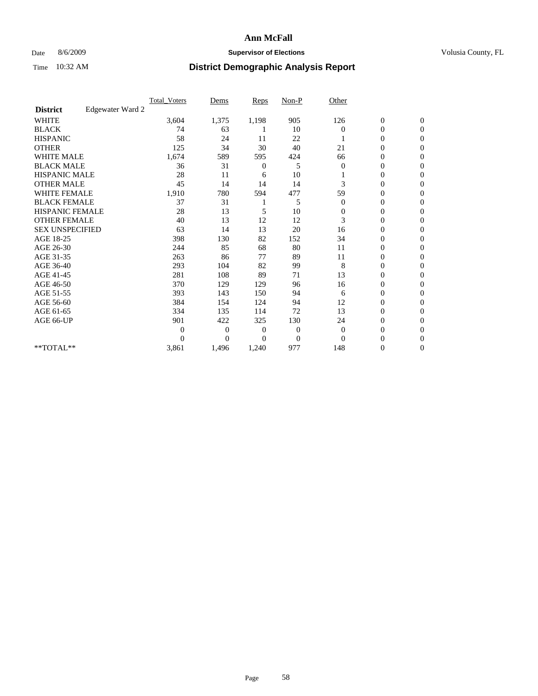### Date 8/6/2009 **Supervisor of Elections Supervisor of Elections** Volusia County, FL

|                        |                  | <b>Total_Voters</b> | Dems           | <b>Reps</b> | $Non-P$      | Other        |                  |                  |  |
|------------------------|------------------|---------------------|----------------|-------------|--------------|--------------|------------------|------------------|--|
| <b>District</b>        | Edgewater Ward 2 |                     |                |             |              |              |                  |                  |  |
| <b>WHITE</b>           |                  | 3,604               | 1,375          | 1,198       | 905          | 126          | $\boldsymbol{0}$ | $\boldsymbol{0}$ |  |
| <b>BLACK</b>           |                  | 74                  | 63             |             | 10           | $\Omega$     | $\boldsymbol{0}$ | $\mathbf{0}$     |  |
| <b>HISPANIC</b>        |                  | 58                  | 24             | 11          | 22           |              | $\overline{0}$   | $\Omega$         |  |
| <b>OTHER</b>           |                  | 125                 | 34             | 30          | 40           | 21           | 0                | $\Omega$         |  |
| <b>WHITE MALE</b>      |                  | 1,674               | 589            | 595         | 424          | 66           | $\overline{0}$   | $\mathbf{0}$     |  |
| <b>BLACK MALE</b>      |                  | 36                  | 31             | 0           | 5            | $\mathbf{0}$ | $\overline{0}$   | $\mathbf{0}$     |  |
| <b>HISPANIC MALE</b>   |                  | 28                  | 11             | 6           | 10           |              | 0                | $\Omega$         |  |
| <b>OTHER MALE</b>      |                  | 45                  | 14             | 14          | 14           | 3            | 0                | $\Omega$         |  |
| WHITE FEMALE           |                  | 1,910               | 780            | 594         | 477          | 59           | $\overline{0}$   | $\mathbf{0}$     |  |
| <b>BLACK FEMALE</b>    |                  | 37                  | 31             |             | 5            | $\mathbf{0}$ | $\boldsymbol{0}$ | $\Omega$         |  |
| <b>HISPANIC FEMALE</b> |                  | 28                  | 13             | 5           | 10           | $\mathbf{0}$ | 0                | $\mathbf{0}$     |  |
| <b>OTHER FEMALE</b>    |                  | 40                  | 13             | 12          | 12           | 3            | $\overline{0}$   | $\Omega$         |  |
| <b>SEX UNSPECIFIED</b> |                  | 63                  | 14             | 13          | 20           | 16           | $\overline{0}$   | $\mathbf{0}$     |  |
| AGE 18-25              |                  | 398                 | 130            | 82          | 152          | 34           | 0                | $\mathbf{0}$     |  |
| AGE 26-30              |                  | 244                 | 85             | 68          | 80           | 11           | $\overline{0}$   | $\Omega$         |  |
| AGE 31-35              |                  | 263                 | 86             | 77          | 89           | 11           | $\boldsymbol{0}$ | $\mathbf{0}$     |  |
| AGE 36-40              |                  | 293                 | 104            | 82          | 99           | 8            | 0                | $\Omega$         |  |
| AGE 41-45              |                  | 281                 | 108            | 89          | 71           | 13           | 0                | $\Omega$         |  |
| AGE 46-50              |                  | 370                 | 129            | 129         | 96           | 16           | $\boldsymbol{0}$ | $\Omega$         |  |
| AGE 51-55              |                  | 393                 | 143            | 150         | 94           | 6            | $\boldsymbol{0}$ | $\mathbf{0}$     |  |
| AGE 56-60              |                  | 384                 | 154            | 124         | 94           | 12           | $\overline{0}$   | $\Omega$         |  |
| AGE 61-65              |                  | 334                 | 135            | 114         | 72           | 13           | $\overline{0}$   | $\mathbf{0}$     |  |
| AGE 66-UP              |                  | 901                 | 422            | 325         | 130          | 24           | $\boldsymbol{0}$ | $\mathbf{0}$     |  |
|                        |                  | $\overline{0}$      | $\overline{0}$ | 0           | $\mathbf{0}$ | $\theta$     | $\overline{0}$   | $\Omega$         |  |
|                        |                  | $\theta$            | $\theta$       | $\Omega$    | $\mathbf{0}$ | $\Omega$     | $\overline{0}$   | $\Omega$         |  |
| **TOTAL**              |                  | 3,861               | 1,496          | 1,240       | 977          | 148          | 0                | $\mathbf{0}$     |  |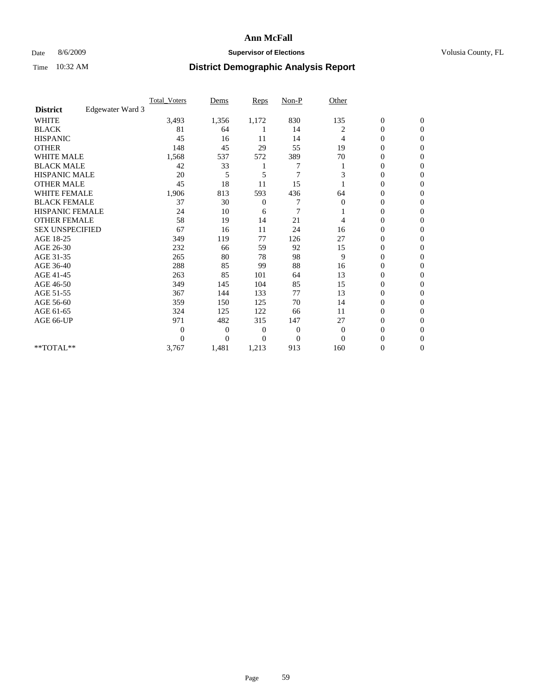### Date 8/6/2009 **Supervisor of Elections Supervisor of Elections** Volusia County, FL

|                        |                  | <b>Total_Voters</b> | Dems           | <b>Reps</b>  | $Non-P$        | Other        |                  |                  |  |
|------------------------|------------------|---------------------|----------------|--------------|----------------|--------------|------------------|------------------|--|
| <b>District</b>        | Edgewater Ward 3 |                     |                |              |                |              |                  |                  |  |
| <b>WHITE</b>           |                  | 3,493               | 1,356          | 1,172        | 830            | 135          | $\boldsymbol{0}$ | $\boldsymbol{0}$ |  |
| <b>BLACK</b>           |                  | 81                  | 64             |              | 14             | 2            | $\boldsymbol{0}$ | $\mathbf{0}$     |  |
| <b>HISPANIC</b>        |                  | 45                  | 16             | 11           | 14             | 4            | $\overline{0}$   | $\Omega$         |  |
| <b>OTHER</b>           |                  | 148                 | 45             | 29           | 55             | 19           | 0                | $\Omega$         |  |
| <b>WHITE MALE</b>      |                  | 1,568               | 537            | 572          | 389            | 70           | $\mathbf{0}$     | $\mathbf{0}$     |  |
| <b>BLACK MALE</b>      |                  | 42                  | 33             |              |                |              | $\mathbf{0}$     | $\Omega$         |  |
| <b>HISPANIC MALE</b>   |                  | 20                  | 5              | 5            | $\overline{7}$ | 3            | 0                | $\Omega$         |  |
| <b>OTHER MALE</b>      |                  | 45                  | 18             | 11           | 15             |              | 0                | $\Omega$         |  |
| WHITE FEMALE           |                  | 1,906               | 813            | 593          | 436            | 64           | 0                | $\mathbf{0}$     |  |
| <b>BLACK FEMALE</b>    |                  | 37                  | 30             | $\mathbf{0}$ | 7              | $\mathbf{0}$ | $\boldsymbol{0}$ | $\Omega$         |  |
| <b>HISPANIC FEMALE</b> |                  | 24                  | 10             | 6            | 7              |              | 0                | $\mathbf{0}$     |  |
| <b>OTHER FEMALE</b>    |                  | 58                  | 19             | 14           | 21             | 4            | 0                | $\Omega$         |  |
| <b>SEX UNSPECIFIED</b> |                  | 67                  | 16             | 11           | 24             | 16           | $\overline{0}$   | $\mathbf{0}$     |  |
| AGE 18-25              |                  | 349                 | 119            | 77           | 126            | 27           | 0                | $\mathbf{0}$     |  |
| AGE 26-30              |                  | 232                 | 66             | 59           | 92             | 15           | $\overline{0}$   | $\Omega$         |  |
| AGE 31-35              |                  | 265                 | 80             | 78           | 98             | 9            | $\boldsymbol{0}$ | $\Omega$         |  |
| AGE 36-40              |                  | 288                 | 85             | 99           | 88             | 16           | 0                | $\Omega$         |  |
| AGE 41-45              |                  | 263                 | 85             | 101          | 64             | 13           | 0                | $\Omega$         |  |
| AGE 46-50              |                  | 349                 | 145            | 104          | 85             | 15           | $\boldsymbol{0}$ | $\Omega$         |  |
| AGE 51-55              |                  | 367                 | 144            | 133          | 77             | 13           | 0                | $\mathbf{0}$     |  |
| AGE 56-60              |                  | 359                 | 150            | 125          | 70             | 14           | 0                | $\Omega$         |  |
| AGE 61-65              |                  | 324                 | 125            | 122          | 66             | 11           | $\overline{0}$   | $\mathbf{0}$     |  |
| AGE 66-UP              |                  | 971                 | 482            | 315          | 147            | 27           | 0                | $\Omega$         |  |
|                        |                  | $\overline{0}$      | $\overline{0}$ | 0            | $\mathbf{0}$   | $\mathbf{0}$ | 0                | $\Omega$         |  |
|                        |                  | $\Omega$            | $\overline{0}$ | $\Omega$     | $\Omega$       | $\Omega$     | 0                | $\Omega$         |  |
| **TOTAL**              |                  | 3,767               | 1,481          | 1,213        | 913            | 160          | 0                | $\mathbf{0}$     |  |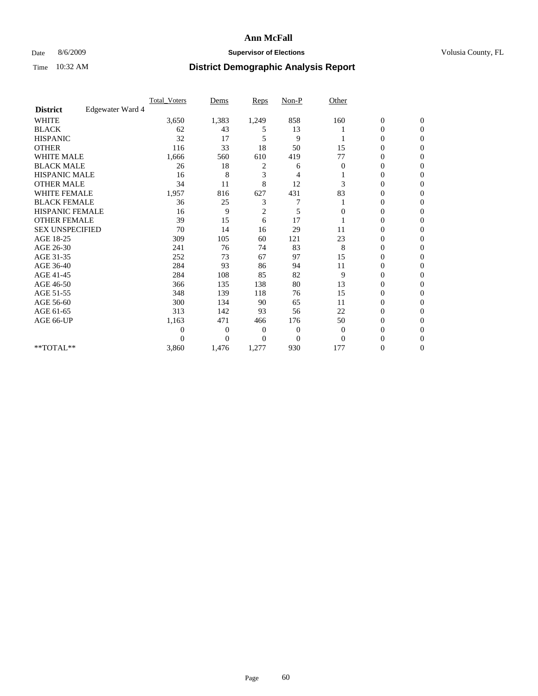### Date 8/6/2009 **Supervisor of Elections Supervisor of Elections** Volusia County, FL

|                        |                  | Total Voters   | Dems           | <b>Reps</b>    | $Non-P$      | Other        |                  |                  |  |
|------------------------|------------------|----------------|----------------|----------------|--------------|--------------|------------------|------------------|--|
| <b>District</b>        | Edgewater Ward 4 |                |                |                |              |              |                  |                  |  |
| <b>WHITE</b>           |                  | 3,650          | 1,383          | 1,249          | 858          | 160          | $\boldsymbol{0}$ | $\boldsymbol{0}$ |  |
| <b>BLACK</b>           |                  | 62             | 43             | 5              | 13           |              | $\overline{0}$   | $\Omega$         |  |
| <b>HISPANIC</b>        |                  | 32             | 17             | 5              | 9            |              | 0                | $\Omega$         |  |
| <b>OTHER</b>           |                  | 116            | 33             | 18             | 50           | 15           | 0                | $\Omega$         |  |
| <b>WHITE MALE</b>      |                  | 1,666          | 560            | 610            | 419          | 77           | $\mathbf{0}$     | $\mathbf{0}$     |  |
| <b>BLACK MALE</b>      |                  | 26             | 18             | 2              | 6            | 0            | $\overline{0}$   | $\Omega$         |  |
| <b>HISPANIC MALE</b>   |                  | 16             | 8              | 3              | 4            |              | 0                | $\Omega$         |  |
| <b>OTHER MALE</b>      |                  | 34             | 11             | 8              | 12           | 3            | 0                | 0                |  |
| WHITE FEMALE           |                  | 1,957          | 816            | 627            | 431          | 83           | 0                | $\Omega$         |  |
| <b>BLACK FEMALE</b>    |                  | 36             | 25             | 3              | 7            |              | 0                | $\Omega$         |  |
| <b>HISPANIC FEMALE</b> |                  | 16             | 9              | $\overline{2}$ | 5            | $\theta$     | 0                | $\Omega$         |  |
| <b>OTHER FEMALE</b>    |                  | 39             | 15             | 6              | 17           |              | 0                | $\Omega$         |  |
| <b>SEX UNSPECIFIED</b> |                  | 70             | 14             | 16             | 29           | 11           | 0                | $\mathbf{0}$     |  |
| AGE 18-25              |                  | 309            | 105            | 60             | 121          | 23           | 0                | 0                |  |
| AGE 26-30              |                  | 241            | 76             | 74             | 83           | 8            | 0                | $\Omega$         |  |
| AGE 31-35              |                  | 252            | 73             | 67             | 97           | 15           | $\overline{0}$   | $\Omega$         |  |
| AGE 36-40              |                  | 284            | 93             | 86             | 94           | 11           | 0                | 0                |  |
| AGE 41-45              |                  | 284            | 108            | 85             | 82           | 9            | 0                | $\Omega$         |  |
| AGE 46-50              |                  | 366            | 135            | 138            | 80           | 13           | 0                | $\Omega$         |  |
| AGE 51-55              |                  | 348            | 139            | 118            | 76           | 15           | 0                | $\mathbf{0}$     |  |
| AGE 56-60              |                  | 300            | 134            | 90             | 65           | 11           | 0                | 0                |  |
| AGE 61-65              |                  | 313            | 142            | 93             | 56           | 22           | 0                | $\Omega$         |  |
| AGE 66-UP              |                  | 1,163          | 471            | 466            | 176          | 50           | 0                | 0                |  |
|                        |                  | $\overline{0}$ | $\overline{0}$ | 0              | $\mathbf{0}$ | $\mathbf{0}$ | 0                | $\Omega$         |  |
|                        |                  | $\theta$       | $\overline{0}$ | $\Omega$       | $\Omega$     | $\Omega$     | 0                | $\Omega$         |  |
| **TOTAL**              |                  | 3,860          | 1,476          | 1,277          | 930          | 177          | 0                | $\mathbf{0}$     |  |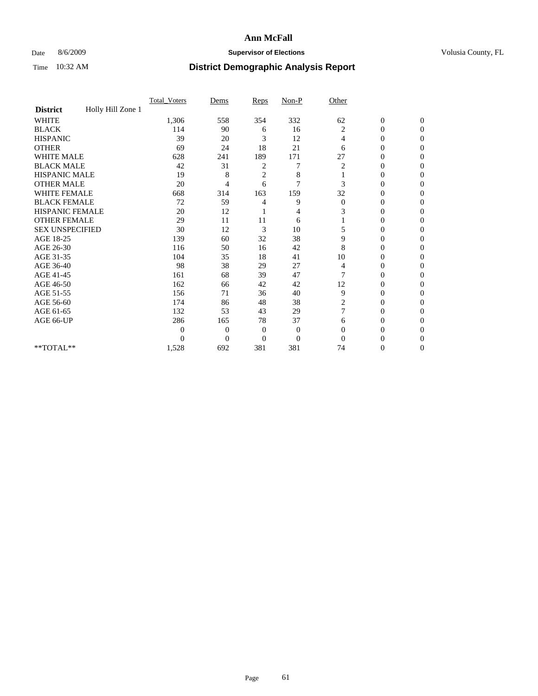### Date 8/6/2009 **Supervisor of Elections Supervisor of Elections** Volusia County, FL

|                        |                   | Total Voters   | Dems           | Reps           | $Non-P$          | Other        |                  |                |  |
|------------------------|-------------------|----------------|----------------|----------------|------------------|--------------|------------------|----------------|--|
| <b>District</b>        | Holly Hill Zone 1 |                |                |                |                  |              |                  |                |  |
| <b>WHITE</b>           |                   | 1,306          | 558            | 354            | 332              | 62           | $\boldsymbol{0}$ | $\mathbf{0}$   |  |
| <b>BLACK</b>           |                   | 114            | 90             | 6              | 16               | 2            | $\overline{0}$   | $\mathbf{0}$   |  |
| <b>HISPANIC</b>        |                   | 39             | 20             | 3              | 12               | 4            | $\mathbf{0}$     | $\Omega$       |  |
| <b>OTHER</b>           |                   | 69             | 24             | 18             | 21               | 6            | 0                | $\Omega$       |  |
| <b>WHITE MALE</b>      |                   | 628            | 241            | 189            | 171              | 27           | 0                | $\Omega$       |  |
| <b>BLACK MALE</b>      |                   | 42             | 31             | 2              | 7                | 2            | $\mathbf{0}$     | $\Omega$       |  |
| HISPANIC MALE          |                   | 19             | 8              | $\overline{c}$ | 8                |              | $\boldsymbol{0}$ | $\Omega$       |  |
| <b>OTHER MALE</b>      |                   | 20             | 4              | 6              | 7                | 3            | 0                | 0              |  |
| <b>WHITE FEMALE</b>    |                   | 668            | 314            | 163            | 159              | 32           | 0                | $\Omega$       |  |
| <b>BLACK FEMALE</b>    |                   | 72             | 59             | 4              | 9                | $\mathbf{0}$ | $\overline{0}$   | $\overline{0}$ |  |
| <b>HISPANIC FEMALE</b> |                   | 20             | 12             |                | 4                | 3            | 0                | $\Omega$       |  |
| <b>OTHER FEMALE</b>    |                   | 29             | 11             | 11             | 6                |              | 0                | 0              |  |
| <b>SEX UNSPECIFIED</b> |                   | 30             | 12             | 3              | 10               | 5            | 0                | $\Omega$       |  |
| AGE 18-25              |                   | 139            | 60             | 32             | 38               | 9            | 0                | $\mathbf{0}$   |  |
| AGE 26-30              |                   | 116            | 50             | 16             | 42               | 8            | 0                | $\Omega$       |  |
| AGE 31-35              |                   | 104            | 35             | 18             | 41               | 10           | 0                | $\Omega$       |  |
| AGE 36-40              |                   | 98             | 38             | 29             | 27               | 4            | 0                | 0              |  |
| AGE 41-45              |                   | 161            | 68             | 39             | 47               | 7            | $\overline{0}$   | $\Omega$       |  |
| AGE 46-50              |                   | 162            | 66             | 42             | 42               | 12           | $\overline{0}$   | $\Omega$       |  |
| AGE 51-55              |                   | 156            | 71             | 36             | 40               | 9            | 0                | 0              |  |
| AGE 56-60              |                   | 174            | 86             | 48             | 38               | 2            | 0                | $\Omega$       |  |
| AGE 61-65              |                   | 132            | 53             | 43             | 29               | 7            | 0                | $\Omega$       |  |
| AGE 66-UP              |                   | 286            | 165            | 78             | 37               | 6            | 0                | 0              |  |
|                        |                   | $\overline{0}$ | $\overline{0}$ | $\mathbf{0}$   | $\boldsymbol{0}$ | $\Omega$     | 0                | $\Omega$       |  |
|                        |                   | $\theta$       | $\overline{0}$ | $\overline{0}$ | $\overline{0}$   | $\Omega$     | 0                | $\Omega$       |  |
| **TOTAL**              |                   | 1,528          | 692            | 381            | 381              | 74           | 0                | $\overline{0}$ |  |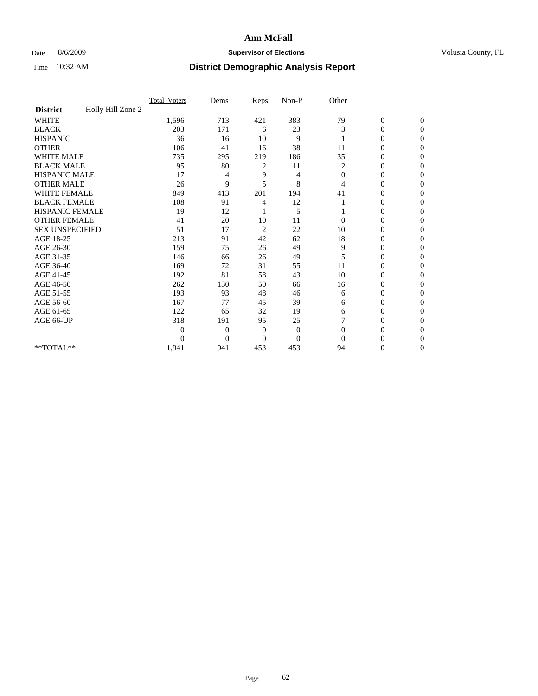### Date 8/6/2009 **Supervisor of Elections Supervisor of Elections** Volusia County, FL

|                        |                   | <b>Total Voters</b> | Dems           | Reps           | Non-P          | Other        |                  |                  |
|------------------------|-------------------|---------------------|----------------|----------------|----------------|--------------|------------------|------------------|
| <b>District</b>        | Holly Hill Zone 2 |                     |                |                |                |              |                  |                  |
| <b>WHITE</b>           |                   | 1,596               | 713            | 421            | 383            | 79           | $\boldsymbol{0}$ | $\boldsymbol{0}$ |
| <b>BLACK</b>           |                   | 203                 | 171            | 6              | 23             | 3            | 0                | $\Omega$         |
| <b>HISPANIC</b>        |                   | 36                  | 16             | 10             | 9              |              | $\mathbf{0}$     | $\Omega$         |
| <b>OTHER</b>           |                   | 106                 | 41             | 16             | 38             | 11           | 0                | $\Omega$         |
| <b>WHITE MALE</b>      |                   | 735                 | 295            | 219            | 186            | 35           | $\overline{0}$   | $\Omega$         |
| <b>BLACK MALE</b>      |                   | 95                  | 80             | 2              | 11             | 2            | $\overline{0}$   | $\mathbf{0}$     |
| <b>HISPANIC MALE</b>   |                   | 17                  | 4              | 9              | 4              | $\mathbf{0}$ | $\overline{0}$   | 0                |
| <b>OTHER MALE</b>      |                   | 26                  | 9              | 5              | 8              | 4            | $\theta$         | $\Omega$         |
| <b>WHITE FEMALE</b>    |                   | 849                 | 413            | 201            | 194            | 41           | $\overline{0}$   | $\mathbf{0}$     |
| <b>BLACK FEMALE</b>    |                   | 108                 | 91             | 4              | 12             |              | $\boldsymbol{0}$ | $\mathbf{0}$     |
| <b>HISPANIC FEMALE</b> |                   | 19                  | 12             |                | 5              |              | $\mathbf{0}$     | $\Omega$         |
| <b>OTHER FEMALE</b>    |                   | 41                  | 20             | 10             | 11             | $\Omega$     | $\overline{0}$   | $\Omega$         |
| <b>SEX UNSPECIFIED</b> |                   | 51                  | 17             | $\overline{c}$ | 22             | 10           | 0                | $\mathbf{0}$     |
| AGE 18-25              |                   | 213                 | 91             | 42             | 62             | 18           | $\overline{0}$   | $\Omega$         |
| AGE 26-30              |                   | 159                 | 75             | 26             | 49             | 9            | 0                | $\Omega$         |
| AGE 31-35              |                   | 146                 | 66             | 26             | 49             | 5            | $\overline{0}$   | $\overline{0}$   |
| AGE 36-40              |                   | 169                 | 72             | 31             | 55             | 11           | $\overline{0}$   | $\overline{0}$   |
| AGE 41-45              |                   | 192                 | 81             | 58             | 43             | 10           | 0                | 0                |
| AGE 46-50              |                   | 262                 | 130            | 50             | 66             | 16           | $\overline{0}$   | $\mathbf{0}$     |
| AGE 51-55              |                   | 193                 | 93             | 48             | 46             | 6            | $\boldsymbol{0}$ | $\overline{0}$   |
| AGE 56-60              |                   | 167                 | 77             | 45             | 39             | 6            | 0                | $\Omega$         |
| AGE 61-65              |                   | 122                 | 65             | 32             | 19             | 6            | $\overline{0}$   | $\Omega$         |
| AGE 66-UP              |                   | 318                 | 191            | 95             | 25             | 7            | 0                | $\mathbf{0}$     |
|                        |                   | $\overline{0}$      | $\overline{0}$ | $\overline{0}$ | $\mathbf{0}$   | $\Omega$     | 0                | $\Omega$         |
|                        |                   | $\theta$            | $\overline{0}$ | $\Omega$       | $\overline{0}$ | $\Omega$     | $\theta$         | $\overline{0}$   |
| $**TOTAL**$            |                   | 1,941               | 941            | 453            | 453            | 94           | 0                | $\overline{0}$   |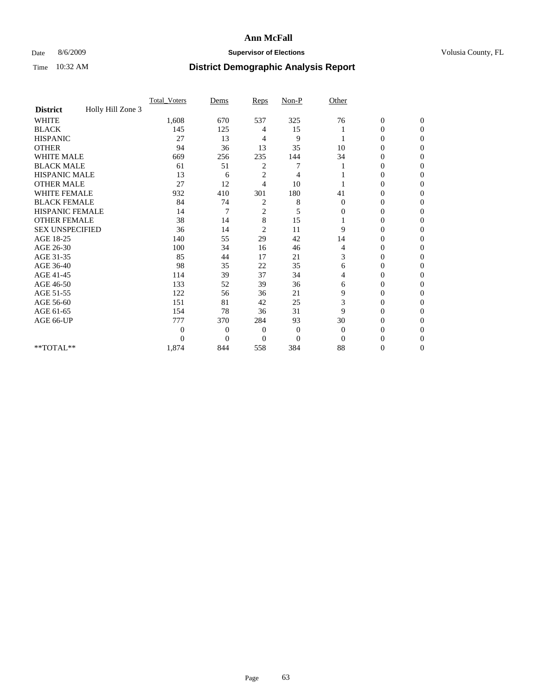### Date 8/6/2009 **Supervisor of Elections Supervisor of Elections** Volusia County, FL

|                        |                   | Total Voters | Dems           | Reps           | $Non-P$          | Other        |                  |              |  |
|------------------------|-------------------|--------------|----------------|----------------|------------------|--------------|------------------|--------------|--|
| <b>District</b>        | Holly Hill Zone 3 |              |                |                |                  |              |                  |              |  |
| <b>WHITE</b>           |                   | 1,608        | 670            | 537            | 325              | 76           | $\boldsymbol{0}$ | $\mathbf{0}$ |  |
| <b>BLACK</b>           |                   | 145          | 125            | 4              | 15               |              | $\overline{0}$   | $\Omega$     |  |
| <b>HISPANIC</b>        |                   | 27           | 13             | 4              | 9                |              | 0                | $\Omega$     |  |
| <b>OTHER</b>           |                   | 94           | 36             | 13             | 35               | 10           | 0                | $\Omega$     |  |
| <b>WHITE MALE</b>      |                   | 669          | 256            | 235            | 144              | 34           | 0                | 0            |  |
| <b>BLACK MALE</b>      |                   | 61           | 51             | 2              |                  |              | $\mathbf{0}$     | $\Omega$     |  |
| HISPANIC MALE          |                   | 13           | 6              | $\overline{c}$ | 4                |              | 0                | $\Omega$     |  |
| <b>OTHER MALE</b>      |                   | 27           | 12             | 4              | 10               |              | 0                | 0            |  |
| <b>WHITE FEMALE</b>    |                   | 932          | 410            | 301            | 180              | 41           | 0                | $\Omega$     |  |
| <b>BLACK FEMALE</b>    |                   | 84           | 74             | 2              | 8                | $\mathbf{0}$ | $\overline{0}$   | $\Omega$     |  |
| <b>HISPANIC FEMALE</b> |                   | 14           | 7              | $\overline{c}$ | 5                | 0            | 0                | 0            |  |
| <b>OTHER FEMALE</b>    |                   | 38           | 14             | 8              | 15               |              | 0                | 0            |  |
| <b>SEX UNSPECIFIED</b> |                   | 36           | 14             | $\overline{c}$ | 11               | 9            | 0                | $\Omega$     |  |
| AGE 18-25              |                   | 140          | 55             | 29             | 42               | 14           | 0                | $\mathbf{0}$ |  |
| AGE 26-30              |                   | 100          | 34             | 16             | 46               | 4            | 0                | $\Omega$     |  |
| AGE 31-35              |                   | 85           | 44             | 17             | 21               | 3            | 0                | $\Omega$     |  |
| AGE 36-40              |                   | 98           | 35             | 22             | 35               | 6            | 0                | 0            |  |
| AGE 41-45              |                   | 114          | 39             | 37             | 34               | 4            | 0                | $\Omega$     |  |
| AGE 46-50              |                   | 133          | 52             | 39             | 36               | 6            | 0                | $\Omega$     |  |
| AGE 51-55              |                   | 122          | 56             | 36             | 21               | 9            | 0                | 0            |  |
| AGE 56-60              |                   | 151          | 81             | 42             | 25               | 3            | 0                | $\Omega$     |  |
| AGE 61-65              |                   | 154          | 78             | 36             | 31               | 9            | $\overline{0}$   | $\Omega$     |  |
| AGE 66-UP              |                   | 777          | 370            | 284            | 93               | 30           | 0                | 0            |  |
|                        |                   | $\theta$     | $\overline{0}$ | $\overline{0}$ | $\boldsymbol{0}$ | $\Omega$     | 0                | $\Omega$     |  |
|                        |                   | $\theta$     | $\overline{0}$ | $\overline{0}$ | $\overline{0}$   | $\Omega$     | 0                | 0            |  |
| **TOTAL**              |                   | 1,874        | 844            | 558            | 384              | 88           | 0                | 0            |  |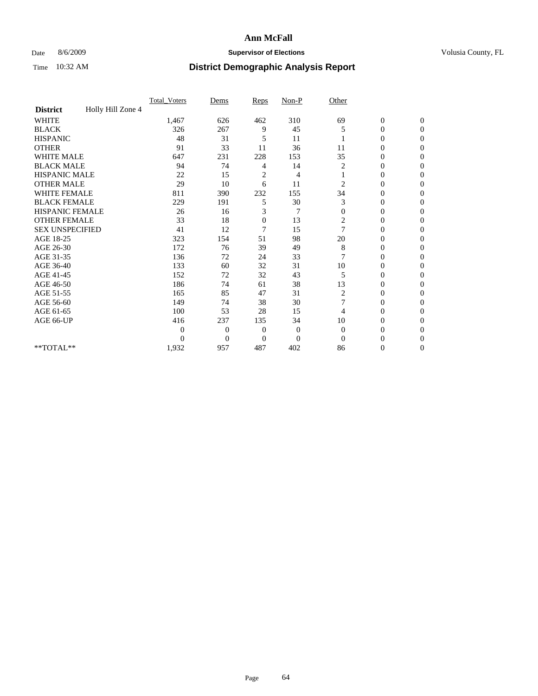### Date 8/6/2009 **Supervisor of Elections Supervisor of Elections** Volusia County, FL

|                        |                   | Total Voters | Dems           | Reps           | $Non-P$  | Other        |                  |                  |  |
|------------------------|-------------------|--------------|----------------|----------------|----------|--------------|------------------|------------------|--|
| <b>District</b>        | Holly Hill Zone 4 |              |                |                |          |              |                  |                  |  |
| <b>WHITE</b>           |                   | 1,467        | 626            | 462            | 310      | 69           | $\boldsymbol{0}$ | $\boldsymbol{0}$ |  |
| <b>BLACK</b>           |                   | 326          | 267            | 9              | 45       | 5            | $\overline{0}$   | $\Omega$         |  |
| <b>HISPANIC</b>        |                   | 48           | 31             | 5              | 11       |              | 0                | $\Omega$         |  |
| <b>OTHER</b>           |                   | 91           | 33             | 11             | 36       | 11           | 0                | $\Omega$         |  |
| <b>WHITE MALE</b>      |                   | 647          | 231            | 228            | 153      | 35           | $\overline{0}$   | $\mathbf{0}$     |  |
| <b>BLACK MALE</b>      |                   | 94           | 74             | 4              | 14       | 2            | $\overline{0}$   | $\Omega$         |  |
| <b>HISPANIC MALE</b>   |                   | 22           | 15             | $\overline{2}$ | 4        |              | 0                | $\Omega$         |  |
| <b>OTHER MALE</b>      |                   | 29           | 10             | 6              | 11       | 2            | 0                | 0                |  |
| WHITE FEMALE           |                   | 811          | 390            | 232            | 155      | 34           | 0                | $\Omega$         |  |
| <b>BLACK FEMALE</b>    |                   | 229          | 191            | 5              | 30       | 3            | $\boldsymbol{0}$ | $\Omega$         |  |
| HISPANIC FEMALE        |                   | 26           | 16             | 3              | 7        | $\Omega$     | 0                | $\overline{0}$   |  |
| <b>OTHER FEMALE</b>    |                   | 33           | 18             | $\mathbf{0}$   | 13       | 2            | 0                | $\Omega$         |  |
| <b>SEX UNSPECIFIED</b> |                   | 41           | 12             | 7              | 15       | 7            | $\overline{0}$   | $\overline{0}$   |  |
| AGE 18-25              |                   | 323          | 154            | 51             | 98       | 20           | 0                | $\Omega$         |  |
| AGE 26-30              |                   | 172          | 76             | 39             | 49       | 8            | 0                | $\Omega$         |  |
| AGE 31-35              |                   | 136          | 72             | 24             | 33       | 7            | $\overline{0}$   | $\Omega$         |  |
| AGE 36-40              |                   | 133          | 60             | 32             | 31       | 10           | 0                | 0                |  |
| AGE 41-45              |                   | 152          | 72             | 32             | 43       | 5            | 0                | $\Omega$         |  |
| AGE 46-50              |                   | 186          | 74             | 61             | 38       | 13           | 0                | $\Omega$         |  |
| AGE 51-55              |                   | 165          | 85             | 47             | 31       | 2            | 0                | $\mathbf{0}$     |  |
| AGE 56-60              |                   | 149          | 74             | 38             | 30       |              | 0                | 0                |  |
| AGE 61-65              |                   | 100          | 53             | 28             | 15       | 4            | 0                | $\Omega$         |  |
| AGE 66-UP              |                   | 416          | 237            | 135            | 34       | 10           | 0                | 0                |  |
|                        |                   | 0            | $\overline{0}$ | 0              | $\theta$ | $\mathbf{0}$ | 0                | $\Omega$         |  |
|                        |                   | $\Omega$     | $\overline{0}$ | $\Omega$       | $\Omega$ | $\Omega$     | 0                | $\Omega$         |  |
| **TOTAL**              |                   | 1,932        | 957            | 487            | 402      | 86           | 0                | $\mathbf{0}$     |  |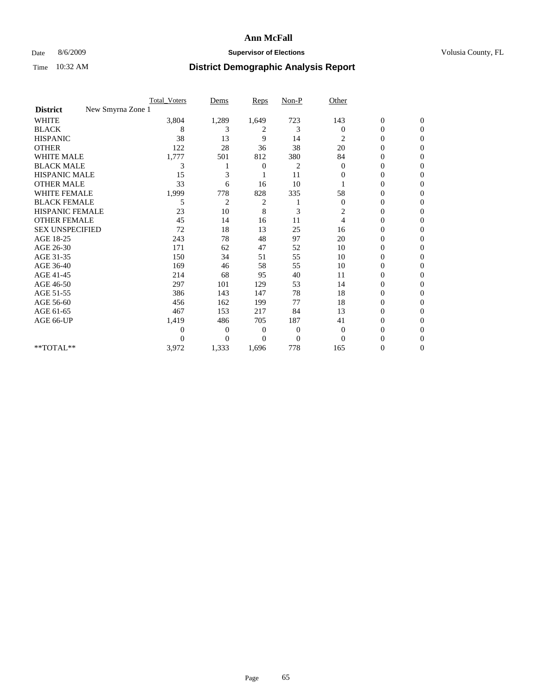### Date 8/6/2009 **Supervisor of Elections Supervisor of Elections** Volusia County, FL

|                                      | <b>Total_Voters</b> | Dems           | <b>Reps</b> | $Non-P$      | Other            |                  |                  |  |
|--------------------------------------|---------------------|----------------|-------------|--------------|------------------|------------------|------------------|--|
| New Smyrna Zone 1<br><b>District</b> |                     |                |             |              |                  |                  |                  |  |
| <b>WHITE</b>                         | 3,804               | 1,289          | 1,649       | 723          | 143              | $\boldsymbol{0}$ | $\boldsymbol{0}$ |  |
| <b>BLACK</b>                         | 8                   | 3              | 2           | 3            | $\Omega$         | $\boldsymbol{0}$ | $\Omega$         |  |
| <b>HISPANIC</b>                      | 38                  | 13             | 9           | 14           | 2                | 0                | $\Omega$         |  |
| <b>OTHER</b>                         | 122                 | 28             | 36          | 38           | 20               | 0                | $\Omega$         |  |
| <b>WHITE MALE</b>                    | 1,777               | 501            | 812         | 380          | 84               | 0                | $\mathbf{0}$     |  |
| <b>BLACK MALE</b>                    | 3                   |                | 0           | 2            | $\bf{0}$         | 0                | $\Omega$         |  |
| <b>HISPANIC MALE</b>                 | 15                  | 3              |             | 11           | 0                | 0                | 0                |  |
| <b>OTHER MALE</b>                    | 33                  | 6              | 16          | 10           |                  | 0                | 0                |  |
| WHITE FEMALE                         | 1,999               | 778            | 828         | 335          | 58               | 0                | $\Omega$         |  |
| <b>BLACK FEMALE</b>                  | 5                   | $\overline{c}$ | 2           |              | $\boldsymbol{0}$ | 0                | $\Omega$         |  |
| <b>HISPANIC FEMALE</b>               | 23                  | 10             | 8           | 3            | 2                | 0                | $\Omega$         |  |
| <b>OTHER FEMALE</b>                  | 45                  | 14             | 16          | 11           | $\overline{4}$   | 0                | $\Omega$         |  |
| <b>SEX UNSPECIFIED</b>               | 72                  | 18             | 13          | 25           | 16               | 0                | $\Omega$         |  |
| AGE 18-25                            | 243                 | 78             | 48          | 97           | 20               | 0                | 0                |  |
| AGE 26-30                            | 171                 | 62             | 47          | 52           | 10               | 0                | $\Omega$         |  |
| AGE 31-35                            | 150                 | 34             | 51          | 55           | 10               | $\boldsymbol{0}$ | $\Omega$         |  |
| AGE 36-40                            | 169                 | 46             | 58          | 55           | 10               | 0                | 0                |  |
| AGE 41-45                            | 214                 | 68             | 95          | 40           | 11               | 0                | $\Omega$         |  |
| AGE 46-50                            | 297                 | 101            | 129         | 53           | 14               | 0                | $\Omega$         |  |
| AGE 51-55                            | 386                 | 143            | 147         | 78           | 18               | 0                | $\mathbf{0}$     |  |
| AGE 56-60                            | 456                 | 162            | 199         | 77           | 18               | 0                | 0                |  |
| AGE 61-65                            | 467                 | 153            | 217         | 84           | 13               | $\overline{0}$   | $\Omega$         |  |
| AGE 66-UP                            | 1,419               | 486            | 705         | 187          | 41               | 0                | 0                |  |
|                                      | 0                   | 0              | 0           | $\mathbf{0}$ | $\overline{0}$   | 0                | $\Omega$         |  |
|                                      | $\theta$            | $\Omega$       | $\Omega$    | $\theta$     | $\Omega$         | 0                | $\Omega$         |  |
| **TOTAL**                            | 3,972               | 1,333          | 1,696       | 778          | 165              | 0                | $\mathbf{0}$     |  |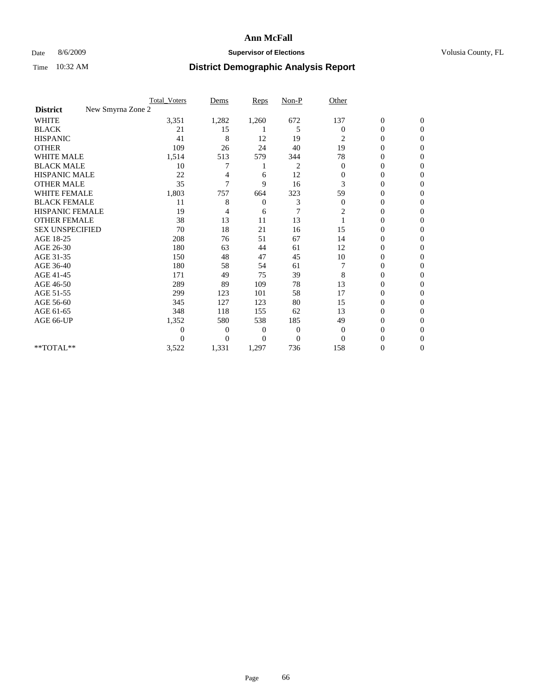### Date 8/6/2009 **Supervisor of Elections Supervisor of Elections** Volusia County, FL

|                                      | <b>Total Voters</b> | Dems           | Reps           | $Non-P$  | Other            |                  |                  |  |
|--------------------------------------|---------------------|----------------|----------------|----------|------------------|------------------|------------------|--|
| New Smyrna Zone 2<br><b>District</b> |                     |                |                |          |                  |                  |                  |  |
| WHITE                                | 3,351               | 1,282          | 1,260          | 672      | 137              | $\boldsymbol{0}$ | $\boldsymbol{0}$ |  |
| <b>BLACK</b>                         | 21                  | 15             |                | 5        | $\Omega$         | $\boldsymbol{0}$ | $\bf{0}$         |  |
| <b>HISPANIC</b>                      | 41                  | 8              | 12             | 19       | 2                | 0                | $\Omega$         |  |
| <b>OTHER</b>                         | 109                 | 26             | 24             | 40       | 19               | 0                | $\Omega$         |  |
| <b>WHITE MALE</b>                    | 1,514               | 513            | 579            | 344      | 78               | 0                | $\mathbf{0}$     |  |
| <b>BLACK MALE</b>                    | 10                  |                |                | 2        | $\overline{0}$   | 0                | $\Omega$         |  |
| <b>HISPANIC MALE</b>                 | 22                  |                | 6              | 12       | $\overline{0}$   | 0                | 0                |  |
| <b>OTHER MALE</b>                    | 35                  | $\overline{7}$ | 9              | 16       | 3                | 0                | 0                |  |
| <b>WHITE FEMALE</b>                  | 1,803               | 757            | 664            | 323      | 59               | 0                | $\mathbf{0}$     |  |
| <b>BLACK FEMALE</b>                  | 11                  | 8              | $\overline{0}$ | 3        | $\boldsymbol{0}$ | 0                | $\Omega$         |  |
| <b>HISPANIC FEMALE</b>               | 19                  | 4              | 6              | 7        | 2                | 0                | 0                |  |
| <b>OTHER FEMALE</b>                  | 38                  | 13             | 11             | 13       |                  | 0                | $\Omega$         |  |
| <b>SEX UNSPECIFIED</b>               | 70                  | 18             | 21             | 16       | 15               | 0                | $\overline{0}$   |  |
| AGE 18-25                            | 208                 | 76             | 51             | 67       | 14               | 0                | 0                |  |
| AGE 26-30                            | 180                 | 63             | 44             | 61       | 12               | 0                | $\Omega$         |  |
| AGE 31-35                            | 150                 | 48             | 47             | 45       | 10               | 0                | $\Omega$         |  |
| AGE 36-40                            | 180                 | 58             | 54             | 61       |                  | 0                | 0                |  |
| AGE 41-45                            | 171                 | 49             | 75             | 39       | 8                | 0                | $\Omega$         |  |
| AGE 46-50                            | 289                 | 89             | 109            | 78       | 13               | 0                | $\Omega$         |  |
| AGE 51-55                            | 299                 | 123            | 101            | 58       | 17               | 0                | $\overline{0}$   |  |
| AGE 56-60                            | 345                 | 127            | 123            | 80       | 15               | 0                | 0                |  |
| AGE 61-65                            | 348                 | 118            | 155            | 62       | 13               | 0                | $\Omega$         |  |
| AGE 66-UP                            | 1,352               | 580            | 538            | 185      | 49               | 0                | 0                |  |
|                                      | 0                   | $\overline{0}$ | 0              | 0        | $\overline{0}$   | 0                | $\Omega$         |  |
|                                      | 0                   | $\overline{0}$ | $\Omega$       | $\Omega$ | $\Omega$         | 0                | $\theta$         |  |
| **TOTAL**                            | 3,522               | 1,331          | 1,297          | 736      | 158              | 0                | $\overline{0}$   |  |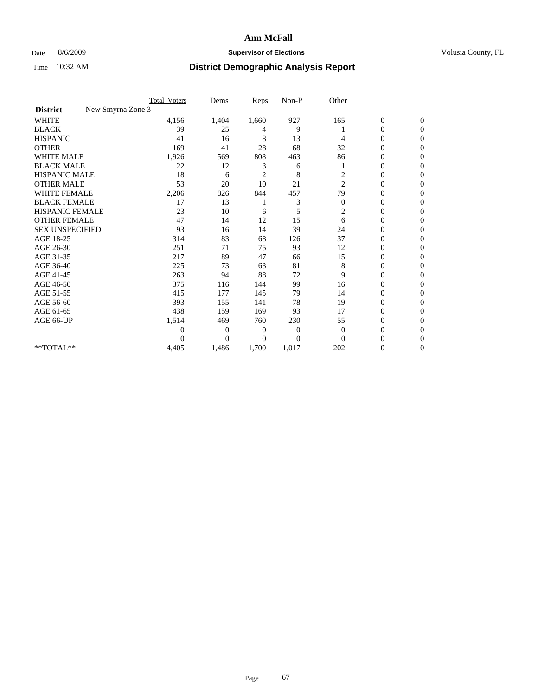### Date 8/6/2009 **Supervisor of Elections Supervisor of Elections** Volusia County, FL

|                                      | <b>Total_Voters</b> | Dems           | <b>Reps</b>    | $Non-P$  | Other            |                  |                  |  |
|--------------------------------------|---------------------|----------------|----------------|----------|------------------|------------------|------------------|--|
| New Smyrna Zone 3<br><b>District</b> |                     |                |                |          |                  |                  |                  |  |
| <b>WHITE</b>                         | 4,156               | 1,404          | 1,660          | 927      | 165              | $\boldsymbol{0}$ | $\boldsymbol{0}$ |  |
| <b>BLACK</b>                         | 39                  | 25             | 4              | 9        |                  | $\boldsymbol{0}$ | $\Omega$         |  |
| <b>HISPANIC</b>                      | 41                  | 16             | 8              | 13       | 4                | 0                | $\Omega$         |  |
| <b>OTHER</b>                         | 169                 | 41             | 28             | 68       | 32               | 0                | $\Omega$         |  |
| <b>WHITE MALE</b>                    | 1,926               | 569            | 808            | 463      | 86               | $\mathbf{0}$     | $\mathbf{0}$     |  |
| <b>BLACK MALE</b>                    | 22                  | 12             | 3              | 6        |                  | $\mathbf{0}$     | $\Omega$         |  |
| <b>HISPANIC MALE</b>                 | 18                  | 6              | $\overline{2}$ | 8        | $\overline{c}$   | 0                | $\Omega$         |  |
| <b>OTHER MALE</b>                    | 53                  | 20             | 10             | 21       | $\overline{c}$   | 0                | 0                |  |
| WHITE FEMALE                         | 2,206               | 826            | 844            | 457      | 79               | 0                | $\mathbf{0}$     |  |
| <b>BLACK FEMALE</b>                  | 17                  | 13             |                | 3        | $\boldsymbol{0}$ | $\boldsymbol{0}$ | $\Omega$         |  |
| <b>HISPANIC FEMALE</b>               | 23                  | 10             | 6              | 5        | $\overline{c}$   | 0                | $\mathbf{0}$     |  |
| <b>OTHER FEMALE</b>                  | 47                  | 14             | 12             | 15       | 6                | 0                | $\Omega$         |  |
| <b>SEX UNSPECIFIED</b>               | 93                  | 16             | 14             | 39       | 24               | $\overline{0}$   | $\overline{0}$   |  |
| AGE 18-25                            | 314                 | 83             | 68             | 126      | 37               | 0                | $\Omega$         |  |
| AGE 26-30                            | 251                 | 71             | 75             | 93       | 12               | 0                | $\Omega$         |  |
| AGE 31-35                            | 217                 | 89             | 47             | 66       | 15               | $\boldsymbol{0}$ | $\Omega$         |  |
| AGE 36-40                            | 225                 | 73             | 63             | 81       | 8                | 0                | 0                |  |
| AGE 41-45                            | 263                 | 94             | 88             | 72       | 9                | 0                | $\Omega$         |  |
| AGE 46-50                            | 375                 | 116            | 144            | 99       | 16               | 0                | $\Omega$         |  |
| AGE 51-55                            | 415                 | 177            | 145            | 79       | 14               | 0                | $\mathbf{0}$     |  |
| AGE 56-60                            | 393                 | 155            | 141            | 78       | 19               | $\overline{0}$   | 0                |  |
| AGE 61-65                            | 438                 | 159            | 169            | 93       | 17               | $\overline{0}$   | $\Omega$         |  |
| AGE 66-UP                            | 1,514               | 469            | 760            | 230      | 55               | 0                | 0                |  |
|                                      | $\boldsymbol{0}$    | 0              | 0              | 0        | $\mathbf{0}$     | 0                | $\Omega$         |  |
|                                      | $\theta$            | $\overline{0}$ | $\Omega$       | $\Omega$ | $\Omega$         | 0                | $\Omega$         |  |
| **TOTAL**                            | 4,405               | 1,486          | 1,700          | 1,017    | 202              | 0                | $\overline{0}$   |  |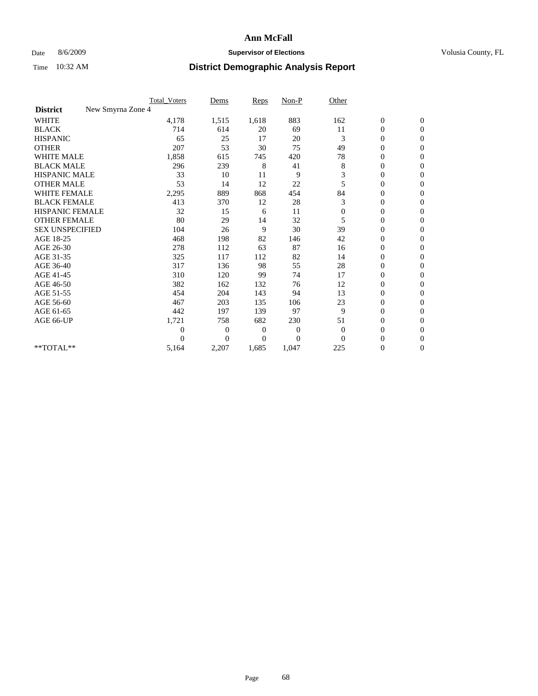### Date 8/6/2009 **Supervisor of Elections Supervisor of Elections** Volusia County, FL

|                                      | <b>Total_Voters</b> | Dems           | <b>Reps</b> | $Non-P$      | Other          |                  |                  |  |
|--------------------------------------|---------------------|----------------|-------------|--------------|----------------|------------------|------------------|--|
| New Smyrna Zone 4<br><b>District</b> |                     |                |             |              |                |                  |                  |  |
| <b>WHITE</b>                         | 4,178               | 1,515          | 1,618       | 883          | 162            | $\boldsymbol{0}$ | $\boldsymbol{0}$ |  |
| <b>BLACK</b>                         | 714                 | 614            | 20          | 69           | 11             | $\boldsymbol{0}$ | $\mathbf{0}$     |  |
| <b>HISPANIC</b>                      | 65                  | 25             | 17          | 20           | 3              | $\overline{0}$   | $\mathbf{0}$     |  |
| <b>OTHER</b>                         | 207                 | 53             | 30          | 75           | 49             | $\boldsymbol{0}$ | $\Omega$         |  |
| <b>WHITE MALE</b>                    | 1,858               | 615            | 745         | 420          | 78             | $\overline{0}$   | $\mathbf{0}$     |  |
| <b>BLACK MALE</b>                    | 296                 | 239            | 8           | 41           | 8              | $\overline{0}$   | $\mathbf{0}$     |  |
| <b>HISPANIC MALE</b>                 | 33                  | 10             | 11          | 9            | 3              | $\overline{0}$   | $\Omega$         |  |
| <b>OTHER MALE</b>                    | 53                  | 14             | 12          | 22           | 5              | $\boldsymbol{0}$ | $\mathbf{0}$     |  |
| WHITE FEMALE                         | 2,295               | 889            | 868         | 454          | 84             | $\overline{0}$   | $\mathbf{0}$     |  |
| <b>BLACK FEMALE</b>                  | 413                 | 370            | 12          | 28           | 3              | $\boldsymbol{0}$ | $\Omega$         |  |
| <b>HISPANIC FEMALE</b>               | 32                  | 15             | 6           | 11           | $\mathbf{0}$   | 0                | $\mathbf{0}$     |  |
| <b>OTHER FEMALE</b>                  | 80                  | 29             | 14          | 32           | 5              | $\overline{0}$   | $\Omega$         |  |
| <b>SEX UNSPECIFIED</b>               | 104                 | 26             | 9           | 30           | 39             | $\overline{0}$   | $\mathbf{0}$     |  |
| AGE 18-25                            | 468                 | 198            | 82          | 146          | 42             | $\mathbf{0}$     | $\mathbf{0}$     |  |
| AGE 26-30                            | 278                 | 112            | 63          | 87           | 16             | $\overline{0}$   | $\mathbf{0}$     |  |
| AGE 31-35                            | 325                 | 117            | 112         | 82           | 14             | $\boldsymbol{0}$ | $\mathbf{0}$     |  |
| AGE 36-40                            | 317                 | 136            | 98          | 55           | 28             | 0                | $\mathbf{0}$     |  |
| AGE 41-45                            | 310                 | 120            | 99          | 74           | 17             | $\overline{0}$   | $\Omega$         |  |
| AGE 46-50                            | 382                 | 162            | 132         | 76           | 12             | $\boldsymbol{0}$ | $\Omega$         |  |
| AGE 51-55                            | 454                 | 204            | 143         | 94           | 13             | $\boldsymbol{0}$ | $\mathbf{0}$     |  |
| AGE 56-60                            | 467                 | 203            | 135         | 106          | 23             | $\overline{0}$   | $\Omega$         |  |
| AGE 61-65                            | 442                 | 197            | 139         | 97           | 9              | $\overline{0}$   | $\mathbf{0}$     |  |
| AGE 66-UP                            | 1,721               | 758            | 682         | 230          | 51             | $\boldsymbol{0}$ | $\mathbf{0}$     |  |
|                                      | $\overline{0}$      | $\overline{0}$ | 0           | $\mathbf{0}$ | $\overline{0}$ | $\overline{0}$   | $\mathbf{0}$     |  |
|                                      | $\theta$            | $\Omega$       | $\Omega$    | $\Omega$     | $\Omega$       | $\overline{0}$   | $\mathbf{0}$     |  |
| **TOTAL**                            | 5,164               | 2,207          | 1,685       | 1,047        | 225            | 0                | $\mathbf{0}$     |  |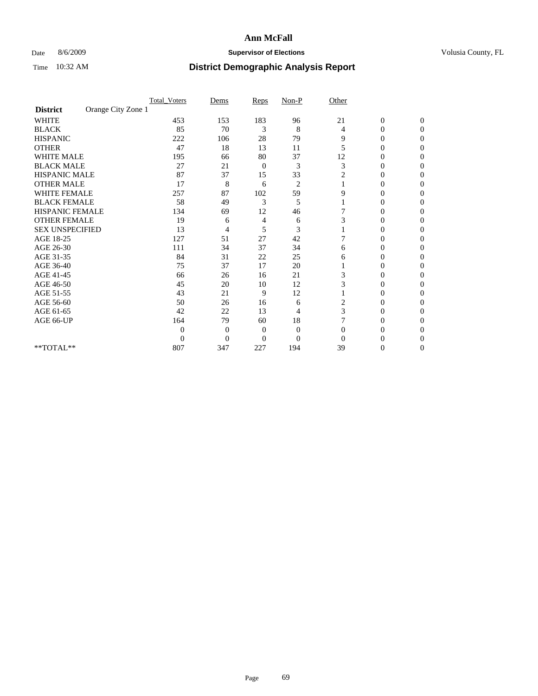### Date 8/6/2009 **Supervisor of Elections Supervisor of Elections** Volusia County, FL

|                        |                    | <b>Total Voters</b> | Dems           | Reps         | Non-P          | Other          |                  |                  |
|------------------------|--------------------|---------------------|----------------|--------------|----------------|----------------|------------------|------------------|
| <b>District</b>        | Orange City Zone 1 |                     |                |              |                |                |                  |                  |
| <b>WHITE</b>           |                    | 453                 | 153            | 183          | 96             | 21             | $\boldsymbol{0}$ | $\boldsymbol{0}$ |
| <b>BLACK</b>           |                    | 85                  | 70             | 3            | 8              | 4              | 0                | $\Omega$         |
| <b>HISPANIC</b>        |                    | 222                 | 106            | 28           | 79             | 9              | $\mathbf{0}$     | $\Omega$         |
| <b>OTHER</b>           |                    | 47                  | 18             | 13           | 11             | 5              | 0                | $\Omega$         |
| WHITE MALE             |                    | 195                 | 66             | 80           | 37             | 12             | 0                | $\Omega$         |
| <b>BLACK MALE</b>      |                    | 27                  | 21             | $\mathbf{0}$ | 3              | 3              | $\overline{0}$   | $\Omega$         |
| HISPANIC MALE          |                    | 87                  | 37             | 15           | 33             | 2              | 0                | 0                |
| <b>OTHER MALE</b>      |                    | 17                  | 8              | 6            | $\overline{2}$ |                | 0                | 0                |
| <b>WHITE FEMALE</b>    |                    | 257                 | 87             | 102          | 59             | 9              | 0                | 0                |
| <b>BLACK FEMALE</b>    |                    | 58                  | 49             | 3            | 5              |                | 0                | 0                |
| <b>HISPANIC FEMALE</b> |                    | 134                 | 69             | 12           | 46             |                | 0                | $\Omega$         |
| <b>OTHER FEMALE</b>    |                    | 19                  | 6              | 4            | 6              | 3              | 0                | $\Omega$         |
| <b>SEX UNSPECIFIED</b> |                    | 13                  | 4              | 5            | 3              |                | 0                | $\Omega$         |
| AGE 18-25              |                    | 127                 | 51             | 27           | 42             | 7              | 0                | $\Omega$         |
| AGE 26-30              |                    | 111                 | 34             | 37           | 34             | 6              | 0                | 0                |
| AGE 31-35              |                    | 84                  | 31             | 22           | 25             | 6              | 0                | 0                |
| AGE 36-40              |                    | 75                  | 37             | 17           | 20             |                | 0                | 0                |
| AGE 41-45              |                    | 66                  | 26             | 16           | 21             | 3              | 0                | 0                |
| AGE 46-50              |                    | 45                  | 20             | 10           | 12             | 3              | $\overline{0}$   | $\Omega$         |
| AGE 51-55              |                    | 43                  | 21             | 9            | 12             |                | 0                | $\Omega$         |
| AGE 56-60              |                    | 50                  | 26             | 16           | 6              | $\overline{c}$ | 0                | 0                |
| AGE 61-65              |                    | 42                  | 22             | 13           | 4              | 3              | 0                | $\Omega$         |
| AGE 66-UP              |                    | 164                 | 79             | 60           | 18             | 7              | $\overline{0}$   | $\Omega$         |
|                        |                    | $\overline{0}$      | $\overline{0}$ | $\mathbf{0}$ | $\mathbf{0}$   | $\Omega$       | 0                | 0                |
|                        |                    | $\theta$            | $\overline{0}$ | $\mathbf{0}$ | $\overline{0}$ | $\Omega$       | 0                | $\Omega$         |
| **TOTAL**              |                    | 807                 | 347            | 227          | 194            | 39             | 0                | $\overline{0}$   |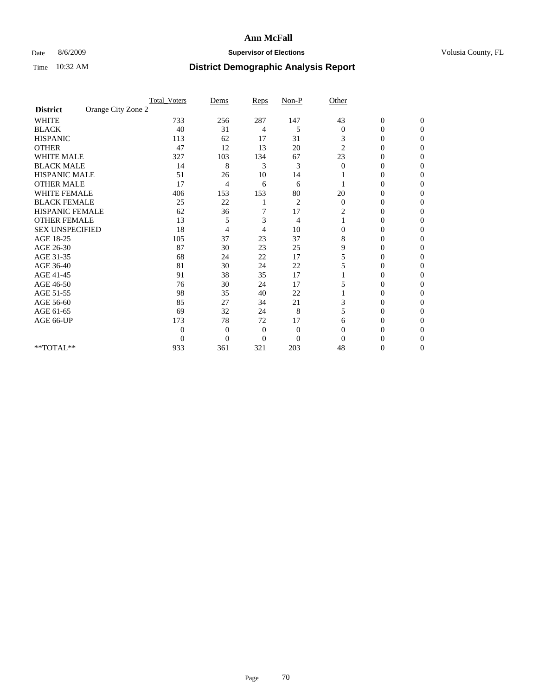### Date 8/6/2009 **Supervisor of Elections Supervisor of Elections** Volusia County, FL

|                        |                    | <b>Total_Voters</b> | Dems           | Reps           | $Non-P$        | Other          |                  |              |  |
|------------------------|--------------------|---------------------|----------------|----------------|----------------|----------------|------------------|--------------|--|
| <b>District</b>        | Orange City Zone 2 |                     |                |                |                |                |                  |              |  |
| <b>WHITE</b>           |                    | 733                 | 256            | 287            | 147            | 43             | $\boldsymbol{0}$ | $\mathbf{0}$ |  |
| <b>BLACK</b>           |                    | 40                  | 31             | 4              | 5              | $\mathbf{0}$   | $\overline{0}$   | $\Omega$     |  |
| <b>HISPANIC</b>        |                    | 113                 | 62             | 17             | 31             | 3              | 0                | $\Omega$     |  |
| <b>OTHER</b>           |                    | 47                  | 12             | 13             | 20             | $\overline{c}$ | 0                | 0            |  |
| <b>WHITE MALE</b>      |                    | 327                 | 103            | 134            | 67             | 23             | 0                | 0            |  |
| <b>BLACK MALE</b>      |                    | 14                  | 8              | 3              | 3              | $\Omega$       | 0                | $\Omega$     |  |
| HISPANIC MALE          |                    | 51                  | 26             | 10             | 14             |                | 0                | $\Omega$     |  |
| <b>OTHER MALE</b>      |                    | 17                  | 4              | 6              | 6              |                | 0                | 0            |  |
| <b>WHITE FEMALE</b>    |                    | 406                 | 153            | 153            | 80             | 20             | 0                | $\Omega$     |  |
| <b>BLACK FEMALE</b>    |                    | 25                  | 22             |                | $\overline{c}$ | $\mathbf{0}$   | $\overline{0}$   | 0            |  |
| <b>HISPANIC FEMALE</b> |                    | 62                  | 36             | 7              | 17             | 2              | 0                | 0            |  |
| <b>OTHER FEMALE</b>    |                    | 13                  | 5              | 3              | 4              |                | 0                | 0            |  |
| <b>SEX UNSPECIFIED</b> |                    | 18                  | 4              | 4              | 10             | $\mathbf{0}$   | 0                | 0            |  |
| AGE 18-25              |                    | 105                 | 37             | 23             | 37             | 8              | 0                | $\Omega$     |  |
| AGE 26-30              |                    | 87                  | 30             | 23             | 25             | 9              | 0                | 0            |  |
| AGE 31-35              |                    | 68                  | 24             | 22             | 17             | 5              | 0                | 0            |  |
| AGE 36-40              |                    | 81                  | 30             | 24             | 22             | 5              | 0                | 0            |  |
| AGE 41-45              |                    | 91                  | 38             | 35             | 17             |                | 0                | $\Omega$     |  |
| AGE 46-50              |                    | 76                  | 30             | 24             | 17             | 5              | 0                | $\Omega$     |  |
| AGE 51-55              |                    | 98                  | 35             | 40             | 22             |                | 0                | 0            |  |
| AGE 56-60              |                    | 85                  | 27             | 34             | 21             | 3              | 0                | 0            |  |
| AGE 61-65              |                    | 69                  | 32             | 24             | 8              | 5              | $\overline{0}$   | 0            |  |
| AGE 66-UP              |                    | 173                 | 78             | 72             | 17             | 6              | 0                | 0            |  |
|                        |                    | $\theta$            | $\overline{0}$ | $\mathbf{0}$   | $\mathbf{0}$   | $\Omega$       | 0                | 0            |  |
|                        |                    | $\overline{0}$      | $\overline{0}$ | $\overline{0}$ | $\overline{0}$ | $\Omega$       |                  | 0            |  |
| **TOTAL**              |                    | 933                 | 361            | 321            | 203            | 48             | 0                | 0            |  |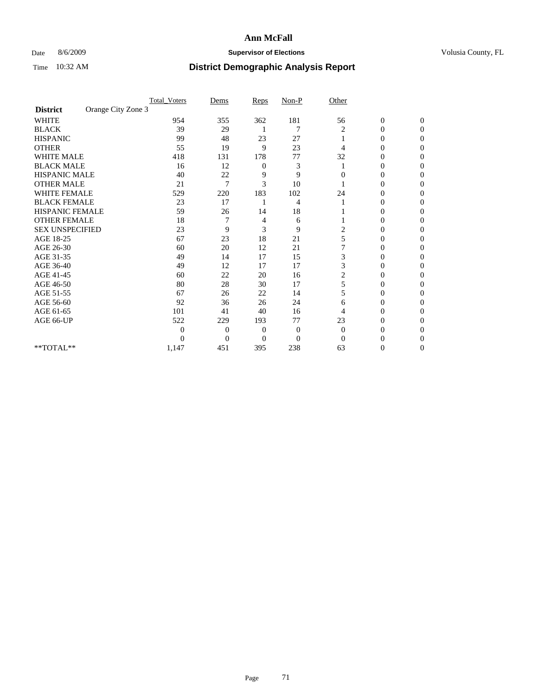### Date 8/6/2009 **Supervisor of Elections Supervisor of Elections** Volusia County, FL

|                        |                    | <b>Total_Voters</b> | Dems             | Reps     | $Non-P$      | Other        |                  |                  |  |
|------------------------|--------------------|---------------------|------------------|----------|--------------|--------------|------------------|------------------|--|
| <b>District</b>        | Orange City Zone 3 |                     |                  |          |              |              |                  |                  |  |
| <b>WHITE</b>           |                    | 954                 | 355              | 362      | 181          | 56           | $\boldsymbol{0}$ | $\boldsymbol{0}$ |  |
| <b>BLACK</b>           |                    | 39                  | 29               |          | 7            | 2            | $\overline{0}$   | $\Omega$         |  |
| <b>HISPANIC</b>        |                    | 99                  | 48               | 23       | 27           |              | 0                | $\Omega$         |  |
| <b>OTHER</b>           |                    | 55                  | 19               | 9        | 23           | 4            | 0                | $\Omega$         |  |
| <b>WHITE MALE</b>      |                    | 418                 | 131              | 178      | 77           | 32           | 0                | $\Omega$         |  |
| <b>BLACK MALE</b>      |                    | 16                  | 12               | 0        | 3            |              | 0                | 0                |  |
| <b>HISPANIC MALE</b>   |                    | 40                  | 22               | 9        | 9            | 0            | 0                | 0                |  |
| <b>OTHER MALE</b>      |                    | 21                  | 7                | 3        | 10           |              | 0                | 0                |  |
| WHITE FEMALE           |                    | 529                 | 220              | 183      | 102          | 24           | 0                | $\Omega$         |  |
| <b>BLACK FEMALE</b>    |                    | 23                  | 17               |          | 4            |              | 0                | $\Omega$         |  |
| HISPANIC FEMALE        |                    | 59                  | 26               | 14       | 18           |              | 0                | 0                |  |
| <b>OTHER FEMALE</b>    |                    | 18                  |                  | 4        | 6            |              | 0                | $\Omega$         |  |
| <b>SEX UNSPECIFIED</b> |                    | 23                  | 9                | 3        | 9            | 2            | $\overline{0}$   | 0                |  |
| AGE 18-25              |                    | 67                  | 23               | 18       | 21           | 5            | 0                | 0                |  |
| AGE 26-30              |                    | 60                  | 20               | 12       | 21           |              | 0                | 0                |  |
| AGE 31-35              |                    | 49                  | 14               | 17       | 15           | 3            | 0                | $\Omega$         |  |
| AGE 36-40              |                    | 49                  | 12               | 17       | 17           | 3            | 0                | 0                |  |
| AGE 41-45              |                    | 60                  | 22               | 20       | 16           | 2            | 0                | 0                |  |
| AGE 46-50              |                    | 80                  | 28               | 30       | 17           | 5            | $\overline{0}$   | $\Omega$         |  |
| AGE 51-55              |                    | 67                  | 26               | 22       | 14           | 5            | 0                | $\Omega$         |  |
| AGE 56-60              |                    | 92                  | 36               | 26       | 24           | 6            | 0                | 0                |  |
| AGE 61-65              |                    | 101                 | 41               | 40       | 16           | 4            | $\overline{0}$   | 0                |  |
| AGE 66-UP              |                    | 522                 | 229              | 193      | 77           | 23           | 0                | 0                |  |
|                        |                    | $\overline{0}$      | $\overline{0}$   | 0        | $\mathbf{0}$ | $\mathbf{0}$ | 0                | 0                |  |
|                        |                    | $\theta$            | $\boldsymbol{0}$ | $\Omega$ | $\Omega$     | $\Omega$     | 0                | $\Omega$         |  |
| **TOTAL**              |                    | 1,147               | 451              | 395      | 238          | 63           | 0                | $\overline{0}$   |  |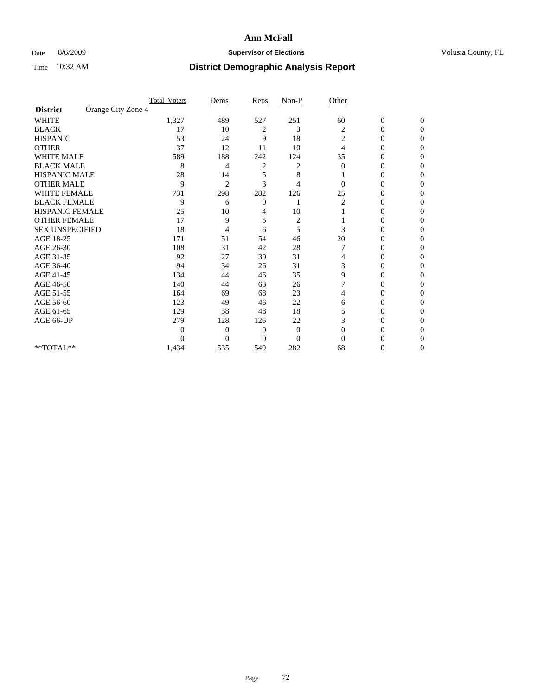### Date 8/6/2009 **Supervisor of Elections Supervisor of Elections** Volusia County, FL

|                        |                    | <b>Total_Voters</b> | Dems             | Reps           | $Non-P$        | Other          |                  |                  |  |
|------------------------|--------------------|---------------------|------------------|----------------|----------------|----------------|------------------|------------------|--|
| <b>District</b>        | Orange City Zone 4 |                     |                  |                |                |                |                  |                  |  |
| <b>WHITE</b>           |                    | 1,327               | 489              | 527            | 251            | 60             | $\boldsymbol{0}$ | $\boldsymbol{0}$ |  |
| <b>BLACK</b>           |                    | 17                  | 10               | 2              | 3              | 2              | $\overline{0}$   | $\Omega$         |  |
| <b>HISPANIC</b>        |                    | 53                  | 24               | 9              | 18             | 2              | 0                | $\Omega$         |  |
| <b>OTHER</b>           |                    | 37                  | 12               | 11             | 10             | $\overline{4}$ | 0                | $\Omega$         |  |
| <b>WHITE MALE</b>      |                    | 589                 | 188              | 242            | 124            | 35             | $\mathbf{0}$     | $\Omega$         |  |
| <b>BLACK MALE</b>      |                    | 8                   | 4                | $\overline{c}$ | 2              | $\Omega$       | 0                | 0                |  |
| <b>HISPANIC MALE</b>   |                    | 28                  | 14               | 5              | 8              |                | 0                | 0                |  |
| <b>OTHER MALE</b>      |                    | 9                   | $\overline{2}$   | 3              | 4              | $\Omega$       | $\theta$         | 0                |  |
| WHITE FEMALE           |                    | 731                 | 298              | 282            | 126            | 25             | 0                | $\Omega$         |  |
| <b>BLACK FEMALE</b>    |                    | 9                   | 6                | $\mathbf{0}$   |                | 2              | 0                | $\Omega$         |  |
| HISPANIC FEMALE        |                    | 25                  | 10               | 4              | 10             |                | 0                | 0                |  |
| <b>OTHER FEMALE</b>    |                    | 17                  | 9                | 5              | $\overline{c}$ |                | 0                | $\Omega$         |  |
| <b>SEX UNSPECIFIED</b> |                    | 18                  | 4                | 6              | 5              | 3              | $\overline{0}$   | 0                |  |
| AGE 18-25              |                    | 171                 | 51               | 54             | 46             | 20             | 0                | 0                |  |
| AGE 26-30              |                    | 108                 | 31               | 42             | 28             |                | 0                | 0                |  |
| AGE 31-35              |                    | 92                  | 27               | 30             | 31             | 4              | 0                | $\Omega$         |  |
| AGE 36-40              |                    | 94                  | 34               | 26             | 31             | 3              | 0                | 0                |  |
| AGE 41-45              |                    | 134                 | 44               | 46             | 35             | 9              | 0                | 0                |  |
| AGE 46-50              |                    | 140                 | 44               | 63             | 26             | 7              | $\overline{0}$   | $\Omega$         |  |
| AGE 51-55              |                    | 164                 | 69               | 68             | 23             | 4              | 0                | $\Omega$         |  |
| AGE 56-60              |                    | 123                 | 49               | 46             | 22             | 6              | 0                | 0                |  |
| AGE 61-65              |                    | 129                 | 58               | 48             | 18             | 5              | $\overline{0}$   | 0                |  |
| AGE 66-UP              |                    | 279                 | 128              | 126            | 22             | 3              | 0                | 0                |  |
|                        |                    | 0                   | $\overline{0}$   | 0              | $\mathbf{0}$   | $\Omega$       | 0                | 0                |  |
|                        |                    | $\theta$            | $\boldsymbol{0}$ | $\Omega$       | $\Omega$       | $\Omega$       | 0                | $\Omega$         |  |
| **TOTAL**              |                    | 1,434               | 535              | 549            | 282            | 68             | 0                | $\overline{0}$   |  |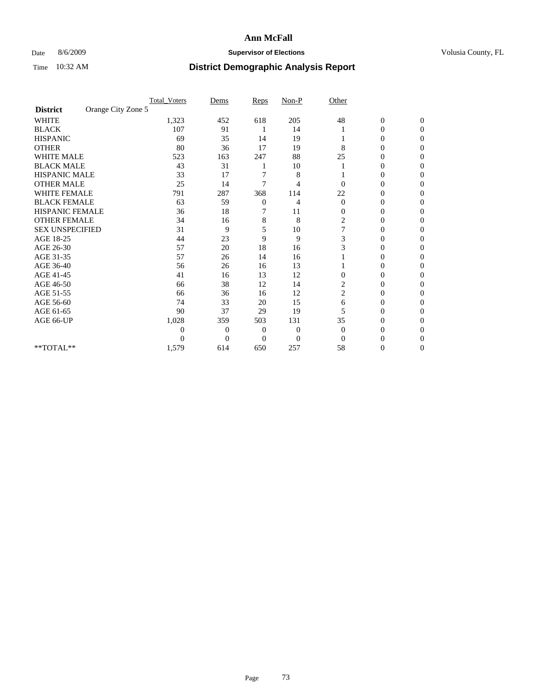### Date 8/6/2009 **Supervisor of Elections Supervisor of Elections** Volusia County, FL

|                        |                    | <b>Total_Voters</b> | Dems           | Reps     | $Non-P$        | Other                   |                  |                  |  |
|------------------------|--------------------|---------------------|----------------|----------|----------------|-------------------------|------------------|------------------|--|
| <b>District</b>        | Orange City Zone 5 |                     |                |          |                |                         |                  |                  |  |
| <b>WHITE</b>           |                    | 1,323               | 452            | 618      | 205            | 48                      | $\boldsymbol{0}$ | $\boldsymbol{0}$ |  |
| <b>BLACK</b>           |                    | 107                 | 91             |          | 14             |                         | $\overline{0}$   | $\Omega$         |  |
| <b>HISPANIC</b>        |                    | 69                  | 35             | 14       | 19             |                         | 0                | $\Omega$         |  |
| <b>OTHER</b>           |                    | 80                  | 36             | 17       | 19             | 8                       | 0                | $\Omega$         |  |
| <b>WHITE MALE</b>      |                    | 523                 | 163            | 247      | 88             | 25                      | 0                | $\Omega$         |  |
| <b>BLACK MALE</b>      |                    | 43                  | 31             |          | 10             |                         | 0                | 0                |  |
| <b>HISPANIC MALE</b>   |                    | 33                  | 17             |          | 8              |                         | 0                | 0                |  |
| <b>OTHER MALE</b>      |                    | 25                  | 14             | 7        | 4              | 0                       | 0                | 0                |  |
| <b>WHITE FEMALE</b>    |                    | 791                 | 287            | 368      | 114            | 22                      | 0                | $\Omega$         |  |
| <b>BLACK FEMALE</b>    |                    | 63                  | 59             | 0        | 4              | $\mathbf{0}$            | 0                | $\Omega$         |  |
| HISPANIC FEMALE        |                    | 36                  | 18             | 7        | 11             | $\mathbf{0}$            | 0                | 0                |  |
| <b>OTHER FEMALE</b>    |                    | 34                  | 16             | 8        | 8              | 2                       | 0                | $\Omega$         |  |
| <b>SEX UNSPECIFIED</b> |                    | 31                  | 9              | 5        | 10             | 7                       | $\overline{0}$   | 0                |  |
| AGE 18-25              |                    | 44                  | 23             | 9        | 9              | 3                       | 0                | 0                |  |
| AGE 26-30              |                    | 57                  | 20             | 18       | 16             | 3                       | 0                | 0                |  |
| AGE 31-35              |                    | 57                  | 26             | 14       | 16             |                         | 0                | $\Omega$         |  |
| AGE 36-40              |                    | 56                  | 26             | 16       | 13             |                         | 0                | 0                |  |
| AGE 41-45              |                    | 41                  | 16             | 13       | 12             | $\Omega$                | 0                | 0                |  |
| AGE 46-50              |                    | 66                  | 38             | 12       | 14             | 2                       | $\overline{0}$   | $\Omega$         |  |
| AGE 51-55              |                    | 66                  | 36             | 16       | 12             | $\overline{\mathbf{c}}$ | 0                | $\mathbf{0}$     |  |
| AGE 56-60              |                    | 74                  | 33             | 20       | 15             | 6                       | 0                | 0                |  |
| AGE 61-65              |                    | 90                  | 37             | 29       | 19             | 5                       | $\overline{0}$   | 0                |  |
| AGE 66-UP              |                    | 1,028               | 359            | 503      | 131            | 35                      | 0                | 0                |  |
|                        |                    | $\boldsymbol{0}$    | 0              | 0        | $\mathbf{0}$   | $\mathbf{0}$            | 0                | 0                |  |
|                        |                    | $\theta$            | $\overline{0}$ | $\Omega$ | $\overline{0}$ | $\Omega$                | 0                | $\Omega$         |  |
| **TOTAL**              |                    | 1,579               | 614            | 650      | 257            | 58                      | 0                | $\overline{0}$   |  |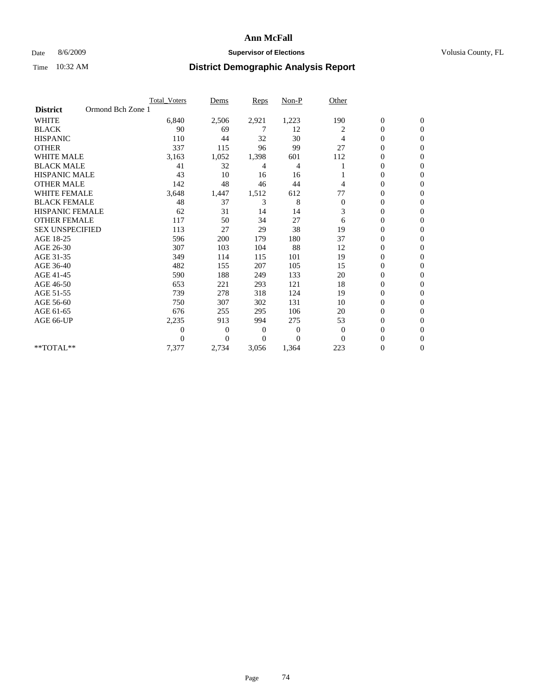### Date 8/6/2009 **Supervisor of Elections Supervisor of Elections** Volusia County, FL

|                        | Total Voters      | Dems           | <b>Reps</b>  | Non-P        | Other          |                  |                  |  |
|------------------------|-------------------|----------------|--------------|--------------|----------------|------------------|------------------|--|
| <b>District</b>        | Ormond Bch Zone 1 |                |              |              |                |                  |                  |  |
| <b>WHITE</b>           | 6,840             | 2,506          | 2,921        | 1,223        | 190            | $\boldsymbol{0}$ | $\boldsymbol{0}$ |  |
| <b>BLACK</b>           | 90                | 69             | 7            | 12           | 2              | $\overline{0}$   | $\mathbf{0}$     |  |
| <b>HISPANIC</b>        | 110               | 44             | 32           | 30           | 4              | $\overline{0}$   | $\Omega$         |  |
| <b>OTHER</b>           | 337               | 115            | 96           | 99           | 27             | 0                | $\mathbf{0}$     |  |
| <b>WHITE MALE</b>      | 3,163             | 1,052          | 1,398        | 601          | 112            | $\overline{0}$   | $\Omega$         |  |
| <b>BLACK MALE</b>      | 41                | 32             | 4            | 4            |                | $\mathbf{0}$     | $\Omega$         |  |
| <b>HISPANIC MALE</b>   | 43                | 10             | 16           | 16           |                | 0                | $\Omega$         |  |
| <b>OTHER MALE</b>      | 142               | 48             | 46           | 44           | 4              | $\overline{0}$   | $\mathbf{0}$     |  |
| <b>WHITE FEMALE</b>    | 3,648             | 1,447          | 1,512        | 612          | 77             | $\mathbf{0}$     | $\mathbf{0}$     |  |
| <b>BLACK FEMALE</b>    | 48                | 37             | 3            | 8            | $\mathbf{0}$   | 0                | $\Omega$         |  |
| <b>HISPANIC FEMALE</b> | 62                | 31             | 14           | 14           | 3              | 0                | 0                |  |
| <b>OTHER FEMALE</b>    | 117               | 50             | 34           | 27           | 6              | 0                | $\mathbf{0}$     |  |
| <b>SEX UNSPECIFIED</b> | 113               | 27             | 29           | 38           | 19             | 0                | $\Omega$         |  |
| AGE 18-25              | 596               | 200            | 179          | 180          | 37             | $\overline{0}$   | $\mathbf{0}$     |  |
| AGE 26-30              | 307               | 103            | 104          | 88           | 12             | $\overline{0}$   | $\Omega$         |  |
| AGE 31-35              | 349               | 114            | 115          | 101          | 19             | $\boldsymbol{0}$ | $\Omega$         |  |
| AGE 36-40              | 482               | 155            | 207          | 105          | 15             | $\boldsymbol{0}$ | $\Omega$         |  |
| AGE 41-45              | 590               | 188            | 249          | 133          | 20             | $\boldsymbol{0}$ | $\Omega$         |  |
| AGE 46-50              | 653               | 221            | 293          | 121          | 18             | 0                | 0                |  |
| AGE 51-55              | 739               | 278            | 318          | 124          | 19             | $\overline{0}$   | $\mathbf{0}$     |  |
| AGE 56-60              | 750               | 307            | 302          | 131          | 10             | $\overline{0}$   | $\mathbf{0}$     |  |
| AGE 61-65              | 676               | 255            | 295          | 106          | 20             | 0                | $\Omega$         |  |
| AGE 66-UP              | 2,235             | 913            | 994          | 275          | 53             | 0                | $\mathbf{0}$     |  |
|                        | $\boldsymbol{0}$  | $\overline{0}$ | $\mathbf{0}$ | $\mathbf{0}$ | $\overline{0}$ | $\mathbf{0}$     | $\mathbf{0}$     |  |
|                        | $\Omega$          | $\overline{0}$ | $\mathbf{0}$ | $\mathbf{0}$ | $\mathbf{0}$   | $\overline{0}$   | $\mathbf{0}$     |  |
| **TOTAL**              | 7,377             | 2,734          | 3,056        | 1,364        | 223            | 0                | 0                |  |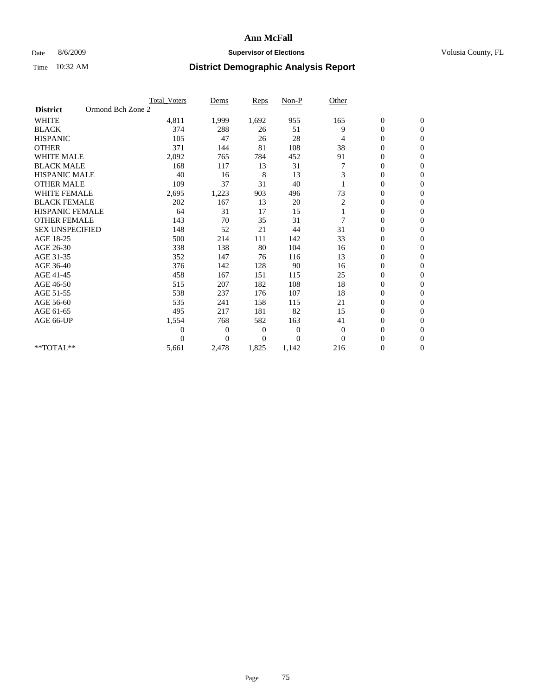### Date 8/6/2009 **Supervisor of Elections Supervisor of Elections** Volusia County, FL

|                        |                   | Total Voters   | Dems           | <b>Reps</b> | Non-P        | Other        |                  |                  |  |
|------------------------|-------------------|----------------|----------------|-------------|--------------|--------------|------------------|------------------|--|
| <b>District</b>        | Ormond Bch Zone 2 |                |                |             |              |              |                  |                  |  |
| <b>WHITE</b>           |                   | 4,811          | 1,999          | 1,692       | 955          | 165          | $\boldsymbol{0}$ | $\boldsymbol{0}$ |  |
| <b>BLACK</b>           |                   | 374            | 288            | 26          | 51           | 9            | $\boldsymbol{0}$ | $\mathbf{0}$     |  |
| <b>HISPANIC</b>        |                   | 105            | 47             | 26          | 28           | 4            | $\overline{0}$   | $\mathbf{0}$     |  |
| <b>OTHER</b>           |                   | 371            | 144            | 81          | 108          | 38           | 0                | $\Omega$         |  |
| <b>WHITE MALE</b>      |                   | 2,092          | 765            | 784         | 452          | 91           | $\overline{0}$   | $\mathbf{0}$     |  |
| <b>BLACK MALE</b>      |                   | 168            | 117            | 13          | 31           |              | $\overline{0}$   | $\mathbf{0}$     |  |
| <b>HISPANIC MALE</b>   |                   | 40             | 16             | 8           | 13           | 3            | $\overline{0}$   | $\mathbf{0}$     |  |
| <b>OTHER MALE</b>      |                   | 109            | 37             | 31          | 40           |              | 0                | $\mathbf{0}$     |  |
| <b>WHITE FEMALE</b>    |                   | 2,695          | 1,223          | 903         | 496          | 73           | $\overline{0}$   | $\mathbf{0}$     |  |
| <b>BLACK FEMALE</b>    |                   | 202            | 167            | 13          | 20           | 2            | $\boldsymbol{0}$ | $\mathbf{0}$     |  |
| <b>HISPANIC FEMALE</b> |                   | 64             | 31             | 17          | 15           |              | 0                | $\mathbf{0}$     |  |
| <b>OTHER FEMALE</b>    |                   | 143            | 70             | 35          | 31           | 7            | $\overline{0}$   | $\Omega$         |  |
| <b>SEX UNSPECIFIED</b> |                   | 148            | 52             | 21          | 44           | 31           | $\overline{0}$   | $\mathbf{0}$     |  |
| AGE 18-25              |                   | 500            | 214            | 111         | 142          | 33           | 0                | $\mathbf{0}$     |  |
| AGE 26-30              |                   | 338            | 138            | 80          | 104          | 16           | $\overline{0}$   | $\mathbf{0}$     |  |
| AGE 31-35              |                   | 352            | 147            | 76          | 116          | 13           | $\boldsymbol{0}$ | $\mathbf{0}$     |  |
| AGE 36-40              |                   | 376            | 142            | 128         | 90           | 16           | 0                | $\mathbf{0}$     |  |
| AGE 41-45              |                   | 458            | 167            | 151         | 115          | 25           | $\overline{0}$   | $\mathbf{0}$     |  |
| AGE 46-50              |                   | 515            | 207            | 182         | 108          | 18           | $\boldsymbol{0}$ | $\mathbf{0}$     |  |
| AGE 51-55              |                   | 538            | 237            | 176         | 107          | 18           | $\boldsymbol{0}$ | $\mathbf{0}$     |  |
| AGE 56-60              |                   | 535            | 241            | 158         | 115          | 21           | $\overline{0}$   | $\Omega$         |  |
| AGE 61-65              |                   | 495            | 217            | 181         | 82           | 15           | $\overline{0}$   | $\mathbf{0}$     |  |
| AGE 66-UP              |                   | 1,554          | 768            | 582         | 163          | 41           | $\boldsymbol{0}$ | $\mathbf{0}$     |  |
|                        |                   | $\overline{0}$ | $\overline{0}$ | 0           | $\mathbf{0}$ | $\mathbf{0}$ | $\overline{0}$   | $\mathbf{0}$     |  |
|                        |                   | $\theta$       | $\theta$       | $\Omega$    | $\Omega$     | $\Omega$     | $\overline{0}$   | $\mathbf{0}$     |  |
| **TOTAL**              |                   | 5,661          | 2,478          | 1,825       | 1,142        | 216          | 0                | $\mathbf{0}$     |  |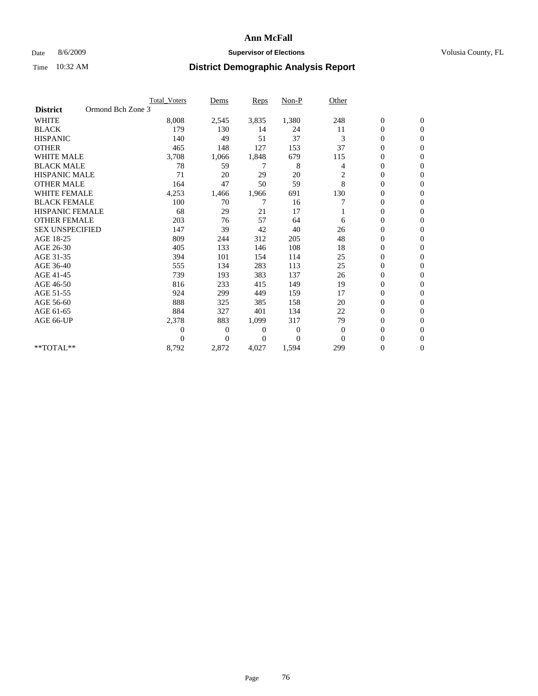### Date 8/6/2009 **Supervisor of Elections Supervisor of Elections** Volusia County, FL

|                        |                   | <b>Total Voters</b> | Dems           | <b>Reps</b> | Non-P        | Other          |                  |                  |  |
|------------------------|-------------------|---------------------|----------------|-------------|--------------|----------------|------------------|------------------|--|
| <b>District</b>        | Ormond Bch Zone 3 |                     |                |             |              |                |                  |                  |  |
| <b>WHITE</b>           |                   | 8,008               | 2,545          | 3,835       | 1,380        | 248            | $\boldsymbol{0}$ | $\boldsymbol{0}$ |  |
| <b>BLACK</b>           |                   | 179                 | 130            | 14          | 24           | 11             | $\boldsymbol{0}$ | $\mathbf{0}$     |  |
| <b>HISPANIC</b>        |                   | 140                 | 49             | 51          | 37           | 3              | $\overline{0}$   | $\mathbf{0}$     |  |
| <b>OTHER</b>           |                   | 465                 | 148            | 127         | 153          | 37             | $\boldsymbol{0}$ | $\Omega$         |  |
| <b>WHITE MALE</b>      |                   | 3,708               | 1,066          | 1,848       | 679          | 115            | $\overline{0}$   | $\mathbf{0}$     |  |
| <b>BLACK MALE</b>      |                   | 78                  | 59             | 7           | 8            | 4              | $\overline{0}$   | $\mathbf{0}$     |  |
| <b>HISPANIC MALE</b>   |                   | 71                  | 20             | 29          | 20           | $\overline{c}$ | 0                | $\mathbf{0}$     |  |
| <b>OTHER MALE</b>      |                   | 164                 | 47             | 50          | 59           | 8              | 0                | $\mathbf{0}$     |  |
| <b>WHITE FEMALE</b>    |                   | 4,253               | 1,466          | 1,966       | 691          | 130            | $\overline{0}$   | $\mathbf{0}$     |  |
| <b>BLACK FEMALE</b>    |                   | 100                 | 70             | 7           | 16           | 7              | $\boldsymbol{0}$ | $\mathbf{0}$     |  |
| <b>HISPANIC FEMALE</b> |                   | 68                  | 29             | 21          | 17           |                | 0                | $\mathbf{0}$     |  |
| <b>OTHER FEMALE</b>    |                   | 203                 | 76             | 57          | 64           | 6              | $\overline{0}$   | $\Omega$         |  |
| <b>SEX UNSPECIFIED</b> |                   | 147                 | 39             | 42          | 40           | 26             | $\overline{0}$   | $\mathbf{0}$     |  |
| AGE 18-25              |                   | 809                 | 244            | 312         | 205          | 48             | 0                | $\mathbf{0}$     |  |
| AGE 26-30              |                   | 405                 | 133            | 146         | 108          | 18             | $\overline{0}$   | $\mathbf{0}$     |  |
| AGE 31-35              |                   | 394                 | 101            | 154         | 114          | 25             | $\boldsymbol{0}$ | $\mathbf{0}$     |  |
| AGE 36-40              |                   | 555                 | 134            | 283         | 113          | 25             | 0                | $\mathbf{0}$     |  |
| AGE 41-45              |                   | 739                 | 193            | 383         | 137          | 26             | 0                | $\mathbf{0}$     |  |
| AGE 46-50              |                   | 816                 | 233            | 415         | 149          | 19             | $\boldsymbol{0}$ | $\mathbf{0}$     |  |
| AGE 51-55              |                   | 924                 | 299            | 449         | 159          | 17             | $\boldsymbol{0}$ | $\mathbf{0}$     |  |
| AGE 56-60              |                   | 888                 | 325            | 385         | 158          | 20             | $\overline{0}$   | $\Omega$         |  |
| AGE 61-65              |                   | 884                 | 327            | 401         | 134          | 22             | $\overline{0}$   | $\mathbf{0}$     |  |
| AGE 66-UP              |                   | 2,378               | 883            | 1,099       | 317          | 79             | $\boldsymbol{0}$ | $\mathbf{0}$     |  |
|                        |                   | 0                   | $\overline{0}$ | 0           | $\mathbf{0}$ | $\mathbf{0}$   | $\overline{0}$   | $\mathbf{0}$     |  |
|                        |                   | $\Omega$            | $\theta$       | $\Omega$    | $\Omega$     | $\Omega$       | $\overline{0}$   | $\mathbf{0}$     |  |
| **TOTAL**              |                   | 8,792               | 2,872          | 4,027       | 1,594        | 299            | 0                | $\mathbf{0}$     |  |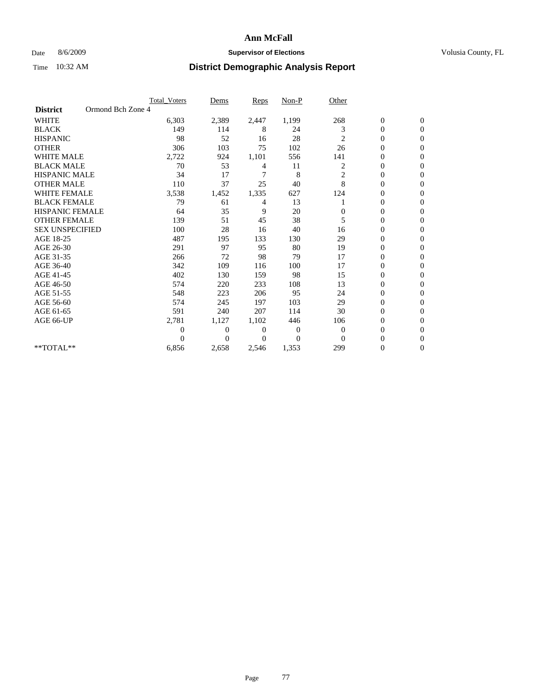### Date 8/6/2009 **Supervisor of Elections Supervisor of Elections** Volusia County, FL

|                        |                   | Total Voters   | Dems           | <b>Reps</b> | Non-P    | Other          |                  |                  |  |
|------------------------|-------------------|----------------|----------------|-------------|----------|----------------|------------------|------------------|--|
| <b>District</b>        | Ormond Bch Zone 4 |                |                |             |          |                |                  |                  |  |
| <b>WHITE</b>           |                   | 6,303          | 2,389          | 2,447       | 1,199    | 268            | $\boldsymbol{0}$ | $\boldsymbol{0}$ |  |
| <b>BLACK</b>           |                   | 149            | 114            | 8           | 24       | 3              | $\boldsymbol{0}$ | $\mathbf{0}$     |  |
| <b>HISPANIC</b>        |                   | 98             | 52             | 16          | 28       | 2              | $\overline{0}$   | $\mathbf{0}$     |  |
| <b>OTHER</b>           |                   | 306            | 103            | 75          | 102      | 26             | 0                | $\Omega$         |  |
| <b>WHITE MALE</b>      |                   | 2,722          | 924            | 1,101       | 556      | 141            | 0                | $\mathbf{0}$     |  |
| <b>BLACK MALE</b>      |                   | 70             | 53             | 4           | 11       | 2              | $\overline{0}$   | $\mathbf{0}$     |  |
| <b>HISPANIC MALE</b>   |                   | 34             | 17             | 7           | 8        | $\overline{c}$ | 0                | $\Omega$         |  |
| <b>OTHER MALE</b>      |                   | 110            | 37             | 25          | 40       | 8              | 0                | $\Omega$         |  |
| <b>WHITE FEMALE</b>    |                   | 3,538          | 1,452          | 1,335       | 627      | 124            | 0                | $\mathbf{0}$     |  |
| <b>BLACK FEMALE</b>    |                   | 79             | 61             | 4           | 13       |                | $\boldsymbol{0}$ | $\Omega$         |  |
| <b>HISPANIC FEMALE</b> |                   | 64             | 35             | 9           | 20       | 0              | 0                | $\mathbf{0}$     |  |
| <b>OTHER FEMALE</b>    |                   | 139            | 51             | 45          | 38       | 5              | $\overline{0}$   | $\Omega$         |  |
| <b>SEX UNSPECIFIED</b> |                   | 100            | 28             | 16          | 40       | 16             | $\overline{0}$   | $\mathbf{0}$     |  |
| AGE 18-25              |                   | 487            | 195            | 133         | 130      | 29             | 0                | $\mathbf{0}$     |  |
| AGE 26-30              |                   | 291            | 97             | 95          | 80       | 19             | $\overline{0}$   | $\mathbf{0}$     |  |
| AGE 31-35              |                   | 266            | 72             | 98          | 79       | 17             | $\boldsymbol{0}$ | $\mathbf{0}$     |  |
| AGE 36-40              |                   | 342            | 109            | 116         | 100      | 17             | 0                | $\mathbf{0}$     |  |
| AGE 41-45              |                   | 402            | 130            | 159         | 98       | 15             | $\mathbf{0}$     | $\Omega$         |  |
| AGE 46-50              |                   | 574            | 220            | 233         | 108      | 13             | $\boldsymbol{0}$ | $\Omega$         |  |
| AGE 51-55              |                   | 548            | 223            | 206         | 95       | 24             | $\boldsymbol{0}$ | $\mathbf{0}$     |  |
| AGE 56-60              |                   | 574            | 245            | 197         | 103      | 29             | $\overline{0}$   | $\Omega$         |  |
| AGE 61-65              |                   | 591            | 240            | 207         | 114      | 30             | $\overline{0}$   | $\overline{0}$   |  |
| AGE 66-UP              |                   | 2,781          | 1,127          | 1,102       | 446      | 106            | 0                | $\mathbf{0}$     |  |
|                        |                   | $\overline{0}$ | $\overline{0}$ | 0           | 0        | $\mathbf{0}$   | $\overline{0}$   | $\mathbf{0}$     |  |
|                        |                   | $\theta$       | $\Omega$       | $\Omega$    | $\Omega$ | $\Omega$       | $\overline{0}$   | $\Omega$         |  |
| **TOTAL**              |                   | 6,856          | 2,658          | 2,546       | 1,353    | 299            | 0                | $\overline{0}$   |  |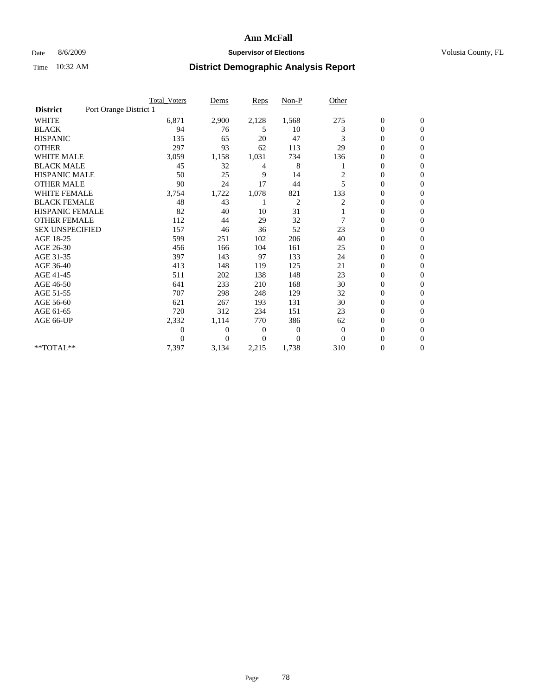### Date 8/6/2009 **Supervisor of Elections Supervisor of Elections** Volusia County, FL

|                        |                        | <b>Total Voters</b> | Dems           | <b>Reps</b> | $Non-P$        | Other          |                  |                  |  |
|------------------------|------------------------|---------------------|----------------|-------------|----------------|----------------|------------------|------------------|--|
| <b>District</b>        | Port Orange District 1 |                     |                |             |                |                |                  |                  |  |
| <b>WHITE</b>           |                        | 6,871               | 2,900          | 2,128       | 1,568          | 275            | $\boldsymbol{0}$ | $\boldsymbol{0}$ |  |
| <b>BLACK</b>           |                        | 94                  | 76             | 5           | 10             | 3              | $\boldsymbol{0}$ | $\mathbf{0}$     |  |
| <b>HISPANIC</b>        |                        | 135                 | 65             | 20          | 47             | 3              | $\overline{0}$   | $\mathbf{0}$     |  |
| <b>OTHER</b>           |                        | 297                 | 93             | 62          | 113            | 29             | 0                | $\Omega$         |  |
| <b>WHITE MALE</b>      |                        | 3,059               | 1,158          | 1,031       | 734            | 136            | $\overline{0}$   | $\mathbf{0}$     |  |
| <b>BLACK MALE</b>      |                        | 45                  | 32             | 4           | 8              |                | $\overline{0}$   | $\mathbf{0}$     |  |
| <b>HISPANIC MALE</b>   |                        | 50                  | 25             | 9           | 14             | $\overline{c}$ | $\overline{0}$   | $\overline{0}$   |  |
| <b>OTHER MALE</b>      |                        | 90                  | 24             | 17          | 44             | 5              | $\boldsymbol{0}$ | $\mathbf{0}$     |  |
| <b>WHITE FEMALE</b>    |                        | 3,754               | 1,722          | 1,078       | 821            | 133            | $\overline{0}$   | $\mathbf{0}$     |  |
| <b>BLACK FEMALE</b>    |                        | 48                  | 43             |             | $\overline{c}$ | 2              | $\boldsymbol{0}$ | $\Omega$         |  |
| <b>HISPANIC FEMALE</b> |                        | 82                  | 40             | 10          | 31             |                | $\overline{0}$   | $\mathbf{0}$     |  |
| <b>OTHER FEMALE</b>    |                        | 112                 | 44             | 29          | 32             | 7              | $\mathbf{0}$     | $\Omega$         |  |
| <b>SEX UNSPECIFIED</b> |                        | 157                 | 46             | 36          | 52             | 23             | $\overline{0}$   | $\mathbf{0}$     |  |
| AGE 18-25              |                        | 599                 | 251            | 102         | 206            | 40             | $\mathbf{0}$     | $\mathbf{0}$     |  |
| AGE 26-30              |                        | 456                 | 166            | 104         | 161            | 25             | $\overline{0}$   | $\mathbf{0}$     |  |
| AGE 31-35              |                        | 397                 | 143            | 97          | 133            | 24             | $\boldsymbol{0}$ | $\mathbf{0}$     |  |
| AGE 36-40              |                        | 413                 | 148            | 119         | 125            | 21             | $\boldsymbol{0}$ | $\mathbf{0}$     |  |
| AGE 41-45              |                        | 511                 | 202            | 138         | 148            | 23             | $\overline{0}$   | $\Omega$         |  |
| AGE 46-50              |                        | 641                 | 233            | 210         | 168            | 30             | $\boldsymbol{0}$ | $\Omega$         |  |
| AGE 51-55              |                        | 707                 | 298            | 248         | 129            | 32             | $\boldsymbol{0}$ | $\mathbf{0}$     |  |
| AGE 56-60              |                        | 621                 | 267            | 193         | 131            | 30             | $\overline{0}$   | $\Omega$         |  |
| AGE 61-65              |                        | 720                 | 312            | 234         | 151            | 23             | $\overline{0}$   | $\mathbf{0}$     |  |
| AGE 66-UP              |                        | 2,332               | 1,114          | 770         | 386            | 62             | $\boldsymbol{0}$ | $\mathbf{0}$     |  |
|                        |                        | $\overline{0}$      | $\overline{0}$ | 0           | $\mathbf{0}$   | $\mathbf{0}$   | $\overline{0}$   | $\mathbf{0}$     |  |
|                        |                        | $\theta$            | $\Omega$       | $\Omega$    | $\Omega$       | $\Omega$       | $\overline{0}$   | $\mathbf{0}$     |  |
| **TOTAL**              |                        | 7,397               | 3,134          | 2,215       | 1,738          | 310            | 0                | $\mathbf{0}$     |  |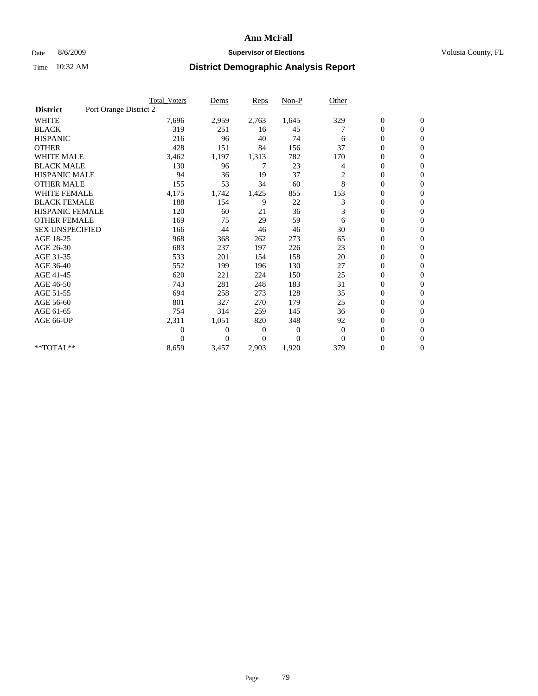### Date 8/6/2009 **Supervisor of Elections Supervisor of Elections** Volusia County, FL

|                        |                        | Total Voters   | Dems           | <b>Reps</b>    | $Non-P$      | Other          |                  |                  |  |
|------------------------|------------------------|----------------|----------------|----------------|--------------|----------------|------------------|------------------|--|
| <b>District</b>        | Port Orange District 2 |                |                |                |              |                |                  |                  |  |
| <b>WHITE</b>           |                        | 7,696          | 2,959          | 2,763          | 1,645        | 329            | $\boldsymbol{0}$ | $\boldsymbol{0}$ |  |
| <b>BLACK</b>           |                        | 319            | 251            | 16             | 45           |                | $\boldsymbol{0}$ | $\mathbf{0}$     |  |
| <b>HISPANIC</b>        |                        | 216            | 96             | 40             | 74           | 6              | $\overline{0}$   | $\mathbf{0}$     |  |
| <b>OTHER</b>           |                        | 428            | 151            | 84             | 156          | 37             | 0                | $\mathbf{0}$     |  |
| <b>WHITE MALE</b>      |                        | 3,462          | 1,197          | 1,313          | 782          | 170            | $\boldsymbol{0}$ | $\mathbf{0}$     |  |
| <b>BLACK MALE</b>      |                        | 130            | 96             | 7              | 23           | $\overline{4}$ | $\overline{0}$   | $\mathbf{0}$     |  |
| <b>HISPANIC MALE</b>   |                        | 94             | 36             | 19             | 37           | $\overline{c}$ | 0                | $\Omega$         |  |
| <b>OTHER MALE</b>      |                        | 155            | 53             | 34             | 60           | 8              | $\overline{0}$   | $\mathbf{0}$     |  |
| <b>WHITE FEMALE</b>    |                        | 4,175          | 1,742          | 1,425          | 855          | 153            | $\boldsymbol{0}$ | $\mathbf{0}$     |  |
| <b>BLACK FEMALE</b>    |                        | 188            | 154            | 9              | 22           | 3              | $\boldsymbol{0}$ | $\overline{0}$   |  |
| <b>HISPANIC FEMALE</b> |                        | 120            | 60             | 21             | 36           | 3              | $\boldsymbol{0}$ | $\mathbf{0}$     |  |
| <b>OTHER FEMALE</b>    |                        | 169            | 75             | 29             | 59           | 6              | $\mathbf{0}$     | $\mathbf{0}$     |  |
| <b>SEX UNSPECIFIED</b> |                        | 166            | 44             | 46             | 46           | 30             | $\boldsymbol{0}$ | $\Omega$         |  |
| AGE 18-25              |                        | 968            | 368            | 262            | 273          | 65             | $\boldsymbol{0}$ | $\mathbf{0}$     |  |
| AGE 26-30              |                        | 683            | 237            | 197            | 226          | 23             | $\overline{0}$   | $\Omega$         |  |
| AGE 31-35              |                        | 533            | 201            | 154            | 158          | 20             | $\boldsymbol{0}$ | $\mathbf{0}$     |  |
| AGE 36-40              |                        | 552            | 199            | 196            | 130          | 27             | $\boldsymbol{0}$ | $\mathbf{0}$     |  |
| AGE 41-45              |                        | 620            | 221            | 224            | 150          | 25             | $\boldsymbol{0}$ | $\mathbf{0}$     |  |
| AGE 46-50              |                        | 743            | 281            | 248            | 183          | 31             | $\boldsymbol{0}$ | $\Omega$         |  |
| AGE 51-55              |                        | 694            | 258            | 273            | 128          | 35             | $\overline{0}$   | $\mathbf{0}$     |  |
| AGE 56-60              |                        | 801            | 327            | 270            | 179          | 25             | $\overline{0}$   | $\mathbf{0}$     |  |
| AGE 61-65              |                        | 754            | 314            | 259            | 145          | 36             | $\overline{0}$   | $\mathbf{0}$     |  |
| AGE 66-UP              |                        | 2,311          | 1,051          | 820            | 348          | 92             | $\boldsymbol{0}$ | $\mathbf{0}$     |  |
|                        |                        | $\overline{0}$ | $\overline{0}$ | 0              | $\mathbf{0}$ | $\mathbf{0}$   | $\mathbf{0}$     | $\mathbf{0}$     |  |
|                        |                        | $\Omega$       | $\overline{0}$ | $\overline{0}$ | $\mathbf{0}$ | $\mathbf{0}$   | 0                | $\mathbf{0}$     |  |
| **TOTAL**              |                        | 8,659          | 3,457          | 2,903          | 1,920        | 379            | 0                | $\boldsymbol{0}$ |  |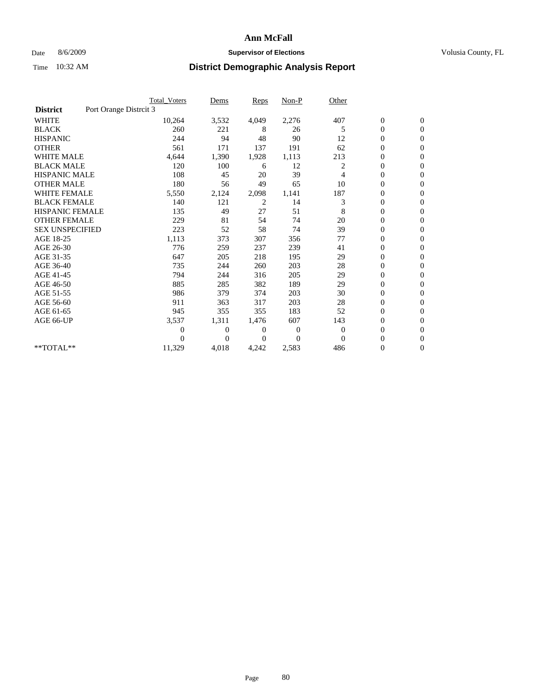### Date 8/6/2009 **Supervisor of Elections Supervisor of Elections** Volusia County, FL

|                        |                        | Total Voters   | Dems           | <b>Reps</b>  | $Non-P$      | Other        |                  |                  |  |
|------------------------|------------------------|----------------|----------------|--------------|--------------|--------------|------------------|------------------|--|
| <b>District</b>        | Port Orange Distrcit 3 |                |                |              |              |              |                  |                  |  |
| <b>WHITE</b>           |                        | 10,264         | 3,532          | 4,049        | 2,276        | 407          | $\boldsymbol{0}$ | $\boldsymbol{0}$ |  |
| <b>BLACK</b>           |                        | 260            | 221            | 8            | 26           | 5            | $\boldsymbol{0}$ | $\mathbf{0}$     |  |
| <b>HISPANIC</b>        |                        | 244            | 94             | 48           | 90           | 12           | $\overline{0}$   | $\mathbf{0}$     |  |
| <b>OTHER</b>           |                        | 561            | 171            | 137          | 191          | 62           | $\overline{0}$   | $\mathbf{0}$     |  |
| <b>WHITE MALE</b>      |                        | 4,644          | 1,390          | 1,928        | 1,113        | 213          | $\boldsymbol{0}$ | $\mathbf{0}$     |  |
| <b>BLACK MALE</b>      |                        | 120            | 100            | 6            | 12           | 2            | $\overline{0}$   | $\mathbf{0}$     |  |
| <b>HISPANIC MALE</b>   |                        | 108            | 45             | 20           | 39           | 4            | $\boldsymbol{0}$ | $\Omega$         |  |
| <b>OTHER MALE</b>      |                        | 180            | 56             | 49           | 65           | 10           | $\overline{0}$   | $\mathbf{0}$     |  |
| <b>WHITE FEMALE</b>    |                        | 5,550          | 2,124          | 2,098        | 1,141        | 187          | $\boldsymbol{0}$ | $\mathbf{0}$     |  |
| <b>BLACK FEMALE</b>    |                        | 140            | 121            | 2            | 14           | 3            | $\boldsymbol{0}$ | $\mathbf{0}$     |  |
| <b>HISPANIC FEMALE</b> |                        | 135            | 49             | 27           | 51           | 8            | $\boldsymbol{0}$ | $\mathbf{0}$     |  |
| <b>OTHER FEMALE</b>    |                        | 229            | 81             | 54           | 74           | 20           | $\mathbf{0}$     | $\mathbf{0}$     |  |
| <b>SEX UNSPECIFIED</b> |                        | 223            | 52             | 58           | 74           | 39           | $\boldsymbol{0}$ | $\Omega$         |  |
| AGE 18-25              |                        | 1,113          | 373            | 307          | 356          | 77           | $\overline{0}$   | $\mathbf{0}$     |  |
| AGE 26-30              |                        | 776            | 259            | 237          | 239          | 41           | $\overline{0}$   | $\Omega$         |  |
| AGE 31-35              |                        | 647            | 205            | 218          | 195          | 29           | $\boldsymbol{0}$ | $\mathbf{0}$     |  |
| AGE 36-40              |                        | 735            | 244            | 260          | 203          | 28           | $\boldsymbol{0}$ | $\mathbf{0}$     |  |
| AGE 41-45              |                        | 794            | 244            | 316          | 205          | 29           | $\boldsymbol{0}$ | $\mathbf{0}$     |  |
| AGE 46-50              |                        | 885            | 285            | 382          | 189          | 29           | $\boldsymbol{0}$ | $\Omega$         |  |
| AGE 51-55              |                        | 986            | 379            | 374          | 203          | 30           | $\overline{0}$   | $\mathbf{0}$     |  |
| AGE 56-60              |                        | 911            | 363            | 317          | 203          | 28           | $\overline{0}$   | $\mathbf{0}$     |  |
| AGE 61-65              |                        | 945            | 355            | 355          | 183          | 52           | $\overline{0}$   | $\mathbf{0}$     |  |
| AGE 66-UP              |                        | 3,537          | 1,311          | 1,476        | 607          | 143          | $\boldsymbol{0}$ | $\mathbf{0}$     |  |
|                        |                        | $\overline{0}$ | $\overline{0}$ | 0            | $\mathbf{0}$ | $\mathbf{0}$ | $\mathbf{0}$     | $\mathbf{0}$     |  |
|                        |                        | 0              | $\overline{0}$ | $\mathbf{0}$ | $\Omega$     | $\mathbf{0}$ | 0                | $\mathbf{0}$     |  |
| **TOTAL**              |                        | 11,329         | 4,018          | 4,242        | 2,583        | 486          | 0                | $\boldsymbol{0}$ |  |